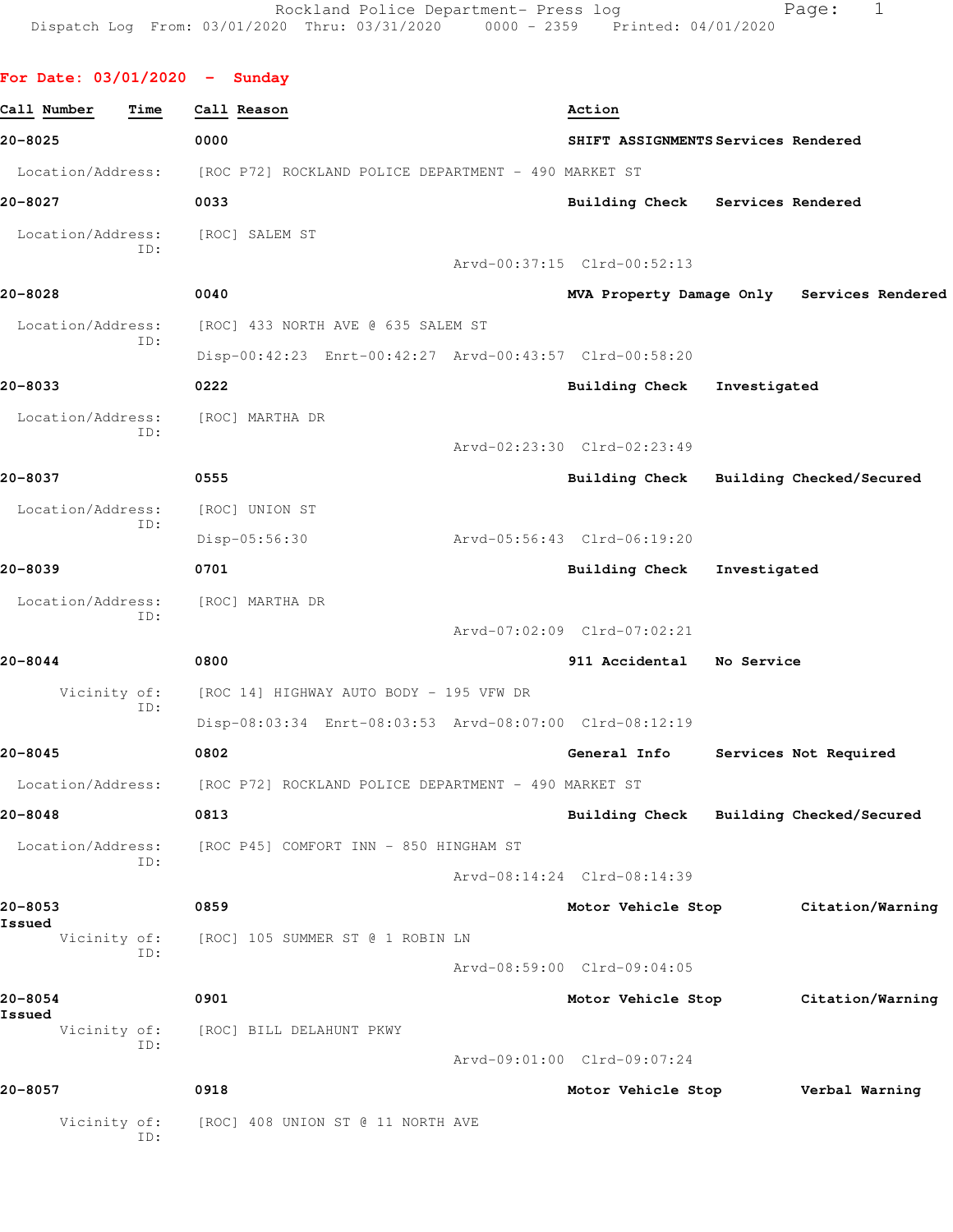| For Date: $03/01/2020 -$ Sunday |                                                         |                                         |              |                                            |
|---------------------------------|---------------------------------------------------------|-----------------------------------------|--------------|--------------------------------------------|
| Call Number<br>Time             | Call Reason                                             | Action                                  |              |                                            |
| 20-8025                         | 0000                                                    | SHIFT ASSIGNMENTS Services Rendered     |              |                                            |
| Location/Address:               | [ROC P72] ROCKLAND POLICE DEPARTMENT - 490 MARKET ST    |                                         |              |                                            |
| 20-8027                         | 0033                                                    | Building Check Services Rendered        |              |                                            |
| Location/Address:<br>ID:        | [ROC] SALEM ST                                          |                                         |              |                                            |
|                                 |                                                         | Arvd-00:37:15 Clrd-00:52:13             |              |                                            |
| 20-8028                         | 0040                                                    |                                         |              | MVA Property Damage Only Services Rendered |
| Location/Address:<br>ID:        | [ROC] 433 NORTH AVE @ 635 SALEM ST                      |                                         |              |                                            |
|                                 | Disp-00:42:23 Enrt-00:42:27 Arvd-00:43:57 Clrd-00:58:20 |                                         |              |                                            |
| 20-8033                         | 0222                                                    | <b>Building Check</b>                   | Investigated |                                            |
| Location/Address:<br>TD:        | [ROC] MARTHA DR                                         |                                         |              |                                            |
|                                 |                                                         | Arvd-02:23:30 Clrd-02:23:49             |              |                                            |
| 20-8037                         | 0555                                                    | Building Check Building Checked/Secured |              |                                            |
| Location/Address:<br>ID:        | [ROC] UNION ST                                          |                                         |              |                                            |
|                                 | Disp-05:56:30                                           | Arvd-05:56:43 Clrd-06:19:20             |              |                                            |
| 20-8039                         | 0701                                                    | Building Check                          | Investigated |                                            |
| Location/Address:<br>ID:        | [ROC] MARTHA DR                                         |                                         |              |                                            |
|                                 |                                                         | Arvd-07:02:09 Clrd-07:02:21             |              |                                            |
| 20-8044                         | 0800                                                    | 911 Accidental                          | No Service   |                                            |
| Vicinity of:<br>ID:             | [ROC 14] HIGHWAY AUTO BODY - 195 VFW DR                 |                                         |              |                                            |
|                                 | Disp-08:03:34 Enrt-08:03:53 Arvd-08:07:00 Clrd-08:12:19 |                                         |              |                                            |
| 20-8045                         | 0802                                                    | General Info                            |              | Services Not Required                      |
| Location/Address:               | [ROC P72] ROCKLAND POLICE DEPARTMENT - 490 MARKET ST    |                                         |              |                                            |
| 20-8048                         | 0813                                                    | Building Check Building Checked/Secured |              |                                            |
| Location/Address:               | [ROC P45] COMFORT INN - 850 HINGHAM ST                  |                                         |              |                                            |
| ID:                             |                                                         | Arvd-08:14:24 Clrd-08:14:39             |              |                                            |
| 20-8053                         | 0859                                                    | Motor Vehicle Stop                      |              | Citation/Warning                           |
| Issued<br>Vicinity of:          | [ROC] 105 SUMMER ST @ 1 ROBIN LN                        |                                         |              |                                            |
| ID:                             |                                                         | Arvd-08:59:00 Clrd-09:04:05             |              |                                            |
| 20-8054                         | 0901                                                    | Motor Vehicle Stop                      |              | Citation/Warning                           |
| Issued<br>Vicinity of:          | [ROC] BILL DELAHUNT PKWY                                |                                         |              |                                            |
| ID:                             |                                                         | Arvd-09:01:00 Clrd-09:07:24             |              |                                            |
| 20-8057                         | 0918                                                    | Motor Vehicle Stop                      |              | Verbal Warning                             |
| Vicinity of:<br>ID:             | [ROC] 408 UNION ST @ 11 NORTH AVE                       |                                         |              |                                            |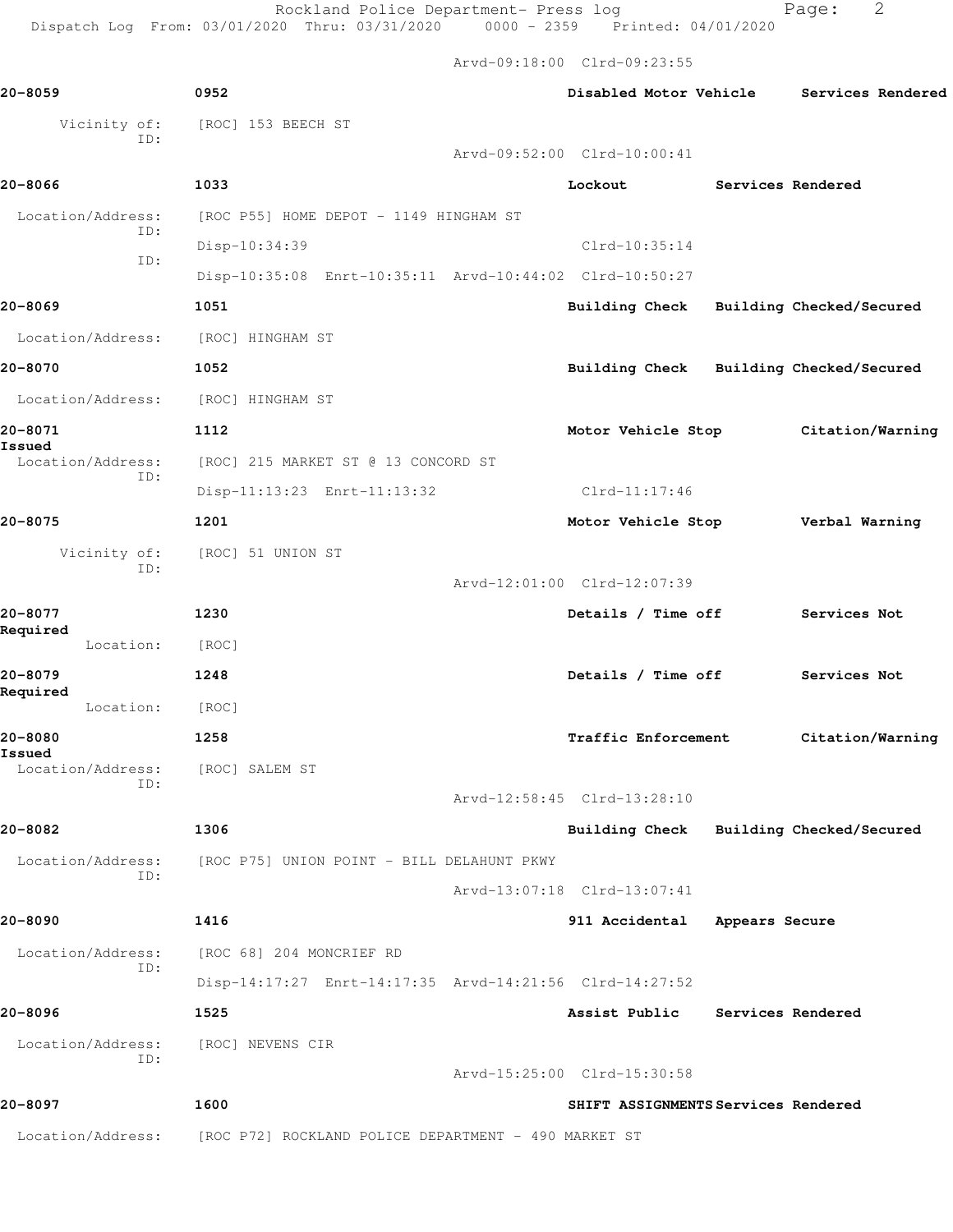Arvd-09:18:00 Clrd-09:23:55

| 20-8059                                    | 0952                                                    |                             | Disabled Motor Vehicle |                                     | Services Rendered                       |
|--------------------------------------------|---------------------------------------------------------|-----------------------------|------------------------|-------------------------------------|-----------------------------------------|
| Vicinity of:                               | [ROC] 153 BEECH ST                                      |                             |                        |                                     |                                         |
| ID:                                        |                                                         | Arvd-09:52:00 Clrd-10:00:41 |                        |                                     |                                         |
| 20-8066                                    | 1033                                                    |                             | Lockout                |                                     | Services Rendered                       |
| Location/Address:                          | [ROC P55] HOME DEPOT - 1149 HINGHAM ST                  |                             |                        |                                     |                                         |
| ID:                                        | Disp-10:34:39                                           |                             | $Clrd-10:35:14$        |                                     |                                         |
| ID:                                        | Disp-10:35:08 Enrt-10:35:11 Arvd-10:44:02 Clrd-10:50:27 |                             |                        |                                     |                                         |
| 20-8069                                    | 1051                                                    |                             |                        |                                     | Building Check Building Checked/Secured |
| Location/Address:                          | [ROC] HINGHAM ST                                        |                             |                        |                                     |                                         |
| 20-8070                                    | 1052                                                    |                             |                        |                                     | Building Check Building Checked/Secured |
| Location/Address:                          | [ROC] HINGHAM ST                                        |                             |                        |                                     |                                         |
| 20-8071                                    | 1112                                                    |                             | Motor Vehicle Stop     |                                     | Citation/Warning                        |
| <b>Issued</b><br>Location/Address:         | [ROC] 215 MARKET ST @ 13 CONCORD ST                     |                             |                        |                                     |                                         |
| ID:                                        | Disp-11:13:23 Enrt-11:13:32                             |                             | Clrd-11:17:46          |                                     |                                         |
| 20-8075                                    | 1201                                                    |                             | Motor Vehicle Stop     |                                     | Verbal Warning                          |
| Vicinity of:                               | [ROC] 51 UNION ST                                       |                             |                        |                                     |                                         |
| ID:                                        |                                                         | Arvd-12:01:00 Clrd-12:07:39 |                        |                                     |                                         |
| 20-8077                                    | 1230                                                    |                             | Details / Time off     |                                     | Services Not                            |
| Required<br>Location:                      | [ROC]                                                   |                             |                        |                                     |                                         |
| 20-8079                                    | 1248                                                    |                             | Details / Time off     |                                     | Services Not                            |
| Required<br>Location:                      | [ROC]                                                   |                             |                        |                                     |                                         |
| 20-8080                                    | 1258                                                    |                             | Traffic Enforcement    |                                     | Citation/Warning                        |
| Issued<br>Location/Address: [ROC] SALEM ST |                                                         |                             |                        |                                     |                                         |
| ID:                                        |                                                         | Arvd-12:58:45 Clrd-13:28:10 |                        |                                     |                                         |
| 20-8082                                    | 1306                                                    |                             |                        |                                     | Building Check Building Checked/Secured |
| Location/Address:                          | [ROC P75] UNION POINT - BILL DELAHUNT PKWY              |                             |                        |                                     |                                         |
| ID:                                        |                                                         | Arvd-13:07:18 Clrd-13:07:41 |                        |                                     |                                         |
| 20-8090                                    | 1416                                                    |                             | 911 Accidental         | Appears Secure                      |                                         |
| Location/Address:                          | [ROC 68] 204 MONCRIEF RD                                |                             |                        |                                     |                                         |
| ID:                                        | Disp-14:17:27 Enrt-14:17:35 Arvd-14:21:56 Clrd-14:27:52 |                             |                        |                                     |                                         |
| 20-8096                                    | 1525                                                    |                             | Assist Public          |                                     | Services Rendered                       |
| Location/Address:                          | [ROC] NEVENS CIR                                        |                             |                        |                                     |                                         |
| ID:                                        |                                                         | Arvd-15:25:00 Clrd-15:30:58 |                        |                                     |                                         |
| 20-8097                                    | 1600                                                    |                             |                        | SHIFT ASSIGNMENTS Services Rendered |                                         |
| Location/Address:                          | [ROC P72] ROCKLAND POLICE DEPARTMENT - 490 MARKET ST    |                             |                        |                                     |                                         |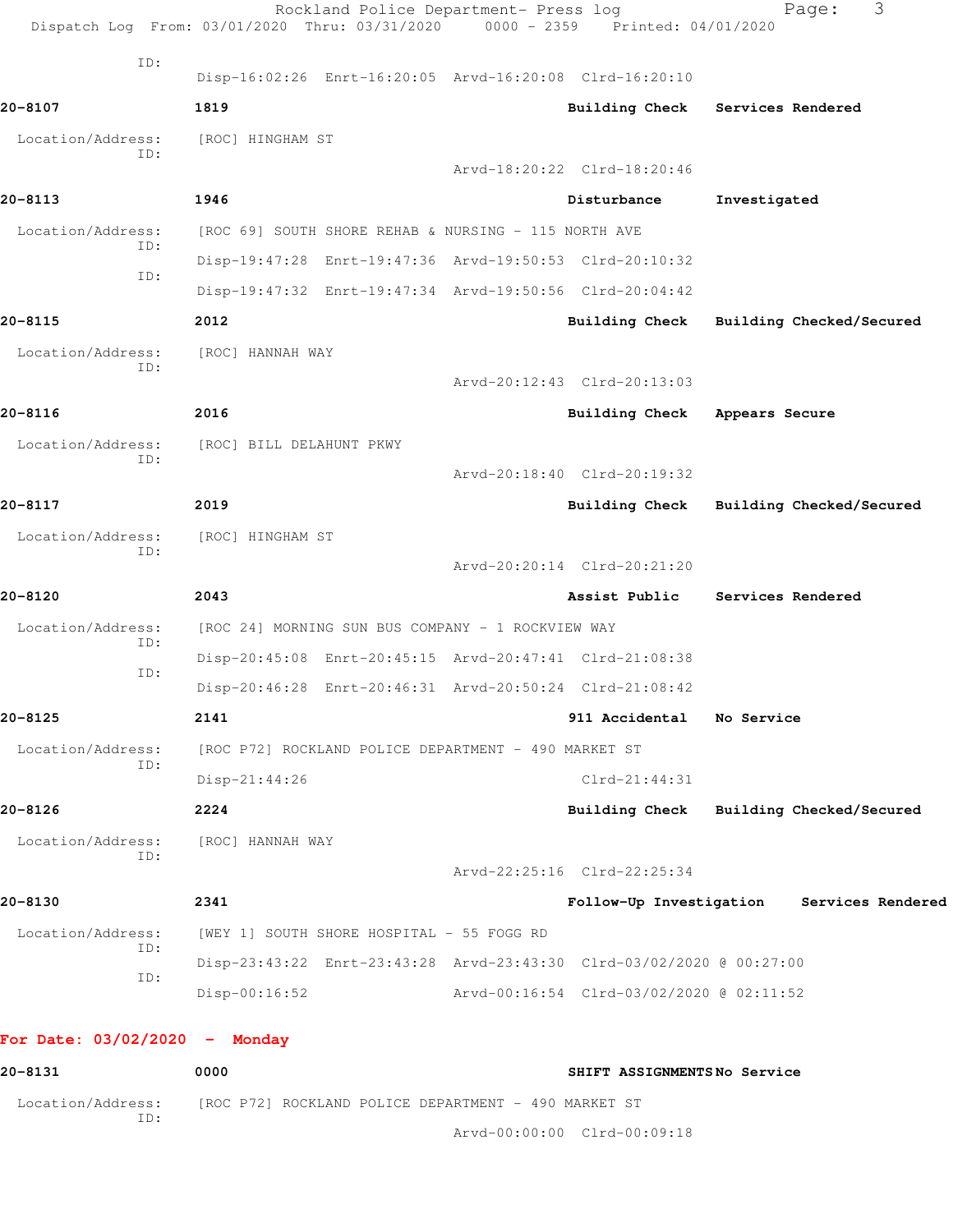|                                 | Rockland Police Department- Press log<br>Dispatch Log From: 03/01/2020 Thru: 03/31/2020 0000 - 2359 Printed: 04/01/2020 |                                          | 3<br>Page:                                |
|---------------------------------|-------------------------------------------------------------------------------------------------------------------------|------------------------------------------|-------------------------------------------|
| ID:                             | Disp-16:02:26 Enrt-16:20:05 Arvd-16:20:08 Clrd-16:20:10                                                                 |                                          |                                           |
| 20-8107                         | 1819                                                                                                                    |                                          | Building Check Services Rendered          |
| Location/Address:<br>ID:        | [ROC] HINGHAM ST                                                                                                        |                                          |                                           |
|                                 |                                                                                                                         | Arvd-18:20:22 Clrd-18:20:46              |                                           |
| 20-8113                         | 1946                                                                                                                    | Disturbance                              | Investigated                              |
| Location/Address:<br>ID:        | [ROC 69] SOUTH SHORE REHAB & NURSING - 115 NORTH AVE                                                                    |                                          |                                           |
| ID:                             | Disp-19:47:28 Enrt-19:47:36 Arvd-19:50:53 Clrd-20:10:32                                                                 |                                          |                                           |
|                                 | Disp-19:47:32 Enrt-19:47:34 Arvd-19:50:56 Clrd-20:04:42                                                                 |                                          |                                           |
| 20-8115                         | 2012                                                                                                                    |                                          | Building Check Building Checked/Secured   |
| Location/Address:<br>ID:        | [ROC] HANNAH WAY                                                                                                        |                                          |                                           |
|                                 |                                                                                                                         | Arvd-20:12:43 Clrd-20:13:03              |                                           |
| 20-8116                         | 2016                                                                                                                    | Building Check Appears Secure            |                                           |
| Location/Address:               | [ROC] BILL DELAHUNT PKWY                                                                                                |                                          |                                           |
| ID:                             |                                                                                                                         | Arvd-20:18:40 Clrd-20:19:32              |                                           |
| 20-8117                         | 2019                                                                                                                    | Building Check                           | Building Checked/Secured                  |
| Location/Address:               | [ROC] HINGHAM ST                                                                                                        |                                          |                                           |
| ID:                             |                                                                                                                         | Arvd-20:20:14 Clrd-20:21:20              |                                           |
| 20-8120                         | 2043                                                                                                                    | Assist Public                            | Services Rendered                         |
| Location/Address:               | [ROC 24] MORNING SUN BUS COMPANY - 1 ROCKVIEW WAY                                                                       |                                          |                                           |
| ID:                             | Disp-20:45:08 Enrt-20:45:15 Arvd-20:47:41 Clrd-21:08:38                                                                 |                                          |                                           |
| ID:                             | Disp-20:46:28 Enrt-20:46:31 Arvd-20:50:24 Clrd-21:08:42                                                                 |                                          |                                           |
| 20-8125                         | 2141                                                                                                                    | 911 Accidental                           | No Service                                |
| Location/Address:               |                                                                                                                         |                                          |                                           |
| ID:                             | [ROC P72] ROCKLAND POLICE DEPARTMENT - 490 MARKET ST                                                                    |                                          |                                           |
|                                 | Disp-21:44:26                                                                                                           | $Clrd-21:44:31$                          |                                           |
| 20-8126                         | 2224                                                                                                                    |                                          | Building Check Building Checked/Secured   |
| Location/Address:<br>ID:        | [ROC] HANNAH WAY                                                                                                        |                                          |                                           |
|                                 |                                                                                                                         | Arvd-22:25:16 Clrd-22:25:34              |                                           |
| 20-8130                         | 2341                                                                                                                    |                                          | Follow-Up Investigation Services Rendered |
| Location/Address:<br>ID:        | [WEY 1] SOUTH SHORE HOSPITAL - 55 FOGG RD                                                                               |                                          |                                           |
| ID:                             | Disp-23:43:22 Enrt-23:43:28 Arvd-23:43:30 Clrd-03/02/2020 @ 00:27:00                                                    |                                          |                                           |
|                                 | $Disp-00:16:52$                                                                                                         | Arvd-00:16:54 Clrd-03/02/2020 @ 02:11:52 |                                           |
| For Date: $03/02/2020 -$ Monday |                                                                                                                         |                                          |                                           |
| 20-8131                         | 0000                                                                                                                    | SHIFT ASSIGNMENTSNo Service              |                                           |
| Location/Address:<br>ID:        | [ROC P72] ROCKLAND POLICE DEPARTMENT - 490 MARKET ST                                                                    |                                          |                                           |

Arvd-00:00:00 Clrd-00:09:18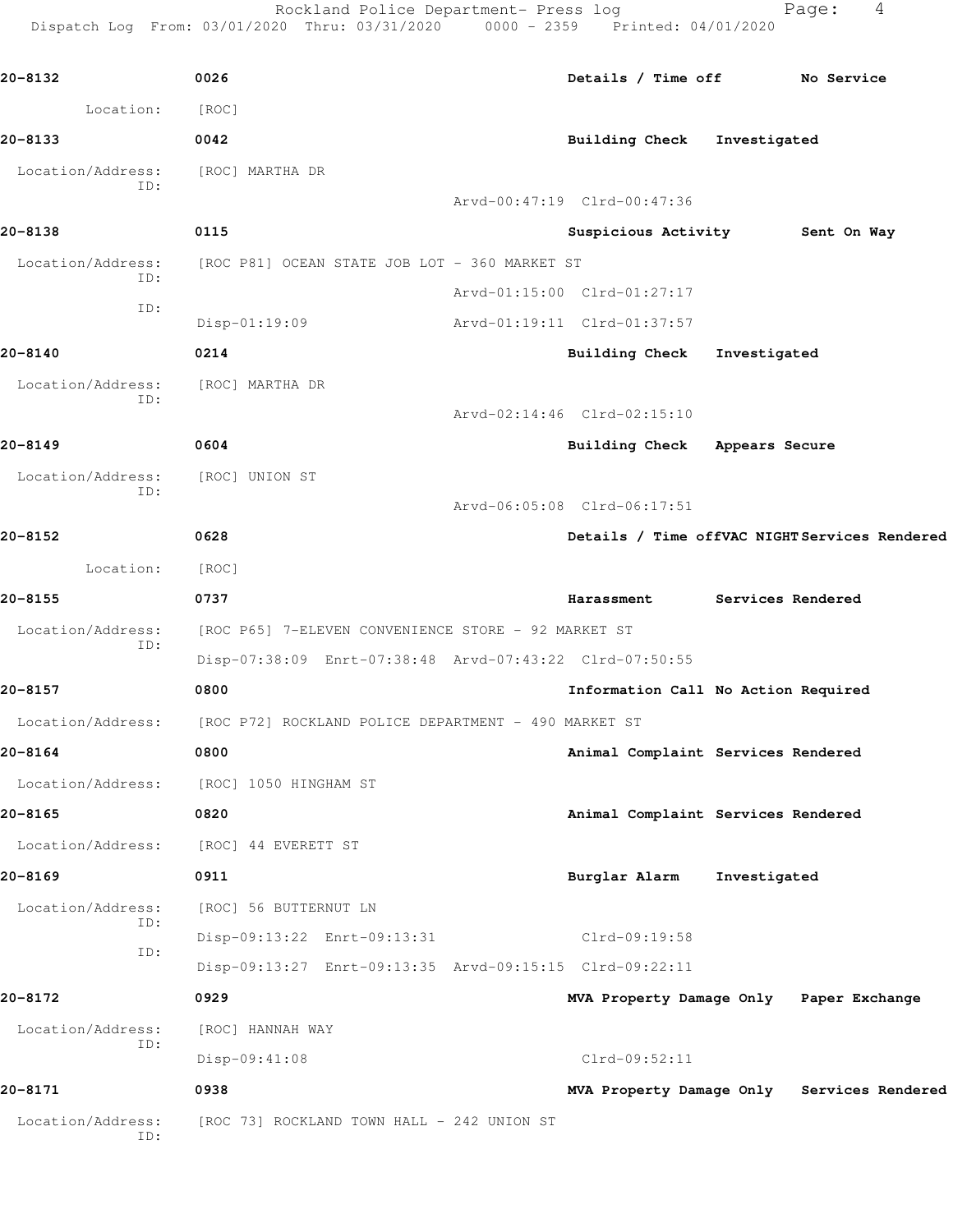Rockland Police Department- Press log North Page: 4

Dispatch Log From: 03/01/2020 Thru: 03/31/2020 0000 - 2359 Printed: 04/01/2020

**20-8132 0026 Details / Time off No Service** Location: [ROC] **20-8133 0042 Building Check Investigated** Location/Address: [ROC] MARTHA DR ID: Arvd-00:47:19 Clrd-00:47:36 **20-8138 0115 Suspicious Activity Sent On Way** Location/Address: [ROC P81] OCEAN STATE JOB LOT - 360 MARKET ST ID: Arvd-01:15:00 Clrd-01:27:17 ID: Disp-01:19:09 Arvd-01:19:11 Clrd-01:37:57 **20-8140 0214 Building Check Investigated** Location/Address: [ROC] MARTHA DR ID: Arvd-02:14:46 Clrd-02:15:10 **20-8149 0604 Building Check Appears Secure** Location/Address: [ROC] UNION ST ID: Arvd-06:05:08 Clrd-06:17:51 **20-8152 0628 Details / Time offVAC NIGHT Services Rendered** Location: [ROC] **20-8155 0737 Harassment Services Rendered** Location/Address: [ROC P65] 7-ELEVEN CONVENIENCE STORE - 92 MARKET ST ID: Disp-07:38:09 Enrt-07:38:48 Arvd-07:43:22 Clrd-07:50:55 **20-8157 0800 Information Call No Action Required** Location/Address: [ROC P72] ROCKLAND POLICE DEPARTMENT - 490 MARKET ST **20-8164 0800 Animal Complaint Services Rendered** Location/Address: [ROC] 1050 HINGHAM ST **20-8165 0820 Animal Complaint Services Rendered** Location/Address: [ROC] 44 EVERETT ST **20-8169 0911 Burglar Alarm Investigated** Location/Address: [ROC] 56 BUTTERNUT LN ID: Disp-09:13:22 Enrt-09:13:31 Clrd-09:19:58 ID: Disp-09:13:27 Enrt-09:13:35 Arvd-09:15:15 Clrd-09:22:11 **20-8172 0929 MVA Property Damage Only Paper Exchange** Location/Address: [ROC] HANNAH WAY ID: Disp-09:41:08 Clrd-09:52:11 **20-8171 0938 MVA Property Damage Only Services Rendered** Location/Address: [ROC 73] ROCKLAND TOWN HALL - 242 UNION ST ID: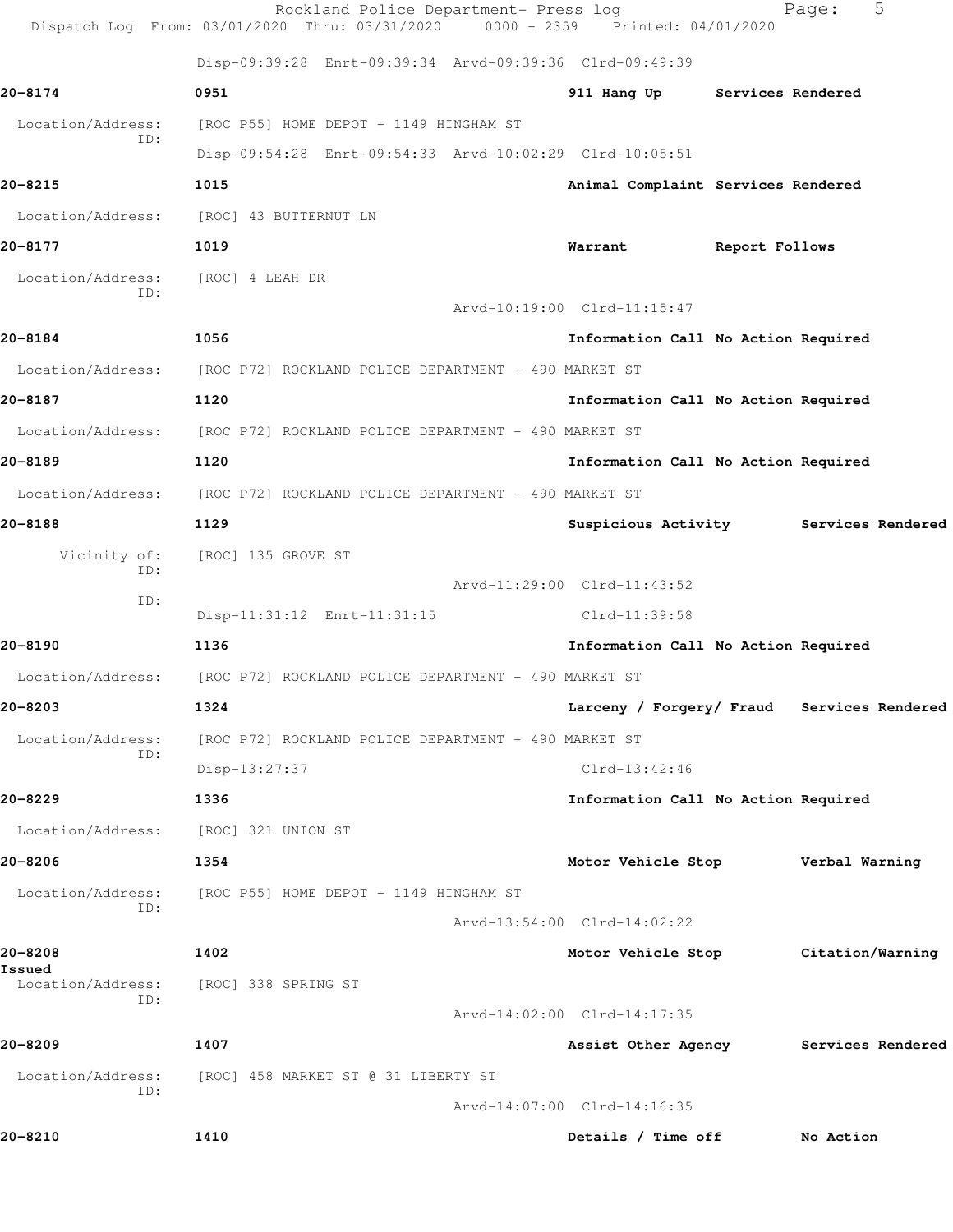|                          | Rockland Police Department- Press log<br>Dispatch Log From: 03/01/2020 Thru: 03/31/2020 | 0000 - 2359 Printed: 04/01/2020            | 5<br>Page:        |
|--------------------------|-----------------------------------------------------------------------------------------|--------------------------------------------|-------------------|
|                          | Disp-09:39:28 Enrt-09:39:34 Arvd-09:39:36 Clrd-09:49:39                                 |                                            |                   |
| 20-8174                  | 0951                                                                                    | 911 Hang Up Services Rendered              |                   |
| Location/Address:        | [ROC P55] HOME DEPOT - 1149 HINGHAM ST                                                  |                                            |                   |
| ID:                      | Disp-09:54:28 Enrt-09:54:33 Arvd-10:02:29 Clrd-10:05:51                                 |                                            |                   |
| 20-8215                  | 1015                                                                                    | Animal Complaint Services Rendered         |                   |
| Location/Address:        | [ROC] 43 BUTTERNUT LN                                                                   |                                            |                   |
| 20-8177                  | 1019                                                                                    | Warrant<br>Report Follows                  |                   |
| Location/Address:<br>ID: | [ROC] 4 LEAH DR                                                                         |                                            |                   |
|                          |                                                                                         | Arvd-10:19:00 Clrd-11:15:47                |                   |
| 20-8184                  | 1056                                                                                    | Information Call No Action Required        |                   |
|                          | Location/Address: [ROC P72] ROCKLAND POLICE DEPARTMENT - 490 MARKET ST                  |                                            |                   |
| 20-8187                  | 1120                                                                                    | Information Call No Action Required        |                   |
| Location/Address:        | [ROC P72] ROCKLAND POLICE DEPARTMENT - 490 MARKET ST                                    |                                            |                   |
| 20-8189                  | 1120                                                                                    | Information Call No Action Required        |                   |
| Location/Address:        | [ROC P72] ROCKLAND POLICE DEPARTMENT - 490 MARKET ST                                    |                                            |                   |
| 20-8188                  | 1129                                                                                    | Suspicious Activity Services Rendered      |                   |
| Vicinity of:<br>ID:      | [ROC] 135 GROVE ST                                                                      |                                            |                   |
| ID:                      |                                                                                         | Arvd-11:29:00 Clrd-11:43:52                |                   |
|                          | Disp-11:31:12 Enrt-11:31:15                                                             | Clrd-11:39:58                              |                   |
| 20-8190                  | 1136                                                                                    | Information Call No Action Required        |                   |
|                          | Location/Address: [ROC P72] ROCKLAND POLICE DEPARTMENT - 490 MARKET ST                  |                                            |                   |
| 20-8203                  | 1324                                                                                    | Larceny / Forgery/ Fraud Services Rendered |                   |
| Location/Address:<br>ID: | [ROC P72] ROCKLAND POLICE DEPARTMENT - 490 MARKET ST                                    |                                            |                   |
|                          | Disp-13:27:37                                                                           | $Clrd-13:42:46$                            |                   |
| 20-8229                  | 1336                                                                                    | Information Call No Action Required        |                   |
| Location/Address:        | [ROC] 321 UNION ST                                                                      |                                            |                   |
| 20-8206                  | 1354                                                                                    | Motor Vehicle Stop                         | Verbal Warning    |
| Location/Address:<br>ID: | [ROC P55] HOME DEPOT - 1149 HINGHAM ST                                                  |                                            |                   |
|                          |                                                                                         | Arvd-13:54:00 Clrd-14:02:22                |                   |
| 20-8208<br>Issued        | 1402                                                                                    | Motor Vehicle Stop                         | Citation/Warning  |
| Location/Address:<br>ID: | [ROC] 338 SPRING ST                                                                     |                                            |                   |
|                          |                                                                                         | Arvd-14:02:00 Clrd-14:17:35                |                   |
| 20-8209                  | 1407                                                                                    | Assist Other Agency                        | Services Rendered |
| Location/Address:<br>ID: | [ROC] 458 MARKET ST @ 31 LIBERTY ST                                                     |                                            |                   |
|                          |                                                                                         | Arvd-14:07:00 Clrd-14:16:35                |                   |
| 20-8210                  | 1410                                                                                    | Details / Time off                         | No Action         |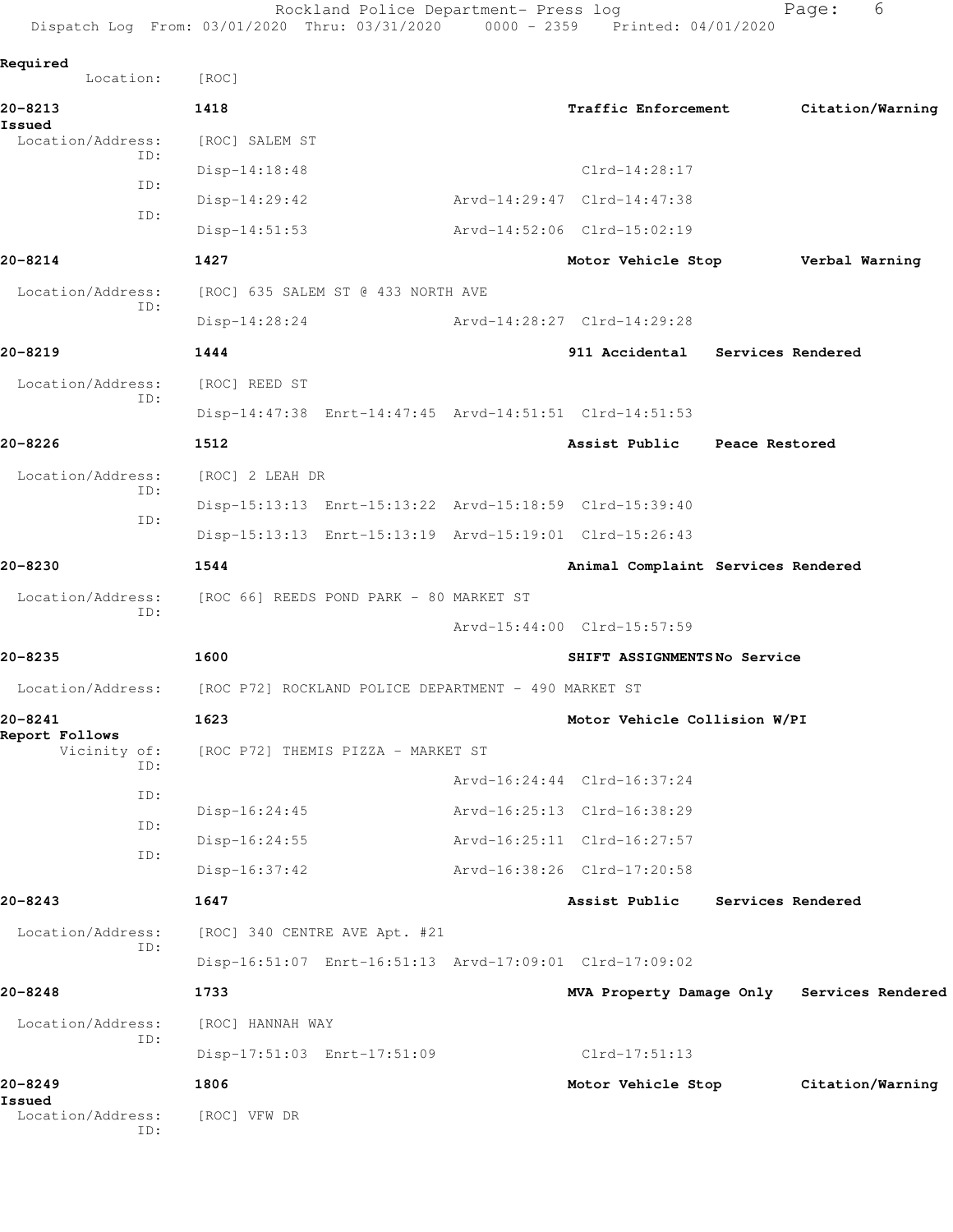Rockland Police Department- Press log entitled and Page: 6 Dispatch Log From: 03/01/2020 Thru: 03/31/2020 0000 - 2359 Printed: 04/01/2020

| Required                    |                                                         |                                    |                          |                                            |
|-----------------------------|---------------------------------------------------------|------------------------------------|--------------------------|--------------------------------------------|
| Location:                   | [ROC]                                                   |                                    |                          |                                            |
| 20-8213<br>Issued           | 1418                                                    | Traffic Enforcement                |                          | Citation/Warning                           |
| Location/Address:<br>ID:    | [ROC] SALEM ST                                          |                                    |                          |                                            |
| ID:                         | $Disp-14:18:48$                                         | $Clrd-14:28:17$                    |                          |                                            |
| ID:                         | $Disp-14:29:42$                                         | Arvd-14:29:47 Clrd-14:47:38        |                          |                                            |
|                             | $Disp-14:51:53$                                         | Arvd-14:52:06 Clrd-15:02:19        |                          |                                            |
| 20-8214                     | 1427                                                    | Motor Vehicle Stop                 |                          | Verbal Warning                             |
| Location/Address:<br>ID:    | [ROC] 635 SALEM ST @ 433 NORTH AVE                      |                                    |                          |                                            |
|                             | $Disp-14:28:24$                                         | Arvd-14:28:27 Clrd-14:29:28        |                          |                                            |
| 20-8219                     | 1444                                                    | 911 Accidental Services Rendered   |                          |                                            |
| Location/Address:           | [ROC] REED ST                                           |                                    |                          |                                            |
| ID:                         | Disp-14:47:38 Enrt-14:47:45 Arvd-14:51:51 Clrd-14:51:53 |                                    |                          |                                            |
| 20-8226                     | 1512                                                    | Assist Public                      | Peace Restored           |                                            |
| Location/Address:           | [ROC] 2 LEAH DR                                         |                                    |                          |                                            |
| ID:                         | Disp-15:13:13 Enrt-15:13:22 Arvd-15:18:59 Clrd-15:39:40 |                                    |                          |                                            |
| ID:                         | Disp-15:13:13 Enrt-15:13:19 Arvd-15:19:01 Clrd-15:26:43 |                                    |                          |                                            |
| 20-8230                     | 1544                                                    | Animal Complaint Services Rendered |                          |                                            |
| Location/Address:           | [ROC 66] REEDS POND PARK - 80 MARKET ST                 |                                    |                          |                                            |
| ID:                         |                                                         | Arvd-15:44:00 Clrd-15:57:59        |                          |                                            |
| 20-8235                     | 1600                                                    | SHIFT ASSIGNMENTSNo Service        |                          |                                            |
| Location/Address:           | [ROC P72] ROCKLAND POLICE DEPARTMENT - 490 MARKET ST    |                                    |                          |                                            |
| 20-8241                     | 1623                                                    | Motor Vehicle Collision W/PI       |                          |                                            |
| Report Follows              |                                                         |                                    |                          |                                            |
| Vicinity of:<br>ID:         | [ROC P72] THEMIS PIZZA - MARKET ST                      |                                    |                          |                                            |
| ID:                         |                                                         | Arvd-16:24:44 Clrd-16:37:24        |                          |                                            |
| ID:                         | $Disp-16:24:45$                                         | Arvd-16:25:13 Clrd-16:38:29        |                          |                                            |
| ID:                         | $Disp-16:24:55$                                         | Arvd-16:25:11 Clrd-16:27:57        |                          |                                            |
|                             | $Disp-16:37:42$                                         | Arvd-16:38:26 Clrd-17:20:58        |                          |                                            |
| 20-8243                     | 1647                                                    | Assist Public                      | <b>Services Rendered</b> |                                            |
| Location/Address:<br>ID:    | [ROC] 340 CENTRE AVE Apt. #21                           |                                    |                          |                                            |
|                             | Disp-16:51:07 Enrt-16:51:13 Arvd-17:09:01 Clrd-17:09:02 |                                    |                          |                                            |
| 20-8248                     | 1733                                                    |                                    |                          | MVA Property Damage Only Services Rendered |
| Location/Address:<br>ID:    | [ROC] HANNAH WAY                                        |                                    |                          |                                            |
|                             | Disp-17:51:03 Enrt-17:51:09                             | $Clrd-17:51:13$                    |                          |                                            |
| 20-8249                     | 1806                                                    | Motor Vehicle Stop                 |                          | Citation/Warning                           |
| Issued<br>Location/Address: | [ROC] VFW DR                                            |                                    |                          |                                            |
| ID:                         |                                                         |                                    |                          |                                            |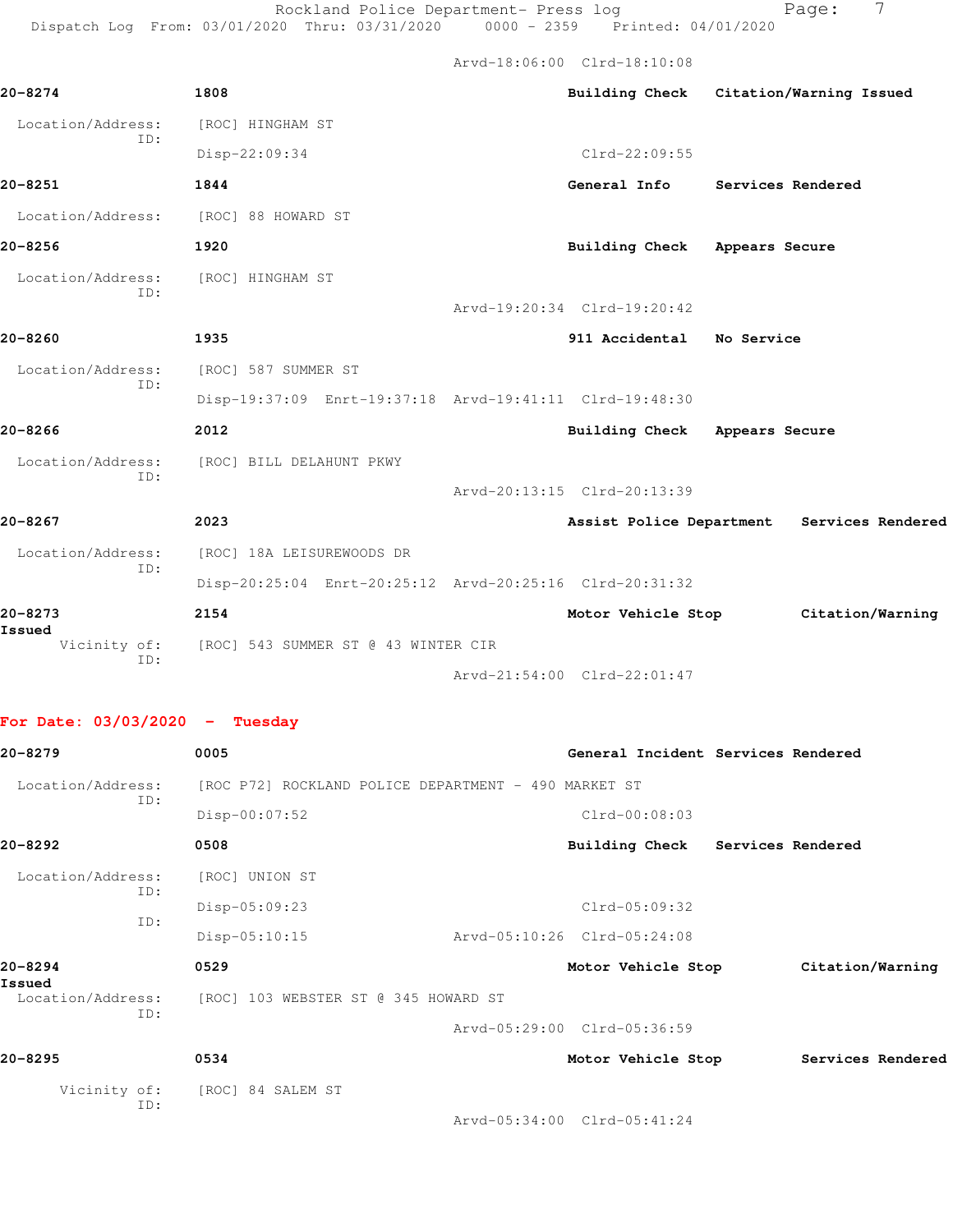Rockland Police Department- Press log entitled Page: 7 Dispatch Log From: 03/01/2020 Thru: 03/31/2020 0000 - 2359 Printed: 04/01/2020

Arvd-18:06:00 Clrd-18:10:08

| 20-8274                          | 1808                                                    | Building Check Citation/Warning Issued |                          |                                            |
|----------------------------------|---------------------------------------------------------|----------------------------------------|--------------------------|--------------------------------------------|
| Location/Address:                | [ROC] HINGHAM ST                                        |                                        |                          |                                            |
| ID:                              | Disp-22:09:34                                           | $Clrd-22:09:55$                        |                          |                                            |
| 20-8251                          | 1844                                                    | General Info                           | <b>Services Rendered</b> |                                            |
| Location/Address:                | [ROC] 88 HOWARD ST                                      |                                        |                          |                                            |
| 20-8256                          | 1920                                                    | Building Check Appears Secure          |                          |                                            |
| Location/Address:                | [ROC] HINGHAM ST                                        |                                        |                          |                                            |
| ID:                              |                                                         | Arvd-19:20:34 Clrd-19:20:42            |                          |                                            |
| 20-8260                          | 1935                                                    | 911 Accidental No Service              |                          |                                            |
| Location/Address:                | [ROC] 587 SUMMER ST                                     |                                        |                          |                                            |
| ID:                              | Disp-19:37:09 Enrt-19:37:18 Arvd-19:41:11 Clrd-19:48:30 |                                        |                          |                                            |
| 20-8266                          | 2012                                                    | Building Check Appears Secure          |                          |                                            |
| Location/Address:                | [ROC] BILL DELAHUNT PKWY                                |                                        |                          |                                            |
| ID:                              |                                                         | Arvd-20:13:15 Clrd-20:13:39            |                          |                                            |
| 20-8267                          | 2023                                                    |                                        |                          | Assist Police Department Services Rendered |
| Location/Address:                | [ROC] 18A LEISUREWOODS DR                               |                                        |                          |                                            |
| ID:                              | Disp-20:25:04 Enrt-20:25:12 Arvd-20:25:16 Clrd-20:31:32 |                                        |                          |                                            |
| 20-8273                          | 2154                                                    | Motor Vehicle Stop                     |                          | Citation/Warning                           |
| Issued<br>Vicinity of:<br>ID:    | [ROC] 543 SUMMER ST @ 43 WINTER CIR                     |                                        |                          |                                            |
|                                  |                                                         | Arvd-21:54:00 Clrd-22:01:47            |                          |                                            |
| For Date: $03/03/2020 -$ Tuesday |                                                         |                                        |                          |                                            |
| 20-8279                          | 0005                                                    | General Incident Services Rendered     |                          |                                            |
| Location/Address:                | [ROC P72] ROCKLAND POLICE DEPARTMENT - 490 MARKET ST    |                                        |                          |                                            |
| ID:                              | Disp-00:07:52                                           | $Clrd-00:08:03$                        |                          |                                            |
| 20-8292                          | 0508                                                    | <b>Building Check</b>                  | Services Rendered        |                                            |
| Location/Address:                | [ROC] UNION ST                                          |                                        |                          |                                            |
| ID:                              | Disp-05:09:23                                           | Clrd-05:09:32                          |                          |                                            |
| ID:                              | Disp-05:10:15                                           | Arvd-05:10:26 Clrd-05:24:08            |                          |                                            |
| 20-8294                          | 0529                                                    | Motor Vehicle Stop                     |                          | Citation/Warning                           |
| Issued<br>Location/Address:      | [ROC] 103 WEBSTER ST @ 345 HOWARD ST                    |                                        |                          |                                            |
| ID:                              |                                                         | Arvd-05:29:00 Clrd-05:36:59            |                          |                                            |
| 20-8295                          | 0534                                                    | Motor Vehicle Stop                     |                          | Services Rendered                          |
|                                  |                                                         |                                        |                          |                                            |

Vicinity of: [ROC] 84 SALEM ST ID:

Arvd-05:34:00 Clrd-05:41:24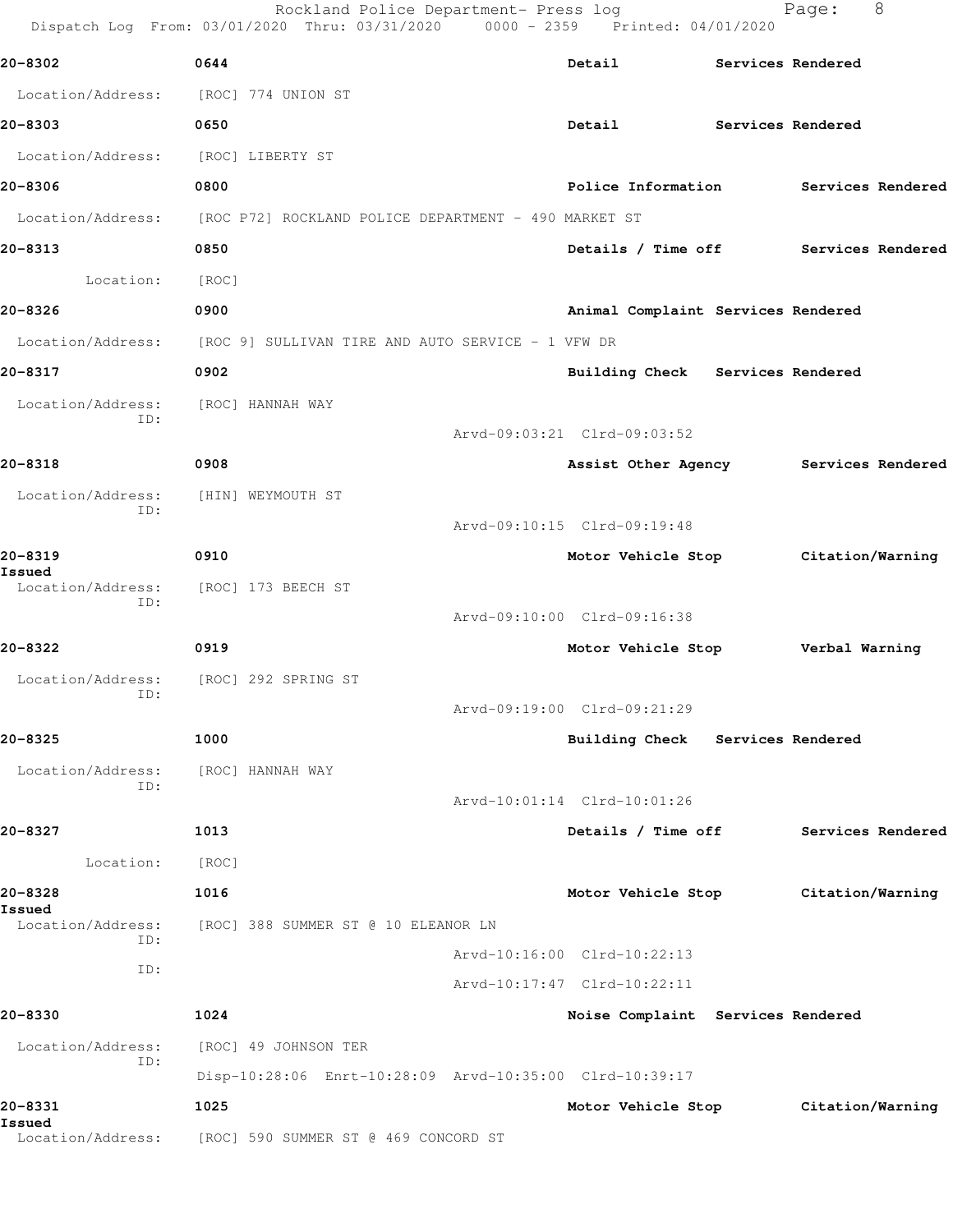|                          | Rockland Police Department- Press log<br>Dispatch Log From: 03/01/2020 Thru: 03/31/2020 0000 - 2359 Printed: 04/01/2020 |                                      | Page:             | 8                 |
|--------------------------|-------------------------------------------------------------------------------------------------------------------------|--------------------------------------|-------------------|-------------------|
| 20-8302                  | 0644                                                                                                                    | Detail                               | Services Rendered |                   |
| Location/Address:        | [ROC] 774 UNION ST                                                                                                      |                                      |                   |                   |
| 20-8303                  | 0650                                                                                                                    | Detail                               | Services Rendered |                   |
| Location/Address:        | [ROC] LIBERTY ST                                                                                                        |                                      |                   |                   |
| 20-8306                  | 0800                                                                                                                    | Police Information                   |                   | Services Rendered |
| Location/Address:        | [ROC P72] ROCKLAND POLICE DEPARTMENT - 490 MARKET ST                                                                    |                                      |                   |                   |
| 20-8313                  | 0850                                                                                                                    | Details / Time off Services Rendered |                   |                   |
| Location:                | [ROC]                                                                                                                   |                                      |                   |                   |
| 20-8326                  | 0900                                                                                                                    | Animal Complaint Services Rendered   |                   |                   |
|                          | $Location/Address:$ [ROC 9] SULLIVAN TIRE AND AUTO SERVICE - 1 VFW DR                                                   |                                      |                   |                   |
| 20-8317                  | 0902                                                                                                                    | Building Check Services Rendered     |                   |                   |
| Location/Address:        | [ROC] HANNAH WAY                                                                                                        |                                      |                   |                   |
| ID:                      |                                                                                                                         | Arvd-09:03:21 Clrd-09:03:52          |                   |                   |
| 20-8318                  | 0908                                                                                                                    | Assist Other Agency                  |                   | Services Rendered |
| Location/Address:<br>ID: | [HIN] WEYMOUTH ST                                                                                                       |                                      |                   |                   |
|                          |                                                                                                                         | Arvd-09:10:15 Clrd-09:19:48          |                   |                   |
| 20-8319<br>Issued        | 0910                                                                                                                    | Motor Vehicle Stop Citation/Warning  |                   |                   |
| Location/Address:<br>ID: | [ROC] 173 BEECH ST                                                                                                      |                                      |                   |                   |
|                          |                                                                                                                         | Arvd-09:10:00 Clrd-09:16:38          |                   |                   |
| 20-8322                  | 0919                                                                                                                    | Motor Vehicle Stop                   | Verbal Warning    |                   |
| Location/Address:<br>ID: | [ROC] 292 SPRING ST                                                                                                     |                                      |                   |                   |
|                          |                                                                                                                         | Arvd-09:19:00 Clrd-09:21:29          |                   |                   |
| 20-8325                  | 1000                                                                                                                    | Building Check Services Rendered     |                   |                   |
| Location/Address:<br>ID: | [ROC] HANNAH WAY                                                                                                        |                                      |                   |                   |
|                          |                                                                                                                         | Arvd-10:01:14 Clrd-10:01:26          |                   |                   |
| 20-8327                  | 1013                                                                                                                    | Details / Time off                   |                   | Services Rendered |
| Location:                | [ROC]                                                                                                                   |                                      |                   |                   |
| 20-8328<br>Issued        | 1016                                                                                                                    | Motor Vehicle Stop                   | Citation/Warning  |                   |
| Location/Address:<br>ID: | [ROC] 388 SUMMER ST @ 10 ELEANOR LN                                                                                     |                                      |                   |                   |
| ID:                      |                                                                                                                         | Arvd-10:16:00 Clrd-10:22:13          |                   |                   |
|                          |                                                                                                                         | Arvd-10:17:47 Clrd-10:22:11          |                   |                   |
| 20-8330                  | 1024                                                                                                                    | Noise Complaint Services Rendered    |                   |                   |
| Location/Address:<br>ID: | [ROC] 49 JOHNSON TER                                                                                                    |                                      |                   |                   |
|                          | Disp-10:28:06 Enrt-10:28:09 Arvd-10:35:00 Clrd-10:39:17                                                                 |                                      |                   |                   |
| 20-8331<br>Issued        | 1025                                                                                                                    | Motor Vehicle Stop                   | Citation/Warning  |                   |
| Location/Address:        | [ROC] 590 SUMMER ST @ 469 CONCORD ST                                                                                    |                                      |                   |                   |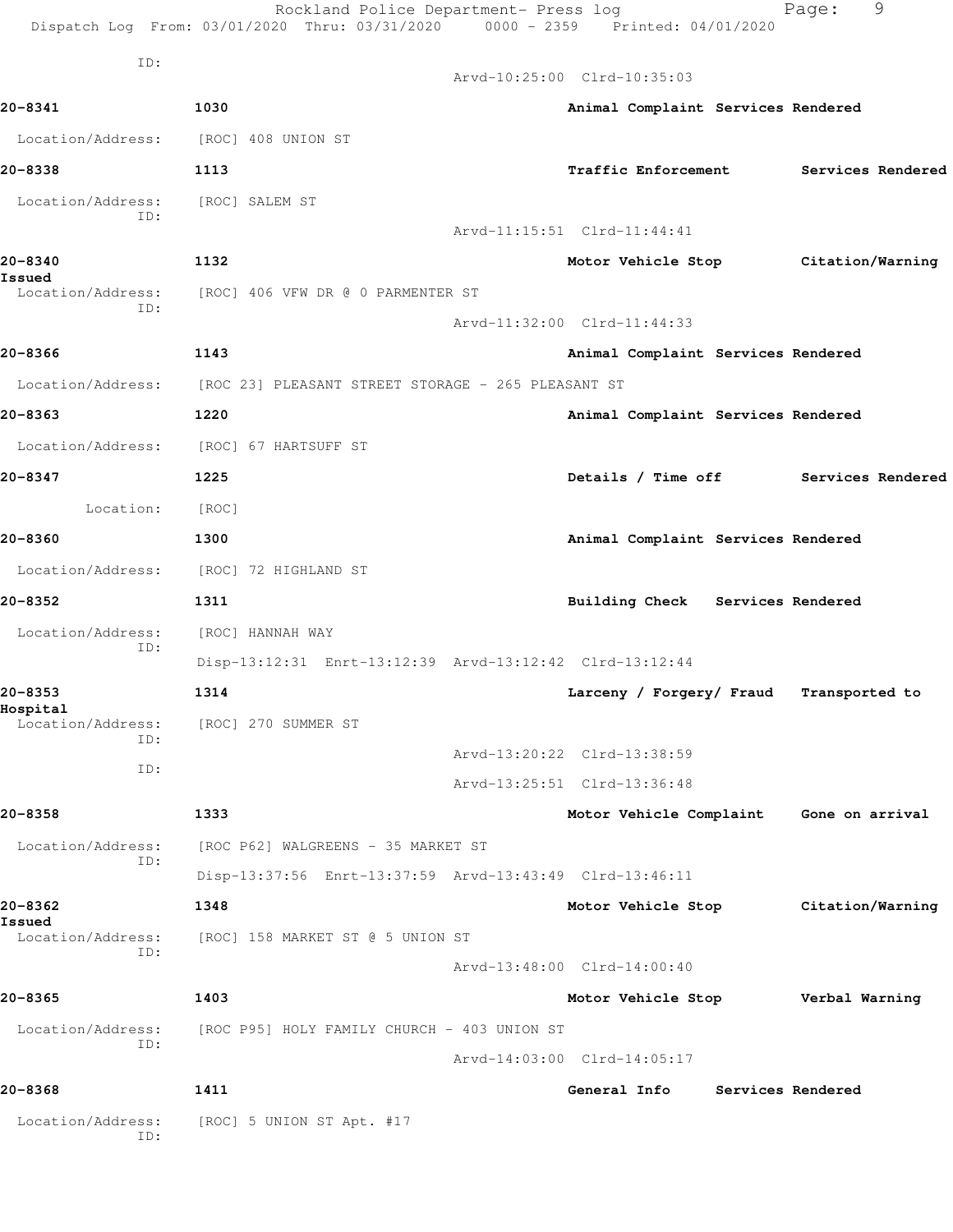|                               | Rockland Police Department- Press log<br>Dispatch Log From: 03/01/2020 Thru: 03/31/2020 0000 - 2359 Printed: 04/01/2020 |                                         | Page:             | 9 |
|-------------------------------|-------------------------------------------------------------------------------------------------------------------------|-----------------------------------------|-------------------|---|
| ID:                           |                                                                                                                         |                                         |                   |   |
|                               |                                                                                                                         | Arvd-10:25:00 Clrd-10:35:03             |                   |   |
| 20-8341                       | 1030                                                                                                                    | Animal Complaint Services Rendered      |                   |   |
|                               | Location/Address: [ROC] 408 UNION ST                                                                                    |                                         |                   |   |
| 20-8338                       | 1113                                                                                                                    | <b>Traffic Enforcement</b>              | Services Rendered |   |
| Location/Address:             | [ROC] SALEM ST                                                                                                          |                                         |                   |   |
| ID:                           |                                                                                                                         | Arvd-11:15:51 Clrd-11:44:41             |                   |   |
| 20-8340                       | 1132                                                                                                                    | Motor Vehicle Stop Citation/Warning     |                   |   |
| Issued<br>Location/Address:   | [ROC] 406 VFW DR @ 0 PARMENTER ST                                                                                       |                                         |                   |   |
| ID:                           |                                                                                                                         | Arvd-11:32:00 Clrd-11:44:33             |                   |   |
| 20-8366                       | 1143                                                                                                                    | Animal Complaint Services Rendered      |                   |   |
|                               | Location/Address: [ROC 23] PLEASANT STREET STORAGE - 265 PLEASANT ST                                                    |                                         |                   |   |
| 20-8363                       | 1220                                                                                                                    | Animal Complaint Services Rendered      |                   |   |
|                               | Location/Address: [ROC] 67 HARTSUFF ST                                                                                  |                                         |                   |   |
| 20-8347                       | 1225                                                                                                                    | Details / Time off Services Rendered    |                   |   |
| Location:                     | [ROC]                                                                                                                   |                                         |                   |   |
| 20-8360                       | 1300                                                                                                                    | Animal Complaint Services Rendered      |                   |   |
| Location/Address:             | [ROC] 72 HIGHLAND ST                                                                                                    |                                         |                   |   |
| 20-8352                       | 1311                                                                                                                    | Building Check Services Rendered        |                   |   |
| Location/Address:             | [ROC] HANNAH WAY                                                                                                        |                                         |                   |   |
| ID:                           | Disp-13:12:31 Enrt-13:12:39 Arvd-13:12:42 Clrd-13:12:44                                                                 |                                         |                   |   |
| 20-8353                       | 1314                                                                                                                    | Larceny / Forgery/ Fraud                | Transported to    |   |
| Hospital<br>Location/Address: | [ROC] 270 SUMMER ST                                                                                                     |                                         |                   |   |
| ID:                           |                                                                                                                         | Arvd-13:20:22 Clrd-13:38:59             |                   |   |
| ID:                           |                                                                                                                         | Arvd-13:25:51 Clrd-13:36:48             |                   |   |
| 20-8358                       | 1333                                                                                                                    | Motor Vehicle Complaint Gone on arrival |                   |   |
| Location/Address:             | [ROC P62] WALGREENS - 35 MARKET ST                                                                                      |                                         |                   |   |
| ID:                           | Disp-13:37:56 Enrt-13:37:59 Arvd-13:43:49 Clrd-13:46:11                                                                 |                                         |                   |   |
|                               |                                                                                                                         |                                         |                   |   |
| 20-8362<br>Issued             | 1348                                                                                                                    | Motor Vehicle Stop                      | Citation/Warning  |   |
| Location/Address:<br>ID:      | [ROC] 158 MARKET ST @ 5 UNION ST                                                                                        |                                         |                   |   |
|                               |                                                                                                                         | Arvd-13:48:00 Clrd-14:00:40             |                   |   |
| 20-8365                       | 1403                                                                                                                    | Motor Vehicle Stop                      | Verbal Warning    |   |
| Location/Address:<br>ID:      | [ROC P95] HOLY FAMILY CHURCH - 403 UNION ST                                                                             |                                         |                   |   |
|                               |                                                                                                                         | Arvd-14:03:00 Clrd-14:05:17             |                   |   |
| 20-8368                       | 1411                                                                                                                    | General Info                            | Services Rendered |   |
| Location/Address:<br>ID:      | [ROC] 5 UNION ST Apt. #17                                                                                               |                                         |                   |   |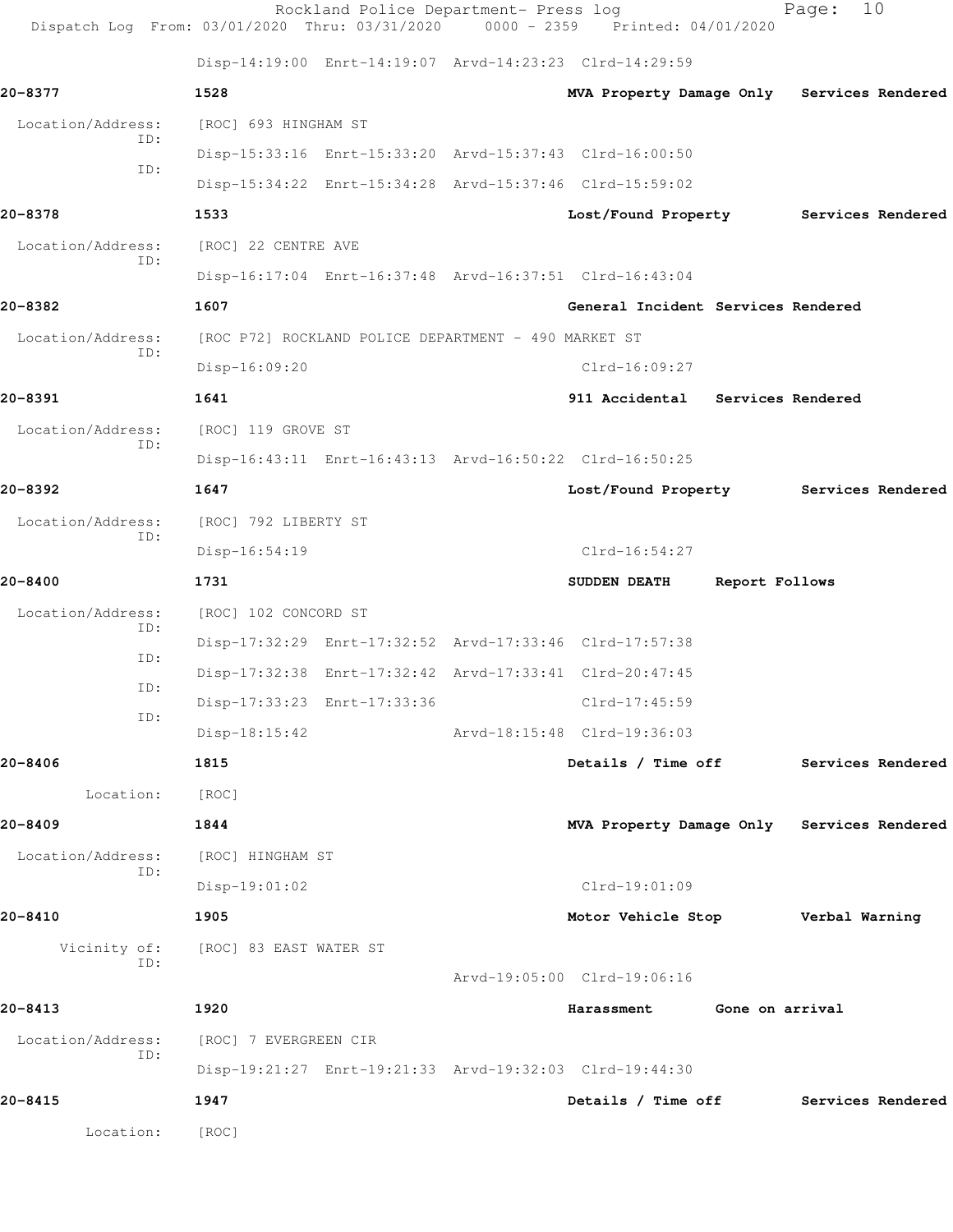| Dispatch Log From: 03/01/2020 Thru: 03/31/2020 |                                                      | Rockland Police Department- Press log | 0000 - 2359 Printed: 04/01/2020                         |                 | Page:             | 10                |
|------------------------------------------------|------------------------------------------------------|---------------------------------------|---------------------------------------------------------|-----------------|-------------------|-------------------|
|                                                |                                                      |                                       | Disp-14:19:00 Enrt-14:19:07 Arvd-14:23:23 Clrd-14:29:59 |                 |                   |                   |
| 20-8377                                        | 1528                                                 |                                       | MVA Property Damage Only Services Rendered              |                 |                   |                   |
| Location/Address:<br>ID:                       | [ROC] 693 HINGHAM ST                                 |                                       |                                                         |                 |                   |                   |
| ID:                                            |                                                      |                                       | Disp-15:33:16 Enrt-15:33:20 Arvd-15:37:43 Clrd-16:00:50 |                 |                   |                   |
|                                                |                                                      |                                       | Disp-15:34:22 Enrt-15:34:28 Arvd-15:37:46 Clrd-15:59:02 |                 |                   |                   |
| 20-8378                                        | 1533                                                 |                                       | Lost/Found Property                                     |                 | Services Rendered |                   |
| Location/Address:<br>ID:                       | [ROC] 22 CENTRE AVE                                  |                                       |                                                         |                 |                   |                   |
|                                                |                                                      |                                       | Disp-16:17:04 Enrt-16:37:48 Arvd-16:37:51 Clrd-16:43:04 |                 |                   |                   |
| 20-8382                                        | 1607                                                 |                                       | General Incident Services Rendered                      |                 |                   |                   |
| Location/Address:<br>ID:                       | [ROC P72] ROCKLAND POLICE DEPARTMENT - 490 MARKET ST |                                       |                                                         |                 |                   |                   |
|                                                | Disp-16:09:20                                        |                                       | $Clrd-16:09:27$                                         |                 |                   |                   |
| 20-8391                                        | 1641                                                 |                                       | 911 Accidental Services Rendered                        |                 |                   |                   |
| Location/Address:                              | [ROC] 119 GROVE ST                                   |                                       |                                                         |                 |                   |                   |
| ID:                                            |                                                      |                                       | Disp-16:43:11 Enrt-16:43:13 Arvd-16:50:22 Clrd-16:50:25 |                 |                   |                   |
| 20-8392                                        | 1647                                                 |                                       | Lost/Found Property Services Rendered                   |                 |                   |                   |
| Location/Address:                              | [ROC] 792 LIBERTY ST                                 |                                       |                                                         |                 |                   |                   |
| ID:                                            | Disp-16:54:19                                        |                                       | $Clrd-16:54:27$                                         |                 |                   |                   |
| 20-8400                                        | 1731                                                 |                                       | SUDDEN DEATH                                            | Report Follows  |                   |                   |
| Location/Address:                              | [ROC] 102 CONCORD ST                                 |                                       |                                                         |                 |                   |                   |
| ID:                                            |                                                      |                                       | Disp-17:32:29 Enrt-17:32:52 Arvd-17:33:46 Clrd-17:57:38 |                 |                   |                   |
| ID:                                            |                                                      |                                       | Disp-17:32:38 Enrt-17:32:42 Arvd-17:33:41 Clrd-20:47:45 |                 |                   |                   |
| ID:                                            |                                                      | Disp-17:33:23 Enrt-17:33:36           | Clrd-17:45:59                                           |                 |                   |                   |
| ID:                                            | Disp-18:15:42                                        |                                       | Arvd-18:15:48 Clrd-19:36:03                             |                 |                   |                   |
| 20-8406                                        | 1815                                                 |                                       | Details / Time off                                      |                 |                   | Services Rendered |
| Location:                                      | [ROC]                                                |                                       |                                                         |                 |                   |                   |
| 20-8409                                        | 1844                                                 |                                       | MVA Property Damage Only Services Rendered              |                 |                   |                   |
| Location/Address:                              | [ROC] HINGHAM ST                                     |                                       |                                                         |                 |                   |                   |
| ID:                                            | Disp-19:01:02                                        |                                       | $Clrd-19:01:09$                                         |                 |                   |                   |
| 20-8410                                        | 1905                                                 |                                       | Motor Vehicle Stop                                      |                 | Verbal Warning    |                   |
| Vicinity of:                                   | [ROC] 83 EAST WATER ST                               |                                       |                                                         |                 |                   |                   |
| ID:                                            |                                                      |                                       | Arvd-19:05:00 Clrd-19:06:16                             |                 |                   |                   |
| 20-8413                                        | 1920                                                 |                                       | Harassment                                              | Gone on arrival |                   |                   |
| Location/Address:                              | [ROC] 7 EVERGREEN CIR                                |                                       |                                                         |                 |                   |                   |
| ID:                                            |                                                      |                                       | Disp-19:21:27 Enrt-19:21:33 Arvd-19:32:03 Clrd-19:44:30 |                 |                   |                   |
| 20-8415                                        | 1947                                                 |                                       | Details / Time off                                      |                 |                   | Services Rendered |
| Location:                                      | [ROC]                                                |                                       |                                                         |                 |                   |                   |
|                                                |                                                      |                                       |                                                         |                 |                   |                   |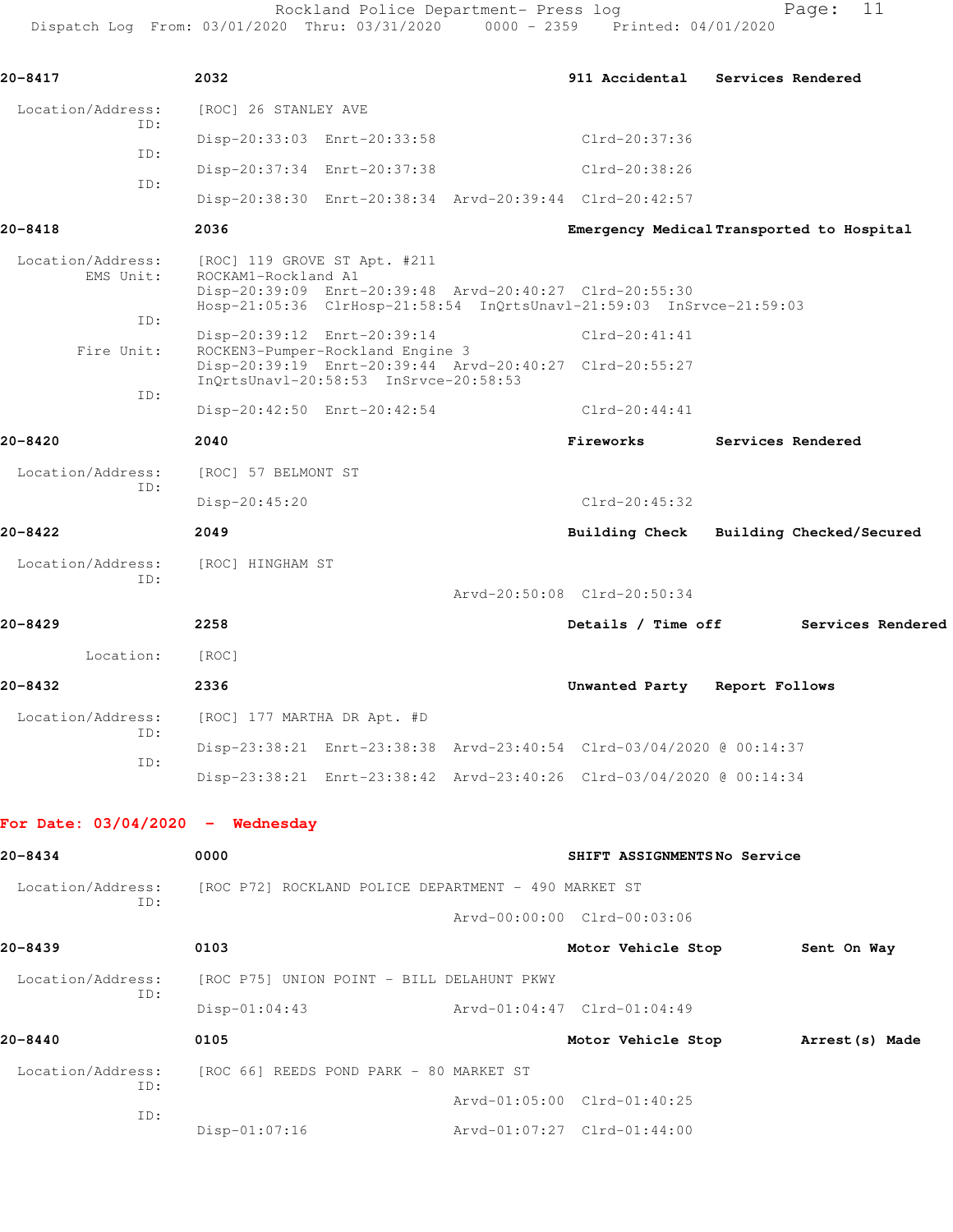Rockland Police Department- Press log Fage: 11 Dispatch Log From: 03/01/2020 Thru: 03/31/2020 0000 - 2359 Printed: 04/01/2020

**20-8417 2032 911 Accidental Services Rendered**

 Location/Address: [ROC] 26 STANLEY AVE ID: Disp-20:33:03 Enrt-20:33:58 Clrd-20:37:36 ID: Disp-20:37:34 Enrt-20:37:38 Clrd-20:38:26 ID: Disp-20:38:30 Enrt-20:38:34 Arvd-20:39:44 Clrd-20:42:57 **20-8418 2036 Emergency Medical Transported to Hospital** Location/Address: [ROC] 119 GROVE ST Apt. #211 EMS Unit: ROCKAM1-Rockland A1 Disp-20:39:09 Enrt-20:39:48 Arvd-20:40:27 Clrd-20:55:30 Hosp-21:05:36 ClrHosp-21:58:54 InQrtsUnavl-21:59:03 InSrvce-21:59:03 ID: Disp-20:39:12 Enrt-20:39:14 Clrd-20:41:41<br>Fire Unit: ROCKEN3-Pumper-Rockland Engine 3 ROCKEN3-Pumper-Rockland Engine 3 Disp-20:39:19 Enrt-20:39:44 Arvd-20:40:27 Clrd-20:55:27 InQrtsUnavl-20:58:53 InSrvce-20:58:53 ID: Disp-20:42:50 Enrt-20:42:54 Clrd-20:44:41 **20-8420 2040 Fireworks Services Rendered** Location/Address: [ROC] 57 BELMONT ST ID: Disp-20:45:20 Clrd-20:45:32 **20-8422 2049 Building Check Building Checked/Secured** Location/Address: [ROC] HINGHAM ST ID: Arvd-20:50:08 Clrd-20:50:34 **20-8429 2258 Details / Time off Services Rendered** Location: [ROC] **20-8432 2336 Unwanted Party Report Follows**

 Location/Address: [ROC] 177 MARTHA DR Apt. #D ID: Disp-23:38:21 Enrt-23:38:38 Arvd-23:40:54 Clrd-03/04/2020 @ 00:14:37 ID: Disp-23:38:21 Enrt-23:38:42 Arvd-23:40:26 Clrd-03/04/2020 @ 00:14:34

## **For Date: 03/04/2020 - Wednesday**

| 20-8434                  | 0000                                       | SHIFT ASSIGNMENTSNo Service                          |
|--------------------------|--------------------------------------------|------------------------------------------------------|
| Location/Address:<br>ID: |                                            | [ROC P72] ROCKLAND POLICE DEPARTMENT - 490 MARKET ST |
|                          |                                            | Arvd-00:00:00 Clrd-00:03:06                          |
| 20-8439                  | 0103                                       | Motor Vehicle Stop<br>Sent On Way                    |
| Location/Address:<br>ID: | [ROC P75] UNION POINT - BILL DELAHUNT PKWY |                                                      |
|                          | $Disp-01:04:43$                            | Arvd-01:04:47 Clrd-01:04:49                          |
| 20-8440                  | 0105                                       | Motor Vehicle Stop<br>Arrest (s) Made                |
| Location/Address:        | [ROC 66] REEDS POND PARK - 80 MARKET ST    |                                                      |
| ID:                      |                                            | Arvd-01:05:00 Clrd-01:40:25                          |
| ID:                      | $Disp-01:07:16$                            | Arvd-01:07:27 Clrd-01:44:00                          |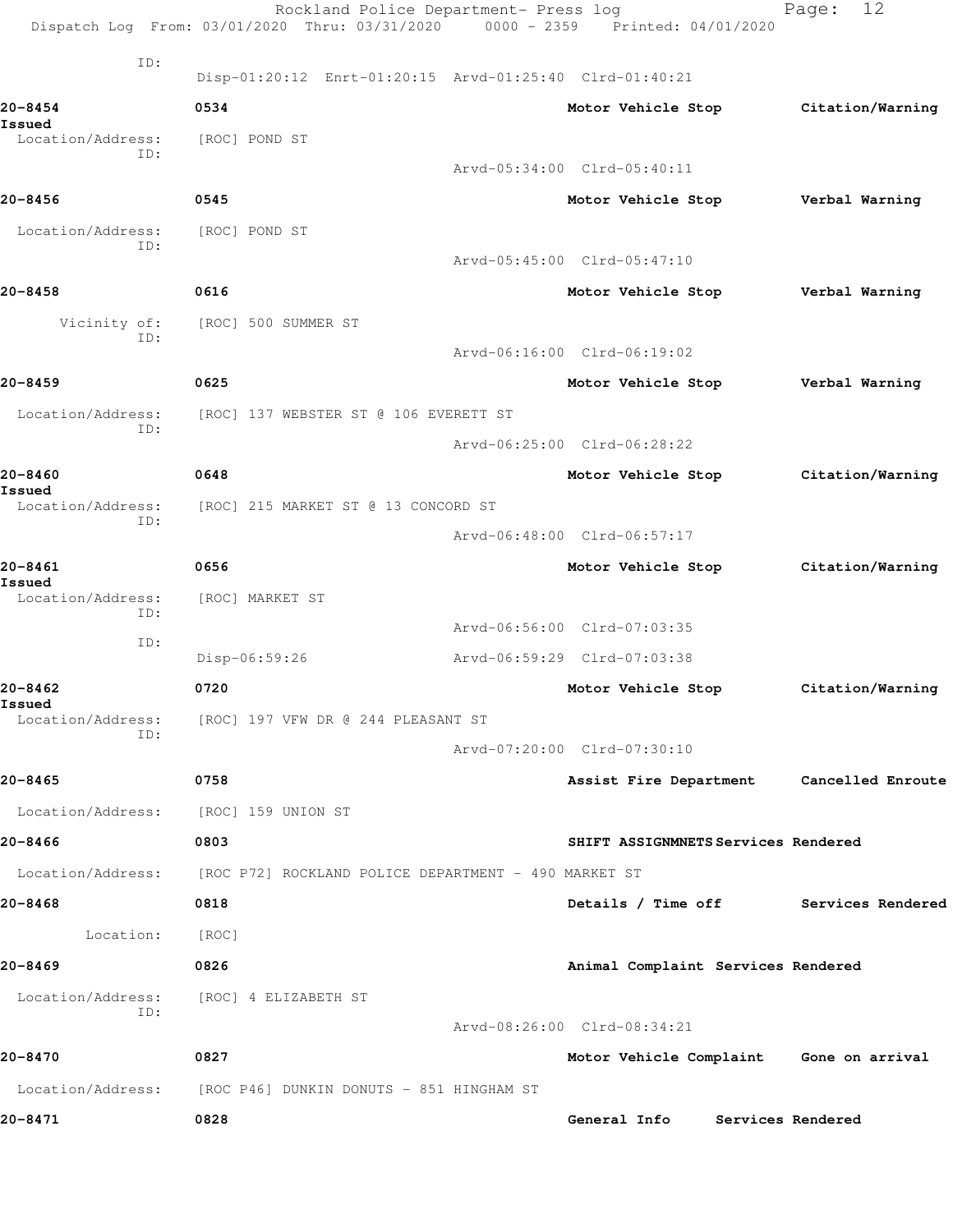|                                    | Rockland Police Department- Press log<br>Dispatch Log From: 03/01/2020 Thru: 03/31/2020 0000 - 2359 Printed: 04/01/2020 |                                          | 12<br>Page:       |
|------------------------------------|-------------------------------------------------------------------------------------------------------------------------|------------------------------------------|-------------------|
| ID:                                | Disp-01:20:12 Enrt-01:20:15 Arvd-01:25:40 Clrd-01:40:21                                                                 |                                          |                   |
| 20-8454                            | 0534                                                                                                                    | Motor Vehicle Stop                       | Citation/Warning  |
| Issued<br>Location/Address:        | [ROC] POND ST                                                                                                           |                                          |                   |
| ID:                                |                                                                                                                         | Arvd-05:34:00 Clrd-05:40:11              |                   |
| $20 - 8456$                        | 0545                                                                                                                    | Motor Vehicle Stop                       | Verbal Warning    |
| Location/Address:                  | [ROC] POND ST                                                                                                           |                                          |                   |
| ID:                                |                                                                                                                         | Arvd-05:45:00 Clrd-05:47:10              |                   |
| 20-8458                            | 0616                                                                                                                    | Motor Vehicle Stop                       | Verbal Warning    |
| Vicinity of:                       | [ROC] 500 SUMMER ST                                                                                                     |                                          |                   |
| ID:                                |                                                                                                                         | Arvd-06:16:00 Clrd-06:19:02              |                   |
| 20-8459                            | 0625                                                                                                                    | Motor Vehicle Stop                       | Verbal Warning    |
| Location/Address:                  | [ROC] 137 WEBSTER ST @ 106 EVERETT ST                                                                                   |                                          |                   |
| ID:                                |                                                                                                                         | Arvd-06:25:00 Clrd-06:28:22              |                   |
| 20-8460                            | 0648                                                                                                                    | Motor Vehicle Stop                       | Citation/Warning  |
| Issued<br>Location/Address:        | [ROC] 215 MARKET ST @ 13 CONCORD ST                                                                                     |                                          |                   |
| ID:                                |                                                                                                                         | Arvd-06:48:00 Clrd-06:57:17              |                   |
| 20-8461                            | 0656                                                                                                                    | Motor Vehicle Stop                       | Citation/Warning  |
| Issued<br>Location/Address:        | [ROC] MARKET ST                                                                                                         |                                          |                   |
| ID:                                |                                                                                                                         | Arvd-06:56:00 Clrd-07:03:35              |                   |
| ID:                                | Disp-06:59:26                                                                                                           | Arvd-06:59:29 Clrd-07:03:38              |                   |
| 20-8462                            | 0720                                                                                                                    | Motor Vehicle Stop                       | Citation/Warning  |
| <b>Issued</b><br>Location/Address: | [ROC] 197 VFW DR @ 244 PLEASANT ST                                                                                      |                                          |                   |
| ID:                                |                                                                                                                         | Arvd-07:20:00 Clrd-07:30:10              |                   |
| $20 - 8465$                        | 0758                                                                                                                    | Assist Fire Department Cancelled Enroute |                   |
| Location/Address:                  | [ROC] 159 UNION ST                                                                                                      |                                          |                   |
| 20-8466                            | 0803                                                                                                                    | SHIFT ASSIGNMNETS Services Rendered      |                   |
| Location/Address:                  | [ROC P72] ROCKLAND POLICE DEPARTMENT - 490 MARKET ST                                                                    |                                          |                   |
| 20-8468                            | 0818                                                                                                                    | Details / Time off                       | Services Rendered |
| Location:                          | [ROC]                                                                                                                   |                                          |                   |
| 20-8469                            | 0826                                                                                                                    | Animal Complaint Services Rendered       |                   |
| Location/Address:                  | [ROC] 4 ELIZABETH ST                                                                                                    |                                          |                   |
| ID:                                |                                                                                                                         | Arvd-08:26:00 Clrd-08:34:21              |                   |
| 20-8470                            | 0827                                                                                                                    | Motor Vehicle Complaint Gone on arrival  |                   |
|                                    | Location/Address: [ROC P46] DUNKIN DONUTS - 851 HINGHAM ST                                                              |                                          |                   |
| 20-8471                            | 0828                                                                                                                    | General Info                             | Services Rendered |
|                                    |                                                                                                                         |                                          |                   |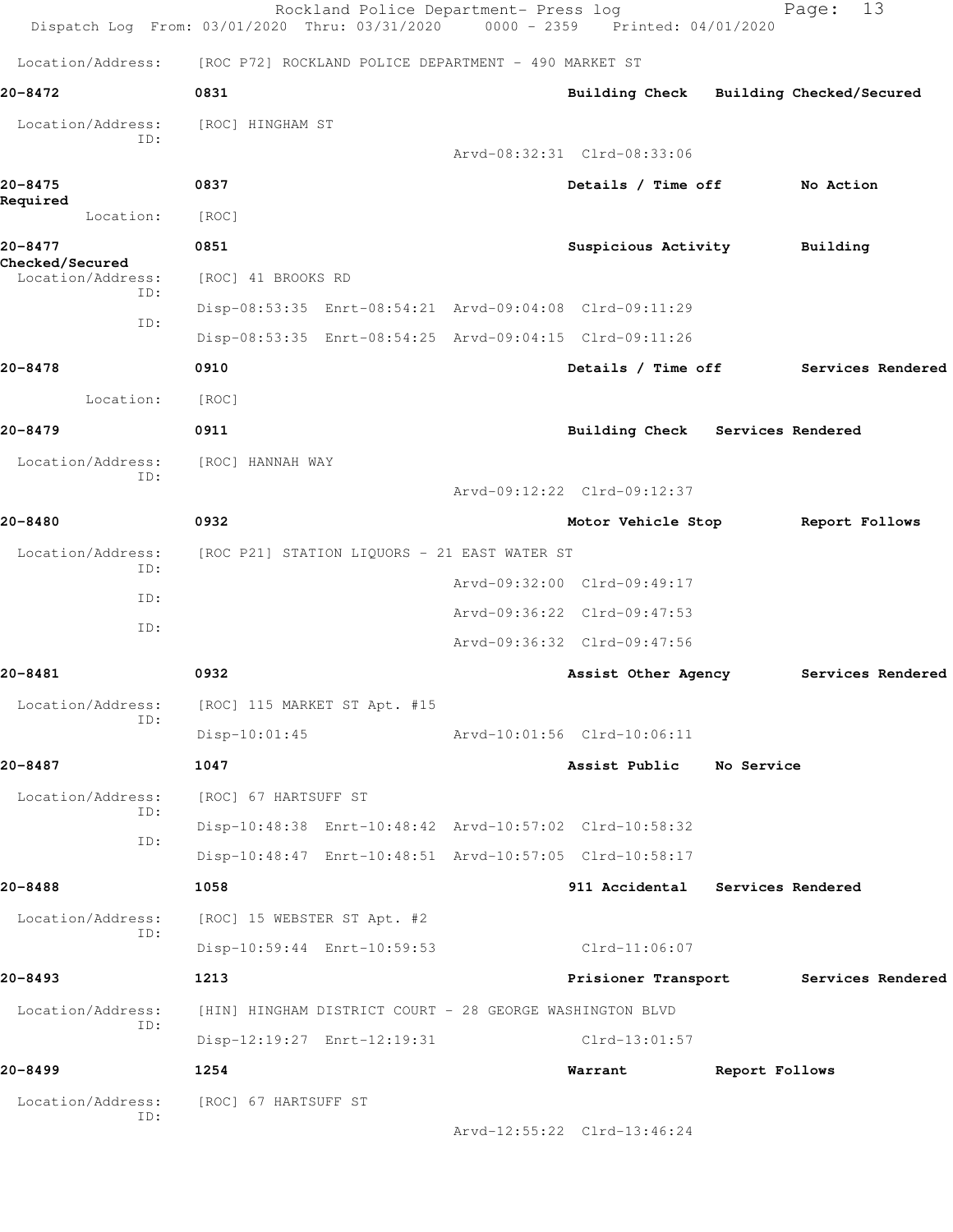|                                      | Rockland Police Department- Press log<br>Dispatch Log From: 03/01/2020 Thru: 03/31/2020 0000 - 2359 Printed: 04/01/2020 |                                         |                   | 13<br>Page:       |  |
|--------------------------------------|-------------------------------------------------------------------------------------------------------------------------|-----------------------------------------|-------------------|-------------------|--|
|                                      | Location/Address: [ROC P72] ROCKLAND POLICE DEPARTMENT - 490 MARKET ST                                                  |                                         |                   |                   |  |
| 20-8472                              | 0831                                                                                                                    | Building Check Building Checked/Secured |                   |                   |  |
| Location/Address:                    | [ROC] HINGHAM ST                                                                                                        |                                         |                   |                   |  |
| ID:                                  |                                                                                                                         | Arvd-08:32:31 Clrd-08:33:06             |                   |                   |  |
| 20-8475                              | 0837                                                                                                                    | Details / Time off                      |                   | No Action         |  |
| Required<br>Location:                | [ROC]                                                                                                                   |                                         |                   |                   |  |
| 20-8477                              | 0851                                                                                                                    | Suspicious Activity                     |                   | Building          |  |
| Checked/Secured<br>Location/Address: | [ROC] 41 BROOKS RD                                                                                                      |                                         |                   |                   |  |
| ID:                                  | Disp-08:53:35 Enrt-08:54:21 Arvd-09:04:08 Clrd-09:11:29                                                                 |                                         |                   |                   |  |
| ID:                                  | Disp-08:53:35 Enrt-08:54:25 Arvd-09:04:15 Clrd-09:11:26                                                                 |                                         |                   |                   |  |
| 20-8478                              | 0910                                                                                                                    | Details / Time off                      |                   | Services Rendered |  |
| Location:                            | [ROC]                                                                                                                   |                                         |                   |                   |  |
| 20-8479                              | 0911                                                                                                                    | Building Check Services Rendered        |                   |                   |  |
| Location/Address:                    | [ROC] HANNAH WAY                                                                                                        |                                         |                   |                   |  |
| ID:                                  |                                                                                                                         | Arvd-09:12:22 Clrd-09:12:37             |                   |                   |  |
| 20-8480                              | 0932                                                                                                                    | Motor Vehicle Stop                      |                   | Report Follows    |  |
| Location/Address:                    | [ROC P21] STATION LIQUORS - 21 EAST WATER ST                                                                            |                                         |                   |                   |  |
| ID:<br>ID:                           |                                                                                                                         | Arvd-09:32:00 Clrd-09:49:17             |                   |                   |  |
| ID:                                  |                                                                                                                         | Arvd-09:36:22 Clrd-09:47:53             |                   |                   |  |
|                                      |                                                                                                                         | Arvd-09:36:32 Clrd-09:47:56             |                   |                   |  |
| 20-8481                              | 0932                                                                                                                    | Assist Other Agency                     |                   | Services Rendered |  |
| Location/Address:<br>ID:             | [ROC] 115 MARKET ST Apt. #15                                                                                            |                                         |                   |                   |  |
|                                      | $Disp-10:01:45$                                                                                                         | Arvd-10:01:56 Clrd-10:06:11             |                   |                   |  |
| 20-8487                              | 1047                                                                                                                    | Assist Public                           | No Service        |                   |  |
| Location/Address:<br>ID:             | [ROC] 67 HARTSUFF ST                                                                                                    |                                         |                   |                   |  |
| ID:                                  | Disp-10:48:38 Enrt-10:48:42 Arvd-10:57:02 Clrd-10:58:32                                                                 |                                         |                   |                   |  |
|                                      | Disp-10:48:47 Enrt-10:48:51 Arvd-10:57:05 Clrd-10:58:17                                                                 |                                         |                   |                   |  |
| 20-8488                              | 1058                                                                                                                    | 911 Accidental                          | Services Rendered |                   |  |
| Location/Address:<br>ID:             | [ROC] 15 WEBSTER ST Apt. #2                                                                                             |                                         |                   |                   |  |
|                                      | Disp-10:59:44 Enrt-10:59:53                                                                                             | $Clrd-11:06:07$                         |                   |                   |  |
| 20-8493                              | 1213                                                                                                                    | Prisioner Transport                     |                   | Services Rendered |  |
| Location/Address:<br>ID:             | [HIN] HINGHAM DISTRICT COURT - 28 GEORGE WASHINGTON BLVD                                                                |                                         |                   |                   |  |
|                                      | Disp-12:19:27 Enrt-12:19:31                                                                                             | $Clrd-13:01:57$                         |                   |                   |  |
| 20-8499                              | 1254                                                                                                                    | Warrant                                 | Report Follows    |                   |  |
| Location/Address:<br>ID:             | [ROC] 67 HARTSUFF ST                                                                                                    |                                         |                   |                   |  |
|                                      |                                                                                                                         | Arvd-12:55:22 Clrd-13:46:24             |                   |                   |  |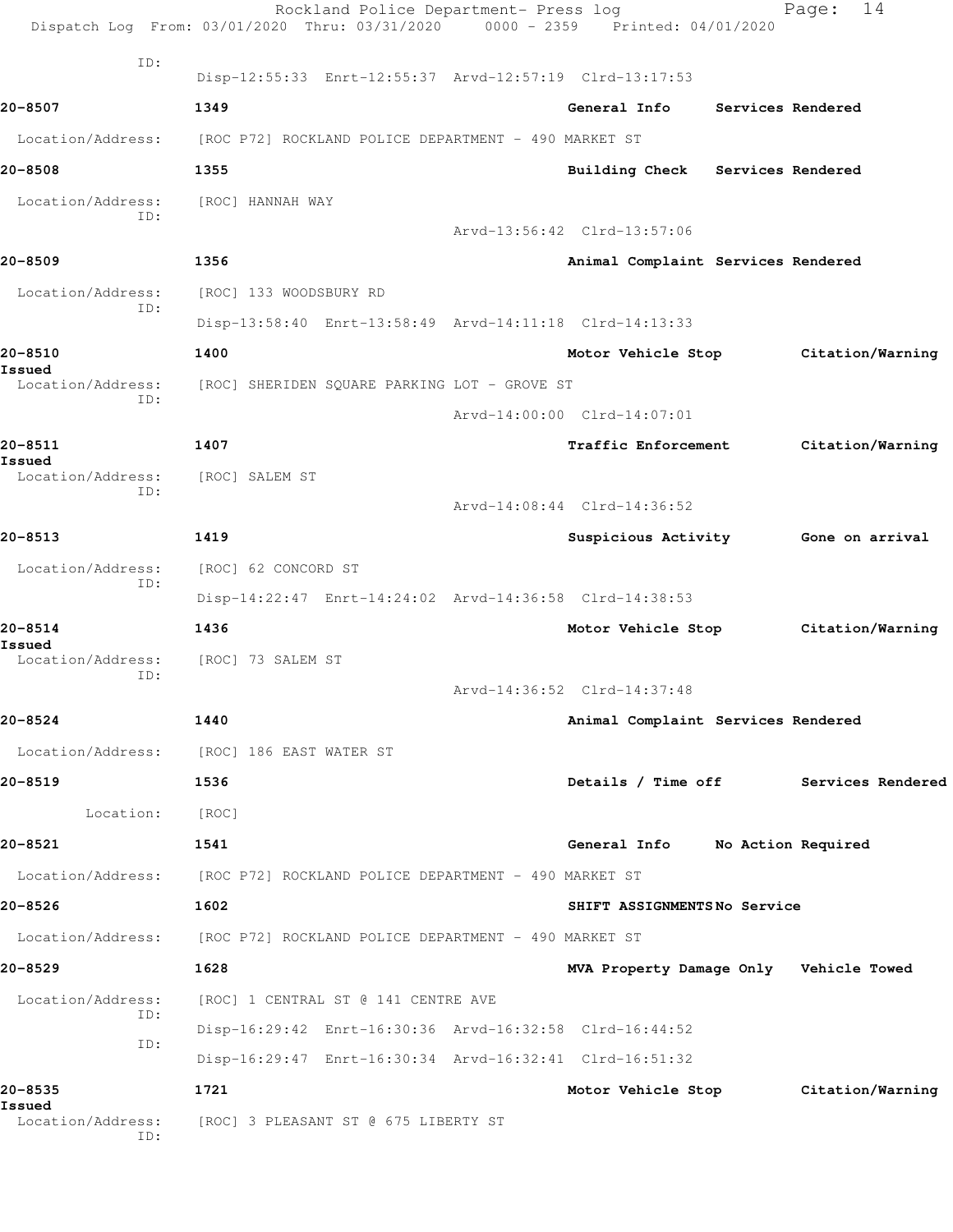|                                    | Rockland Police Department- Press log<br>Dispatch Log From: 03/01/2020 Thru: 03/31/2020 0000 - 2359 Printed: 04/01/2020 |                                        | 14<br>Page:                          |
|------------------------------------|-------------------------------------------------------------------------------------------------------------------------|----------------------------------------|--------------------------------------|
| ID:                                | Disp-12:55:33 Enrt-12:55:37 Arvd-12:57:19 Clrd-13:17:53                                                                 |                                        |                                      |
| 20-8507                            | 1349                                                                                                                    | General Info Services Rendered         |                                      |
| Location/Address:                  | [ROC P72] ROCKLAND POLICE DEPARTMENT - 490 MARKET ST                                                                    |                                        |                                      |
| 20-8508                            | 1355                                                                                                                    | Building Check Services Rendered       |                                      |
| Location/Address:                  | [ROC] HANNAH WAY                                                                                                        |                                        |                                      |
| ID:                                |                                                                                                                         | Arvd-13:56:42 Clrd-13:57:06            |                                      |
| 20-8509                            | 1356                                                                                                                    | Animal Complaint Services Rendered     |                                      |
| Location/Address:                  | [ROC] 133 WOODSBURY RD                                                                                                  |                                        |                                      |
| ID:                                | Disp-13:58:40 Enrt-13:58:49 Arvd-14:11:18 Clrd-14:13:33                                                                 |                                        |                                      |
| 20-8510                            | 1400                                                                                                                    |                                        | Motor Vehicle Stop Citation/Warning  |
| Issued<br>Location/Address:        | [ROC] SHERIDEN SQUARE PARKING LOT - GROVE ST                                                                            |                                        |                                      |
| ID:                                |                                                                                                                         | Arvd-14:00:00 Clrd-14:07:01            |                                      |
| 20-8511                            | 1407                                                                                                                    | Traffic Enforcement                    | Citation/Warning                     |
| Issued<br>Location/Address:        |                                                                                                                         |                                        |                                      |
| ID:                                | [ROC] SALEM ST                                                                                                          |                                        |                                      |
| 20-8513                            |                                                                                                                         | Arvd-14:08:44 Clrd-14:36:52            |                                      |
|                                    | 1419                                                                                                                    | Suspicious Activity 6one on arrival    |                                      |
| Location/Address:<br>ID:           | [ROC] 62 CONCORD ST                                                                                                     |                                        |                                      |
|                                    | Disp-14:22:47 Enrt-14:24:02 Arvd-14:36:58 Clrd-14:38:53                                                                 |                                        |                                      |
| 20-8514<br>Issued                  | 1436                                                                                                                    | Motor Vehicle Stop                     | Citation/Warning                     |
| Location/Address:<br>ID:           | [ROC] 73 SALEM ST                                                                                                       |                                        |                                      |
|                                    |                                                                                                                         | Arvd-14:36:52 Clrd-14:37:48            |                                      |
| 20-8524                            | 1440                                                                                                                    | Animal Complaint Services Rendered     |                                      |
|                                    | Location/Address: [ROC] 186 EAST WATER ST                                                                               |                                        |                                      |
| 20-8519                            | 1536                                                                                                                    |                                        | Details / Time off Services Rendered |
| Location:                          | [ROC]                                                                                                                   |                                        |                                      |
| 20-8521                            | 1541                                                                                                                    | General Info No Action Required        |                                      |
|                                    | Location/Address: [ROC P72] ROCKLAND POLICE DEPARTMENT - 490 MARKET ST                                                  |                                        |                                      |
| 20-8526                            | 1602                                                                                                                    | SHIFT ASSIGNMENTSNo Service            |                                      |
|                                    | Location/Address: [ROC P72] ROCKLAND POLICE DEPARTMENT - 490 MARKET ST                                                  |                                        |                                      |
| 20-8529                            | 1628                                                                                                                    | MVA Property Damage Only Vehicle Towed |                                      |
| Location/Address:                  | [ROC] 1 CENTRAL ST @ 141 CENTRE AVE                                                                                     |                                        |                                      |
| ID:                                | Disp-16:29:42 Enrt-16:30:36 Arvd-16:32:58 Clrd-16:44:52                                                                 |                                        |                                      |
| ID:                                | Disp-16:29:47 Enrt-16:30:34 Arvd-16:32:41 Clrd-16:51:32                                                                 |                                        |                                      |
| 20-8535                            | 1721                                                                                                                    |                                        | Motor Vehicle Stop Citation/Warning  |
| Issued<br>Location/Address:<br>ID: | [ROC] 3 PLEASANT ST @ 675 LIBERTY ST                                                                                    |                                        |                                      |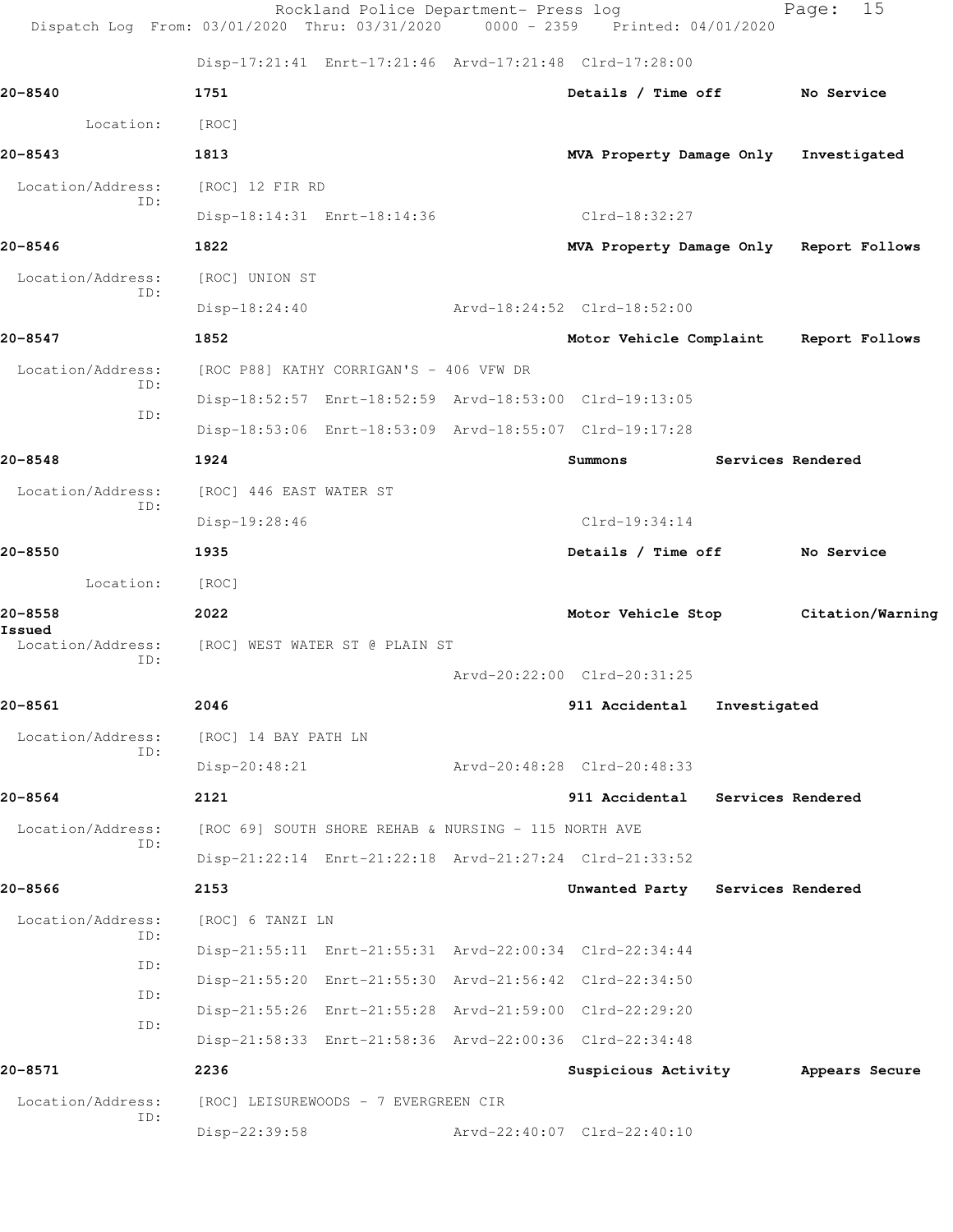|                          | Dispatch Log From: 03/01/2020 Thru: 03/31/2020 0000 - 2359 Printed: 04/01/2020 | Rockland Police Department- Press log |                                         |                   | Page:            | 15 |
|--------------------------|--------------------------------------------------------------------------------|---------------------------------------|-----------------------------------------|-------------------|------------------|----|
|                          | Disp-17:21:41 Enrt-17:21:46 Arvd-17:21:48 Clrd-17:28:00                        |                                       |                                         |                   |                  |    |
| 20-8540                  | 1751                                                                           |                                       | Details / Time off                      |                   | No Service       |    |
| Location:                | [ROC]                                                                          |                                       |                                         |                   |                  |    |
| 20-8543                  | 1813                                                                           |                                       | MVA Property Damage Only                |                   | Investigated     |    |
| Location/Address:<br>ID: | [ROC] 12 FIR RD                                                                |                                       |                                         |                   |                  |    |
|                          | Disp-18:14:31 Enrt-18:14:36                                                    |                                       | Clrd-18:32:27                           |                   |                  |    |
| 20-8546                  | 1822                                                                           |                                       | MVA Property Damage Only Report Follows |                   |                  |    |
| Location/Address:<br>ID: | [ROC] UNION ST                                                                 |                                       |                                         |                   |                  |    |
|                          | $Disp-18:24:40$                                                                |                                       | Arvd-18:24:52 Clrd-18:52:00             |                   |                  |    |
| 20-8547                  | 1852                                                                           |                                       | Motor Vehicle Complaint                 |                   | Report Follows   |    |
| Location/Address:<br>ID: | [ROC P88] KATHY CORRIGAN'S - 406 VFW DR                                        |                                       |                                         |                   |                  |    |
| ID:                      | Disp-18:52:57 Enrt-18:52:59 Arvd-18:53:00 Clrd-19:13:05                        |                                       |                                         |                   |                  |    |
|                          | Disp-18:53:06 Enrt-18:53:09 Arvd-18:55:07 Clrd-19:17:28                        |                                       |                                         |                   |                  |    |
| 20-8548                  | 1924                                                                           |                                       | Summons                                 | Services Rendered |                  |    |
| Location/Address:        | [ROC] 446 EAST WATER ST                                                        |                                       |                                         |                   |                  |    |
| ID:                      | Disp-19:28:46                                                                  |                                       | $Clrd-19:34:14$                         |                   |                  |    |
| 20-8550                  | 1935                                                                           |                                       | Details / Time off                      |                   | No Service       |    |
| Location:                | [ROC]                                                                          |                                       |                                         |                   |                  |    |
| 20-8558<br>Issued        | 2022                                                                           |                                       | Motor Vehicle Stop                      |                   | Citation/Warning |    |
| Location/Address:<br>ID: | [ROC] WEST WATER ST @ PLAIN ST                                                 |                                       |                                         |                   |                  |    |
|                          |                                                                                |                                       | Arvd-20:22:00 Clrd-20:31:25             |                   |                  |    |
| 20-8561                  | 2046                                                                           |                                       | 911 Accidental                          | Investigated      |                  |    |
| Location/Address:<br>ID: | [ROC] 14 BAY PATH LN                                                           |                                       |                                         |                   |                  |    |
|                          | $Disp-20:48:21$                                                                |                                       | Arvd-20:48:28 Clrd-20:48:33             |                   |                  |    |
| 20-8564                  | 2121                                                                           |                                       | 911 Accidental                          | Services Rendered |                  |    |
| Location/Address:<br>ID: | [ROC 69] SOUTH SHORE REHAB & NURSING - 115 NORTH AVE                           |                                       |                                         |                   |                  |    |
|                          | Disp-21:22:14 Enrt-21:22:18 Arvd-21:27:24 Clrd-21:33:52                        |                                       |                                         |                   |                  |    |
| 20-8566                  | 2153                                                                           |                                       | Unwanted Party Services Rendered        |                   |                  |    |
| Location/Address:<br>ID: | [ROC] 6 TANZI LN                                                               |                                       |                                         |                   |                  |    |
| ID:                      | Disp-21:55:11 Enrt-21:55:31 Arvd-22:00:34 Clrd-22:34:44                        |                                       |                                         |                   |                  |    |
| ID:                      | Disp-21:55:20 Enrt-21:55:30 Arvd-21:56:42 Clrd-22:34:50                        |                                       |                                         |                   |                  |    |
| ID:                      | Disp-21:55:26 Enrt-21:55:28 Arvd-21:59:00 Clrd-22:29:20                        |                                       |                                         |                   |                  |    |
|                          | Disp-21:58:33 Enrt-21:58:36 Arvd-22:00:36 Clrd-22:34:48                        |                                       |                                         |                   |                  |    |
| 20-8571                  | 2236                                                                           |                                       | Suspicious Activity                     |                   | Appears Secure   |    |
| Location/Address:<br>ID: | [ROC] LEISUREWOODS - 7 EVERGREEN CIR                                           |                                       |                                         |                   |                  |    |
|                          | Disp-22:39:58                                                                  |                                       | Arvd-22:40:07 Clrd-22:40:10             |                   |                  |    |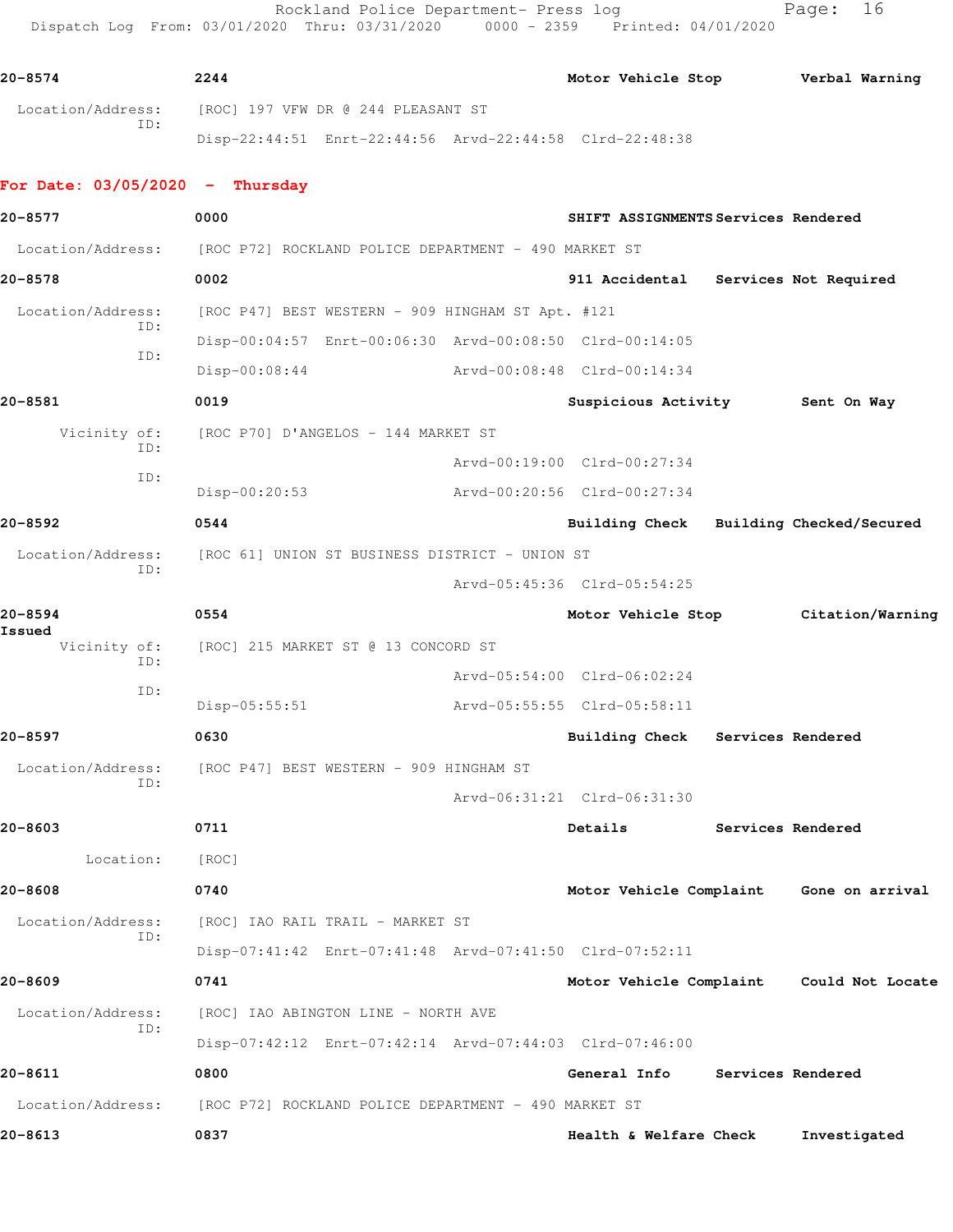Rockland Police Department- Press log Fage: 16 Dispatch Log From: 03/01/2020 Thru: 03/31/2020 0000 - 2359 Printed: 04/01/2020

**20-8574 2244 Motor Vehicle Stop Verbal Warning** Location/Address: [ROC] 197 VFW DR @ 244 PLEASANT ST ID: Disp-22:44:51 Enrt-22:44:56 Arvd-22:44:58 Clrd-22:48:38

## **For Date: 03/05/2020 - Thursday**

**20-8577 0000 SHIFT ASSIGNMENTS Services Rendered** Location/Address: [ROC P72] ROCKLAND POLICE DEPARTMENT - 490 MARKET ST **20-8578 0002 911 Accidental Services Not Required** Location/Address: [ROC P47] BEST WESTERN - 909 HINGHAM ST Apt. #121 ID: Disp-00:04:57 Enrt-00:06:30 Arvd-00:08:50 Clrd-00:14:05 ID: Disp-00:08:44 Arvd-00:08:48 Clrd-00:14:34 **20-8581 0019 Suspicious Activity Sent On Way** Vicinity of: [ROC P70] D'ANGELOS - 144 MARKET ST ID: Arvd-00:19:00 Clrd-00:27:34 ID: Disp-00:20:53 Arvd-00:20:56 Clrd-00:27:34 **20-8592 0544 Building Check Building Checked/Secured** Location/Address: [ROC 61] UNION ST BUSINESS DISTRICT - UNION ST ID: Arvd-05:45:36 Clrd-05:54:25 **20-8594 0554 Motor Vehicle Stop Citation/Warning Issued**  Vicinity of: [ROC] 215 MARKET ST @ 13 CONCORD ST ID: Arvd-05:54:00 Clrd-06:02:24 ID: Disp-05:55:51 Arvd-05:55:55 Clrd-05:58:11 **20-8597 0630 Building Check Services Rendered** Location/Address: [ROC P47] BEST WESTERN - 909 HINGHAM ST ID: Arvd-06:31:21 Clrd-06:31:30 **20-8603 0711 Details Services Rendered** Location: [ROC] **20-8608 0740 Motor Vehicle Complaint Gone on arrival** Location/Address: [ROC] IAO RAIL TRAIL - MARKET ST ID: Disp-07:41:42 Enrt-07:41:48 Arvd-07:41:50 Clrd-07:52:11 **20-8609 0741 Motor Vehicle Complaint Could Not Locate** Location/Address: [ROC] IAO ABINGTON LINE - NORTH AVE ID: Disp-07:42:12 Enrt-07:42:14 Arvd-07:44:03 Clrd-07:46:00 **20-8611 0800 General Info Services Rendered** Location/Address: [ROC P72] ROCKLAND POLICE DEPARTMENT - 490 MARKET ST **20-8613 0837 Health & Welfare Check Investigated**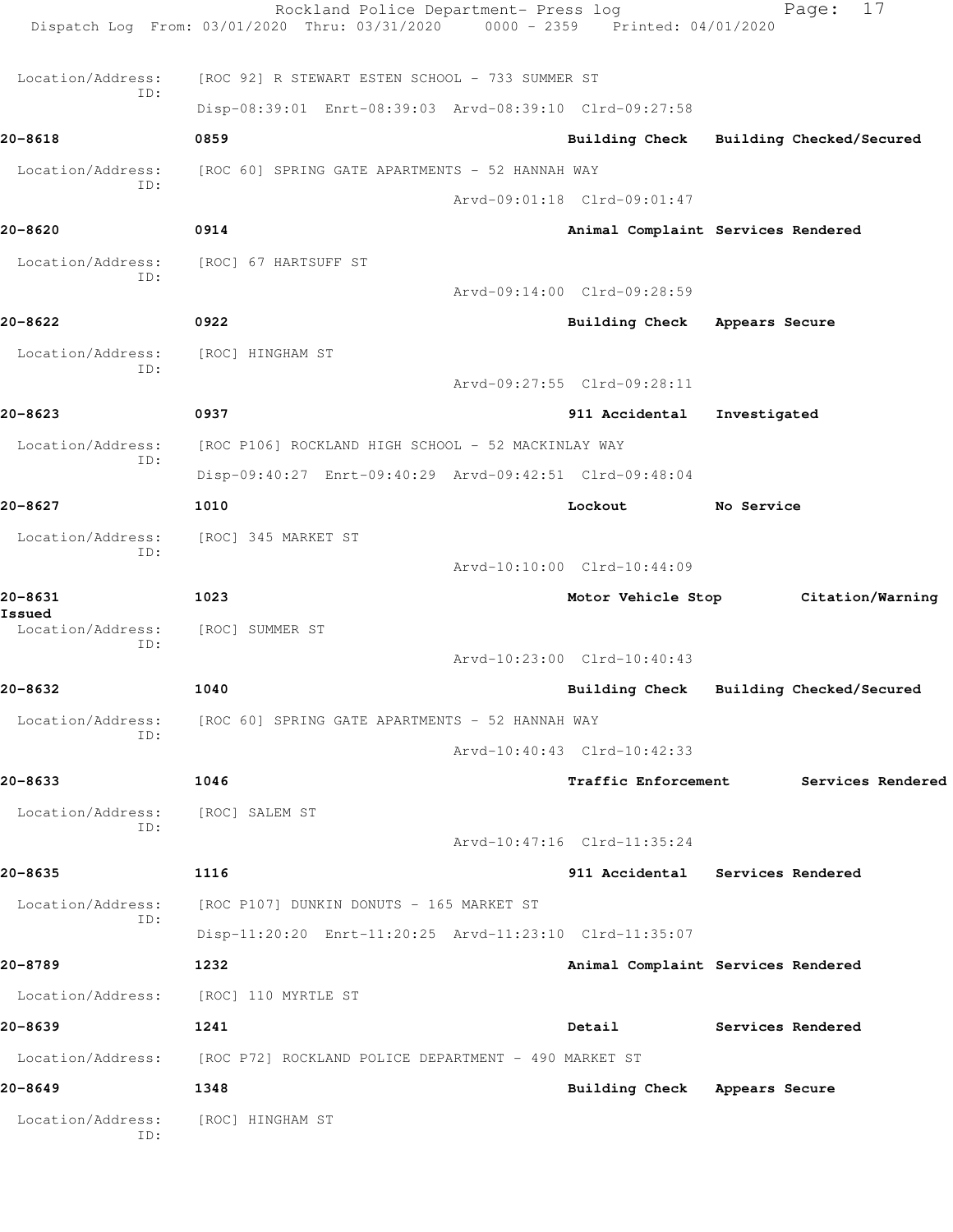Rockland Police Department- Press log Fage: 17 Dispatch Log From: 03/01/2020 Thru: 03/31/2020 0000 - 2359 Printed: 04/01/2020 Location/Address: [ROC 92] R STEWART ESTEN SCHOOL - 733 SUMMER ST ID: Disp-08:39:01 Enrt-08:39:03 Arvd-08:39:10 Clrd-09:27:58 **20-8618 0859 Building Check Building Checked/Secured** Location/Address: [ROC 60] SPRING GATE APARTMENTS - 52 HANNAH WAY ID: Arvd-09:01:18 Clrd-09:01:47 **20-8620 0914 Animal Complaint Services Rendered** Location/Address: [ROC] 67 HARTSUFF ST ID: Arvd-09:14:00 Clrd-09:28:59 **20-8622 0922 Building Check Appears Secure** Location/Address: [ROC] HINGHAM ST ID: Arvd-09:27:55 Clrd-09:28:11 **20-8623 0937 911 Accidental Investigated** Location/Address: [ROC P106] ROCKLAND HIGH SCHOOL - 52 MACKINLAY WAY ID: Disp-09:40:27 Enrt-09:40:29 Arvd-09:42:51 Clrd-09:48:04 **20-8627 1010 Lockout No Service** Location/Address: [ROC] 345 MARKET ST ID: Arvd-10:10:00 Clrd-10:44:09 **20-8631 1023 Motor Vehicle Stop Citation/Warning Issued**  Location/Address: [ROC] SUMMER ST ID: Arvd-10:23:00 Clrd-10:40:43 **20-8632 1040 Building Check Building Checked/Secured** Location/Address: [ROC 60] SPRING GATE APARTMENTS - 52 HANNAH WAY ID: Arvd-10:40:43 Clrd-10:42:33 **20-8633 1046 Traffic Enforcement Services Rendered** Location/Address: [ROC] SALEM ST ID: Arvd-10:47:16 Clrd-11:35:24 **20-8635 1116 911 Accidental Services Rendered** Location/Address: [ROC P107] DUNKIN DONUTS - 165 MARKET ST ID: Disp-11:20:20 Enrt-11:20:25 Arvd-11:23:10 Clrd-11:35:07 **20-8789 1232 Animal Complaint Services Rendered** Location/Address: [ROC] 110 MYRTLE ST **20-8639 1241 Detail Services Rendered** Location/Address: [ROC P72] ROCKLAND POLICE DEPARTMENT - 490 MARKET ST **20-8649 1348 Building Check Appears Secure** Location/Address: [ROC] HINGHAM ST ID: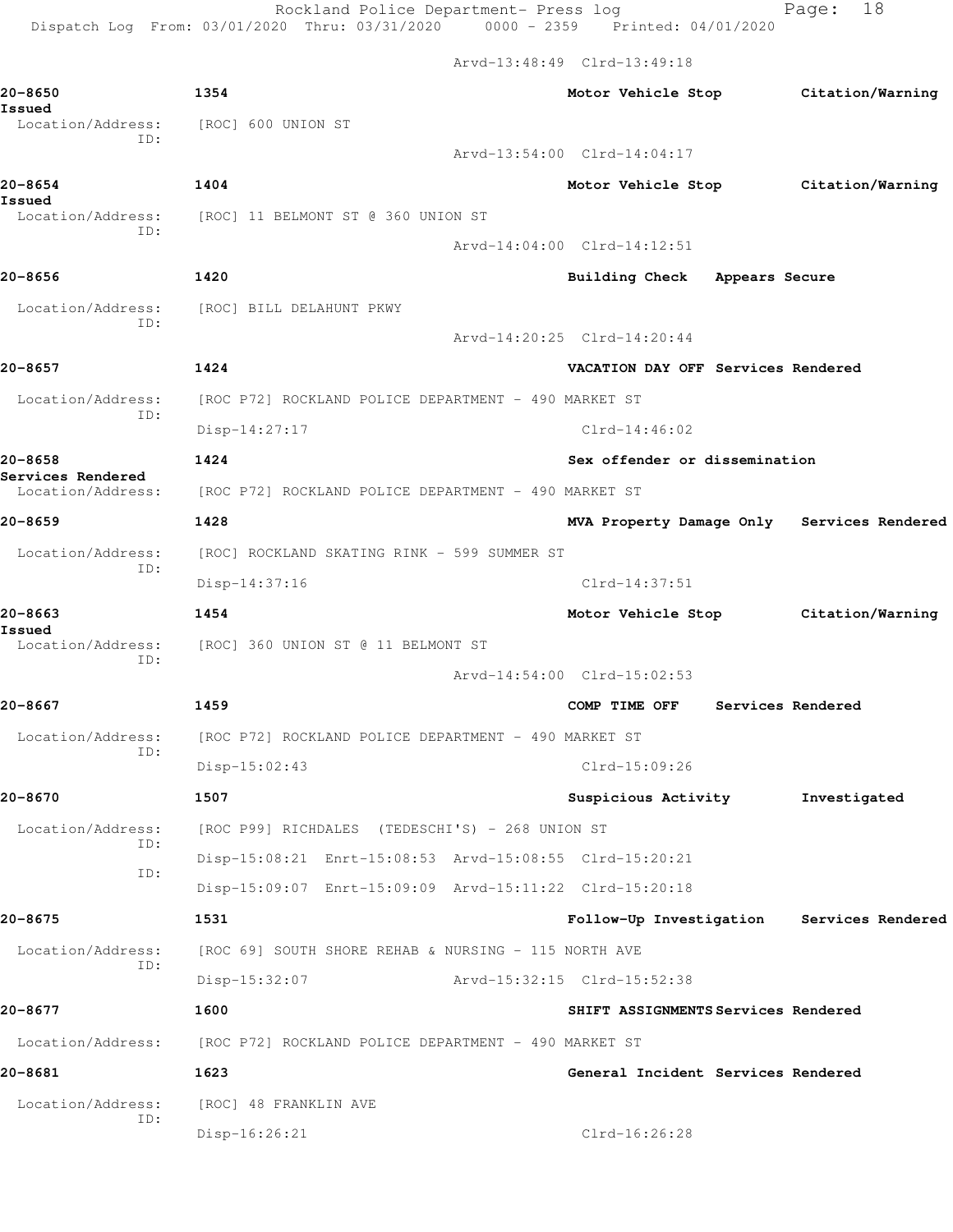Rockland Police Department- Press log Fage: 18 Dispatch Log From: 03/01/2020 Thru: 03/31/2020 0000 - 2359 Printed: 04/01/2020

Arvd-13:48:49 Clrd-13:49:18

**20-8650 1354 Motor Vehicle Stop Citation/Warning Issued**  Location/Address: [ROC] 600 UNION ST ID: Arvd-13:54:00 Clrd-14:04:17 **20-8654 1404 Motor Vehicle Stop Citation/Warning Issued**  Location/Address: [ROC] 11 BELMONT ST @ 360 UNION ST ID: Arvd-14:04:00 Clrd-14:12:51 **20-8656 1420 Building Check Appears Secure** Location/Address: [ROC] BILL DELAHUNT PKWY ID: Arvd-14:20:25 Clrd-14:20:44 **20-8657 1424 VACATION DAY OFF Services Rendered** Location/Address: [ROC P72] ROCKLAND POLICE DEPARTMENT - 490 MARKET ST ID: Disp-14:27:17 Clrd-14:46:02 **20-8658 1424 Sex offender or dissemination Services Rendered**  Location/Address: [ROC P72] ROCKLAND POLICE DEPARTMENT - 490 MARKET ST **20-8659 1428 MVA Property Damage Only Services Rendered** Location/Address: [ROC] ROCKLAND SKATING RINK - 599 SUMMER ST ID: Disp-14:37:16 Clrd-14:37:51 **20-8663 1454 Motor Vehicle Stop Citation/Warning Issued**  Location/Address: [ROC] 360 UNION ST @ 11 BELMONT ST ID: Arvd-14:54:00 Clrd-15:02:53 **20-8667 1459 COMP TIME OFF Services Rendered** Location/Address: [ROC P72] ROCKLAND POLICE DEPARTMENT - 490 MARKET ST ID: Disp-15:02:43 Clrd-15:09:26 **20-8670 1507 Suspicious Activity Investigated** Location/Address: [ROC P99] RICHDALES (TEDESCHI'S) - 268 UNION ST ID: Disp-15:08:21 Enrt-15:08:53 Arvd-15:08:55 Clrd-15:20:21 ID: Disp-15:09:07 Enrt-15:09:09 Arvd-15:11:22 Clrd-15:20:18 **20-8675 1531 Follow-Up Investigation Services Rendered** Location/Address: [ROC 69] SOUTH SHORE REHAB & NURSING - 115 NORTH AVE ID: Disp-15:32:07 Arvd-15:32:15 Clrd-15:52:38 **20-8677 1600 SHIFT ASSIGNMENTS Services Rendered** Location/Address: [ROC P72] ROCKLAND POLICE DEPARTMENT - 490 MARKET ST **20-8681 1623 General Incident Services Rendered** Location/Address: [ROC] 48 FRANKLIN AVE ID: Disp-16:26:21 Clrd-16:26:28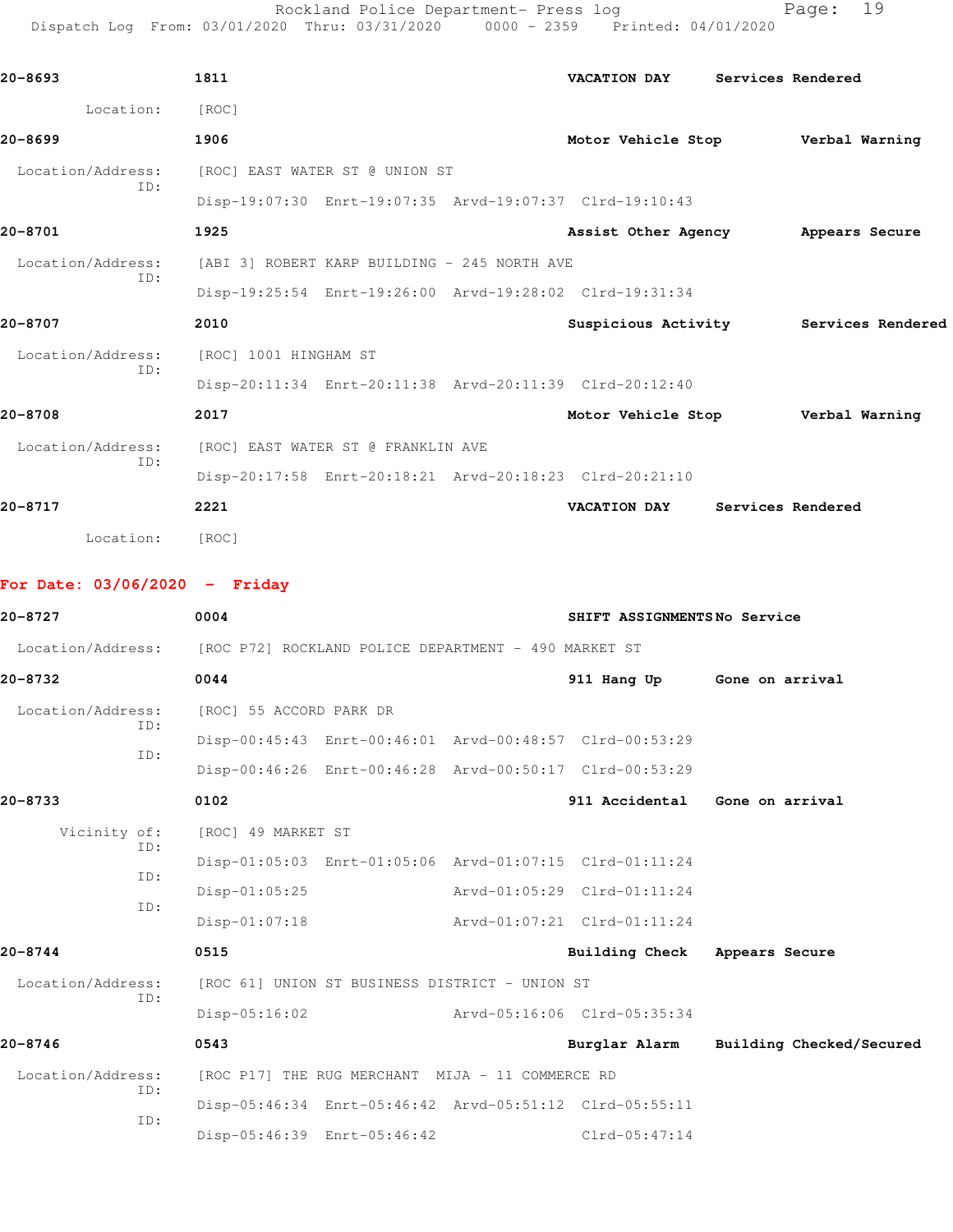Rockland Police Department- Press log Page: 19 Dispatch Log From: 03/01/2020 Thru: 03/31/2020 0000 - 2359 Printed: 04/01/2020

| 20-8693                         | 1811                                                                   | VACATION DAY                      | Services Rendered |                   |
|---------------------------------|------------------------------------------------------------------------|-----------------------------------|-------------------|-------------------|
| Location:                       | [ROC]                                                                  |                                   |                   |                   |
| 20-8699                         | 1906                                                                   | Motor Vehicle Stop                |                   | Verbal Warning    |
| Location/Address:               | [ROC] EAST WATER ST @ UNION ST                                         |                                   |                   |                   |
| ID:                             | Disp-19:07:30 Enrt-19:07:35 Arvd-19:07:37 Clrd-19:10:43                |                                   |                   |                   |
| 20-8701                         | 1925                                                                   | Assist Other Agency               |                   | Appears Secure    |
| Location/Address:               | [ABI 3] ROBERT KARP BUILDING - 245 NORTH AVE                           |                                   |                   |                   |
| ID:                             | Disp-19:25:54 Enrt-19:26:00 Arvd-19:28:02 Clrd-19:31:34                |                                   |                   |                   |
| 20-8707                         | 2010                                                                   | Suspicious Activity               |                   | Services Rendered |
| Location/Address:               | [ROC] 1001 HINGHAM ST                                                  |                                   |                   |                   |
| ID:                             | Disp-20:11:34 Enrt-20:11:38 Arvd-20:11:39 Clrd-20:12:40                |                                   |                   |                   |
| 20-8708                         | 2017                                                                   | Motor Vehicle Stop Verbal Warning |                   |                   |
| Location/Address:               | [ROC] EAST WATER ST @ FRANKLIN AVE                                     |                                   |                   |                   |
| ID:                             | Disp-20:17:58 Enrt-20:18:21 Arvd-20:18:23 Clrd-20:21:10                |                                   |                   |                   |
| 20-8717                         | 2221                                                                   | VACATION DAY Services Rendered    |                   |                   |
| Location:                       | [ROC]                                                                  |                                   |                   |                   |
| For Date: $03/06/2020 -$ Friday |                                                                        |                                   |                   |                   |
| 20-8727                         | 0004                                                                   | SHIFT ASSIGNMENTSNo Service       |                   |                   |
|                                 | Location/Address: [ROC P72] ROCKLAND POLICE DEPARTMENT - 490 MARKET ST |                                   |                   |                   |
| 20-8732                         | 0044                                                                   | 911 Hang Up                       | Gone on arrival   |                   |
| Location/Address:               | [ROC] 55 ACCORD PARK DR                                                |                                   |                   |                   |
| TD:                             | Disp-00:45:43 Enrt-00:46:01 Arvd-00:48:57 Clrd-00:53:29                |                                   |                   |                   |
| ID:                             | Disp-00:46:26 Enrt-00:46:28 Arvd-00:50:17 Clrd-00:53:29                |                                   |                   |                   |
| 20-8733                         | 0102                                                                   | 911 Accidental Gone on arrival    |                   |                   |
| Vicinity of:<br>ID:             | [ROC] 49 MARKET ST                                                     |                                   |                   |                   |

 Disp-01:05:03 Enrt-01:05:06 Arvd-01:07:15 Clrd-01:11:24 ID: Disp-01:05:25 Arvd-01:05:29 Clrd-01:11:24 ID: Disp-01:07:18 Arvd-01:07:21 Clrd-01:11:24

**20-8744 0515 Building Check Appears Secure** Location/Address: [ROC 61] UNION ST BUSINESS DISTRICT - UNION ST ID: Disp-05:16:02 Arvd-05:16:06 Clrd-05:35:34

**20-8746 0543 Burglar Alarm Building Checked/Secured** Location/Address: [ROC P17] THE RUG MERCHANT MIJA - 11 COMMERCE RD ID: Disp-05:46:34 Enrt-05:46:42 Arvd-05:51:12 Clrd-05:55:11 ID: Disp-05:46:39 Enrt-05:46:42 Clrd-05:47:14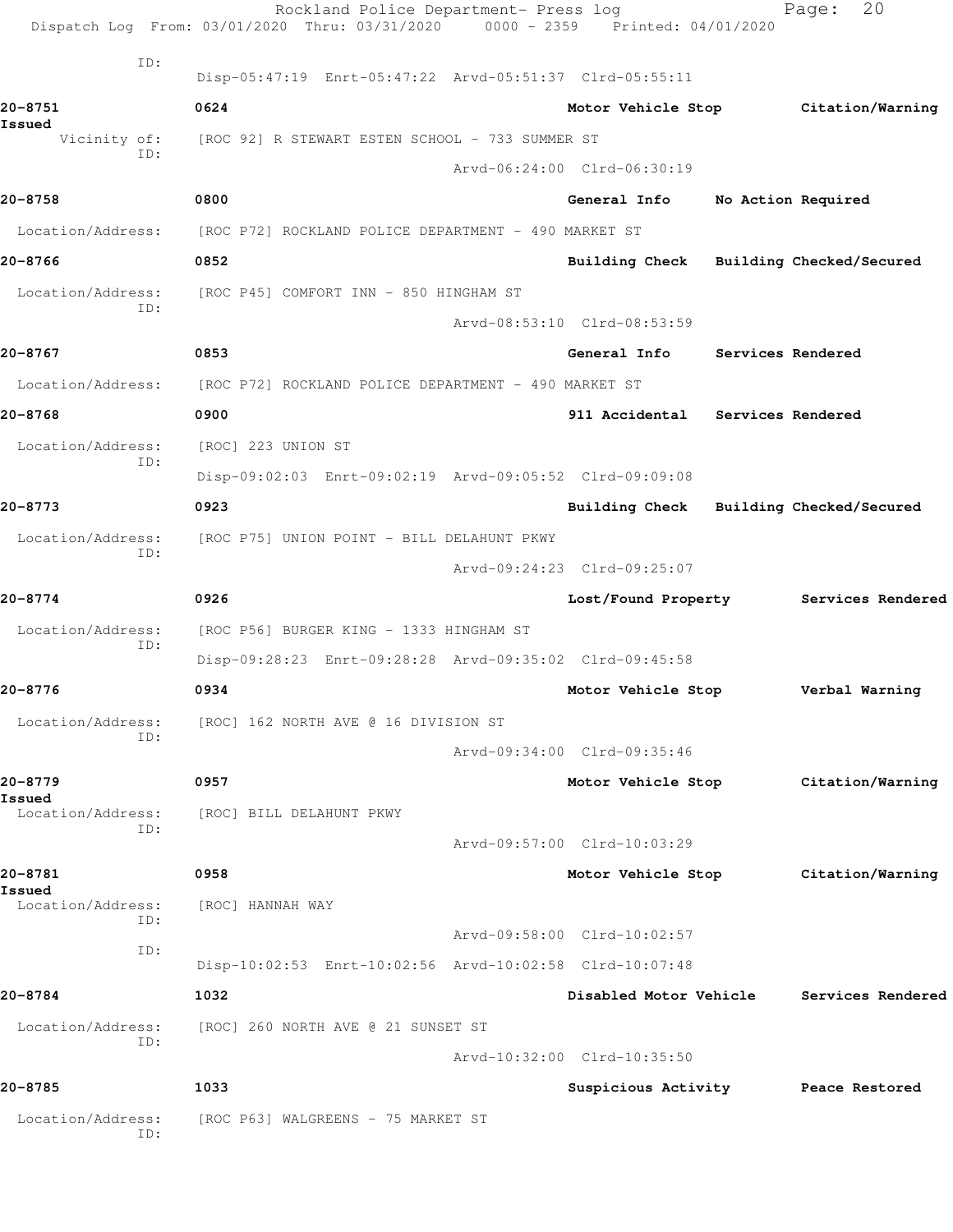|                             | Rockland Police Department- Press log<br>Dispatch Log From: 03/01/2020 Thru: 03/31/2020 0000 - 2359 Printed: 04/01/2020 |                                         | 20<br>Page:                           |
|-----------------------------|-------------------------------------------------------------------------------------------------------------------------|-----------------------------------------|---------------------------------------|
| ID:                         | Disp-05:47:19 Enrt-05:47:22 Arvd-05:51:37 Clrd-05:55:11                                                                 |                                         |                                       |
| 20-8751                     | 0624                                                                                                                    |                                         | Motor Vehicle Stop Citation/Warning   |
| Issued                      |                                                                                                                         |                                         |                                       |
| ID:                         | Vicinity of: [ROC 92] R STEWART ESTEN SCHOOL - 733 SUMMER ST                                                            |                                         |                                       |
|                             |                                                                                                                         | Arvd-06:24:00 Clrd-06:30:19             |                                       |
| 20-8758                     | 0800                                                                                                                    | General Info                            | No Action Required                    |
|                             | Location/Address: [ROC P72] ROCKLAND POLICE DEPARTMENT - 490 MARKET ST                                                  |                                         |                                       |
| 20-8766                     | 0852                                                                                                                    | Building Check Building Checked/Secured |                                       |
| Location/Address:<br>ID:    | [ROC P45] COMFORT INN - 850 HINGHAM ST                                                                                  |                                         |                                       |
|                             |                                                                                                                         | Arvd-08:53:10 Clrd-08:53:59             |                                       |
| 20-8767                     | 0853                                                                                                                    | General Info Services Rendered          |                                       |
| Location/Address:           | [ROC P72] ROCKLAND POLICE DEPARTMENT - 490 MARKET ST                                                                    |                                         |                                       |
| 20-8768                     | 0900                                                                                                                    | 911 Accidental Services Rendered        |                                       |
| Location/Address:<br>ID:    | [ROC] 223 UNION ST                                                                                                      |                                         |                                       |
|                             | Disp-09:02:03 Enrt-09:02:19 Arvd-09:05:52 Clrd-09:09:08                                                                 |                                         |                                       |
| 20-8773                     | 0923                                                                                                                    | Building Check Building Checked/Secured |                                       |
| Location/Address:<br>ID:    | [ROC P75] UNION POINT - BILL DELAHUNT PKWY                                                                              |                                         |                                       |
|                             |                                                                                                                         | Arvd-09:24:23 Clrd-09:25:07             |                                       |
| 20-8774                     | 0926                                                                                                                    |                                         | Lost/Found Property Services Rendered |
| Location/Address:<br>ID:    | [ROC P56] BURGER KING - 1333 HINGHAM ST                                                                                 |                                         |                                       |
|                             | Disp-09:28:23 Enrt-09:28:28 Arvd-09:35:02 Clrd-09:45:58                                                                 |                                         |                                       |
| 20-8776                     | 0934                                                                                                                    | Motor Vehicle Stop                      | Verbal Warning                        |
| Location/Address:           | [ROC] 162 NORTH AVE @ 16 DIVISION ST                                                                                    |                                         |                                       |
| ID:                         |                                                                                                                         | Arvd-09:34:00 Clrd-09:35:46             |                                       |
| 20-8779                     | 0957                                                                                                                    | Motor Vehicle Stop                      | Citation/Warning                      |
| Issued<br>Location/Address: | [ROC] BILL DELAHUNT PKWY                                                                                                |                                         |                                       |
| ID:                         |                                                                                                                         | Arvd-09:57:00 Clrd-10:03:29             |                                       |
| 20-8781                     | 0958                                                                                                                    | Motor Vehicle Stop                      | Citation/Warning                      |
| Issued<br>Location/Address: | [ROC] HANNAH WAY                                                                                                        |                                         |                                       |
| ID:                         |                                                                                                                         | Arvd-09:58:00 Clrd-10:02:57             |                                       |
| ID:                         | Disp-10:02:53 Enrt-10:02:56 Arvd-10:02:58 Clrd-10:07:48                                                                 |                                         |                                       |
| 20-8784                     | 1032                                                                                                                    | Disabled Motor Vehicle                  | Services Rendered                     |
| Location/Address:           | [ROC] 260 NORTH AVE @ 21 SUNSET ST                                                                                      |                                         |                                       |
| ID:                         |                                                                                                                         | Arvd-10:32:00 Clrd-10:35:50             |                                       |
| 20-8785                     | 1033                                                                                                                    | Suspicious Activity                     | Peace Restored                        |
| Location/Address:<br>ID:    | [ROC P63] WALGREENS - 75 MARKET ST                                                                                      |                                         |                                       |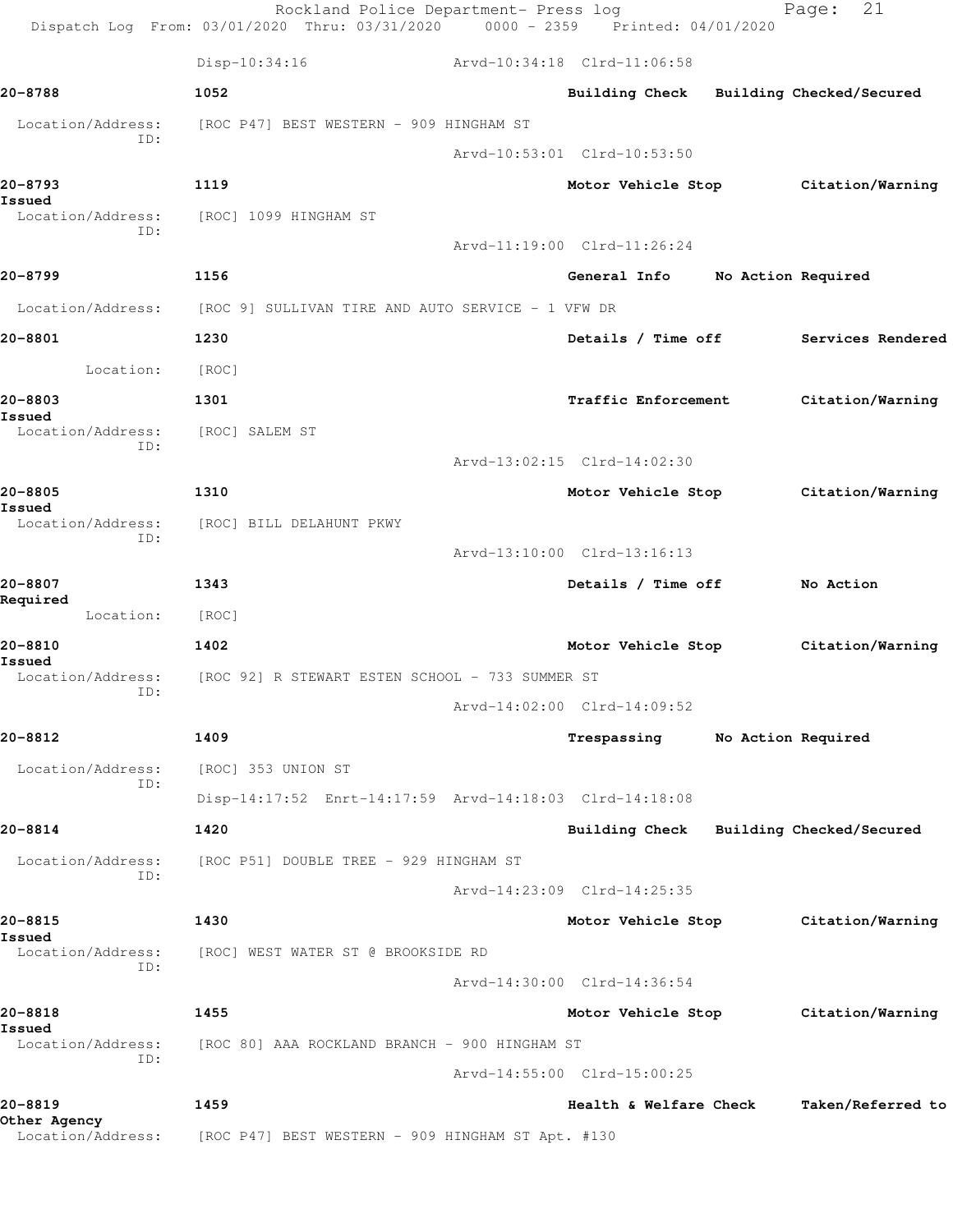|                                   | Rockland Police Department- Press log<br>Dispatch Log From: 03/01/2020 Thru: 03/31/2020 0000 - 2359 Printed: 04/01/2020 |                                         |                    | 21<br>Page:                         |
|-----------------------------------|-------------------------------------------------------------------------------------------------------------------------|-----------------------------------------|--------------------|-------------------------------------|
|                                   | $Disp-10:34:16$                                                                                                         | Arvd-10:34:18 Clrd-11:06:58             |                    |                                     |
| 20-8788                           | 1052                                                                                                                    | Building Check Building Checked/Secured |                    |                                     |
| Location/Address:                 | [ROC P47] BEST WESTERN - 909 HINGHAM ST                                                                                 |                                         |                    |                                     |
| ID:                               |                                                                                                                         | Arvd-10:53:01 Clrd-10:53:50             |                    |                                     |
| 20-8793                           | 1119                                                                                                                    |                                         |                    | Motor Vehicle Stop Citation/Warning |
| Issued<br>Location/Address:       | [ROC] 1099 HINGHAM ST                                                                                                   |                                         |                    |                                     |
| ID:                               |                                                                                                                         | Arvd-11:19:00 Clrd-11:26:24             |                    |                                     |
| 20-8799                           | 1156                                                                                                                    | General Info No Action Required         |                    |                                     |
|                                   | Location/Address: [ROC 9] SULLIVAN TIRE AND AUTO SERVICE - 1 VFW DR                                                     |                                         |                    |                                     |
| 20-8801                           | 1230                                                                                                                    | Details / Time off                      |                    | Services Rendered                   |
| Location:                         | [ROC]                                                                                                                   |                                         |                    |                                     |
| 20-8803                           | 1301                                                                                                                    | Traffic Enforcement                     |                    | Citation/Warning                    |
| Issued<br>Location/Address:       | [ROC] SALEM ST                                                                                                          |                                         |                    |                                     |
| ID:                               |                                                                                                                         | Arvd-13:02:15 Clrd-14:02:30             |                    |                                     |
| 20-8805                           | 1310                                                                                                                    | Motor Vehicle Stop                      |                    | Citation/Warning                    |
| Issued<br>Location/Address:       | [ROC] BILL DELAHUNT PKWY                                                                                                |                                         |                    |                                     |
| ID:                               |                                                                                                                         | Arvd-13:10:00 Clrd-13:16:13             |                    |                                     |
| 20-8807                           | 1343                                                                                                                    | Details / Time off                      |                    | No Action                           |
| Required<br>Location:             | [ROC]                                                                                                                   |                                         |                    |                                     |
| 20-8810                           | 1402                                                                                                                    | Motor Vehicle Stop                      |                    | Citation/Warning                    |
| Issued<br>Location/Address:       | [ROC 92] R STEWART ESTEN SCHOOL - 733 SUMMER ST                                                                         |                                         |                    |                                     |
| ID:                               |                                                                                                                         | Arvd-14:02:00 Clrd-14:09:52             |                    |                                     |
| 20-8812                           | 1409                                                                                                                    | Trespassing                             | No Action Required |                                     |
| Location/Address:                 | [ROC] 353 UNION ST                                                                                                      |                                         |                    |                                     |
| ID:                               | Disp-14:17:52 Enrt-14:17:59 Arvd-14:18:03 Clrd-14:18:08                                                                 |                                         |                    |                                     |
| 20-8814                           | 1420                                                                                                                    | Building Check Building Checked/Secured |                    |                                     |
| Location/Address:                 | [ROC P51] DOUBLE TREE - 929 HINGHAM ST                                                                                  |                                         |                    |                                     |
| TD:                               |                                                                                                                         | Arvd-14:23:09 Clrd-14:25:35             |                    |                                     |
| 20-8815                           | 1430                                                                                                                    | Motor Vehicle Stop                      |                    | Citation/Warning                    |
| Issued<br>Location/Address:       | [ROC] WEST WATER ST @ BROOKSIDE RD                                                                                      |                                         |                    |                                     |
| ID:                               |                                                                                                                         | Arvd-14:30:00 Clrd-14:36:54             |                    |                                     |
| 20-8818                           | 1455                                                                                                                    | Motor Vehicle Stop                      |                    | Citation/Warning                    |
| Issued<br>Location/Address:       | [ROC 80] AAA ROCKLAND BRANCH - 900 HINGHAM ST                                                                           |                                         |                    |                                     |
| ID:                               |                                                                                                                         | Arvd-14:55:00 Clrd-15:00:25             |                    |                                     |
| 20-8819                           | 1459                                                                                                                    | Health & Welfare Check                  |                    | Taken/Referred to                   |
| Other Agency<br>Location/Address: | [ROC P47] BEST WESTERN - 909 HINGHAM ST Apt. #130                                                                       |                                         |                    |                                     |
|                                   |                                                                                                                         |                                         |                    |                                     |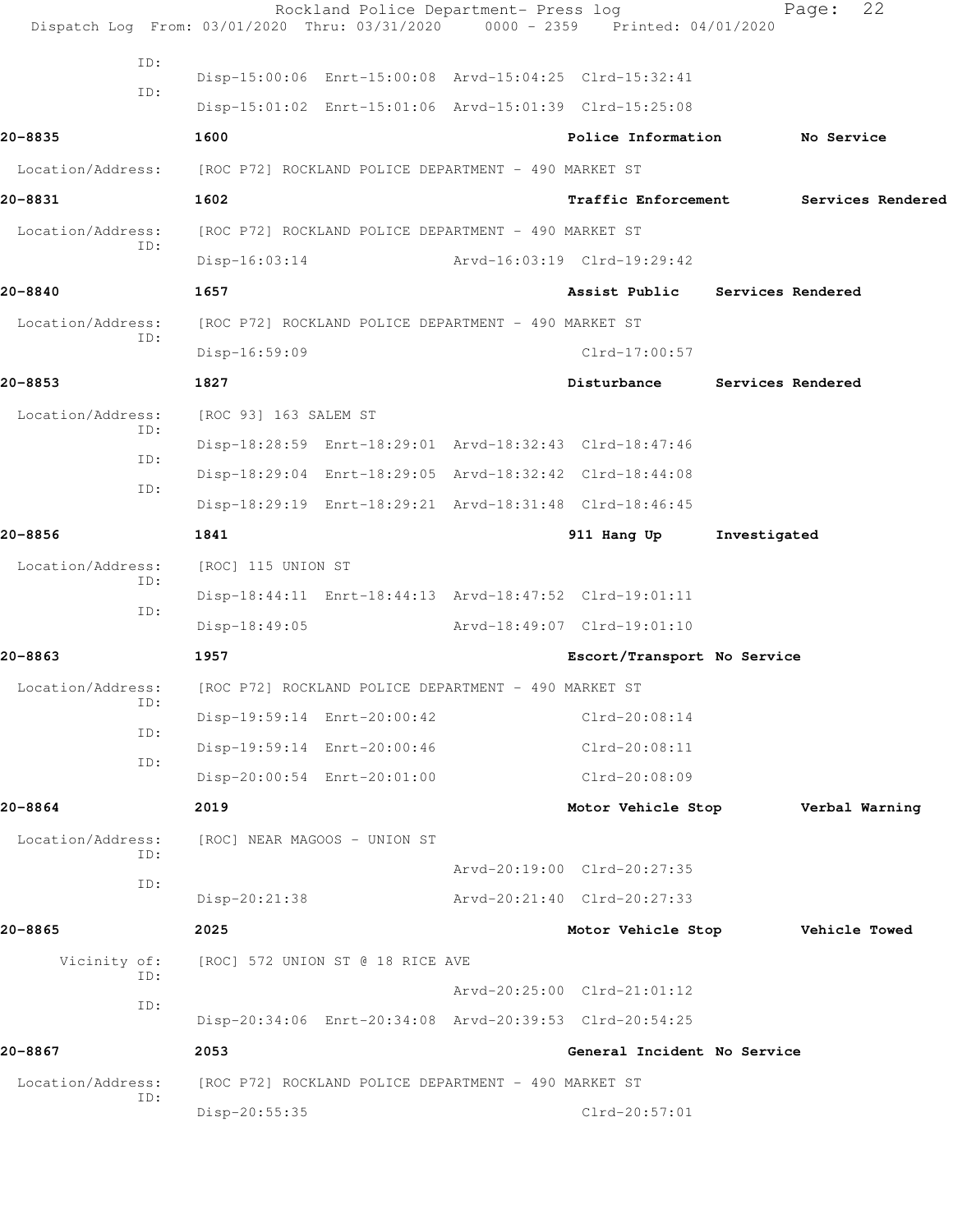|                          | Rockland Police Department- Press log<br>Dispatch Log From: 03/01/2020 Thru: 03/31/2020 0000 - 2359 Printed: 04/01/2020 |                             | 22<br>Page:                     |
|--------------------------|-------------------------------------------------------------------------------------------------------------------------|-----------------------------|---------------------------------|
| ID:                      |                                                                                                                         |                             |                                 |
| ID:                      | Disp-15:00:06 Enrt-15:00:08 Arvd-15:04:25 Clrd-15:32:41                                                                 |                             |                                 |
|                          | Disp-15:01:02 Enrt-15:01:06 Arvd-15:01:39 Clrd-15:25:08                                                                 |                             |                                 |
| 20-8835                  | 1600                                                                                                                    | Police Information          | No Service                      |
| Location/Address:        | [ROC P72] ROCKLAND POLICE DEPARTMENT - 490 MARKET ST                                                                    |                             |                                 |
| 20-8831                  | 1602                                                                                                                    | <b>Traffic Enforcement</b>  | Services Rendered               |
| Location/Address:<br>ID: | [ROC P72] ROCKLAND POLICE DEPARTMENT - 490 MARKET ST                                                                    |                             |                                 |
|                          | $Disp-16:03:14$                                                                                                         | Arvd-16:03:19 Clrd-19:29:42 |                                 |
| 20-8840                  | 1657                                                                                                                    |                             | Assist Public Services Rendered |
| Location/Address:<br>ID: | [ROC P72] ROCKLAND POLICE DEPARTMENT - 490 MARKET ST                                                                    |                             |                                 |
|                          | $Disp-16:59:09$                                                                                                         | $Clrd-17:00:57$             |                                 |
| 20-8853                  | 1827                                                                                                                    | Disturbance                 | Services Rendered               |
| Location/Address:<br>ID: | [ROC 93] 163 SALEM ST                                                                                                   |                             |                                 |
| ID:                      | Disp-18:28:59 Enrt-18:29:01 Arvd-18:32:43 Clrd-18:47:46                                                                 |                             |                                 |
| ID:                      | Disp-18:29:04 Enrt-18:29:05 Arvd-18:32:42 Clrd-18:44:08                                                                 |                             |                                 |
|                          | Disp-18:29:19 Enrt-18:29:21 Arvd-18:31:48 Clrd-18:46:45                                                                 |                             |                                 |
| 20-8856                  | 1841                                                                                                                    | 911 Hang Up                 | Investigated                    |
| Location/Address:<br>ID: | [ROC] 115 UNION ST                                                                                                      |                             |                                 |
| ID:                      | Disp-18:44:11 Enrt-18:44:13 Arvd-18:47:52 Clrd-19:01:11                                                                 |                             |                                 |
|                          | $Disp-18:49:05$                                                                                                         | Arvd-18:49:07 Clrd-19:01:10 |                                 |
| 20-8863                  | 1957                                                                                                                    | Escort/Transport No Service |                                 |
| Location/Address:<br>ID: | [ROC P72] ROCKLAND POLICE DEPARTMENT - 490 MARKET ST                                                                    |                             |                                 |
| ID:                      | Disp-19:59:14 Enrt-20:00:42                                                                                             | Clrd-20:08:14               |                                 |
| ID:                      | Disp-19:59:14 Enrt-20:00:46                                                                                             | $Clrd-20:08:11$             |                                 |
|                          | Disp-20:00:54 Enrt-20:01:00                                                                                             | Clrd-20:08:09               |                                 |
| 20-8864                  | 2019                                                                                                                    | Motor Vehicle Stop          | Verbal Warning                  |
| Location/Address:<br>ID: | [ROC] NEAR MAGOOS - UNION ST                                                                                            |                             |                                 |
| ID:                      |                                                                                                                         | Arvd-20:19:00 Clrd-20:27:35 |                                 |
|                          | Disp-20:21:38                                                                                                           | Arvd-20:21:40 Clrd-20:27:33 |                                 |
| 20-8865                  | 2025                                                                                                                    | Motor Vehicle Stop          | Vehicle Towed                   |
| Vicinity of:<br>ID:      | [ROC] 572 UNION ST @ 18 RICE AVE                                                                                        |                             |                                 |
| ID:                      |                                                                                                                         | Arvd-20:25:00 Clrd-21:01:12 |                                 |
|                          | Disp-20:34:06 Enrt-20:34:08 Arvd-20:39:53 Clrd-20:54:25                                                                 |                             |                                 |
| 20-8867                  | 2053                                                                                                                    | General Incident No Service |                                 |
| Location/Address:<br>ID: | [ROC P72] ROCKLAND POLICE DEPARTMENT - 490 MARKET ST                                                                    |                             |                                 |
|                          | Disp-20:55:35                                                                                                           | Clrd-20:57:01               |                                 |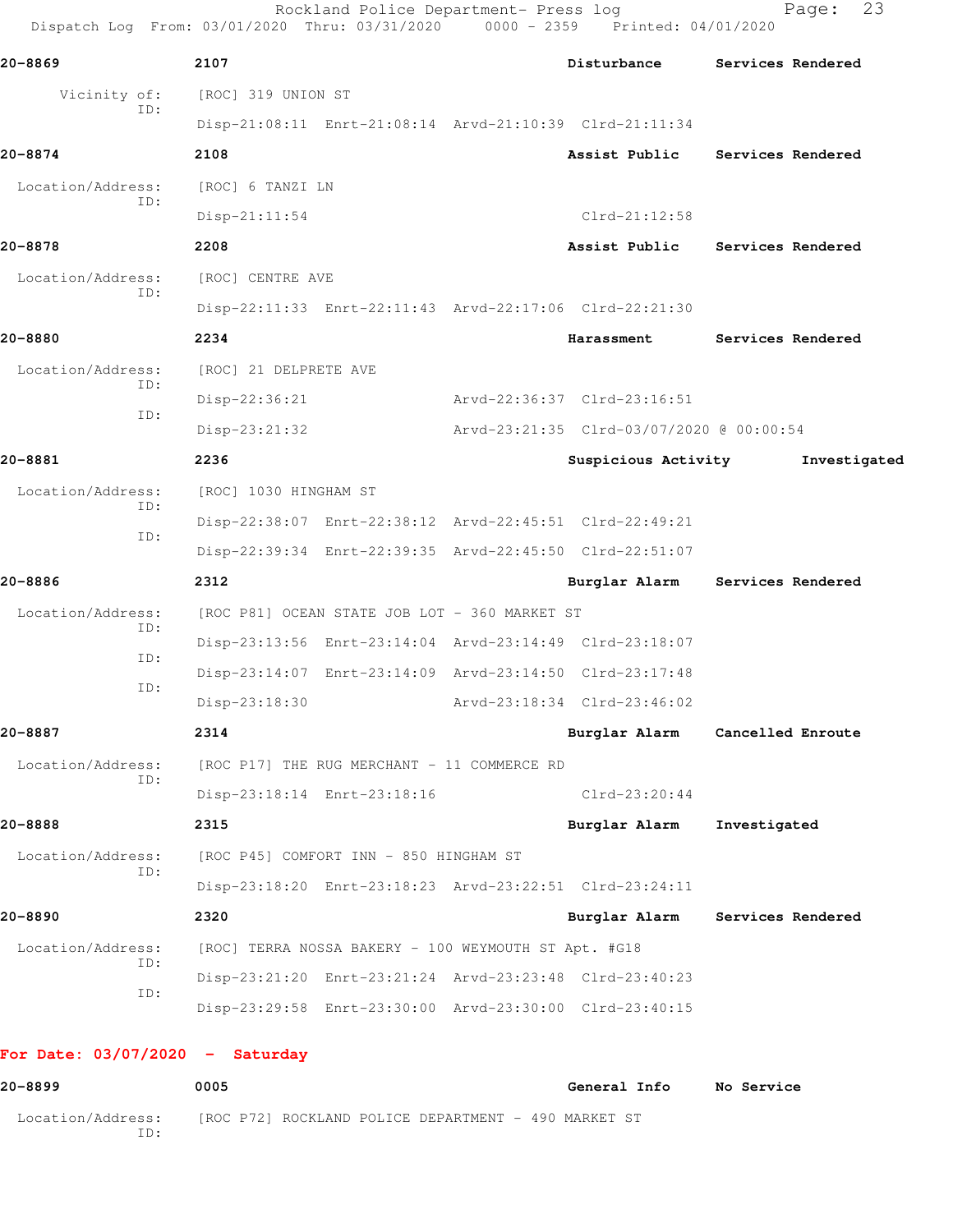| 20-8869           |            | 2107                  |                                                      | Disturbance                                             |              | Services Rendered |  |
|-------------------|------------|-----------------------|------------------------------------------------------|---------------------------------------------------------|--------------|-------------------|--|
| Vicinity of:      | ID:        | [ROC] 319 UNION ST    |                                                      |                                                         |              |                   |  |
|                   |            |                       |                                                      | Disp-21:08:11 Enrt-21:08:14 Arvd-21:10:39 Clrd-21:11:34 |              |                   |  |
| 20-8874           |            | 2108                  |                                                      | Assist Public                                           |              | Services Rendered |  |
| Location/Address: | ID:        | [ROC] 6 TANZI LN      |                                                      |                                                         |              |                   |  |
|                   |            | Disp-21:11:54         |                                                      | $Clrd-21:12:58$                                         |              |                   |  |
| 20-8878           |            | 2208                  |                                                      | Assist Public                                           |              | Services Rendered |  |
| Location/Address: |            | [ROC] CENTRE AVE      |                                                      |                                                         |              |                   |  |
|                   | ID:        |                       |                                                      | Disp-22:11:33 Enrt-22:11:43 Arvd-22:17:06 Clrd-22:21:30 |              |                   |  |
| 20-8880           |            | 2234                  |                                                      | Harassment                                              |              | Services Rendered |  |
| Location/Address: |            | [ROC] 21 DELPRETE AVE |                                                      |                                                         |              |                   |  |
|                   | ID:        | $Disp-22:36:21$       |                                                      | Arvd-22:36:37 Clrd-23:16:51                             |              |                   |  |
|                   | ID:        | $Disp-23:21:32$       |                                                      | Arvd-23:21:35 Clrd-03/07/2020 @ 00:00:54                |              |                   |  |
| 20-8881           |            | 2236                  |                                                      | Suspicious Activity                                     |              | Investigated      |  |
| Location/Address: |            | [ROC] 1030 HINGHAM ST |                                                      |                                                         |              |                   |  |
|                   | ID:        |                       |                                                      | Disp-22:38:07 Enrt-22:38:12 Arvd-22:45:51 Clrd-22:49:21 |              |                   |  |
|                   | ID:        |                       |                                                      | Disp-22:39:34 Enrt-22:39:35 Arvd-22:45:50 Clrd-22:51:07 |              |                   |  |
| 20-8886           |            | 2312                  |                                                      | Burglar Alarm                                           |              | Services Rendered |  |
| Location/Address: |            |                       | [ROC P81] OCEAN STATE JOB LOT - 360 MARKET ST        |                                                         |              |                   |  |
|                   | ID:        |                       |                                                      | Disp-23:13:56 Enrt-23:14:04 Arvd-23:14:49 Clrd-23:18:07 |              |                   |  |
|                   | ID:<br>ID: |                       |                                                      | Disp-23:14:07 Enrt-23:14:09 Arvd-23:14:50 Clrd-23:17:48 |              |                   |  |
|                   |            | Disp-23:18:30         |                                                      | Arvd-23:18:34 Clrd-23:46:02                             |              |                   |  |
| 20-8887           |            | 2314                  |                                                      | Burglar Alarm                                           |              | Cancelled Enroute |  |
| Location/Address: | ID:        |                       | [ROC P17] THE RUG MERCHANT - 11 COMMERCE RD          |                                                         |              |                   |  |
|                   |            |                       | Disp-23:18:14 Enrt-23:18:16                          | $Clrd-23:20:44$                                         |              |                   |  |
| 20-8888           |            | 2315                  |                                                      | Burglar Alarm                                           | Investigated |                   |  |
| Location/Address: | ID:        |                       | [ROC P45] COMFORT INN - 850 HINGHAM ST               |                                                         |              |                   |  |
|                   |            |                       |                                                      | Disp-23:18:20 Enrt-23:18:23 Arvd-23:22:51 Clrd-23:24:11 |              |                   |  |
| 20-8890           |            | 2320                  |                                                      | Burglar Alarm Services Rendered                         |              |                   |  |
| Location/Address: |            |                       | [ROC] TERRA NOSSA BAKERY - 100 WEYMOUTH ST Apt. #G18 |                                                         |              |                   |  |
|                   | ID:<br>ID: |                       |                                                      | Disp-23:21:20 Enrt-23:21:24 Arvd-23:23:48 Clrd-23:40:23 |              |                   |  |
|                   |            |                       |                                                      | Disp-23:29:58 Enrt-23:30:00 Arvd-23:30:00 Clrd-23:40:15 |              |                   |  |

**20-8899 0005 General Info No Service** Location/Address: [ROC P72] ROCKLAND POLICE DEPARTMENT - 490 MARKET ST ID: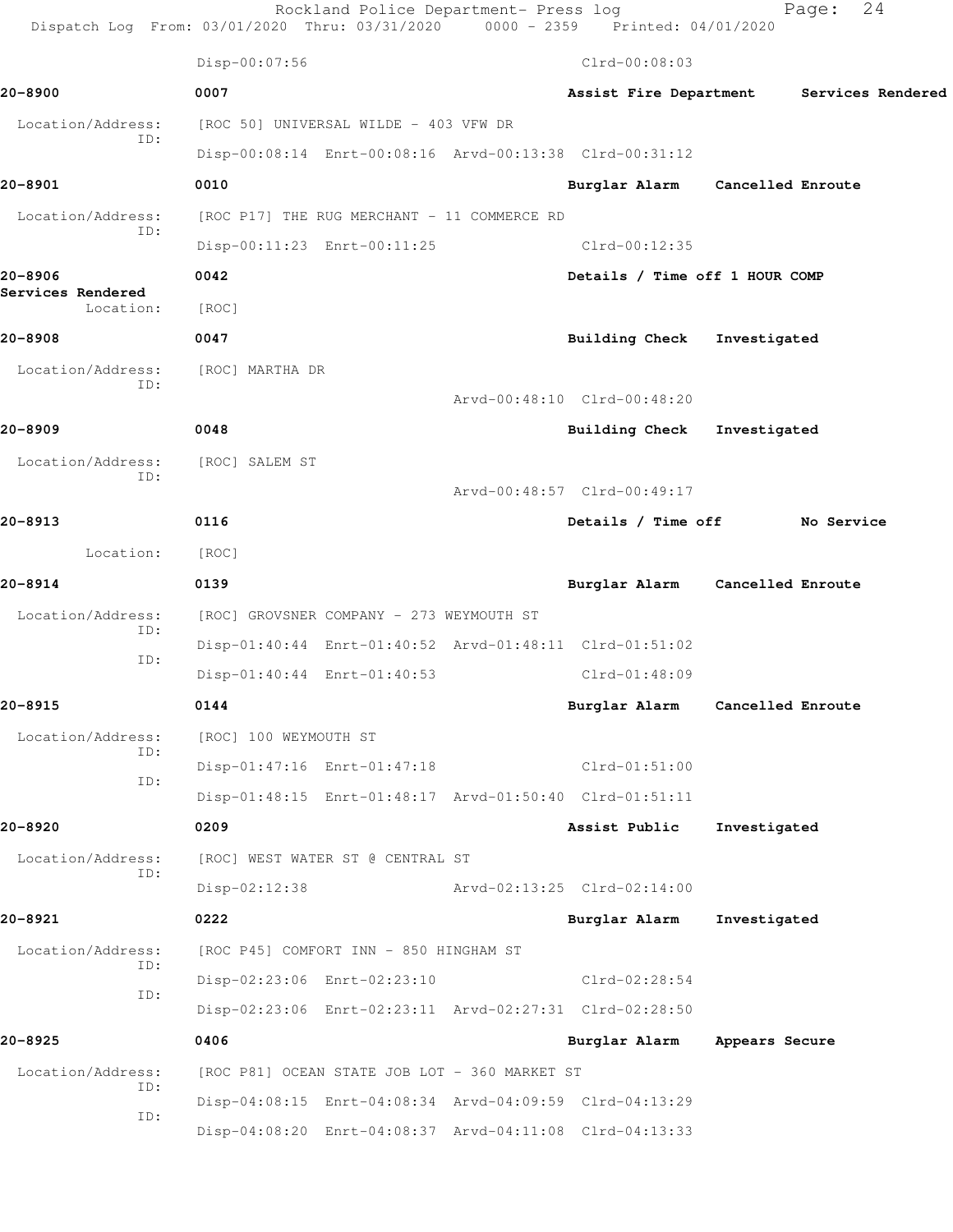|                                | Rockland Police Department- Press log<br>Dispatch Log From: 03/01/2020 Thru: 03/31/2020 0000 - 2359 Printed: 04/01/2020 |                                | 24<br>Page:                     |
|--------------------------------|-------------------------------------------------------------------------------------------------------------------------|--------------------------------|---------------------------------|
|                                | Disp-00:07:56                                                                                                           | $Clrd-00:08:03$                |                                 |
| 20-8900                        | 0007                                                                                                                    | Assist Fire Department         | Services Rendered               |
| Location/Address:              | [ROC 50] UNIVERSAL WILDE - 403 VFW DR                                                                                   |                                |                                 |
| ID:                            | Disp-00:08:14 Enrt-00:08:16 Arvd-00:13:38 Clrd-00:31:12                                                                 |                                |                                 |
| 20-8901                        | 0010                                                                                                                    |                                | Burglar Alarm Cancelled Enroute |
| Location/Address:              | [ROC P17] THE RUG MERCHANT - 11 COMMERCE RD                                                                             |                                |                                 |
| ID:                            | Disp-00:11:23 Enrt-00:11:25                                                                                             | Clrd-00:12:35                  |                                 |
| 20-8906                        | 0042                                                                                                                    | Details / Time off 1 HOUR COMP |                                 |
| Services Rendered<br>Location: | [ROC]                                                                                                                   |                                |                                 |
| 20-8908                        | 0047                                                                                                                    | Building Check Investigated    |                                 |
| Location/Address:              | [ROC] MARTHA DR                                                                                                         |                                |                                 |
| ID:                            |                                                                                                                         | Arvd-00:48:10 Clrd-00:48:20    |                                 |
| 20-8909                        | 0048                                                                                                                    | Building Check Investigated    |                                 |
| Location/Address:<br>ID:       | [ROC] SALEM ST                                                                                                          |                                |                                 |
|                                |                                                                                                                         | Arvd-00:48:57 Clrd-00:49:17    |                                 |
| 20-8913                        | 0116                                                                                                                    |                                | Details / Time off No Service   |
| Location:                      | [ROC]                                                                                                                   |                                |                                 |
| 20-8914                        | 0139                                                                                                                    |                                | Burglar Alarm Cancelled Enroute |
| Location/Address:<br>ID:       | [ROC] GROVSNER COMPANY - 273 WEYMOUTH ST                                                                                |                                |                                 |
| ID:                            | Disp-01:40:44 Enrt-01:40:52 Arvd-01:48:11 Clrd-01:51:02                                                                 |                                |                                 |
|                                | Disp-01:40:44 Enrt-01:40:53                                                                                             | $Clrd-01:48:09$                |                                 |
| 20-8915                        | 0144                                                                                                                    | Burglar Alarm                  | Cancelled Enroute               |
| Location/Address:<br>ID:       | [ROC] 100 WEYMOUTH ST                                                                                                   |                                |                                 |
| ID:                            | Disp-01:47:16 Enrt-01:47:18                                                                                             | $Clrd-01:51:00$                |                                 |
|                                | Disp-01:48:15 Enrt-01:48:17 Arvd-01:50:40 Clrd-01:51:11                                                                 |                                |                                 |
| 20-8920                        | 0209                                                                                                                    | Assist Public                  | Investigated                    |
| Location/Address:<br>ID:       | [ROC] WEST WATER ST @ CENTRAL ST                                                                                        |                                |                                 |
|                                | $Disp-02:12:38$                                                                                                         | Arvd-02:13:25 Clrd-02:14:00    |                                 |
| 20-8921                        | 0222                                                                                                                    | Burglar Alarm                  | Investigated                    |
| Location/Address:<br>ID:       | [ROC P45] COMFORT INN - 850 HINGHAM ST                                                                                  |                                |                                 |
| ID:                            | Disp-02:23:06 Enrt-02:23:10                                                                                             | Clrd-02:28:54                  |                                 |
|                                | Disp-02:23:06 Enrt-02:23:11 Arvd-02:27:31 Clrd-02:28:50                                                                 |                                |                                 |
| 20-8925                        | 0406                                                                                                                    | Burglar Alarm                  | Appears Secure                  |
| Location/Address:<br>ID:       | [ROC P81] OCEAN STATE JOB LOT - 360 MARKET ST                                                                           |                                |                                 |
| ID:                            | Disp-04:08:15 Enrt-04:08:34 Arvd-04:09:59 Clrd-04:13:29                                                                 |                                |                                 |
|                                | Disp-04:08:20 Enrt-04:08:37 Arvd-04:11:08 Clrd-04:13:33                                                                 |                                |                                 |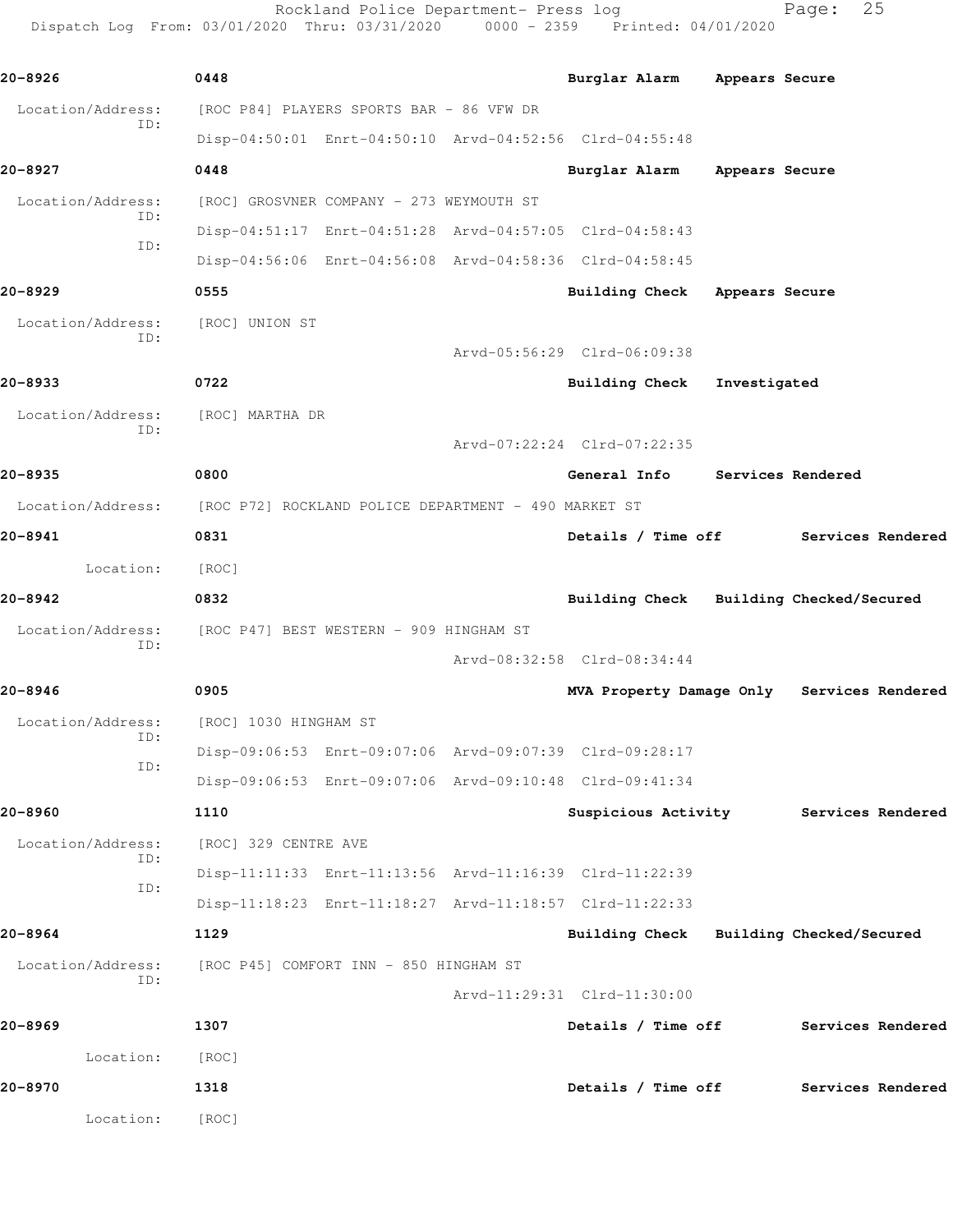Rockland Police Department- Press log Fage: 25 Dispatch Log From: 03/01/2020 Thru: 03/31/2020 0000 - 2359 Printed: 04/01/2020

**20-8926 0448 Burglar Alarm Appears Secure** Location/Address: [ROC P84] PLAYERS SPORTS BAR - 86 VFW DR ID: Disp-04:50:01 Enrt-04:50:10 Arvd-04:52:56 Clrd-04:55:48 **20-8927 0448 Burglar Alarm Appears Secure** Location/Address: [ROC] GROSVNER COMPANY - 273 WEYMOUTH ST ID: Disp-04:51:17 Enrt-04:51:28 Arvd-04:57:05 Clrd-04:58:43 ID: Disp-04:56:06 Enrt-04:56:08 Arvd-04:58:36 Clrd-04:58:45 **20-8929 0555 Building Check Appears Secure** Location/Address: [ROC] UNION ST ID: Arvd-05:56:29 Clrd-06:09:38 **20-8933 0722 Building Check Investigated** Location/Address: [ROC] MARTHA DR ID: Arvd-07:22:24 Clrd-07:22:35 **20-8935 0800 General Info Services Rendered** Location/Address: [ROC P72] ROCKLAND POLICE DEPARTMENT - 490 MARKET ST **20-8941 0831 Details / Time off Services Rendered** Location: [ROC] **20-8942 0832 Building Check Building Checked/Secured** Location/Address: [ROC P47] BEST WESTERN - 909 HINGHAM ST ID: Arvd-08:32:58 Clrd-08:34:44 **20-8946 0905 MVA Property Damage Only Services Rendered** Location/Address: [ROC] 1030 HINGHAM ST ID: Disp-09:06:53 Enrt-09:07:06 Arvd-09:07:39 Clrd-09:28:17 ID: Disp-09:06:53 Enrt-09:07:06 Arvd-09:10:48 Clrd-09:41:34 **20-8960 1110 Suspicious Activity Services Rendered** Location/Address: [ROC] 329 CENTRE AVE ID: Disp-11:11:33 Enrt-11:13:56 Arvd-11:16:39 Clrd-11:22:39 ID: Disp-11:18:23 Enrt-11:18:27 Arvd-11:18:57 Clrd-11:22:33 **20-8964 1129 Building Check Building Checked/Secured** Location/Address: [ROC P45] COMFORT INN - 850 HINGHAM ST ID: Arvd-11:29:31 Clrd-11:30:00 **20-8969 1307 Details / Time off Services Rendered** Location: [ROC] **20-8970 1318 Details / Time off Services Rendered** Location: [ROC]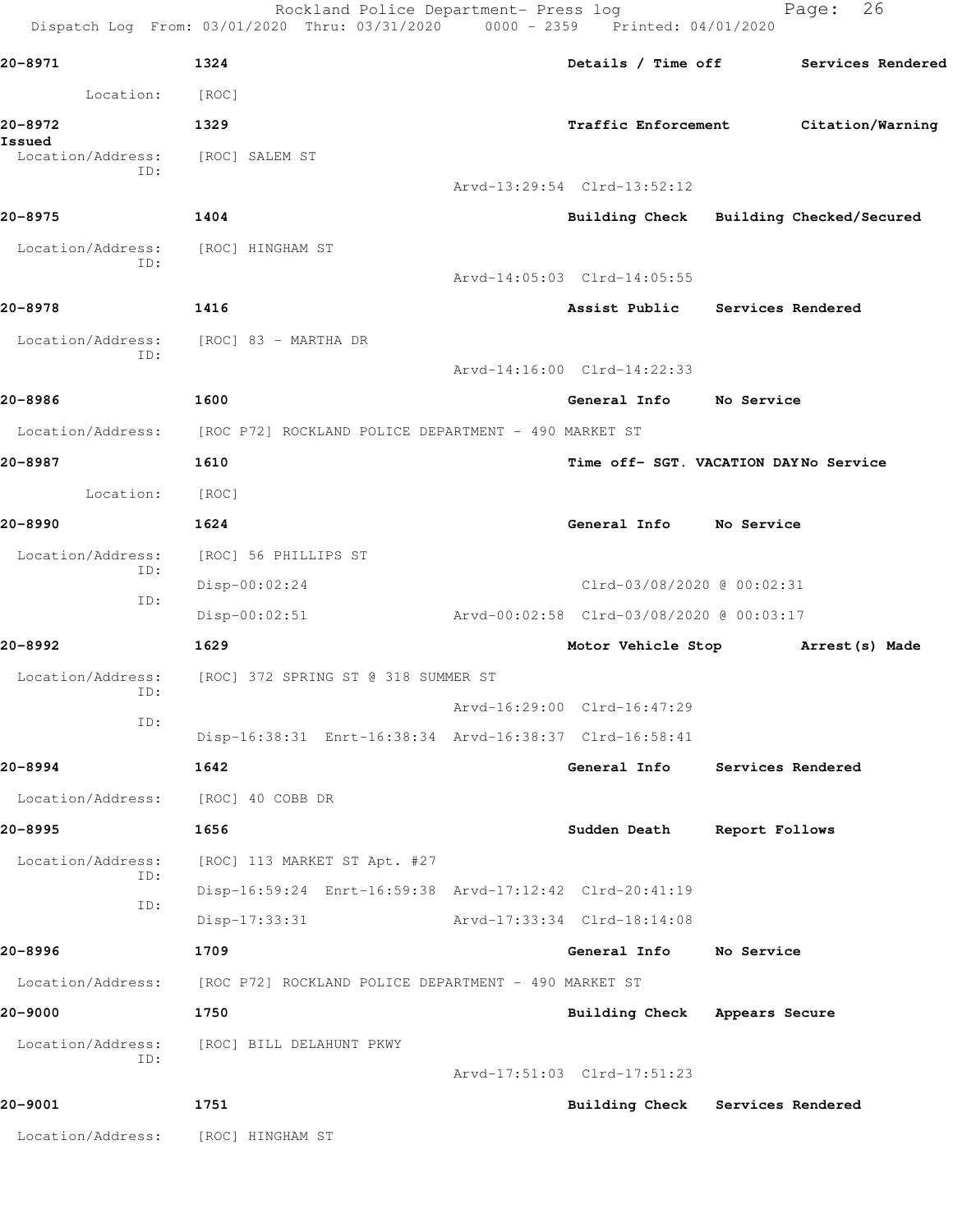Rockland Police Department- Press log entitled Page: 26 Dispatch Log From: 03/01/2020 Thru: 03/31/2020 0000 - 2359 Printed: 04/01/2020

| 20-8971                            | 1324                                                                   | Details / Time off Services Rendered     |                   |                  |  |
|------------------------------------|------------------------------------------------------------------------|------------------------------------------|-------------------|------------------|--|
| Location:                          | [ROC]                                                                  |                                          |                   |                  |  |
| 20-8972                            | 1329                                                                   | <b>Traffic Enforcement</b>               |                   | Citation/Warning |  |
| Issued<br>Location/Address:        | [ROC] SALEM ST                                                         |                                          |                   |                  |  |
| ID:                                |                                                                        | Arvd-13:29:54 Clrd-13:52:12              |                   |                  |  |
| 20-8975                            | 1404                                                                   | Building Check Building Checked/Secured  |                   |                  |  |
| Location/Address:<br>ID:           | [ROC] HINGHAM ST                                                       |                                          |                   |                  |  |
|                                    |                                                                        | Arvd-14:05:03 Clrd-14:05:55              |                   |                  |  |
| 20-8978                            | 1416                                                                   | Assist Public Services Rendered          |                   |                  |  |
| Location/Address:<br>ID:           | [ROC] 83 - MARTHA DR                                                   |                                          |                   |                  |  |
|                                    |                                                                        | Arvd-14:16:00 Clrd-14:22:33              |                   |                  |  |
| 20-8986                            | 1600                                                                   | General Info No Service                  |                   |                  |  |
|                                    | Location/Address: [ROC P72] ROCKLAND POLICE DEPARTMENT - 490 MARKET ST |                                          |                   |                  |  |
| 20-8987                            | 1610                                                                   | Time off- SGT. VACATION DAYNo Service    |                   |                  |  |
| Location:                          | [ROC]                                                                  |                                          |                   |                  |  |
| 20-8990                            | 1624                                                                   | General Info No Service                  |                   |                  |  |
| Location/Address:<br>ID:           | [ROC] 56 PHILLIPS ST                                                   |                                          |                   |                  |  |
| ID:                                | $Disp-00:02:24$                                                        | Clrd-03/08/2020 @ 00:02:31               |                   |                  |  |
|                                    | $Disp-00:02:51$                                                        | Arvd-00:02:58 Clrd-03/08/2020 @ 00:03:17 |                   |                  |  |
| 20-8992                            | 1629                                                                   | Motor Vehicle Stop                       |                   | Arrest (s) Made  |  |
| Location/Address:<br>ID:           | [ROC] 372 SPRING ST @ 318 SUMMER ST                                    |                                          |                   |                  |  |
| ID:                                |                                                                        | Arvd-16:29:00 Clrd-16:47:29              |                   |                  |  |
|                                    | Disp-16:38:31 Enrt-16:38:34 Arvd-16:38:37 Clrd-16:58:41                |                                          |                   |                  |  |
| $20 - 8994$                        | 1642                                                                   | General Info                             | Services Rendered |                  |  |
| Location/Address: [ROC] 40 COBB DR |                                                                        |                                          |                   |                  |  |
| 20-8995                            | 1656                                                                   | Sudden Death Report Follows              |                   |                  |  |
| Location/Address:<br>ID:           | [ROC] 113 MARKET ST Apt. #27                                           |                                          |                   |                  |  |
| ID:                                | Disp-16:59:24 Enrt-16:59:38 Arvd-17:12:42 Clrd-20:41:19                |                                          |                   |                  |  |
|                                    | Disp-17:33:31                                                          | Arvd-17:33:34 Clrd-18:14:08              |                   |                  |  |
| 20-8996                            | 1709                                                                   | General Info                             | No Service        |                  |  |
|                                    | Location/Address: [ROC P72] ROCKLAND POLICE DEPARTMENT - 490 MARKET ST |                                          |                   |                  |  |
| 20-9000                            | 1750                                                                   | Building Check Appears Secure            |                   |                  |  |
| Location/Address:<br>ID:           | [ROC] BILL DELAHUNT PKWY                                               |                                          |                   |                  |  |
|                                    |                                                                        | Arvd-17:51:03 Clrd-17:51:23              |                   |                  |  |
| 20-9001                            | 1751                                                                   | Building Check Services Rendered         |                   |                  |  |
| Location/Address: [ROC] HINGHAM ST |                                                                        |                                          |                   |                  |  |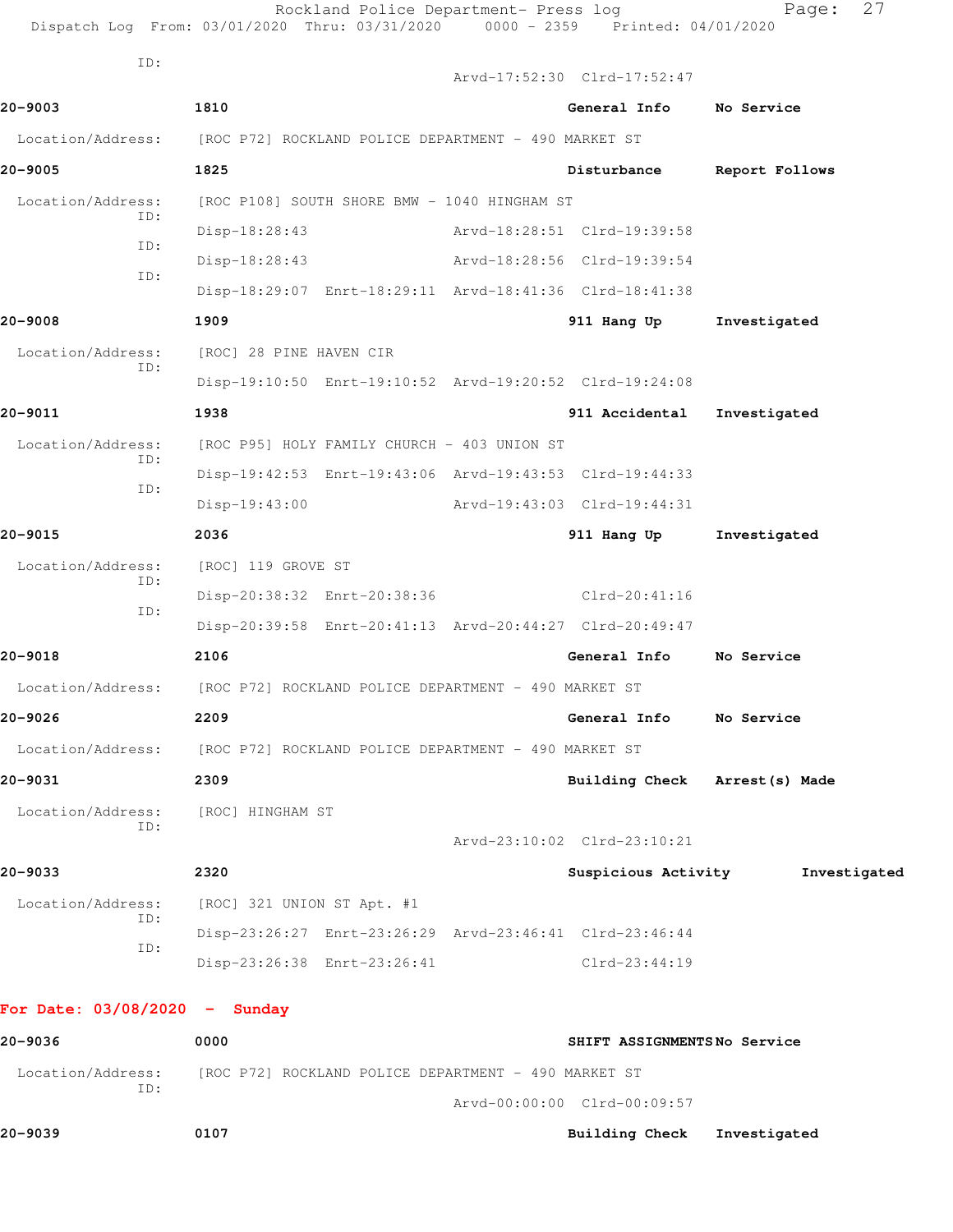| ID:                                                                    |                                                                        |  | Arvd-17:52:30 Clrd-17:52:47    |                |
|------------------------------------------------------------------------|------------------------------------------------------------------------|--|--------------------------------|----------------|
| 20-9003                                                                | 1810                                                                   |  | General Info                   | No Service     |
| Location/Address:                                                      | [ROC P72] ROCKLAND POLICE DEPARTMENT - 490 MARKET ST                   |  |                                |                |
| 20-9005                                                                | 1825                                                                   |  | Disturbance                    | Report Follows |
| Location/Address:                                                      | [ROC P108] SOUTH SHORE BMW - 1040 HINGHAM ST                           |  |                                |                |
| ID:<br>ID:                                                             | Disp-18:28:43                                                          |  | Arvd-18:28:51 Clrd-19:39:58    |                |
| ID:                                                                    | Disp-18:28:43                                                          |  | Arvd-18:28:56 Clrd-19:39:54    |                |
|                                                                        | Disp-18:29:07 Enrt-18:29:11 Arvd-18:41:36 Clrd-18:41:38                |  |                                |                |
| 20-9008                                                                | 1909                                                                   |  | 911 Hang Up                    | Investigated   |
| Location/Address:<br>ID:                                               | [ROC] 28 PINE HAVEN CIR                                                |  |                                |                |
|                                                                        | Disp-19:10:50 Enrt-19:10:52 Arvd-19:20:52 Clrd-19:24:08                |  |                                |                |
| 20-9011                                                                | 1938                                                                   |  | 911 Accidental                 | Investigated   |
| Location/Address:<br>ID:                                               | [ROC P95] HOLY FAMILY CHURCH - 403 UNION ST                            |  |                                |                |
| ID:                                                                    | Disp-19:42:53 Enrt-19:43:06 Arvd-19:43:53 Clrd-19:44:33                |  |                                |                |
|                                                                        | $Disp-19:43:00$                                                        |  | Arvd-19:43:03 Clrd-19:44:31    |                |
| 20-9015                                                                | 2036                                                                   |  | 911 Hang Up                    | Investigated   |
| Location/Address:<br>ID:                                               | [ROC] 119 GROVE ST                                                     |  |                                |                |
| ID:                                                                    | Disp-20:38:32 Enrt-20:38:36                                            |  | Clrd-20:41:16                  |                |
|                                                                        | Disp-20:39:58 Enrt-20:41:13 Arvd-20:44:27 Clrd-20:49:47                |  |                                |                |
| 20-9018                                                                | 2106                                                                   |  | General Info                   | No Service     |
|                                                                        | Location/Address: [ROC P72] ROCKLAND POLICE DEPARTMENT - 490 MARKET ST |  |                                |                |
| 20-9026                                                                | 2209                                                                   |  | General Info No Service        |                |
| Location/Address: [ROC P72] ROCKLAND POLICE DEPARTMENT - 490 MARKET ST |                                                                        |  |                                |                |
| 20-9031                                                                | 2309                                                                   |  | Building Check Arrest (s) Made |                |
| Location/Address:<br>ID:                                               | [ROC] HINGHAM ST                                                       |  |                                |                |
|                                                                        |                                                                        |  | Arvd-23:10:02 Clrd-23:10:21    |                |
| 20-9033                                                                | 2320                                                                   |  | Suspicious Activity            | Investigated   |
| Location/Address:<br>ID:                                               | [ROC] 321 UNION ST Apt. #1                                             |  |                                |                |
| ID:                                                                    | Disp-23:26:27 Enrt-23:26:29 Arvd-23:46:41 Clrd-23:46:44                |  |                                |                |
|                                                                        | Disp-23:26:38 Enrt-23:26:41                                            |  | Clrd-23:44:19                  |                |
| For Date: $03/08/2020 -$ Sunday                                        |                                                                        |  |                                |                |
| 20-9036                                                                | 0000                                                                   |  | SHIFT ASSIGNMENTSNo Service    |                |
|                                                                        | Location/Address: [ROC P72] ROCKLAND POLICE DEPARTMENT - 490 MARKET ST |  |                                |                |
| ID:                                                                    |                                                                        |  |                                |                |

**20-9039 0107 Building Check Investigated**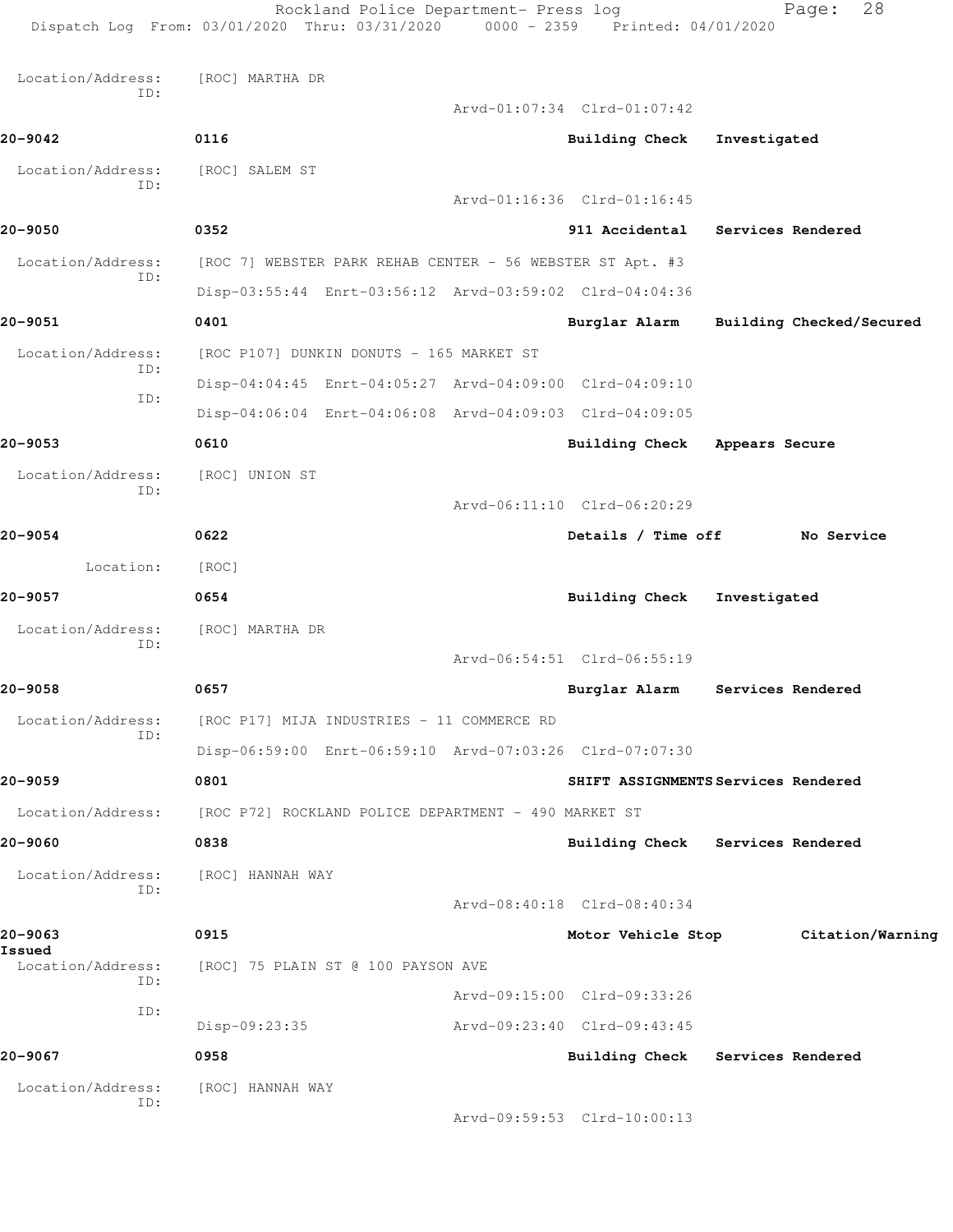Rockland Police Department- Press log Fage: 28 Dispatch Log From: 03/01/2020 Thru: 03/31/2020 0000 - 2359 Printed: 04/01/2020 Location/Address: [ROC] MARTHA DR ID: Arvd-01:07:34 Clrd-01:07:42 **20-9042 0116 Building Check Investigated** Location/Address: [ROC] SALEM ST ID: Arvd-01:16:36 Clrd-01:16:45 **20-9050 0352 911 Accidental Services Rendered** Location/Address: [ROC 7] WEBSTER PARK REHAB CENTER - 56 WEBSTER ST Apt. #3 ID: Disp-03:55:44 Enrt-03:56:12 Arvd-03:59:02 Clrd-04:04:36 **20-9051 0401 Burglar Alarm Building Checked/Secured** Location/Address: [ROC P107] DUNKIN DONUTS - 165 MARKET ST ID: Disp-04:04:45 Enrt-04:05:27 Arvd-04:09:00 Clrd-04:09:10 ID: Disp-04:06:04 Enrt-04:06:08 Arvd-04:09:03 Clrd-04:09:05 **20-9053 0610 Building Check Appears Secure** Location/Address: [ROC] UNION ST ID: Arvd-06:11:10 Clrd-06:20:29 **20-9054 0622 Details / Time off No Service** Location: [ROC] **20-9057 0654 Building Check Investigated** Location/Address: [ROC] MARTHA DR ID: Arvd-06:54:51 Clrd-06:55:19 **20-9058 0657 Burglar Alarm Services Rendered** Location/Address: [ROC P17] MIJA INDUSTRIES - 11 COMMERCE RD ID: Disp-06:59:00 Enrt-06:59:10 Arvd-07:03:26 Clrd-07:07:30 **20-9059 0801 SHIFT ASSIGNMENTS Services Rendered** Location/Address: [ROC P72] ROCKLAND POLICE DEPARTMENT - 490 MARKET ST **20-9060 0838 Building Check Services Rendered** Location/Address: [ROC] HANNAH WAY ID: Arvd-08:40:18 Clrd-08:40:34 **20-9063 0915 Motor Vehicle Stop Citation/Warning Issued**  Location/Address: [ROC] 75 PLAIN ST @ 100 PAYSON AVE ID: Arvd-09:15:00 Clrd-09:33:26 ID: Disp-09:23:35 Arvd-09:23:40 Clrd-09:43:45 **20-9067 0958 Building Check Services Rendered** Location/Address: [ROC] HANNAH WAY

Arvd-09:59:53 Clrd-10:00:13

ID: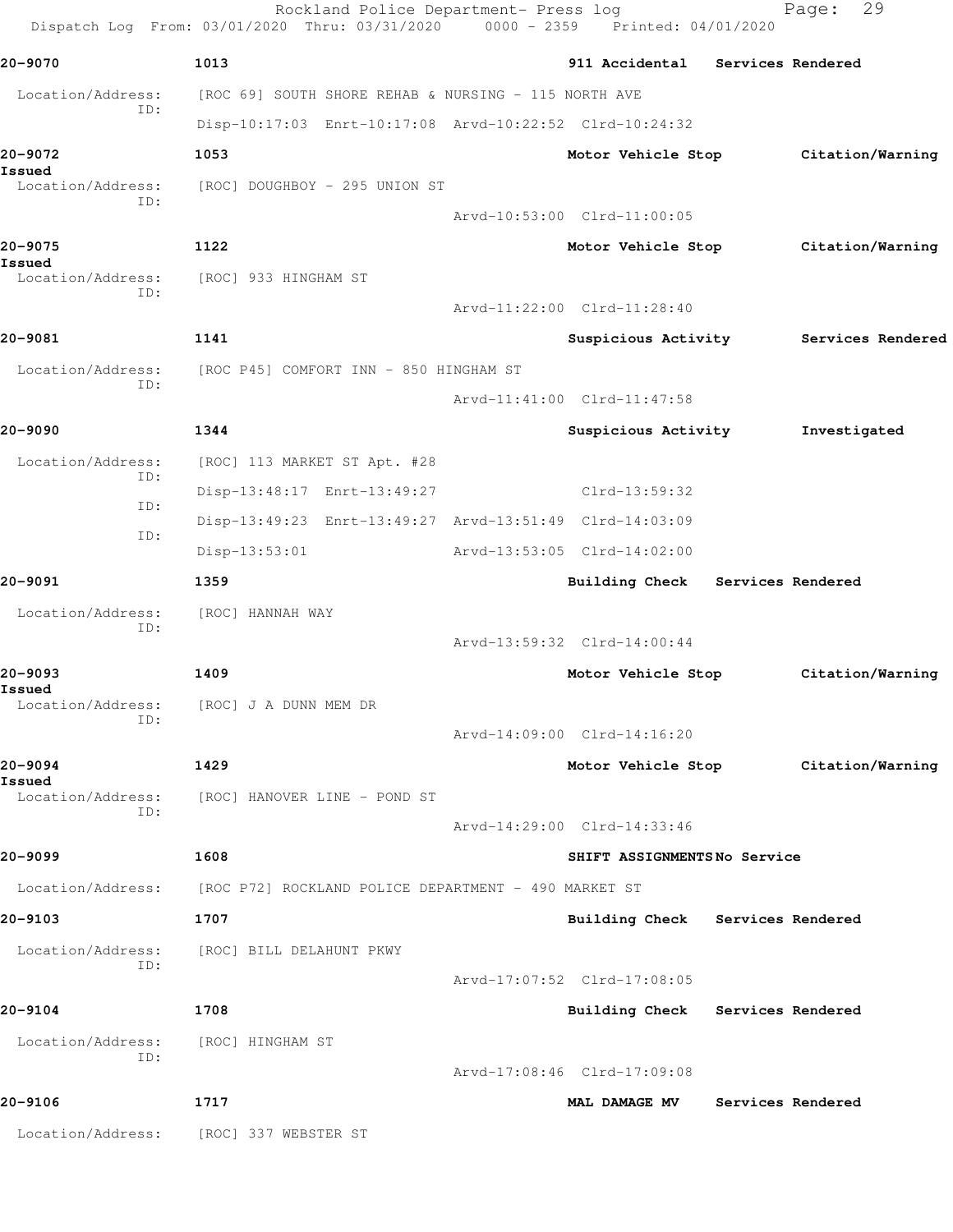|                          | Rockland Police Department- Press log<br>Dispatch Log From: 03/01/2020 Thru: 03/31/2020 0000 - 2359 Printed: 04/01/2020 |                                                                 |                   | 29<br>Page:                           |
|--------------------------|-------------------------------------------------------------------------------------------------------------------------|-----------------------------------------------------------------|-------------------|---------------------------------------|
| 20-9070                  | 1013                                                                                                                    | 911 Accidental                                                  | Services Rendered |                                       |
| Location/Address:        | [ROC 69] SOUTH SHORE REHAB & NURSING - 115 NORTH AVE                                                                    |                                                                 |                   |                                       |
| ID:                      | Disp-10:17:03 Enrt-10:17:08 Arvd-10:22:52 Clrd-10:24:32                                                                 |                                                                 |                   |                                       |
| 20-9072<br>Issued        | 1053                                                                                                                    | Motor Vehicle Stop                                              |                   | Citation/Warning                      |
| Location/Address:<br>ID: | [ROC] DOUGHBOY - 295 UNION ST                                                                                           |                                                                 |                   |                                       |
|                          |                                                                                                                         | Arvd-10:53:00 Clrd-11:00:05                                     |                   |                                       |
| 20-9075<br>Issued        | 1122                                                                                                                    | Motor Vehicle Stop                                              |                   | Citation/Warning                      |
| Location/Address:<br>ID: | [ROC] 933 HINGHAM ST                                                                                                    |                                                                 |                   |                                       |
|                          |                                                                                                                         | Arvd-11:22:00 Clrd-11:28:40                                     |                   |                                       |
| 20-9081                  | 1141                                                                                                                    |                                                                 |                   | Suspicious Activity Services Rendered |
| Location/Address:<br>ID: | [ROC P45] COMFORT INN - 850 HINGHAM ST                                                                                  |                                                                 |                   |                                       |
|                          |                                                                                                                         | Arvd-11:41:00 Clrd-11:47:58                                     |                   |                                       |
| 20-9090                  | 1344                                                                                                                    | Suspicious Activity                                             |                   | Investigated                          |
| Location/Address:<br>ID: | [ROC] 113 MARKET ST Apt. #28                                                                                            |                                                                 |                   |                                       |
| ID:                      | Disp-13:48:17 Enrt-13:49:27                                                                                             | $Clrd-13:59:32$                                                 |                   |                                       |
| ID:                      | Disp-13:49:23 Enrt-13:49:27 Arvd-13:51:49 Clrd-14:03:09                                                                 |                                                                 |                   |                                       |
|                          | $Disp-13:53:01$                                                                                                         | Arvd-13:53:05 Clrd-14:02:00                                     |                   |                                       |
| 20-9091                  | 1359                                                                                                                    | Building Check Services Rendered                                |                   |                                       |
| Location/Address:<br>ID: | [ROC] HANNAH WAY                                                                                                        |                                                                 |                   |                                       |
|                          |                                                                                                                         | Arvd-13:59:32 Clrd-14:00:44                                     |                   |                                       |
| 20-9093<br>Issued        | 1409                                                                                                                    | Motor Vehicle Stop                                              |                   | Citation/Warning                      |
| Location/Address:<br>ID: | [ROC] J A DUNN MEM DR                                                                                                   |                                                                 |                   |                                       |
|                          |                                                                                                                         | Arvd-14:09:00 Clrd-14:16:20                                     |                   |                                       |
| 20-9094<br>Issued        | 1429                                                                                                                    | Motor Vehicle Stop                                              |                   | Citation/Warning                      |
| Location/Address:<br>ID: | [ROC] HANOVER LINE - POND ST                                                                                            |                                                                 |                   |                                       |
|                          |                                                                                                                         | Arvd-14:29:00 Clrd-14:33:46                                     |                   |                                       |
| 20–9099                  | 1608                                                                                                                    | SHIFT ASSIGNMENTSNo Service                                     |                   |                                       |
| Location/Address:        | [ROC P72] ROCKLAND POLICE DEPARTMENT - 490 MARKET ST                                                                    |                                                                 |                   |                                       |
| 20-9103                  | 1707                                                                                                                    | Building Check Services Rendered                                |                   |                                       |
| Location/Address:<br>ID: | [ROC] BILL DELAHUNT PKWY                                                                                                |                                                                 |                   |                                       |
| 20-9104                  | 1708                                                                                                                    | Arvd-17:07:52 Clrd-17:08:05<br>Building Check Services Rendered |                   |                                       |
|                          |                                                                                                                         |                                                                 |                   |                                       |
| Location/Address:<br>ID: | [ROC] HINGHAM ST                                                                                                        | Arvd-17:08:46 Clrd-17:09:08                                     |                   |                                       |
| 20-9106                  | 1717                                                                                                                    | <b>MAL DAMAGE MV</b>                                            | Services Rendered |                                       |
| Location/Address:        | [ROC] 337 WEBSTER ST                                                                                                    |                                                                 |                   |                                       |
|                          |                                                                                                                         |                                                                 |                   |                                       |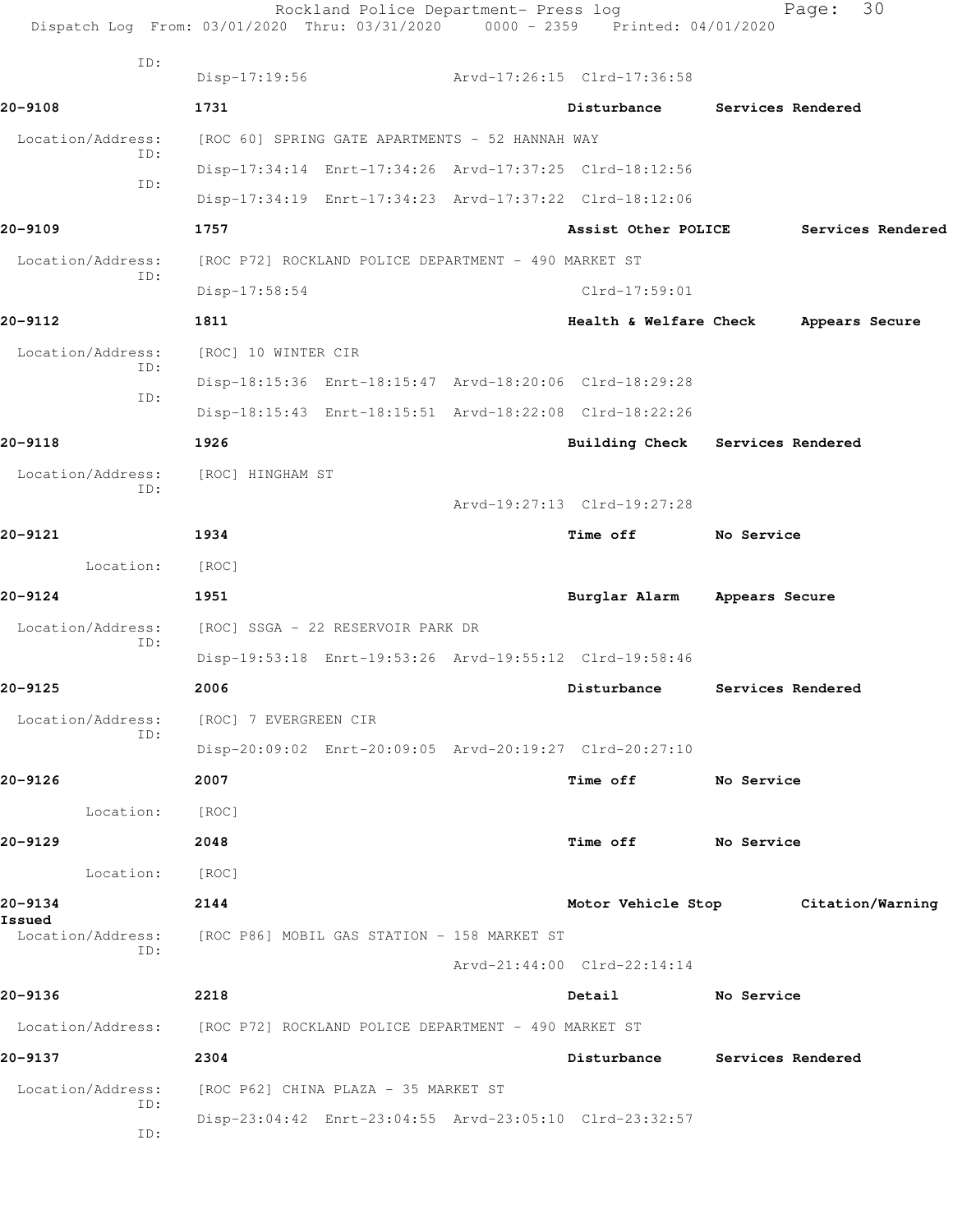| Dispatch Log From: 03/01/2020 Thru: 03/31/2020 0000 - 2359 Printed: 04/01/2020 |                                                      | Rockland Police Department- Press log                |                                                         | Page:             | 30                |
|--------------------------------------------------------------------------------|------------------------------------------------------|------------------------------------------------------|---------------------------------------------------------|-------------------|-------------------|
| ID:                                                                            | Disp-17:19:56                                        |                                                      | Arvd-17:26:15 Clrd-17:36:58                             |                   |                   |
| 20-9108                                                                        | 1731                                                 |                                                      | Disturbance                                             | Services Rendered |                   |
| Location/Address:                                                              | [ROC 60] SPRING GATE APARTMENTS - 52 HANNAH WAY      |                                                      |                                                         |                   |                   |
| ID:                                                                            |                                                      |                                                      | Disp-17:34:14 Enrt-17:34:26 Arvd-17:37:25 Clrd-18:12:56 |                   |                   |
| ID:                                                                            |                                                      |                                                      | Disp-17:34:19 Enrt-17:34:23 Arvd-17:37:22 Clrd-18:12:06 |                   |                   |
| 20-9109                                                                        | 1757                                                 |                                                      | Assist Other POLICE                                     |                   | Services Rendered |
| Location/Address:                                                              |                                                      | [ROC P72] ROCKLAND POLICE DEPARTMENT - 490 MARKET ST |                                                         |                   |                   |
| ID:                                                                            | $Disp-17:58:54$                                      |                                                      | $Clrd-17:59:01$                                         |                   |                   |
| 20-9112                                                                        | 1811                                                 |                                                      | Health & Welfare Check                                  |                   | Appears Secure    |
| Location/Address:                                                              | [ROC] 10 WINTER CIR                                  |                                                      |                                                         |                   |                   |
| ID:                                                                            |                                                      |                                                      | Disp-18:15:36 Enrt-18:15:47 Arvd-18:20:06 Clrd-18:29:28 |                   |                   |
| ID:                                                                            |                                                      |                                                      | Disp-18:15:43 Enrt-18:15:51 Arvd-18:22:08 Clrd-18:22:26 |                   |                   |
| 20-9118                                                                        | 1926                                                 |                                                      | Building Check Services Rendered                        |                   |                   |
| Location/Address:                                                              | [ROC] HINGHAM ST                                     |                                                      |                                                         |                   |                   |
| ID:                                                                            |                                                      |                                                      | Arvd-19:27:13 Clrd-19:27:28                             |                   |                   |
| 20-9121                                                                        | 1934                                                 |                                                      | <b>Time off</b>                                         | No Service        |                   |
| Location:                                                                      | [ROC]                                                |                                                      |                                                         |                   |                   |
| 20-9124                                                                        | 1951                                                 |                                                      | Burglar Alarm                                           | Appears Secure    |                   |
| Location/Address:                                                              | [ROC] SSGA - 22 RESERVOIR PARK DR                    |                                                      |                                                         |                   |                   |
| ID:                                                                            |                                                      |                                                      | Disp-19:53:18 Enrt-19:53:26 Arvd-19:55:12 Clrd-19:58:46 |                   |                   |
| 20-9125                                                                        | 2006                                                 |                                                      | Disturbance                                             | Services Rendered |                   |
| Location/Address:                                                              | [ROC] 7 EVERGREEN CIR                                |                                                      |                                                         |                   |                   |
| ID:                                                                            |                                                      |                                                      | Disp-20:09:02 Enrt-20:09:05 Arvd-20:19:27 Clrd-20:27:10 |                   |                   |
| 20-9126                                                                        | 2007                                                 |                                                      | Time off                                                | No Service        |                   |
| Location:                                                                      | [ROC]                                                |                                                      |                                                         |                   |                   |
| 20-9129                                                                        | 2048                                                 |                                                      | Time off                                                | No Service        |                   |
| Location:                                                                      | [ROC]                                                |                                                      |                                                         |                   |                   |
| 20-9134                                                                        | 2144                                                 |                                                      | Motor Vehicle Stop Citation/Warning                     |                   |                   |
| Issued<br>Location/Address:                                                    | [ROC P86] MOBIL GAS STATION - 158 MARKET ST          |                                                      |                                                         |                   |                   |
| ID:                                                                            |                                                      |                                                      | Arvd-21:44:00 Clrd-22:14:14                             |                   |                   |
| 20-9136                                                                        | 2218                                                 |                                                      | Detail                                                  | No Service        |                   |
| Location/Address:                                                              | [ROC P72] ROCKLAND POLICE DEPARTMENT - 490 MARKET ST |                                                      |                                                         |                   |                   |
| 20-9137                                                                        | 2304                                                 |                                                      | Disturbance Services Rendered                           |                   |                   |
| Location/Address:                                                              | [ROC P62] CHINA PLAZA - 35 MARKET ST                 |                                                      |                                                         |                   |                   |
| ID:                                                                            |                                                      |                                                      | Disp-23:04:42 Enrt-23:04:55 Arvd-23:05:10 Clrd-23:32:57 |                   |                   |
| ID:                                                                            |                                                      |                                                      |                                                         |                   |                   |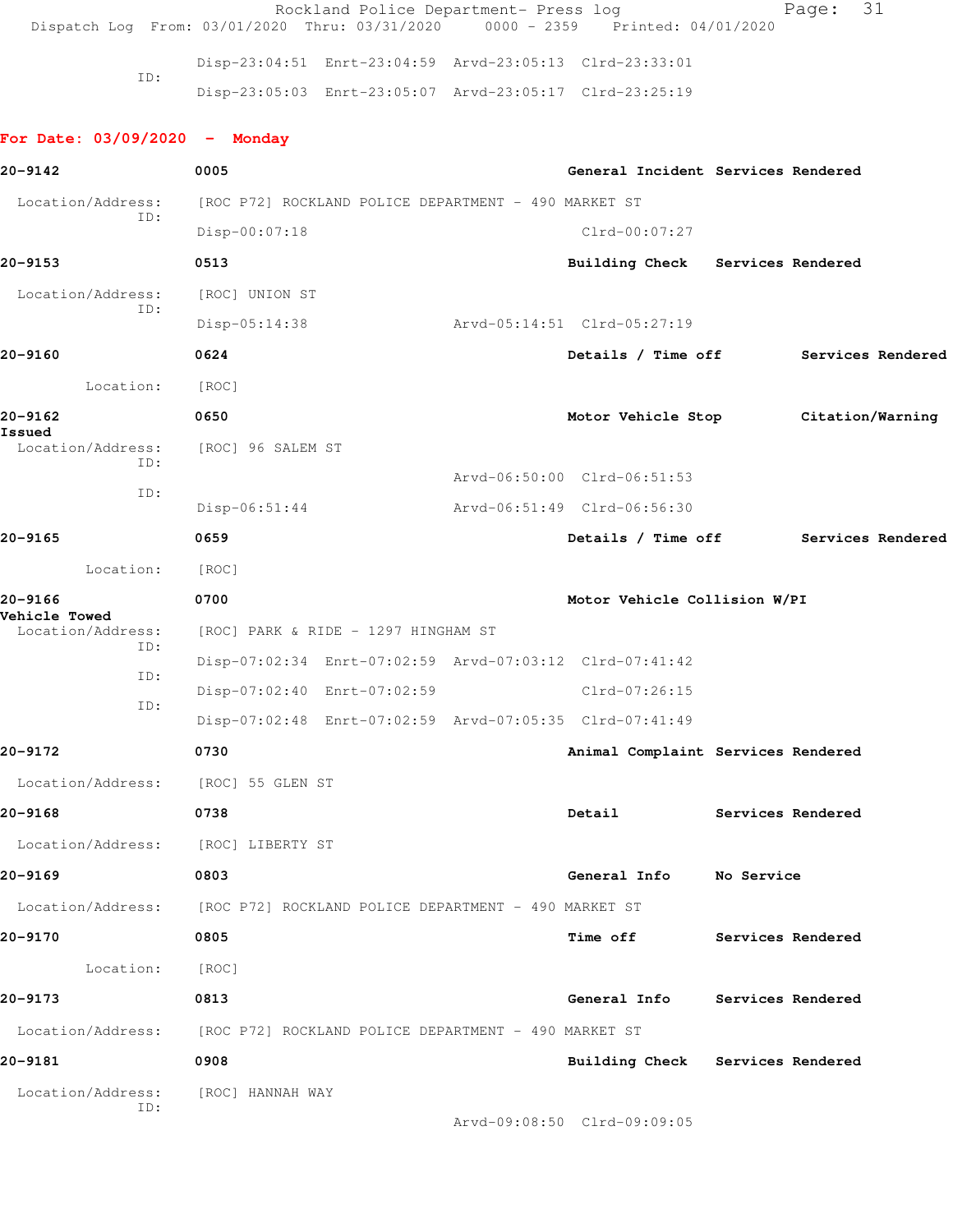|                                           | Rockland Police Department- Press log<br>Dispatch Log From: 03/01/2020 Thru: 03/31/2020 |  | 0000 - 2359 Printed: 04/01/2020    |                          | 31<br>Page:       |  |
|-------------------------------------------|-----------------------------------------------------------------------------------------|--|------------------------------------|--------------------------|-------------------|--|
|                                           | Disp-23:04:51 Enrt-23:04:59 Arvd-23:05:13 Clrd-23:33:01                                 |  |                                    |                          |                   |  |
| ID:                                       | Disp-23:05:03 Enrt-23:05:07 Arvd-23:05:17 Clrd-23:25:19                                 |  |                                    |                          |                   |  |
| For Date: $03/09/2020 -$ Monday           |                                                                                         |  |                                    |                          |                   |  |
| 20-9142                                   | 0005                                                                                    |  | General Incident Services Rendered |                          |                   |  |
| Location/Address:                         | [ROC P72] ROCKLAND POLICE DEPARTMENT - 490 MARKET ST                                    |  |                                    |                          |                   |  |
| ID:                                       | Disp-00:07:18                                                                           |  | $Clrd-00:07:27$                    |                          |                   |  |
| 20-9153                                   | 0513                                                                                    |  | Building Check Services Rendered   |                          |                   |  |
| Location/Address:                         | [ROC] UNION ST                                                                          |  |                                    |                          |                   |  |
| ID:                                       | $Disp-05:14:38$                                                                         |  | Arvd-05:14:51 Clrd-05:27:19        |                          |                   |  |
| 20-9160                                   | 0624                                                                                    |  | Details / Time off                 |                          | Services Rendered |  |
| Location:                                 | [ROC]                                                                                   |  |                                    |                          |                   |  |
| 20-9162                                   | 0650                                                                                    |  | Motor Vehicle Stop                 |                          | Citation/Warning  |  |
| Issued<br>Location/Address:               | [ROC] 96 SALEM ST                                                                       |  |                                    |                          |                   |  |
| ID:                                       |                                                                                         |  | Arvd-06:50:00 Clrd-06:51:53        |                          |                   |  |
| ID:                                       | $Disp-06:51:44$                                                                         |  | Arvd-06:51:49 Clrd-06:56:30        |                          |                   |  |
| 20-9165                                   | 0659                                                                                    |  | Details / Time off                 |                          | Services Rendered |  |
| Location:                                 | [ROC]                                                                                   |  |                                    |                          |                   |  |
| 20-9166                                   | 0700<br>Motor Vehicle Collision W/PI                                                    |  |                                    |                          |                   |  |
| <b>Vehicle Towed</b><br>Location/Address: | [ROC] PARK & RIDE - 1297 HINGHAM ST                                                     |  |                                    |                          |                   |  |
| ID:                                       | Disp-07:02:34 Enrt-07:02:59 Arvd-07:03:12 Clrd-07:41:42                                 |  |                                    |                          |                   |  |
| ID:                                       | Disp-07:02:40 Enrt-07:02:59                                                             |  | $Clrd-07:26:15$                    |                          |                   |  |
| ID:                                       | Disp-07:02:48 Enrt-07:02:59 Arvd-07:05:35 Clrd-07:41:49                                 |  |                                    |                          |                   |  |
| 20-9172                                   | 0730                                                                                    |  | Animal Complaint Services Rendered |                          |                   |  |
| Location/Address:                         | [ROC] 55 GLEN ST                                                                        |  |                                    |                          |                   |  |
| 20-9168                                   | 0738                                                                                    |  | Detail                             | <b>Services Rendered</b> |                   |  |
| Location/Address:                         | [ROC] LIBERTY ST                                                                        |  |                                    |                          |                   |  |
| 20-9169                                   | 0803                                                                                    |  | General Info No Service            |                          |                   |  |
|                                           | Location/Address: [ROC P72] ROCKLAND POLICE DEPARTMENT - 490 MARKET ST                  |  |                                    |                          |                   |  |
| 20-9170                                   | 0805                                                                                    |  | <b>Time off</b>                    |                          | Services Rendered |  |
| Location:                                 | [ROC]                                                                                   |  |                                    |                          |                   |  |
| 20-9173                                   | 0813                                                                                    |  | General Info                       | Services Rendered        |                   |  |
|                                           | Location/Address: [ROC P72] ROCKLAND POLICE DEPARTMENT - 490 MARKET ST                  |  |                                    |                          |                   |  |
| 20-9181                                   | 0908                                                                                    |  | Building Check Services Rendered   |                          |                   |  |
| Location/Address:                         | [ROC] HANNAH WAY                                                                        |  |                                    |                          |                   |  |
| ID:                                       |                                                                                         |  | Arvd-09:08:50 Clrd-09:09:05        |                          |                   |  |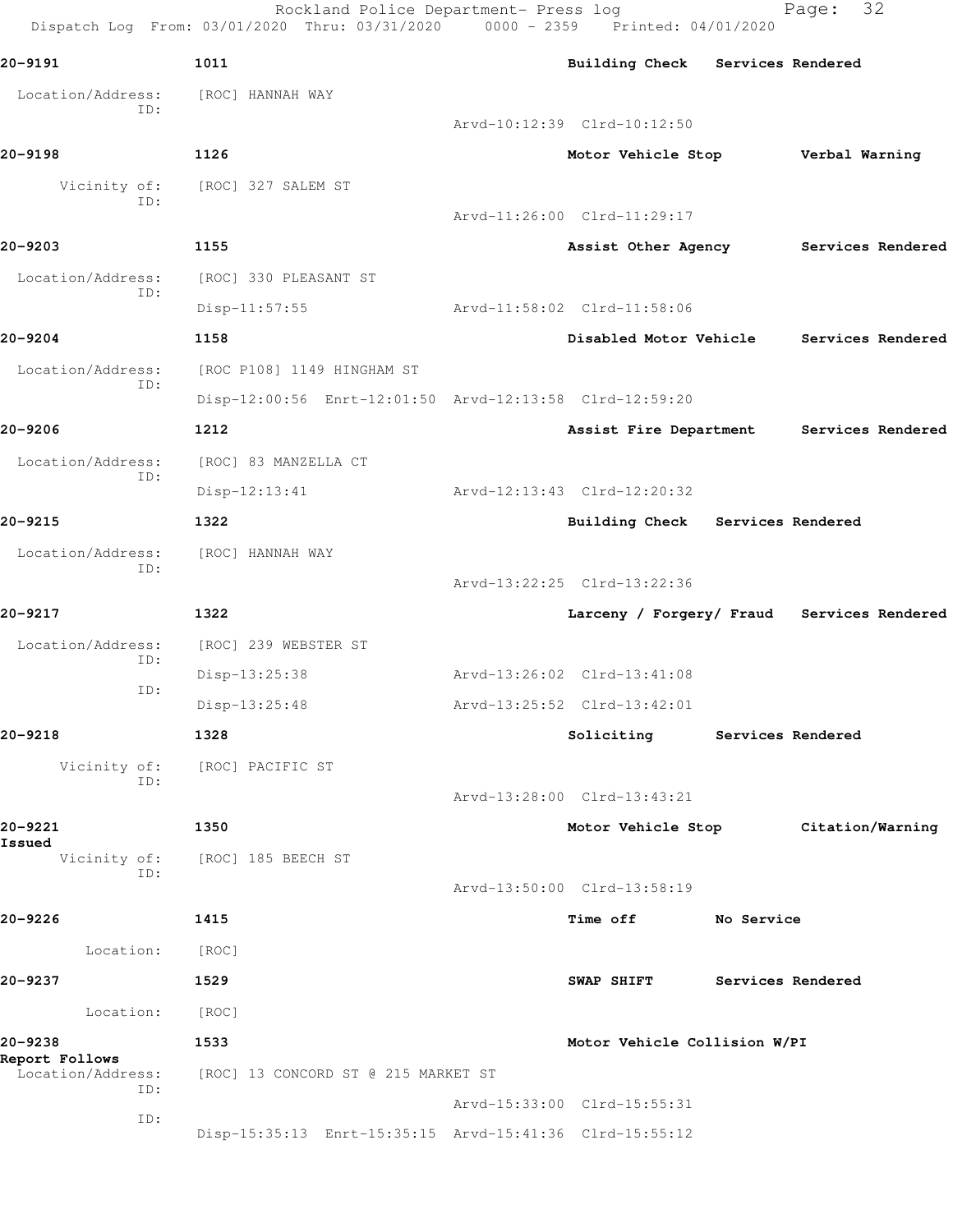Rockland Police Department- Press log Fage: 32 Dispatch Log From: 03/01/2020 Thru: 03/31/2020 0000 - 2359 Printed: 04/01/2020 **20-9191 1011 Building Check Services Rendered** Location/Address: [ROC] HANNAH WAY ID: Arvd-10:12:39 Clrd-10:12:50 **20-9198 1126 Motor Vehicle Stop Verbal Warning** Vicinity of: [ROC] 327 SALEM ST ID: Arvd-11:26:00 Clrd-11:29:17 **20-9203 1155 Assist Other Agency Services Rendered** Location/Address: [ROC] 330 PLEASANT ST ID: Disp-11:57:55 Arvd-11:58:02 Clrd-11:58:06 **20-9204 1158 Disabled Motor Vehicle Services Rendered** Location/Address: [ROC P108] 1149 HINGHAM ST ID: Disp-12:00:56 Enrt-12:01:50 Arvd-12:13:58 Clrd-12:59:20 **20-9206 1212 Assist Fire Department Services Rendered** Location/Address: [ROC] 83 MANZELLA CT ID: Disp-12:13:41 Arvd-12:13:43 Clrd-12:20:32 **20-9215 1322 Building Check Services Rendered** Location/Address: [ROC] HANNAH WAY ID: Arvd-13:22:25 Clrd-13:22:36 **20-9217 1322 Larceny / Forgery/ Fraud Services Rendered** Location/Address: [ROC] 239 WEBSTER ST ID: Disp-13:25:38 Arvd-13:26:02 Clrd-13:41:08 ID: Disp-13:25:48 Arvd-13:25:52 Clrd-13:42:01 **20-9218 1328 Soliciting Services Rendered** Vicinity of: [ROC] PACIFIC ST ID: Arvd-13:28:00 Clrd-13:43:21 **20-9221 1350 Motor Vehicle Stop Citation/Warning Issued**  Vicinity of: [ROC] 185 BEECH ST ID: Arvd-13:50:00 Clrd-13:58:19 **20-9226 1415 Time off No Service** Location: [ROC] **20-9237 1529 SWAP SHIFT Services Rendered** Location: [ROC] **20-9238 1533 Motor Vehicle Collision W/PI Report Follows**  Location/Address: [ROC] 13 CONCORD ST @ 215 MARKET ST ID: Arvd-15:33:00 Clrd-15:55:31 ID: Disp-15:35:13 Enrt-15:35:15 Arvd-15:41:36 Clrd-15:55:12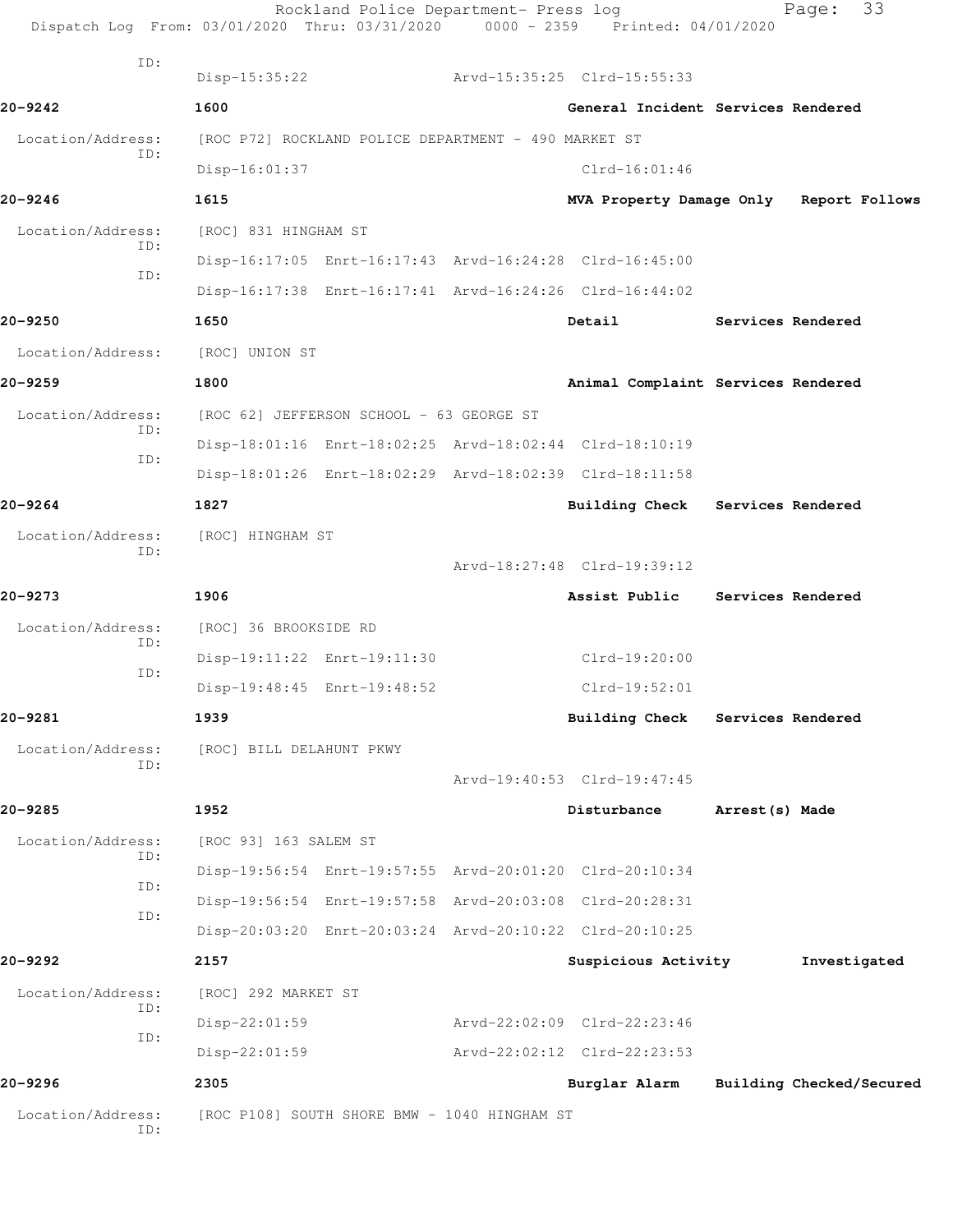| Dispatch Log From: 03/01/2020 Thru: 03/31/2020 0000 - 2359 Printed: 04/01/2020 |                          | Rockland Police Department- Press log                   |                                                         | 33<br>Page:                             |
|--------------------------------------------------------------------------------|--------------------------|---------------------------------------------------------|---------------------------------------------------------|-----------------------------------------|
| ID:                                                                            | Disp-15:35:22            |                                                         | Arvd-15:35:25 Clrd-15:55:33                             |                                         |
| $20 - 9242$                                                                    | 1600                     |                                                         |                                                         | General Incident Services Rendered      |
| Location/Address:                                                              |                          | [ROC P72] ROCKLAND POLICE DEPARTMENT - 490 MARKET ST    |                                                         |                                         |
| ID:                                                                            | $Disp-16:01:37$          |                                                         | $Clrd-16:01:46$                                         |                                         |
| $20 - 9246$                                                                    | 1615                     |                                                         |                                                         | MVA Property Damage Only Report Follows |
| Location/Address:                                                              | [ROC] 831 HINGHAM ST     |                                                         |                                                         |                                         |
| ID:                                                                            |                          |                                                         | Disp-16:17:05 Enrt-16:17:43 Arvd-16:24:28 Clrd-16:45:00 |                                         |
| ID:                                                                            |                          |                                                         | Disp-16:17:38 Enrt-16:17:41 Arvd-16:24:26 Clrd-16:44:02 |                                         |
| 20-9250                                                                        | 1650                     |                                                         | Detail                                                  | Services Rendered                       |
| Location/Address:                                                              | [ROC] UNION ST           |                                                         |                                                         |                                         |
| 20-9259                                                                        | 1800                     |                                                         |                                                         | Animal Complaint Services Rendered      |
| Location/Address:                                                              |                          | [ROC 62] JEFFERSON SCHOOL - 63 GEORGE ST                |                                                         |                                         |
| ID:                                                                            |                          | Disp-18:01:16 Enrt-18:02:25 Arvd-18:02:44 Clrd-18:10:19 |                                                         |                                         |
| ID:                                                                            |                          |                                                         | Disp-18:01:26 Enrt-18:02:29 Arvd-18:02:39 Clrd-18:11:58 |                                         |
| $20 - 9264$                                                                    | 1827                     |                                                         |                                                         | Building Check Services Rendered        |
| Location/Address:                                                              | [ROC] HINGHAM ST         |                                                         |                                                         |                                         |
| ID:                                                                            |                          |                                                         | Arvd-18:27:48 Clrd-19:39:12                             |                                         |
| 20-9273                                                                        | 1906                     |                                                         | Assist Public                                           | Services Rendered                       |
| Location/Address:                                                              | [ROC] 36 BROOKSIDE RD    |                                                         |                                                         |                                         |
| ID:                                                                            |                          | Disp-19:11:22 Enrt-19:11:30                             | $Clrd-19:20:00$                                         |                                         |
| ID:                                                                            |                          | Disp-19:48:45 Enrt-19:48:52                             | $Clrd-19:52:01$                                         |                                         |
| 20-9281                                                                        | 1939                     |                                                         |                                                         | Building Check Services Rendered        |
| Location/Address:                                                              | [ROC] BILL DELAHUNT PKWY |                                                         |                                                         |                                         |
| ID:                                                                            |                          |                                                         | Arvd-19:40:53 Clrd-19:47:45                             |                                         |
| 20-9285                                                                        | 1952                     |                                                         | Disturbance                                             | Arrest(s) Made                          |
| Location/Address:                                                              | [ROC 93] 163 SALEM ST    |                                                         |                                                         |                                         |
| ID:                                                                            |                          | Disp-19:56:54 Enrt-19:57:55 Arvd-20:01:20 Clrd-20:10:34 |                                                         |                                         |
| ID:                                                                            |                          | Disp-19:56:54 Enrt-19:57:58 Arvd-20:03:08 Clrd-20:28:31 |                                                         |                                         |
| ID:                                                                            |                          | Disp-20:03:20 Enrt-20:03:24 Arvd-20:10:22 Clrd-20:10:25 |                                                         |                                         |
| 20-9292                                                                        | 2157                     |                                                         | Suspicious Activity                                     | Investigated                            |
| Location/Address:                                                              | [ROC] 292 MARKET ST      |                                                         |                                                         |                                         |
| ID:<br>ID:                                                                     | $Disp-22:01:59$          |                                                         | Arvd-22:02:09 Clrd-22:23:46                             |                                         |
|                                                                                | $Disp-22:01:59$          |                                                         | Arvd-22:02:12 Clrd-22:23:53                             |                                         |
| 20-9296                                                                        | 2305                     |                                                         | Burglar Alarm                                           | Building Checked/Secured                |
| Location/Address:<br>ID:                                                       |                          | [ROC P108] SOUTH SHORE BMW - 1040 HINGHAM ST            |                                                         |                                         |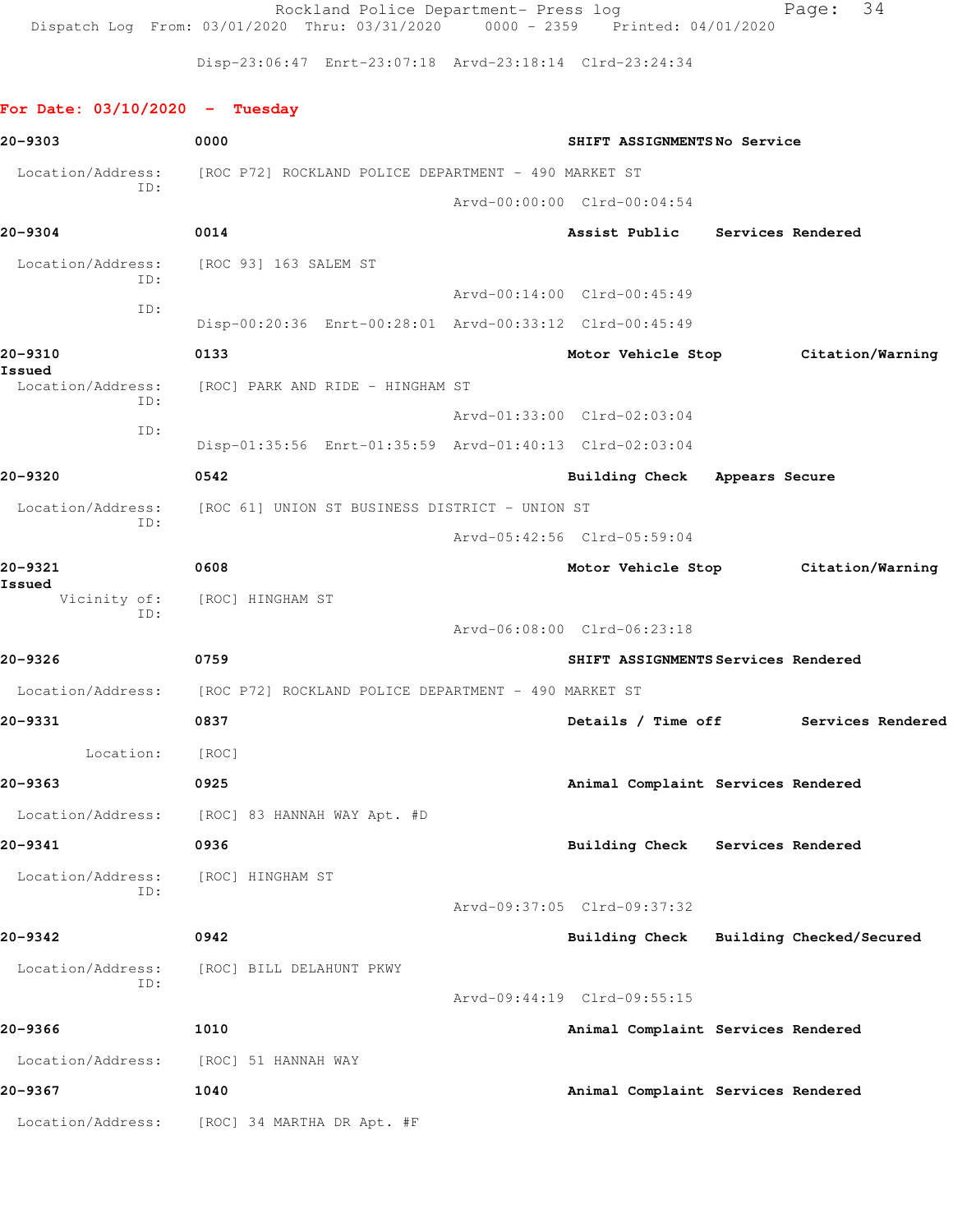Rockland Police Department- Press log entitled Page: 34 Dispatch Log From: 03/01/2020 Thru: 03/31/2020 0000 - 2359 Printed: 04/01/2020

Disp-23:06:47 Enrt-23:07:18 Arvd-23:18:14 Clrd-23:24:34

## **For Date: 03/10/2020 - Tuesday**

| 20-9303           | 0000<br>SHIFT ASSIGNMENTSNo Service                                    |  |                                     |  |                                      |
|-------------------|------------------------------------------------------------------------|--|-------------------------------------|--|--------------------------------------|
| Location/Address: | [ROC P72] ROCKLAND POLICE DEPARTMENT - 490 MARKET ST                   |  |                                     |  |                                      |
| TD:               |                                                                        |  | Arvd-00:00:00 Clrd-00:04:54         |  |                                      |
| 20-9304           | 0014                                                                   |  | Assist Public Services Rendered     |  |                                      |
| ID:               | Location/Address: [ROC 93] 163 SALEM ST                                |  |                                     |  |                                      |
| ID:               |                                                                        |  | Arvd-00:14:00 Clrd-00:45:49         |  |                                      |
|                   | Disp-00:20:36 Enrt-00:28:01 Arvd-00:33:12 Clrd-00:45:49                |  |                                     |  |                                      |
| 20-9310<br>Issued | 0133                                                                   |  |                                     |  | Motor Vehicle Stop Citation/Warning  |
| ID:               | Location/Address: [ROC] PARK AND RIDE - HINGHAM ST                     |  |                                     |  |                                      |
| ID:               |                                                                        |  | Arvd-01:33:00 Clrd-02:03:04         |  |                                      |
|                   | Disp-01:35:56 Enrt-01:35:59 Arvd-01:40:13 Clrd-02:03:04                |  |                                     |  |                                      |
| 20-9320           | 0542                                                                   |  | Building Check Appears Secure       |  |                                      |
| ID:               | Location/Address: [ROC 61] UNION ST BUSINESS DISTRICT - UNION ST       |  |                                     |  |                                      |
|                   |                                                                        |  | Arvd-05:42:56 Clrd-05:59:04         |  |                                      |
| 20-9321<br>Issued | 0608                                                                   |  |                                     |  | Motor Vehicle Stop Citation/Warning  |
| ID:               | Vicinity of: [ROC] HINGHAM ST                                          |  |                                     |  |                                      |
|                   |                                                                        |  | Arvd-06:08:00 Clrd-06:23:18         |  |                                      |
| 20-9326           | 0759                                                                   |  | SHIFT ASSIGNMENTS Services Rendered |  |                                      |
|                   | Location/Address: [ROC P72] ROCKLAND POLICE DEPARTMENT - 490 MARKET ST |  |                                     |  |                                      |
| 20-9331           | 0837                                                                   |  |                                     |  | Details / Time off Services Rendered |
| Location:         | [ROC]                                                                  |  |                                     |  |                                      |
| 20-9363           | 0925                                                                   |  | Animal Complaint Services Rendered  |  |                                      |
|                   | Location/Address: [ROC] 83 HANNAH WAY Apt. #D                          |  |                                     |  |                                      |
| 20-9341           | 0936                                                                   |  | Building Check Services Rendered    |  |                                      |
| Location/Address: | [ROC] HINGHAM ST                                                       |  |                                     |  |                                      |
| ID:               |                                                                        |  | Arvd-09:37:05 Clrd-09:37:32         |  |                                      |
| $20 - 9342$       | 0942                                                                   |  | <b>Building Check</b>               |  | Building Checked/Secured             |
| Location/Address: | [ROC] BILL DELAHUNT PKWY                                               |  |                                     |  |                                      |
| ID:               |                                                                        |  | Arvd-09:44:19 Clrd-09:55:15         |  |                                      |
| 20-9366           | 1010                                                                   |  | Animal Complaint Services Rendered  |  |                                      |
| Location/Address: | [ROC] 51 HANNAH WAY                                                    |  |                                     |  |                                      |
| 20-9367           | 1040                                                                   |  | Animal Complaint Services Rendered  |  |                                      |
| Location/Address: | [ROC] 34 MARTHA DR Apt. #F                                             |  |                                     |  |                                      |
|                   |                                                                        |  |                                     |  |                                      |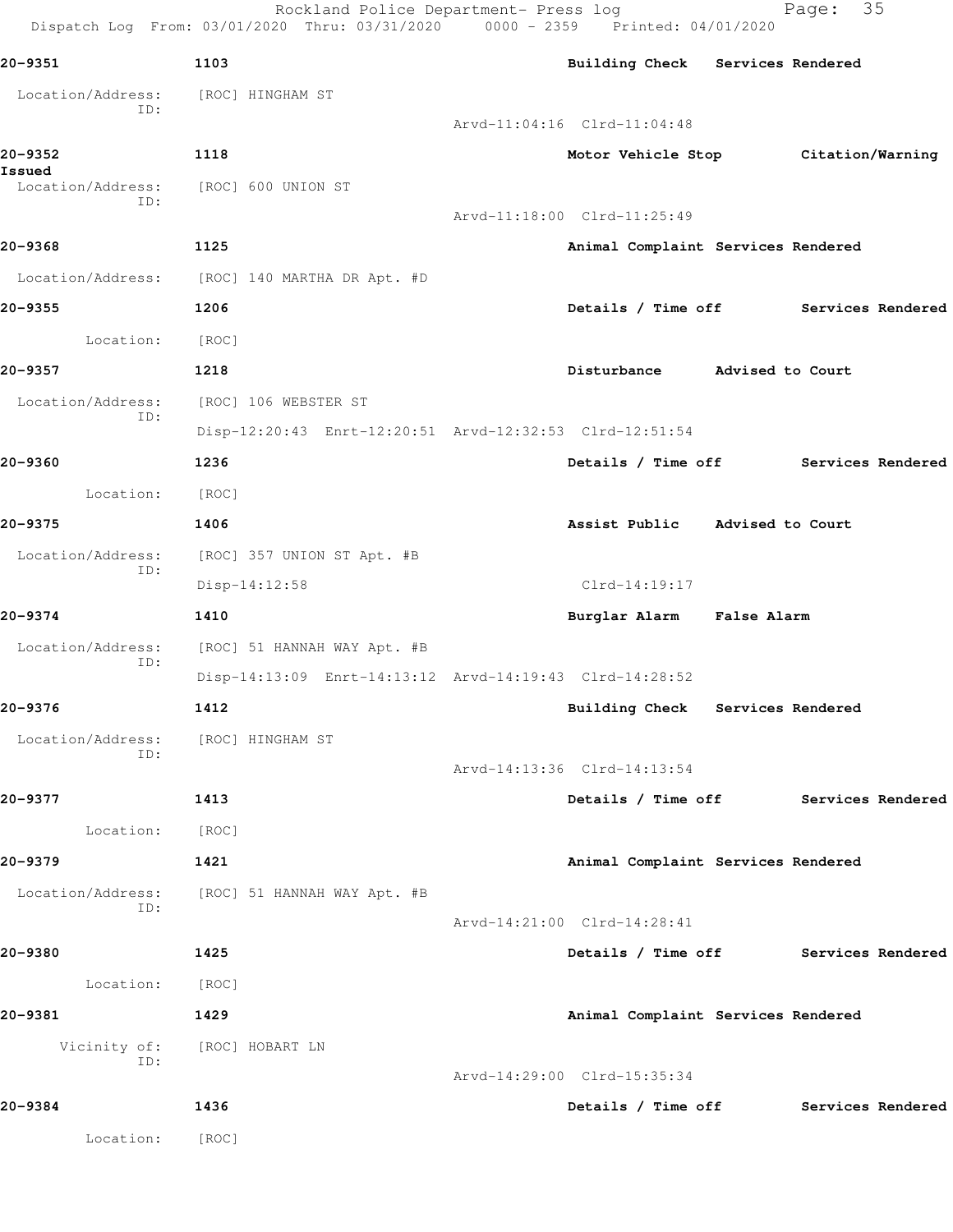|                             | Rockland Police Department- Press log<br>Dispatch Log From: 03/01/2020 Thru: 03/31/2020 0000 - 2359 Printed: 04/01/2020 |                                      | 35<br>Page: |  |
|-----------------------------|-------------------------------------------------------------------------------------------------------------------------|--------------------------------------|-------------|--|
| 20-9351                     | 1103                                                                                                                    | Building Check Services Rendered     |             |  |
| Location/Address:           | [ROC] HINGHAM ST                                                                                                        |                                      |             |  |
| ID:                         |                                                                                                                         | Arvd-11:04:16 Clrd-11:04:48          |             |  |
| 20-9352                     | 1118                                                                                                                    | Motor Vehicle Stop Citation/Warning  |             |  |
| Issued<br>Location/Address: | [ROC] 600 UNION ST                                                                                                      |                                      |             |  |
| ID:                         |                                                                                                                         | Arvd-11:18:00 Clrd-11:25:49          |             |  |
| 20-9368                     | 1125                                                                                                                    | Animal Complaint Services Rendered   |             |  |
|                             | Location/Address: [ROC] 140 MARTHA DR Apt. #D                                                                           |                                      |             |  |
| 20-9355                     | 1206                                                                                                                    | Details / Time off Services Rendered |             |  |
| Location:                   | [ROC]                                                                                                                   |                                      |             |  |
| 20-9357                     | 1218                                                                                                                    | Disturbance Marised to Court         |             |  |
| Location/Address:           | [ROC] 106 WEBSTER ST                                                                                                    |                                      |             |  |
| ID:                         | Disp-12:20:43 Enrt-12:20:51 Arvd-12:32:53 Clrd-12:51:54                                                                 |                                      |             |  |
| 20-9360                     | 1236                                                                                                                    | Details / Time off Services Rendered |             |  |
| Location:                   | [ROC]                                                                                                                   |                                      |             |  |
| 20-9375                     | 1406                                                                                                                    | Assist Public Advised to Court       |             |  |
| Location/Address:           | [ROC] 357 UNION ST Apt. #B                                                                                              |                                      |             |  |
| ID:                         | Disp-14:12:58                                                                                                           | $Clrd-14:19:17$                      |             |  |
| 20-9374                     | 1410                                                                                                                    | Burglar Alarm False Alarm            |             |  |
| Location/Address:           | [ROC] 51 HANNAH WAY Apt. #B                                                                                             |                                      |             |  |
| ID:                         | Disp-14:13:09 Enrt-14:13:12 Arvd-14:19:43 Clrd-14:28:52                                                                 |                                      |             |  |
| 20-9376                     | 1412                                                                                                                    | Building Check Services Rendered     |             |  |
| Location/Address:           | [ROC] HINGHAM ST                                                                                                        |                                      |             |  |
| ID:                         |                                                                                                                         | Arvd-14:13:36 Clrd-14:13:54          |             |  |
| 20-9377                     | 1413                                                                                                                    | Details / Time off Services Rendered |             |  |
| Location:                   | [ROC]                                                                                                                   |                                      |             |  |
| 20-9379                     | 1421                                                                                                                    | Animal Complaint Services Rendered   |             |  |
| Location/Address:           | [ROC] 51 HANNAH WAY Apt. #B                                                                                             |                                      |             |  |
| ID:                         |                                                                                                                         | Arvd-14:21:00 Clrd-14:28:41          |             |  |
| 20-9380                     | 1425                                                                                                                    | Details / Time off Services Rendered |             |  |
| Location:                   | [ ROC ]                                                                                                                 |                                      |             |  |
| 20-9381                     | 1429                                                                                                                    | Animal Complaint Services Rendered   |             |  |
| ID:                         | Vicinity of: [ROC] HOBART LN                                                                                            |                                      |             |  |
|                             |                                                                                                                         | Arvd-14:29:00 Clrd-15:35:34          |             |  |
| 20-9384                     | 1436                                                                                                                    | Details / Time off Services Rendered |             |  |
| Location:                   | [ROC]                                                                                                                   |                                      |             |  |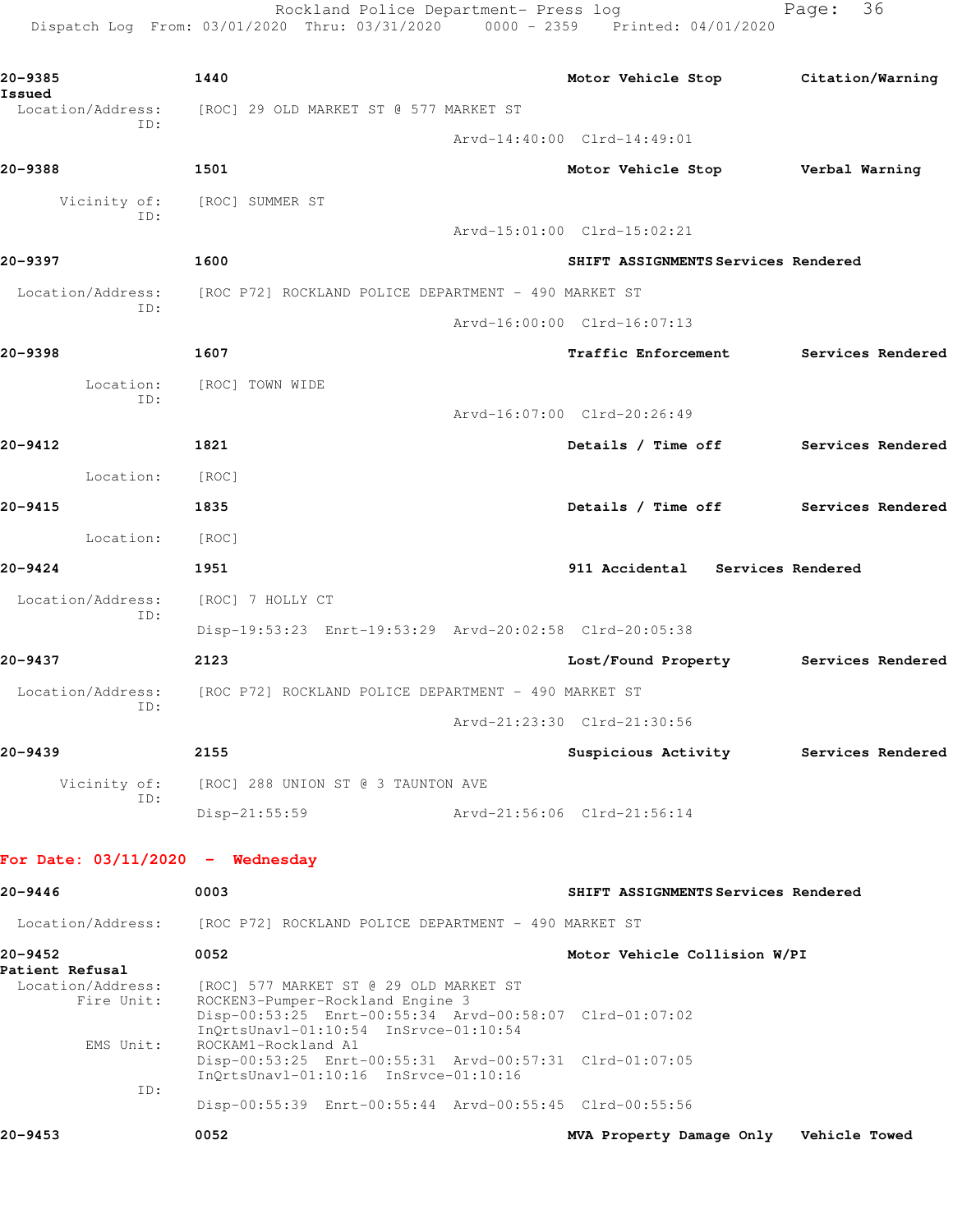Rockland Police Department- Press log entitled and Page: 36 Dispatch Log From: 03/01/2020 Thru: 03/31/2020 0000 - 2359 Printed: 04/01/2020

| 20-9385<br>Issued                  | 1440                                                                                                                    |  | Motor Vehicle Stop Citation/Warning    |                          |
|------------------------------------|-------------------------------------------------------------------------------------------------------------------------|--|----------------------------------------|--------------------------|
| Location/Address:                  | [ROC] 29 OLD MARKET ST @ 577 MARKET ST                                                                                  |  |                                        |                          |
| ID:                                |                                                                                                                         |  | Arvd-14:40:00 Clrd-14:49:01            |                          |
| 20-9388                            | 1501                                                                                                                    |  | Motor Vehicle Stop Verbal Warning      |                          |
| Vicinity of:                       | [ROC] SUMMER ST                                                                                                         |  |                                        |                          |
| ID:                                |                                                                                                                         |  | Arvd-15:01:00 Clrd-15:02:21            |                          |
| 20-9397                            | 1600                                                                                                                    |  | SHIFT ASSIGNMENTS Services Rendered    |                          |
| Location/Address:                  | [ROC P72] ROCKLAND POLICE DEPARTMENT - 490 MARKET ST                                                                    |  |                                        |                          |
| ID:                                |                                                                                                                         |  | Arvd-16:00:00 Clrd-16:07:13            |                          |
| 20-9398                            | 1607                                                                                                                    |  | Traffic Enforcement Services Rendered  |                          |
| Location:                          | [ROC] TOWN WIDE                                                                                                         |  |                                        |                          |
| ID:                                |                                                                                                                         |  | Arvd-16:07:00 Clrd-20:26:49            |                          |
| 20-9412                            | 1821                                                                                                                    |  | Details / Time off Services Rendered   |                          |
| Location:                          | [ROC]                                                                                                                   |  |                                        |                          |
| 20-9415                            | 1835                                                                                                                    |  | Details / Time off Services Rendered   |                          |
| Location:                          | [ROC]                                                                                                                   |  |                                        |                          |
| 20-9424                            | 1951                                                                                                                    |  | 911 Accidental Services Rendered       |                          |
| Location/Address:                  | [ROC] 7 HOLLY CT                                                                                                        |  |                                        |                          |
| ID:                                | Disp-19:53:23 Enrt-19:53:29 Arvd-20:02:58 Clrd-20:05:38                                                                 |  |                                        |                          |
| 20-9437                            | 2123                                                                                                                    |  | Lost/Found Property Services Rendered  |                          |
| ID:                                | Location/Address: [ROC P72] ROCKLAND POLICE DEPARTMENT - 490 MARKET ST                                                  |  |                                        |                          |
|                                    |                                                                                                                         |  | Arvd-21:23:30 Clrd-21:30:56            |                          |
| 20-9439                            | 2155                                                                                                                    |  | Suspicious Activity                    | <b>Services Rendered</b> |
| ID:                                | Vicinity of: [ROC] 288 UNION ST @ 3 TAUNTON AVE                                                                         |  |                                        |                          |
|                                    | Disp-21:55:59                                                                                                           |  | Arvd-21:56:06 Clrd-21:56:14            |                          |
| For Date: $03/11/2020 -$ Wednesday |                                                                                                                         |  |                                        |                          |
| 20-9446                            | 0003                                                                                                                    |  | SHIFT ASSIGNMENTS Services Rendered    |                          |
|                                    |                                                                                                                         |  |                                        |                          |
| Location/Address:                  | [ROC P72] ROCKLAND POLICE DEPARTMENT - 490 MARKET ST<br>0052                                                            |  |                                        |                          |
| 20–9452<br>Patient Refusal         |                                                                                                                         |  | Motor Vehicle Collision W/PI           |                          |
| Location/Address:<br>Fire Unit:    | [ROC] 577 MARKET ST @ 29 OLD MARKET ST<br>ROCKEN3-Pumper-Rockland Engine 3                                              |  |                                        |                          |
| EMS Unit:                          | Disp-00:53:25 Enrt-00:55:34 Arvd-00:58:07 Clrd-01:07:02<br>InQrtsUnavl-01:10:54 InSrvce-01:10:54<br>ROCKAM1-Rockland A1 |  |                                        |                          |
|                                    | Disp-00:53:25 Enrt-00:55:31 Arvd-00:57:31 Clrd-01:07:05<br>InQrtsUnavl-01:10:16 InSrvce-01:10:16                        |  |                                        |                          |
| ID:                                | Disp-00:55:39 Enrt-00:55:44 Arvd-00:55:45 Clrd-00:55:56                                                                 |  |                                        |                          |
| 20-9453                            | 0052                                                                                                                    |  | MVA Property Damage Only Vehicle Towed |                          |
|                                    |                                                                                                                         |  |                                        |                          |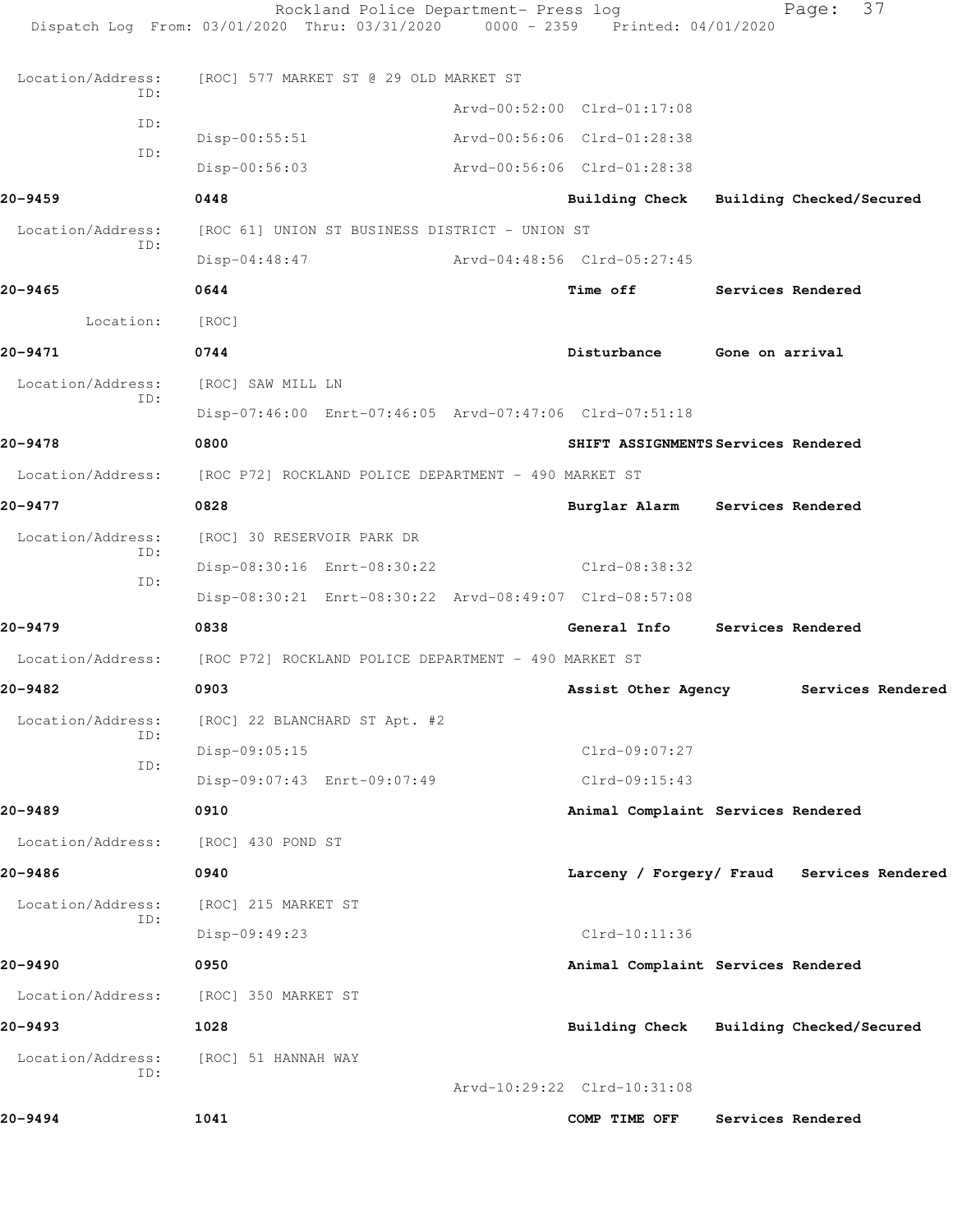|                   | Rockland Police Department- Press log<br>Dispatch Log From: 03/01/2020 Thru: 03/31/2020 | $0000 - 2359$ | Printed: 04/01/2020                     |                 | 37<br>Page:                                |
|-------------------|-----------------------------------------------------------------------------------------|---------------|-----------------------------------------|-----------------|--------------------------------------------|
| Location/Address: | [ROC] 577 MARKET ST @ 29 OLD MARKET ST                                                  |               |                                         |                 |                                            |
| ID:               |                                                                                         |               | Arvd-00:52:00 Clrd-01:17:08             |                 |                                            |
| ID:               | $Disp-00:55:51$                                                                         |               | Arvd-00:56:06 Clrd-01:28:38             |                 |                                            |
| ID:               | Disp-00:56:03                                                                           |               | Arvd-00:56:06 Clrd-01:28:38             |                 |                                            |
| 20-9459           | 0448                                                                                    |               | Building Check Building Checked/Secured |                 |                                            |
| Location/Address: | [ROC 61] UNION ST BUSINESS DISTRICT - UNION ST                                          |               |                                         |                 |                                            |
| ID:               | $Disp-04:48:47$                                                                         |               | Arvd-04:48:56 Clrd-05:27:45             |                 |                                            |
| 20-9465           | 0644                                                                                    |               | Time off                                |                 | Services Rendered                          |
| Location:         | [ROC]                                                                                   |               |                                         |                 |                                            |
| 20-9471           | 0744                                                                                    |               | Disturbance                             | Gone on arrival |                                            |
| Location/Address: | [ROC] SAW MILL LN                                                                       |               |                                         |                 |                                            |
| ID:               | Disp-07:46:00 Enrt-07:46:05 Arvd-07:47:06 Clrd-07:51:18                                 |               |                                         |                 |                                            |
| 20-9478           | 0800                                                                                    |               | SHIFT ASSIGNMENTS Services Rendered     |                 |                                            |
| Location/Address: | [ROC P72] ROCKLAND POLICE DEPARTMENT - 490 MARKET ST                                    |               |                                         |                 |                                            |
| 20-9477           | 0828                                                                                    |               | Burglar Alarm Services Rendered         |                 |                                            |
| Location/Address: | [ROC] 30 RESERVOIR PARK DR                                                              |               |                                         |                 |                                            |
| ID:               | Disp-08:30:16 Enrt-08:30:22                                                             |               | Clrd-08:38:32                           |                 |                                            |
| ID:               | Disp-08:30:21 Enrt-08:30:22 Arvd-08:49:07 Clrd-08:57:08                                 |               |                                         |                 |                                            |
| 20-9479           | 0838                                                                                    |               | General Info                            |                 | Services Rendered                          |
| Location/Address: | [ROC P72] ROCKLAND POLICE DEPARTMENT - 490 MARKET ST                                    |               |                                         |                 |                                            |
| 20-9482           | 0903                                                                                    |               | Assist Other Agency                     |                 | Services Rendered                          |
| Location/Address: | [ROC] 22 BLANCHARD ST Apt. #2                                                           |               |                                         |                 |                                            |
| ID:               | Disp-09:05:15                                                                           |               | Clrd-09:07:27                           |                 |                                            |
| ID:               | Disp-09:07:43 Enrt-09:07:49                                                             |               | $Clrd-09:15:43$                         |                 |                                            |
| 20-9489           | 0910                                                                                    |               | Animal Complaint Services Rendered      |                 |                                            |
| Location/Address: | [ROC] 430 POND ST                                                                       |               |                                         |                 |                                            |
| 20-9486           | 0940                                                                                    |               |                                         |                 | Larceny / Forgery/ Fraud Services Rendered |
| Location/Address: | [ROC] 215 MARKET ST                                                                     |               |                                         |                 |                                            |
| ID:               | Disp-09:49:23                                                                           |               | Clrd-10:11:36                           |                 |                                            |
| 20-9490           | 0950                                                                                    |               | Animal Complaint Services Rendered      |                 |                                            |
| Location/Address: | [ROC] 350 MARKET ST                                                                     |               |                                         |                 |                                            |
| 20-9493           | 1028                                                                                    |               | Building Check Building Checked/Secured |                 |                                            |
| Location/Address: | [ROC] 51 HANNAH WAY                                                                     |               |                                         |                 |                                            |
| ID:               |                                                                                         |               | Arvd-10:29:22 Clrd-10:31:08             |                 |                                            |
| 20-9494           | 1041                                                                                    |               | COMP TIME OFF                           |                 | Services Rendered                          |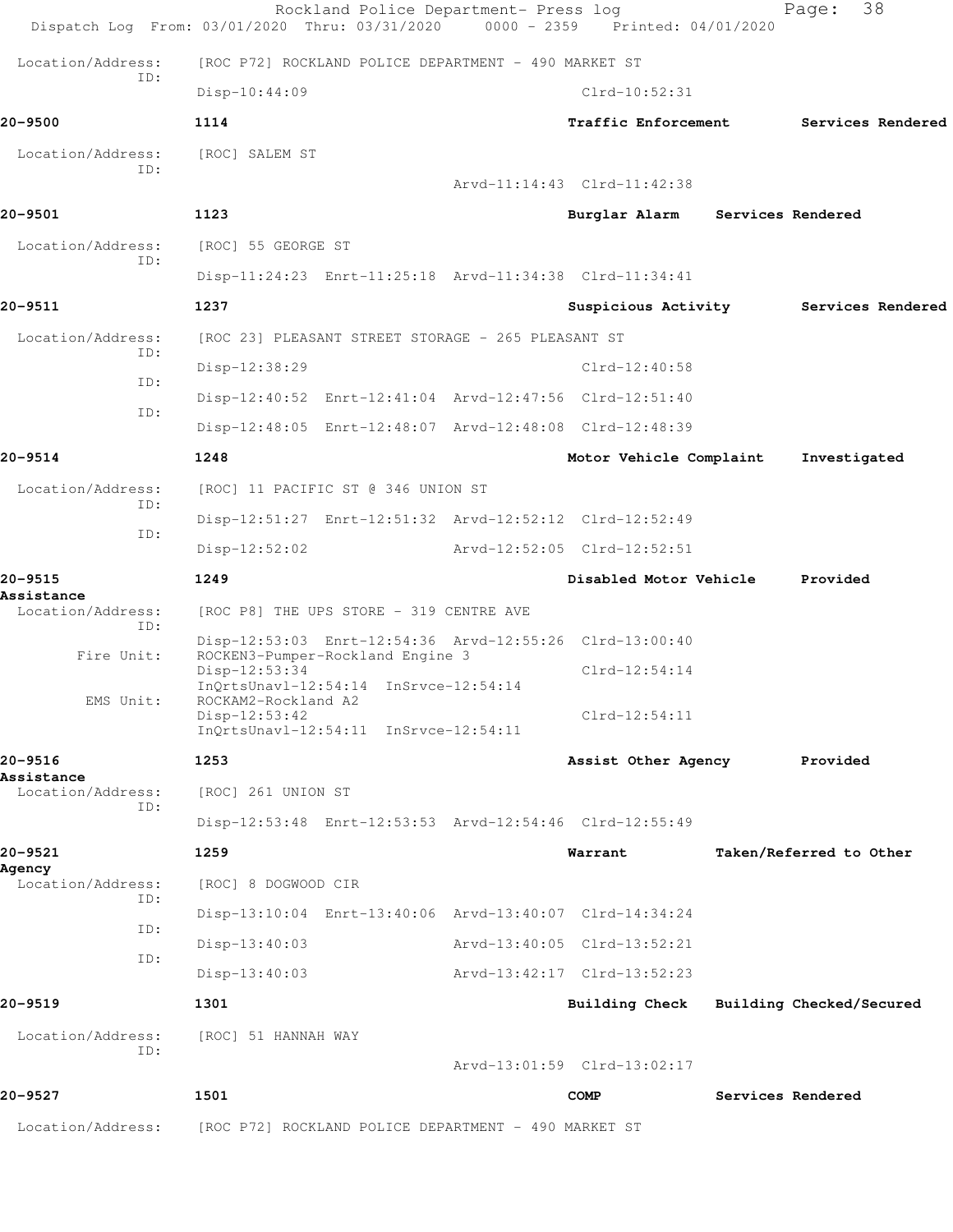|                                 | Rockland Police Department- Press log<br>Dispatch Log From: 03/01/2020 Thru: 03/31/2020 0000 - 2359 Printed: 04/01/2020 |                             |                   | 38<br>Page:              |
|---------------------------------|-------------------------------------------------------------------------------------------------------------------------|-----------------------------|-------------------|--------------------------|
| Location/Address:               | [ROC P72] ROCKLAND POLICE DEPARTMENT - 490 MARKET ST                                                                    |                             |                   |                          |
| ID:                             | $Disp-10:44:09$                                                                                                         | $Clrd-10:52:31$             |                   |                          |
| 20-9500                         | 1114                                                                                                                    | <b>Traffic Enforcement</b>  |                   | Services Rendered        |
| Location/Address:               | [ROC] SALEM ST                                                                                                          |                             |                   |                          |
| ID:                             |                                                                                                                         | Arvd-11:14:43 Clrd-11:42:38 |                   |                          |
| 20-9501                         | 1123                                                                                                                    | Burglar Alarm               | Services Rendered |                          |
| Location/Address:               | [ROC] 55 GEORGE ST                                                                                                      |                             |                   |                          |
| ID:                             | Disp-11:24:23 Enrt-11:25:18 Arvd-11:34:38 Clrd-11:34:41                                                                 |                             |                   |                          |
| 20-9511                         | 1237                                                                                                                    | Suspicious Activity         |                   | Services Rendered        |
| Location/Address:               | [ROC 23] PLEASANT STREET STORAGE - 265 PLEASANT ST                                                                      |                             |                   |                          |
| TD:                             | Disp-12:38:29                                                                                                           | $Clrd-12:40:58$             |                   |                          |
| ID:                             | Disp-12:40:52 Enrt-12:41:04 Arvd-12:47:56 Clrd-12:51:40                                                                 |                             |                   |                          |
| ID:                             | Disp-12:48:05 Enrt-12:48:07 Arvd-12:48:08 Clrd-12:48:39                                                                 |                             |                   |                          |
| 20-9514                         | 1248                                                                                                                    | Motor Vehicle Complaint     |                   | Investigated             |
| Location/Address:               | [ROC] 11 PACIFIC ST @ 346 UNION ST                                                                                      |                             |                   |                          |
| ID:                             | Disp-12:51:27 Enrt-12:51:32 Arvd-12:52:12 Clrd-12:52:49                                                                 |                             |                   |                          |
| ID:                             | $Disp-12:52:02$                                                                                                         | Arvd-12:52:05 Clrd-12:52:51 |                   |                          |
| 20-9515                         | 1249                                                                                                                    | Disabled Motor Vehicle      |                   | Provided                 |
| Assistance<br>Location/Address: | [ROC P8] THE UPS STORE - 319 CENTRE AVE                                                                                 |                             |                   |                          |
| ID:                             | Disp-12:53:03 Enrt-12:54:36 Arvd-12:55:26 Clrd-13:00:40                                                                 |                             |                   |                          |
| Fire Unit:                      | ROCKEN3-Pumper-Rockland Engine 3<br>Disp-12:53:34                                                                       | $Clrd-12:54:14$             |                   |                          |
| EMS Unit:                       | InQrtsUnavl-12:54:14 InSrvce-12:54:14<br>ROCKAM2-Rockland A2                                                            |                             |                   |                          |
|                                 | $Disp-12:53:42$<br>InQrtsUnavl-12:54:11 InSrvce-12:54:11                                                                | $Clrd-12:54:11$             |                   |                          |
| 20-9516                         | 1253                                                                                                                    | Assist Other Agency         |                   | Provided                 |
| Assistance<br>Location/Address: | [ROC] 261 UNION ST                                                                                                      |                             |                   |                          |
| ID:                             | Disp-12:53:48 Enrt-12:53:53 Arvd-12:54:46 Clrd-12:55:49                                                                 |                             |                   |                          |
| 20-9521                         | 1259                                                                                                                    | Warrant                     |                   | Taken/Referred to Other  |
| Agency<br>Location/Address:     | [ROC] 8 DOGWOOD CIR                                                                                                     |                             |                   |                          |
| ID:                             | Disp-13:10:04 Enrt-13:40:06 Arvd-13:40:07 Clrd-14:34:24                                                                 |                             |                   |                          |
| ID:                             | $Disp-13:40:03$                                                                                                         | Arvd-13:40:05 Clrd-13:52:21 |                   |                          |
| ID:                             | $Disp-13:40:03$                                                                                                         | Arvd-13:42:17 Clrd-13:52:23 |                   |                          |
| 20-9519                         | 1301                                                                                                                    | <b>Building Check</b>       |                   | Building Checked/Secured |
| Location/Address:               | [ROC] 51 HANNAH WAY                                                                                                     |                             |                   |                          |
| ID:                             |                                                                                                                         | Arvd-13:01:59 Clrd-13:02:17 |                   |                          |
| 20-9527                         | 1501                                                                                                                    | <b>COMP</b>                 |                   | Services Rendered        |
| Location/Address:               | [ROC P72] ROCKLAND POLICE DEPARTMENT - 490 MARKET ST                                                                    |                             |                   |                          |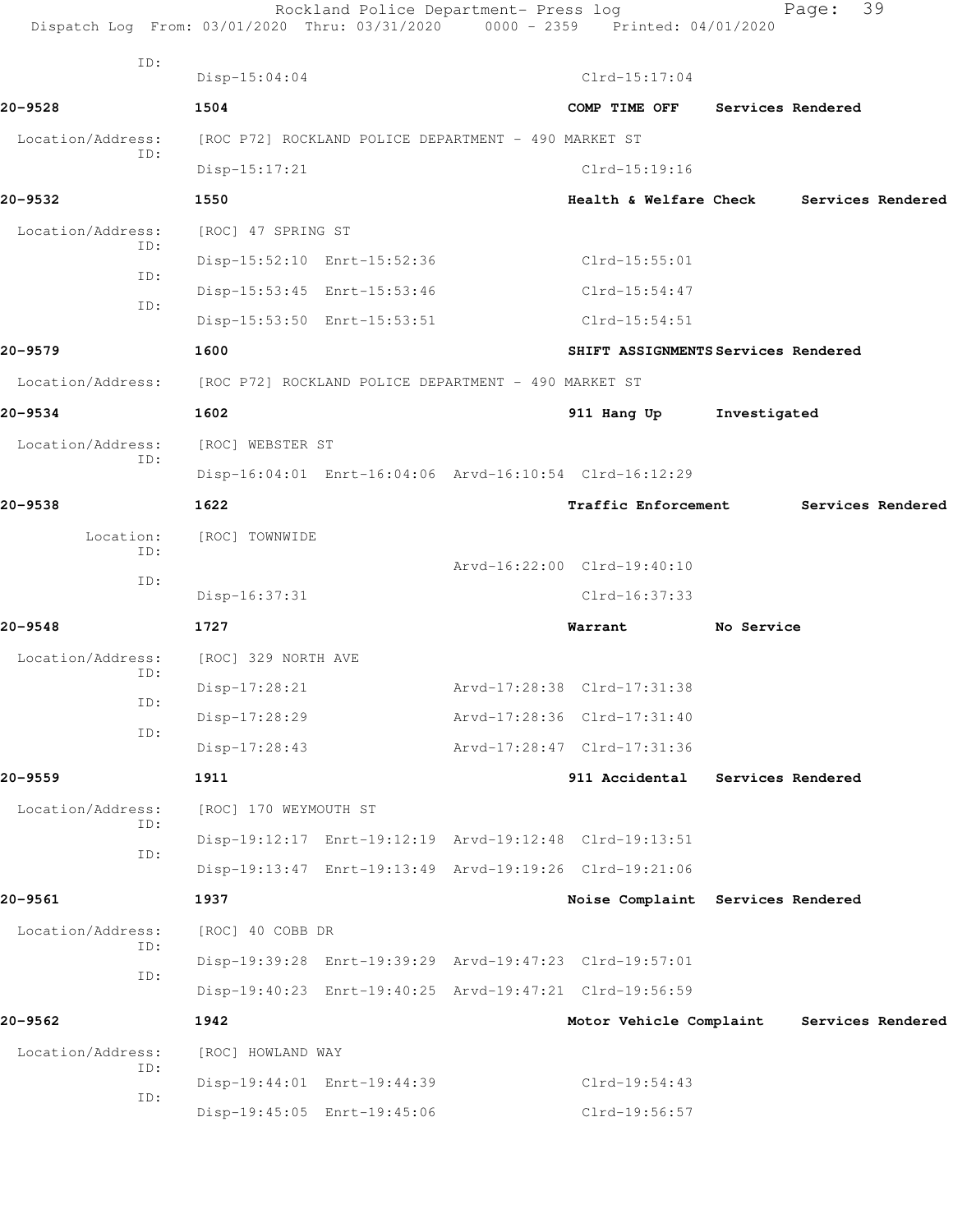| Dispatch Log From: 03/01/2020 Thru: 03/31/2020 0000 - 2359 Printed: 04/01/2020 |                                                      | Rockland Police Department- Press log |                                                         |              | Page:             | 39                |
|--------------------------------------------------------------------------------|------------------------------------------------------|---------------------------------------|---------------------------------------------------------|--------------|-------------------|-------------------|
| ID:                                                                            | $Disp-15:04:04$                                      |                                       | $Clrd-15:17:04$                                         |              |                   |                   |
| 20-9528                                                                        | 1504                                                 |                                       | COMP TIME OFF                                           |              | Services Rendered |                   |
| Location/Address:                                                              | [ROC P72] ROCKLAND POLICE DEPARTMENT - 490 MARKET ST |                                       |                                                         |              |                   |                   |
| ID:                                                                            | $Disp-15:17:21$                                      |                                       | $Clrd-15:19:16$                                         |              |                   |                   |
| 20-9532                                                                        | 1550                                                 |                                       | <b>Health &amp; Welfare Check</b>                       |              |                   | Services Rendered |
| Location/Address:                                                              | [ROC] 47 SPRING ST                                   |                                       |                                                         |              |                   |                   |
| ID:                                                                            |                                                      | Disp-15:52:10 Enrt-15:52:36           | $Clrd-15:55:01$                                         |              |                   |                   |
| ID:                                                                            |                                                      | Disp-15:53:45 Enrt-15:53:46           | $Clrd-15:54:47$                                         |              |                   |                   |
| ID:                                                                            |                                                      | Disp-15:53:50 Enrt-15:53:51           | $Clrd-15:54:51$                                         |              |                   |                   |
| 20-9579                                                                        | 1600                                                 |                                       | SHIFT ASSIGNMENTS Services Rendered                     |              |                   |                   |
| Location/Address:                                                              |                                                      |                                       |                                                         |              |                   |                   |
|                                                                                | [ROC P72] ROCKLAND POLICE DEPARTMENT - 490 MARKET ST |                                       |                                                         |              |                   |                   |
| 20-9534                                                                        | 1602                                                 |                                       | 911 Hang Up                                             | Investigated |                   |                   |
| Location/Address:<br>ID:                                                       | [ROC] WEBSTER ST                                     |                                       |                                                         |              |                   |                   |
|                                                                                |                                                      |                                       | Disp-16:04:01 Enrt-16:04:06 Arvd-16:10:54 Clrd-16:12:29 |              |                   |                   |
| 20-9538                                                                        | 1622                                                 |                                       | <b>Traffic Enforcement</b>                              |              |                   | Services Rendered |
| Location:<br>ID:                                                               | [ROC] TOWNWIDE                                       |                                       |                                                         |              |                   |                   |
| ID:                                                                            |                                                      |                                       | Arvd-16:22:00 Clrd-19:40:10                             |              |                   |                   |
|                                                                                | Disp-16:37:31                                        |                                       | $Clrd-16:37:33$                                         |              |                   |                   |
| 20-9548                                                                        | 1727                                                 |                                       | Warrant                                                 | No Service   |                   |                   |
| Location/Address:<br>ID:                                                       | [ROC] 329 NORTH AVE                                  |                                       |                                                         |              |                   |                   |
| ID:                                                                            | Disp-17:28:21                                        |                                       | Arvd-17:28:38 Clrd-17:31:38                             |              |                   |                   |
| ID:                                                                            | Disp-17:28:29                                        |                                       | Arvd-17:28:36 Clrd-17:31:40                             |              |                   |                   |
|                                                                                | $Disp-17:28:43$                                      |                                       | Arvd-17:28:47 Clrd-17:31:36                             |              |                   |                   |
| 20-9559                                                                        | 1911                                                 |                                       | 911 Accidental                                          |              | Services Rendered |                   |
| Location/Address:<br>ID:                                                       | [ROC] 170 WEYMOUTH ST                                |                                       |                                                         |              |                   |                   |
| ID:                                                                            |                                                      |                                       | Disp-19:12:17 Enrt-19:12:19 Arvd-19:12:48 Clrd-19:13:51 |              |                   |                   |
|                                                                                |                                                      |                                       | Disp-19:13:47 Enrt-19:13:49 Arvd-19:19:26 Clrd-19:21:06 |              |                   |                   |
| 20-9561                                                                        | 1937                                                 |                                       | Noise Complaint Services Rendered                       |              |                   |                   |
| Location/Address:<br>ID:                                                       | [ROC] 40 COBB DR                                     |                                       |                                                         |              |                   |                   |
| ID:                                                                            |                                                      |                                       | Disp-19:39:28 Enrt-19:39:29 Arvd-19:47:23 Clrd-19:57:01 |              |                   |                   |
|                                                                                |                                                      |                                       | Disp-19:40:23 Enrt-19:40:25 Arvd-19:47:21 Clrd-19:56:59 |              |                   |                   |
| 20-9562                                                                        | 1942                                                 |                                       | Motor Vehicle Complaint                                 |              |                   | Services Rendered |
| Location/Address:<br>ID:                                                       | [ROC] HOWLAND WAY                                    |                                       |                                                         |              |                   |                   |
| ID:                                                                            |                                                      | Disp-19:44:01 Enrt-19:44:39           | Clrd-19:54:43                                           |              |                   |                   |
|                                                                                |                                                      | Disp-19:45:05 Enrt-19:45:06           | Clrd-19:56:57                                           |              |                   |                   |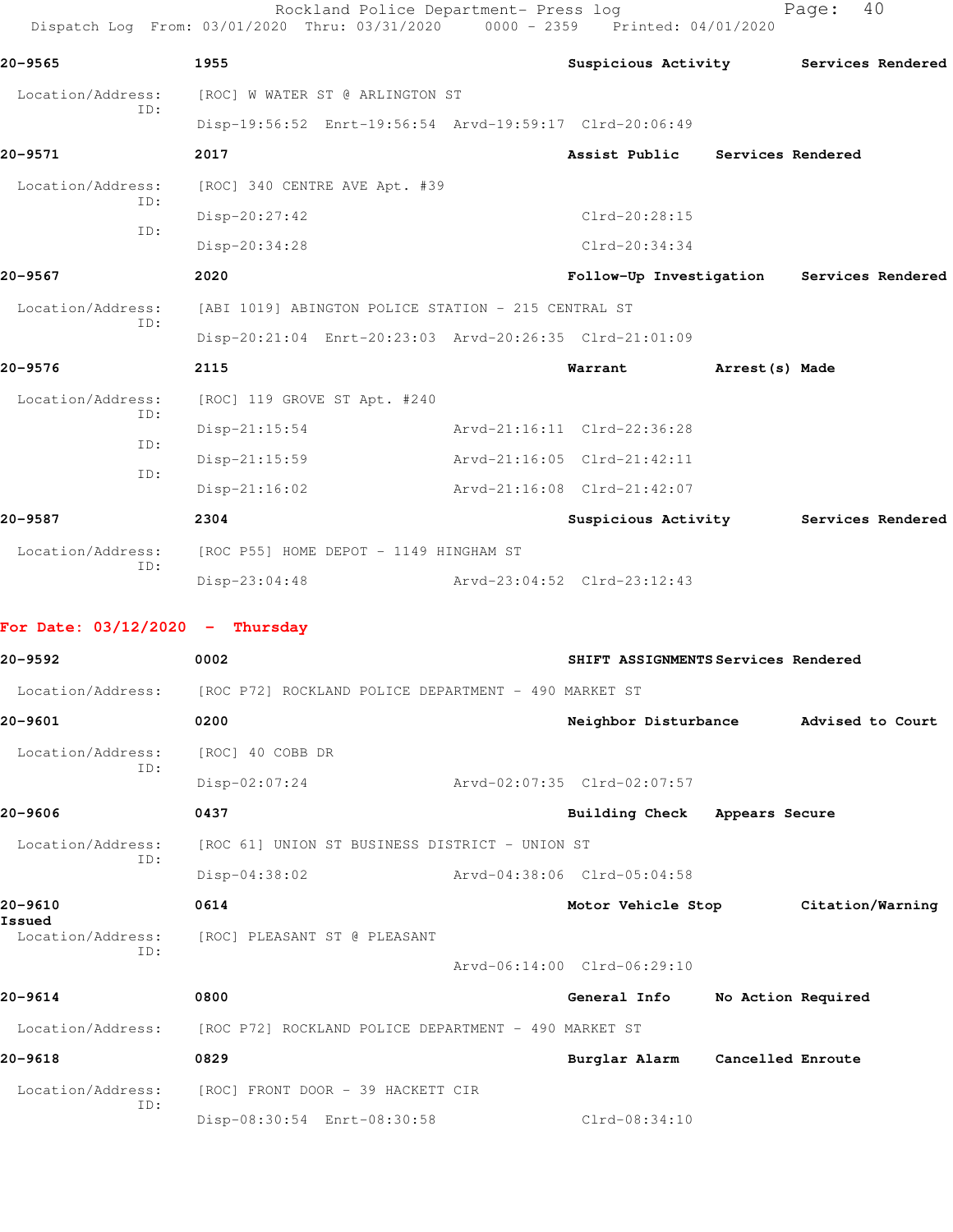|                                   | Dispatch Log From: 03/01/2020 Thru: 03/31/2020 0000 - 2359 Printed: 04/01/2020 |                                     |                   |                                           |
|-----------------------------------|--------------------------------------------------------------------------------|-------------------------------------|-------------------|-------------------------------------------|
| 20-9565                           | 1955                                                                           |                                     |                   | Suspicious Activity Services Rendered     |
| Location/Address:<br>ID:          | [ROC] W WATER ST @ ARLINGTON ST                                                |                                     |                   |                                           |
|                                   | Disp-19:56:52 Enrt-19:56:54 Arvd-19:59:17 Clrd-20:06:49                        |                                     |                   |                                           |
| 20-9571                           | 2017                                                                           | Assist Public                       | Services Rendered |                                           |
| Location/Address:<br>ID:          | [ROC] 340 CENTRE AVE Apt. #39                                                  |                                     |                   |                                           |
| ID:                               | Disp-20:27:42                                                                  | Clrd-20:28:15                       |                   |                                           |
|                                   | Disp-20:34:28                                                                  | $Clrd-20:34:34$                     |                   |                                           |
| 20-9567                           | 2020                                                                           |                                     |                   | Follow-Up Investigation Services Rendered |
| Location/Address:<br>ID:          | [ABI 1019] ABINGTON POLICE STATION - 215 CENTRAL ST                            |                                     |                   |                                           |
|                                   | Disp-20:21:04 Enrt-20:23:03 Arvd-20:26:35 Clrd-21:01:09                        |                                     |                   |                                           |
| 20-9576                           | 2115                                                                           | Warrant                             | Arrest(s) Made    |                                           |
| Location/Address:<br>ID:          | [ROC] 119 GROVE ST Apt. #240                                                   |                                     |                   |                                           |
| ID:                               | $Disp-21:15:54$                                                                | Arvd-21:16:11 Clrd-22:36:28         |                   |                                           |
| ID:                               | $Disp-21:15:59$                                                                | Arvd-21:16:05 Clrd-21:42:11         |                   |                                           |
|                                   | $Disp-21:16:02$                                                                | Arvd-21:16:08 Clrd-21:42:07         |                   |                                           |
| 20-9587                           | 2304                                                                           |                                     |                   | Suspicious Activity Services Rendered     |
| Location/Address:<br>ID:          | [ROC P55] HOME DEPOT - 1149 HINGHAM ST                                         |                                     |                   |                                           |
|                                   | $Disp-23:04:48$                                                                | Arvd-23:04:52 Clrd-23:12:43         |                   |                                           |
| For Date: $03/12/2020 -$ Thursday |                                                                                |                                     |                   |                                           |
| 20–9592                           | 0002                                                                           | SHIFT ASSIGNMENTS Services Rendered |                   |                                           |
| Location/Address:                 | [ROC P72] ROCKLAND POLICE DEPARTMENT - 490 MARKET ST                           |                                     |                   |                                           |
| 20-9601                           | 0200                                                                           | Neighbor Disturbance                |                   | Advised to Court                          |
| Location/Address:<br>ID:          | [ROC] 40 COBB DR                                                               |                                     |                   |                                           |
|                                   | $Disp-02:07:24$                                                                | Arvd-02:07:35 Clrd-02:07:57         |                   |                                           |
| 20-9606                           | 0437                                                                           | Building Check Appears Secure       |                   |                                           |
| Location/Address:<br>ID:          | [ROC 61] UNION ST BUSINESS DISTRICT - UNION ST                                 |                                     |                   |                                           |
|                                   | Disp-04:38:02                                                                  | Arvd-04:38:06 Clrd-05:04:58         |                   |                                           |
| 20-9610<br>Issued                 | 0614                                                                           | Motor Vehicle Stop                  |                   | Citation/Warning                          |
| Location/Address:<br>ID:          | [ROC] PLEASANT ST @ PLEASANT                                                   |                                     |                   |                                           |
|                                   |                                                                                | Arvd-06:14:00 Clrd-06:29:10         |                   |                                           |
| 20-9614                           | 0800                                                                           | General Info                        |                   | No Action Required                        |
| Location/Address:                 | [ROC P72] ROCKLAND POLICE DEPARTMENT - 490 MARKET ST                           |                                     |                   |                                           |
| 20-9618                           | 0829                                                                           | Burglar Alarm                       | Cancelled Enroute |                                           |
| Location/Address:                 | [ROC] FRONT DOOR - 39 HACKETT CIR                                              |                                     |                   |                                           |
| ID:                               | Disp-08:30:54 Enrt-08:30:58                                                    | Clrd-08:34:10                       |                   |                                           |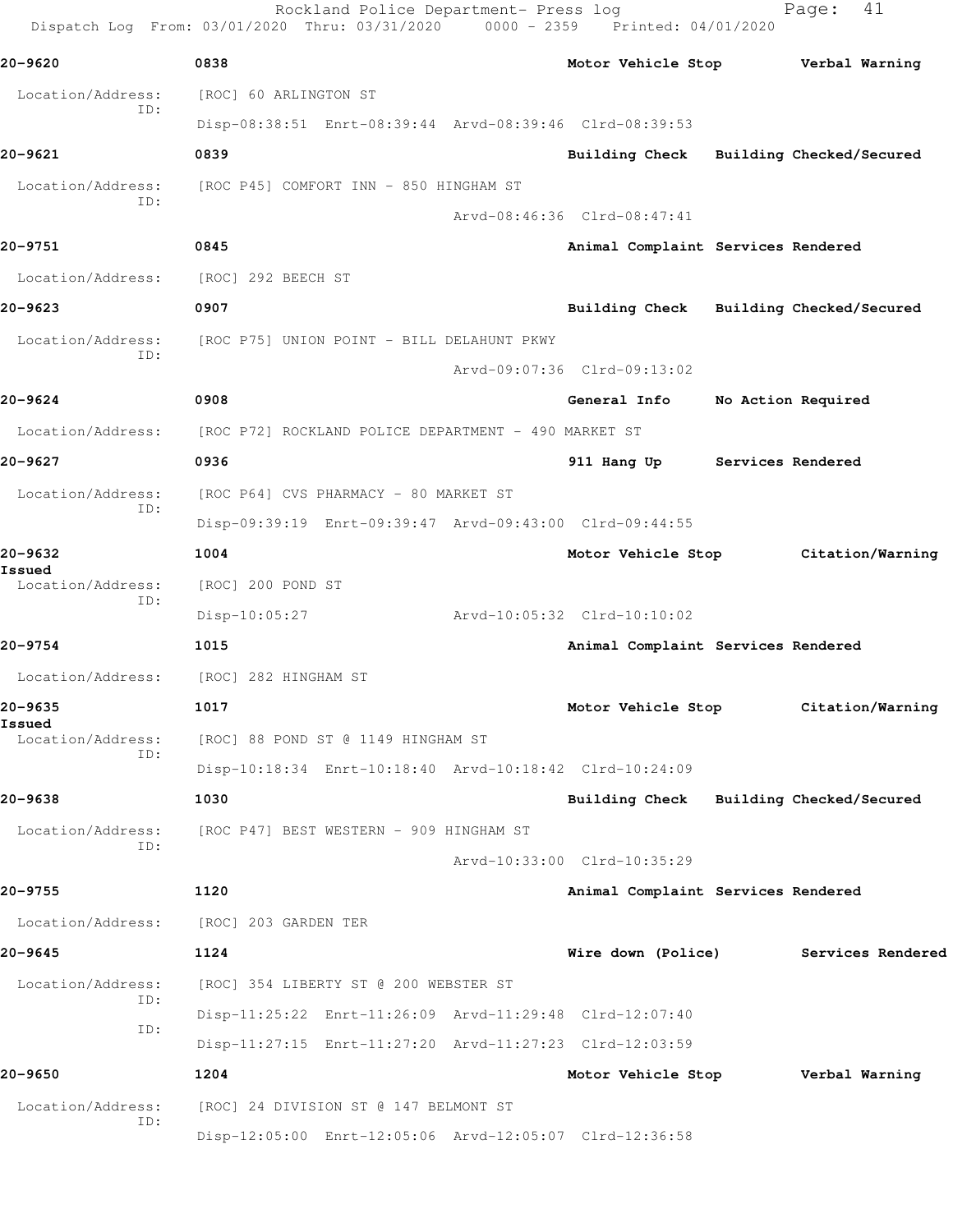Rockland Police Department- Press log Fage: 41 Dispatch Log From: 03/01/2020 Thru: 03/31/2020 0000 - 2359 Printed: 04/01/2020 **20-9620 0838 Motor Vehicle Stop Verbal Warning** Location/Address: [ROC] 60 ARLINGTON ST ID: Disp-08:38:51 Enrt-08:39:44 Arvd-08:39:46 Clrd-08:39:53 **20-9621 0839 Building Check Building Checked/Secured** Location/Address: [ROC P45] COMFORT INN - 850 HINGHAM ST ID: Arvd-08:46:36 Clrd-08:47:41 **20-9751 0845 Animal Complaint Services Rendered** Location/Address: [ROC] 292 BEECH ST **20-9623 0907 Building Check Building Checked/Secured** Location/Address: [ROC P75] UNION POINT - BILL DELAHUNT PKWY ID: Arvd-09:07:36 Clrd-09:13:02 **20-9624 0908 General Info No Action Required** Location/Address: [ROC P72] ROCKLAND POLICE DEPARTMENT - 490 MARKET ST **20-9627 0936 911 Hang Up Services Rendered** Location/Address: [ROC P64] CVS PHARMACY - 80 MARKET ST ID: Disp-09:39:19 Enrt-09:39:47 Arvd-09:43:00 Clrd-09:44:55 **20-9632 1004 Motor Vehicle Stop Citation/Warning Issued**  Location/Address: [ROC] 200 POND ST ID: Disp-10:05:27 Arvd-10:05:32 Clrd-10:10:02 **20-9754 1015 Animal Complaint Services Rendered** Location/Address: [ROC] 282 HINGHAM ST **20-9635 1017 Motor Vehicle Stop Citation/Warning Issued**  Location/Address: [ROC] 88 POND ST @ 1149 HINGHAM ST ID: Disp-10:18:34 Enrt-10:18:40 Arvd-10:18:42 Clrd-10:24:09 **20-9638 1030 Building Check Building Checked/Secured** Location/Address: [ROC P47] BEST WESTERN - 909 HINGHAM ST ID: Arvd-10:33:00 Clrd-10:35:29 **20-9755 1120 Animal Complaint Services Rendered** Location/Address: [ROC] 203 GARDEN TER **20-9645 1124 Wire down (Police) Services Rendered** Location/Address: [ROC] 354 LIBERTY ST @ 200 WEBSTER ST ID: Disp-11:25:22 Enrt-11:26:09 Arvd-11:29:48 Clrd-12:07:40 ID: Disp-11:27:15 Enrt-11:27:20 Arvd-11:27:23 Clrd-12:03:59 **20-9650 1204 Motor Vehicle Stop Verbal Warning** Location/Address: [ROC] 24 DIVISION ST @ 147 BELMONT ST ID: Disp-12:05:00 Enrt-12:05:06 Arvd-12:05:07 Clrd-12:36:58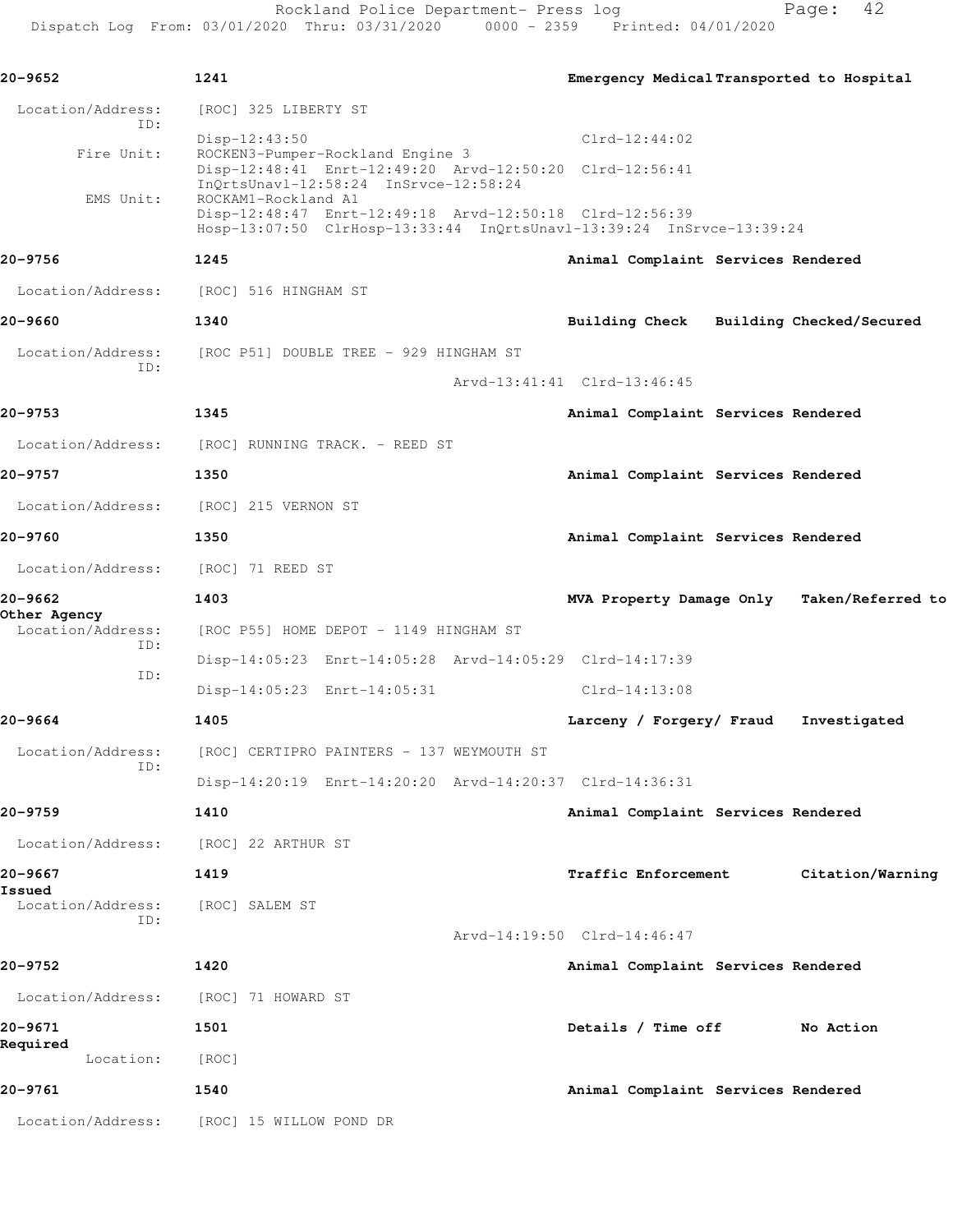Rockland Police Department- Press log entitled Page: 42 Dispatch Log From: 03/01/2020 Thru: 03/31/2020 0000 - 2359 Printed: 04/01/2020

| 20-9652                           | 1241                                                                                                                                                   | Emergency Medical Transported to Hospital     |
|-----------------------------------|--------------------------------------------------------------------------------------------------------------------------------------------------------|-----------------------------------------------|
| Location/Address:<br>ID:          | [ROC] 325 LIBERTY ST                                                                                                                                   |                                               |
|                                   | Disp-12:43:50                                                                                                                                          | $Clrd-12:44:02$                               |
| Fire Unit:                        | ROCKEN3-Pumper-Rockland Engine 3<br>Disp-12:48:41 Enrt-12:49:20 Arvd-12:50:20 Clrd-12:56:41<br>InQrtsUnavl-12:58:24 InSrvce-12:58:24                   |                                               |
| EMS Unit:                         | ROCKAM1-Rockland A1<br>Disp-12:48:47 Enrt-12:49:18 Arvd-12:50:18 Clrd-12:56:39<br>Hosp-13:07:50 ClrHosp-13:33:44 InQrtsUnavl-13:39:24 InSrvce-13:39:24 |                                               |
| 20-9756                           | 1245                                                                                                                                                   | Animal Complaint Services Rendered            |
| Location/Address:                 | [ROC] 516 HINGHAM ST                                                                                                                                   |                                               |
| 20-9660                           | 1340                                                                                                                                                   | Building Check Building Checked/Secured       |
| Location/Address:                 | [ROC P51] DOUBLE TREE - 929 HINGHAM ST                                                                                                                 |                                               |
| ID:                               |                                                                                                                                                        | Arvd-13:41:41 Clrd-13:46:45                   |
| 20-9753                           | 1345                                                                                                                                                   | Animal Complaint Services Rendered            |
| Location/Address:                 | [ROC] RUNNING TRACK. - REED ST                                                                                                                         |                                               |
| 20-9757                           | 1350                                                                                                                                                   | Animal Complaint Services Rendered            |
| Location/Address:                 | [ROC] 215 VERNON ST                                                                                                                                    |                                               |
| 20-9760                           | 1350                                                                                                                                                   | Animal Complaint Services Rendered            |
| Location/Address:                 | [ROC] 71 REED ST                                                                                                                                       |                                               |
| 20–9662                           | 1403                                                                                                                                                   | MVA Property Damage Only<br>Taken/Referred to |
| Other Agency<br>Location/Address: | [ROC P55] HOME DEPOT - 1149 HINGHAM ST                                                                                                                 |                                               |
| ID:                               | Disp-14:05:23 Enrt-14:05:28 Arvd-14:05:29 Clrd-14:17:39                                                                                                |                                               |
| ID:                               | Disp-14:05:23 Enrt-14:05:31                                                                                                                            | $Clrd-14:13:08$                               |
| 20-9664                           | 1405                                                                                                                                                   | Larceny / Forgery/ Fraud<br>Investigated      |
| Location/Address:                 | [ROC] CERTIPRO PAINTERS - 137 WEYMOUTH ST                                                                                                              |                                               |
| ID:                               | Disp-14:20:19 Enrt-14:20:20 Arvd-14:20:37 Clrd-14:36:31                                                                                                |                                               |
| 20-9759                           | 1410                                                                                                                                                   | Animal Complaint Services Rendered            |
| Location/Address:                 | [ROC] 22 ARTHUR ST                                                                                                                                     |                                               |
| 20-9667                           | 1419                                                                                                                                                   | Traffic Enforcement<br>Citation/Warning       |
| Issued<br>Location/Address:       | [ROC] SALEM ST                                                                                                                                         |                                               |
| ID:                               |                                                                                                                                                        | Arvd-14:19:50 Clrd-14:46:47                   |
| 20-9752                           | 1420                                                                                                                                                   | Animal Complaint Services Rendered            |
| Location/Address:                 | [ROC] 71 HOWARD ST                                                                                                                                     |                                               |
| 20-9671                           | 1501                                                                                                                                                   | Details / Time off<br>No Action               |
| Required<br>Location:             | [ROC]                                                                                                                                                  |                                               |
| 20-9761                           | 1540                                                                                                                                                   | Animal Complaint Services Rendered            |
|                                   | Location/Address: [ROC] 15 WILLOW POND DR                                                                                                              |                                               |
|                                   |                                                                                                                                                        |                                               |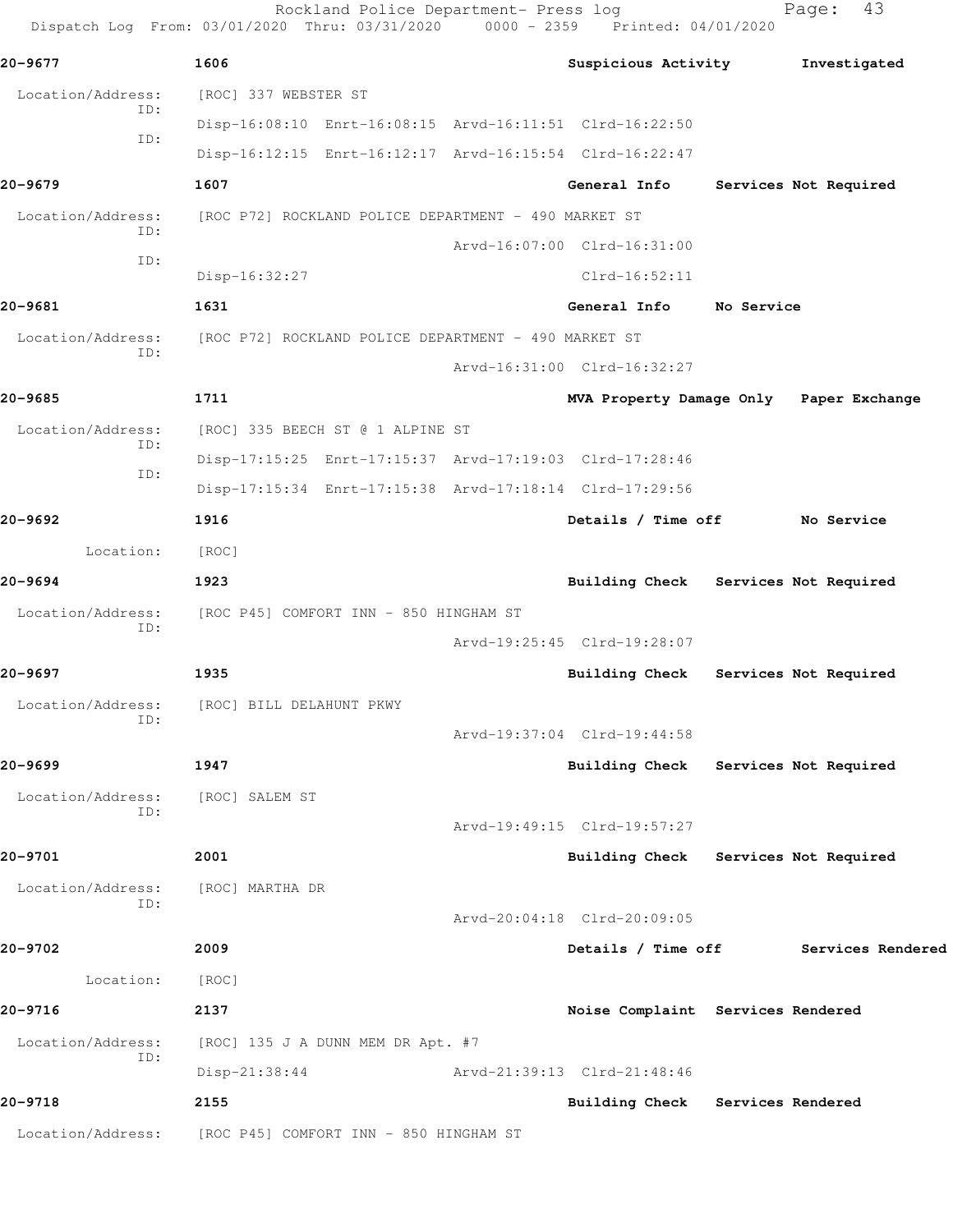Rockland Police Department- Press log Fage: 43 Dispatch Log From: 03/01/2020 Thru: 03/31/2020 0000 - 2359 Printed: 04/01/2020 **20-9677 1606 Suspicious Activity Investigated** Location/Address: [ROC] 337 WEBSTER ST ID: Disp-16:08:10 Enrt-16:08:15 Arvd-16:11:51 Clrd-16:22:50 ID: Disp-16:12:15 Enrt-16:12:17 Arvd-16:15:54 Clrd-16:22:47 **20-9679 1607 General Info Services Not Required** Location/Address: [ROC P72] ROCKLAND POLICE DEPARTMENT - 490 MARKET ST ID: Arvd-16:07:00 Clrd-16:31:00 ID: Disp-16:32:27 Clrd-16:52:11 **20-9681 1631 General Info No Service** Location/Address: [ROC P72] ROCKLAND POLICE DEPARTMENT - 490 MARKET ST ID: Arvd-16:31:00 Clrd-16:32:27 **20-9685 1711 MVA Property Damage Only Paper Exchange** Location/Address: [ROC] 335 BEECH ST @ 1 ALPINE ST ID: Disp-17:15:25 Enrt-17:15:37 Arvd-17:19:03 Clrd-17:28:46 ID: Disp-17:15:34 Enrt-17:15:38 Arvd-17:18:14 Clrd-17:29:56 **20-9692 1916 Details / Time off No Service** Location: [ROC] **20-9694 1923 Building Check Services Not Required** Location/Address: [ROC P45] COMFORT INN - 850 HINGHAM ST ID: Arvd-19:25:45 Clrd-19:28:07 **20-9697 1935 Building Check Services Not Required** Location/Address: [ROC] BILL DELAHUNT PKWY ID: Arvd-19:37:04 Clrd-19:44:58 **20-9699 1947 Building Check Services Not Required** Location/Address: [ROC] SALEM ST ID: Arvd-19:49:15 Clrd-19:57:27 **20-9701 2001 Building Check Services Not Required** Location/Address: [ROC] MARTHA DR ID: Arvd-20:04:18 Clrd-20:09:05 **20-9702 2009 Details / Time off Services Rendered** Location: [ROC] **20-9716 2137 Noise Complaint Services Rendered** Location/Address: [ROC] 135 J A DUNN MEM DR Apt. #7 ID: Disp-21:38:44 Arvd-21:39:13 Clrd-21:48:46 **20-9718 2155 Building Check Services Rendered** Location/Address: [ROC P45] COMFORT INN - 850 HINGHAM ST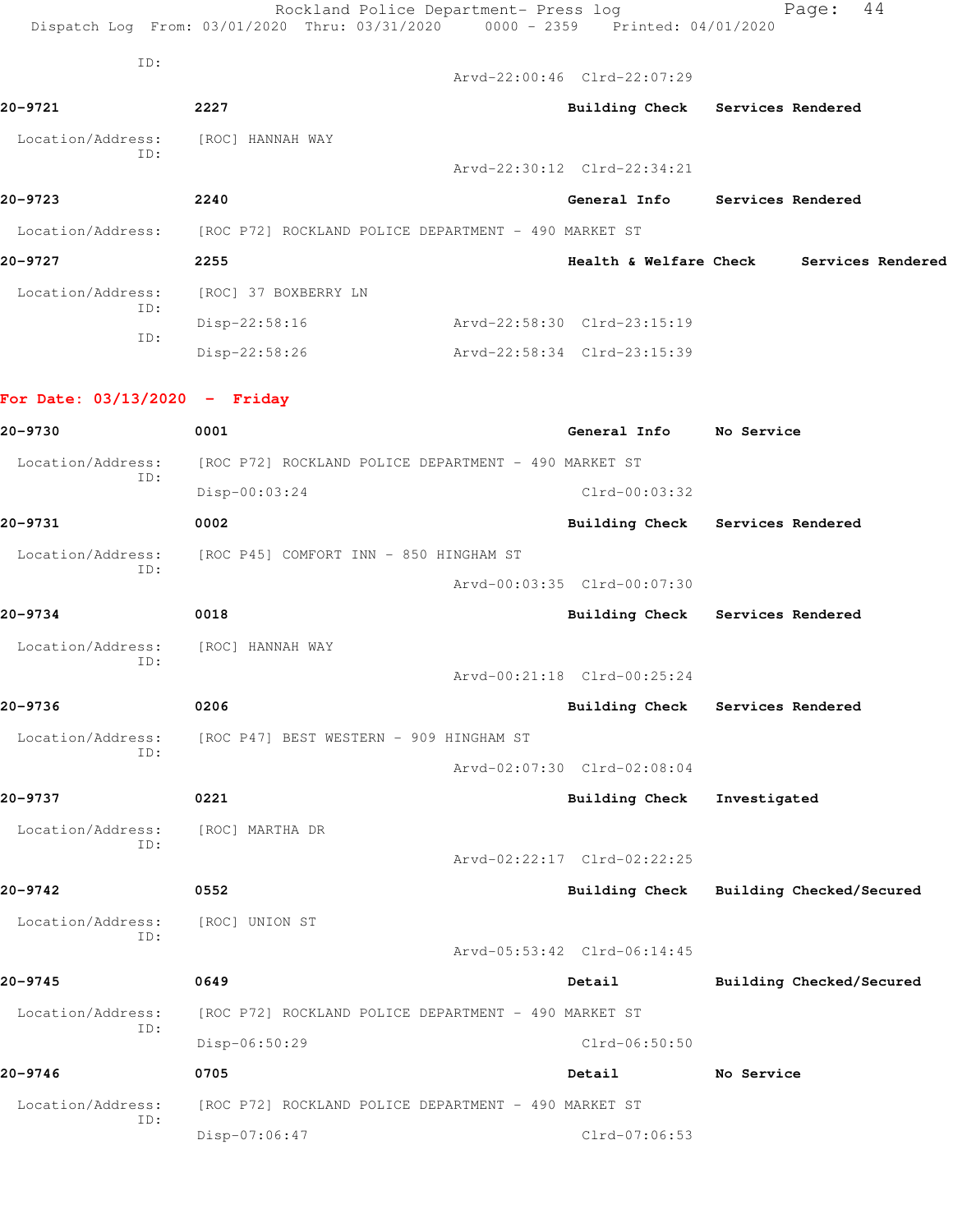|                                 | Rockland Police Department- Press log<br>Dispatch Log From: 03/01/2020 Thru: 03/31/2020 0000 - 2359 Printed: 04/01/2020 |                             | 44<br>Page:                              |
|---------------------------------|-------------------------------------------------------------------------------------------------------------------------|-----------------------------|------------------------------------------|
| ID:                             |                                                                                                                         | Arvd-22:00:46 Clrd-22:07:29 |                                          |
| 20-9721                         | 2227                                                                                                                    |                             | Building Check Services Rendered         |
| Location/Address:               | [ROC] HANNAH WAY                                                                                                        |                             |                                          |
| ID:                             |                                                                                                                         | Arvd-22:30:12 Clrd-22:34:21 |                                          |
| 20-9723                         | 2240                                                                                                                    |                             | General Info Services Rendered           |
|                                 | Location/Address: [ROC P72] ROCKLAND POLICE DEPARTMENT - 490 MARKET ST                                                  |                             |                                          |
| 20-9727                         | 2255                                                                                                                    |                             | Health & Welfare Check Services Rendered |
| Location/Address:               | [ROC] 37 BOXBERRY LN                                                                                                    |                             |                                          |
| ID:<br>ID:                      | Disp-22:58:16                                                                                                           | Arvd-22:58:30 Clrd-23:15:19 |                                          |
|                                 | Disp-22:58:26                                                                                                           | Arvd-22:58:34 Clrd-23:15:39 |                                          |
| For Date: $03/13/2020 -$ Friday |                                                                                                                         |                             |                                          |
| 20-9730                         | 0001                                                                                                                    | General Info No Service     |                                          |
| Location/Address:<br>ID:        | [ROC P72] ROCKLAND POLICE DEPARTMENT - 490 MARKET ST                                                                    |                             |                                          |
|                                 | Disp-00:03:24                                                                                                           | $Clrd-00:03:32$             |                                          |
| 20-9731                         | 0002                                                                                                                    |                             | Building Check Services Rendered         |
| Location/Address:<br>ID:        | [ROC P45] COMFORT INN - 850 HINGHAM ST                                                                                  |                             |                                          |
|                                 |                                                                                                                         | Arvd-00:03:35 Clrd-00:07:30 |                                          |
| 20-9734                         | 0018                                                                                                                    |                             | Building Check Services Rendered         |
| Location/Address:<br>ID:        | [ROC] HANNAH WAY                                                                                                        |                             |                                          |
|                                 |                                                                                                                         | Arvd-00:21:18 Clrd-00:25:24 |                                          |
| 20-9736                         | 0206                                                                                                                    | Building Check              | Services Rendered                        |
| Location/Address:<br>ID:        | [ROC P47] BEST WESTERN - 909 HINGHAM ST                                                                                 |                             |                                          |
|                                 |                                                                                                                         | Arvd-02:07:30 Clrd-02:08:04 |                                          |
| 20-9737                         | 0221                                                                                                                    | <b>Building Check</b>       | Investigated                             |
| Location/Address:<br>ID:        | [ROC] MARTHA DR                                                                                                         |                             |                                          |
|                                 |                                                                                                                         | Arvd-02:22:17 Clrd-02:22:25 |                                          |
| 20-9742                         | 0552                                                                                                                    | <b>Building Check</b>       | Building Checked/Secured                 |
| Location/Address:<br>ID:        | [ROC] UNION ST                                                                                                          |                             |                                          |
|                                 |                                                                                                                         | Arvd-05:53:42 Clrd-06:14:45 |                                          |
| 20-9745                         | 0649                                                                                                                    | Detail                      | Building Checked/Secured                 |
| Location/Address:<br>ID:        | [ROC P72] ROCKLAND POLICE DEPARTMENT - 490 MARKET ST                                                                    |                             |                                          |
|                                 | Disp-06:50:29                                                                                                           | Clrd-06:50:50               |                                          |
| $20 - 9746$                     | 0705                                                                                                                    | Detail                      | No Service                               |
| Location/Address:<br>ID:        | [ROC P72] ROCKLAND POLICE DEPARTMENT - 490 MARKET ST                                                                    |                             |                                          |
|                                 | Disp-07:06:47                                                                                                           | $Clrd-07:06:53$             |                                          |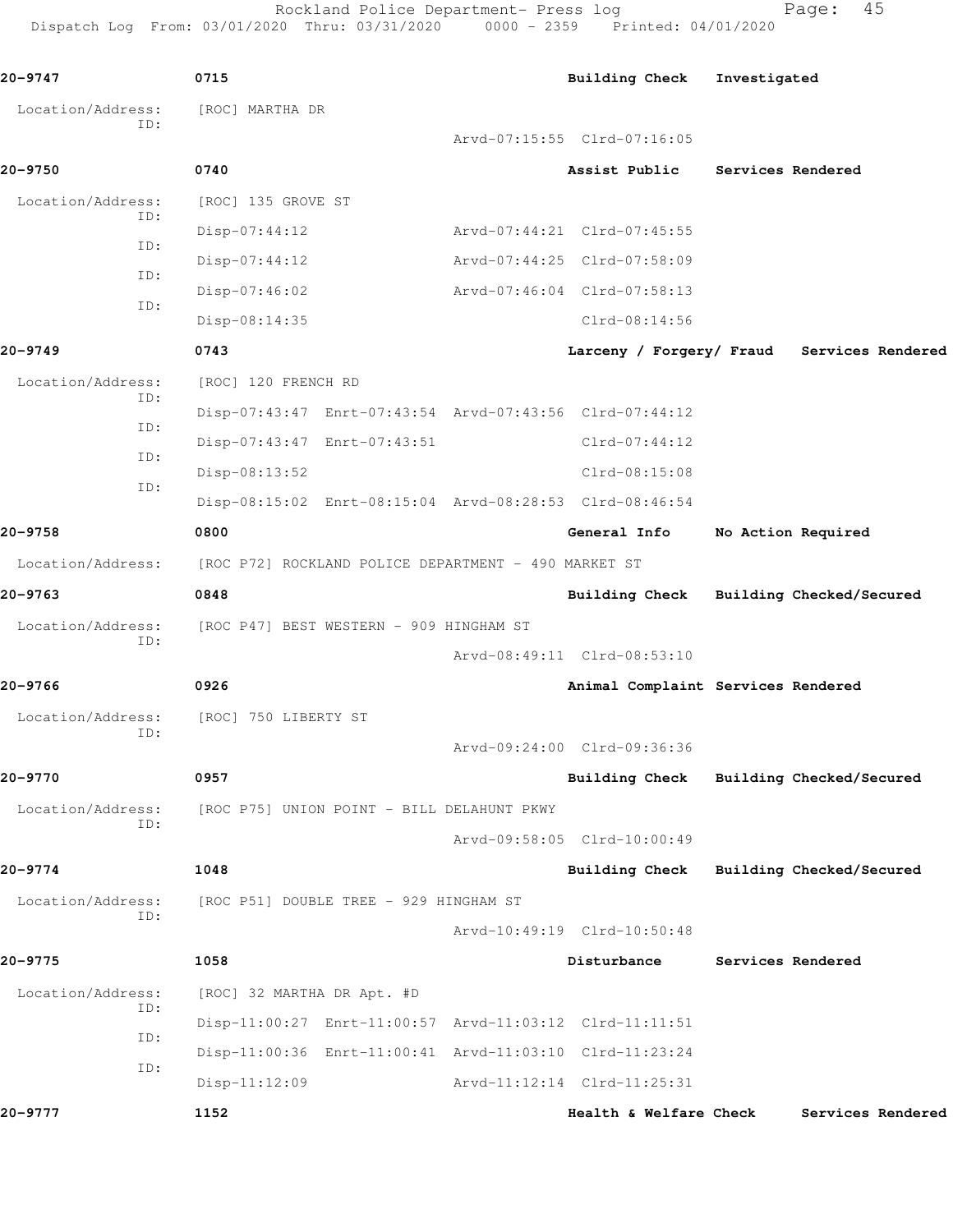Rockland Police Department- Press log Fage: 45

Dispatch Log From: 03/01/2020 Thru: 03/31/2020 0000 - 2359 Printed: 04/01/2020

**20-9747 0715 Building Check Investigated** Location/Address: [ROC] MARTHA DR ID: Arvd-07:15:55 Clrd-07:16:05 **20-9750 0740 Assist Public Services Rendered** Location/Address: [ROC] 135 GROVE ST ID: Disp-07:44:12 Arvd-07:44:21 Clrd-07:45:55 ID: Disp-07:44:12 Arvd-07:44:25 Clrd-07:58:09 ID: Disp-07:46:02 Arvd-07:46:04 Clrd-07:58:13 ID: Disp-08:14:35 Clrd-08:14:56 **20-9749 0743 Larceny / Forgery/ Fraud Services Rendered** Location/Address: [ROC] 120 FRENCH RD ID: Disp-07:43:47 Enrt-07:43:54 Arvd-07:43:56 Clrd-07:44:12 ID: Disp-07:43:47 Enrt-07:43:51 Clrd-07:44:12 ID: Disp-08:13:52 Clrd-08:15:08 ID: Disp-08:15:02 Enrt-08:15:04 Arvd-08:28:53 Clrd-08:46:54 **20-9758 0800 General Info No Action Required** Location/Address: [ROC P72] ROCKLAND POLICE DEPARTMENT - 490 MARKET ST **20-9763 0848 Building Check Building Checked/Secured** Location/Address: [ROC P47] BEST WESTERN - 909 HINGHAM ST ID: Arvd-08:49:11 Clrd-08:53:10 **20-9766 0926 Animal Complaint Services Rendered** Location/Address: [ROC] 750 LIBERTY ST ID: Arvd-09:24:00 Clrd-09:36:36 **20-9770 0957 Building Check Building Checked/Secured** Location/Address: [ROC P75] UNION POINT - BILL DELAHUNT PKWY ID: Arvd-09:58:05 Clrd-10:00:49 **20-9774 1048 Building Check Building Checked/Secured** Location/Address: [ROC P51] DOUBLE TREE - 929 HINGHAM ST ID: Arvd-10:49:19 Clrd-10:50:48 **20-9775 1058 Disturbance Services Rendered** Location/Address: [ROC] 32 MARTHA DR Apt. #D ID: Disp-11:00:27 Enrt-11:00:57 Arvd-11:03:12 Clrd-11:11:51 ID: Disp-11:00:36 Enrt-11:00:41 Arvd-11:03:10 Clrd-11:23:24 ID: Disp-11:12:09 Arvd-11:12:14 Clrd-11:25:31 **20-9777 1152 Health & Welfare Check Services Rendered**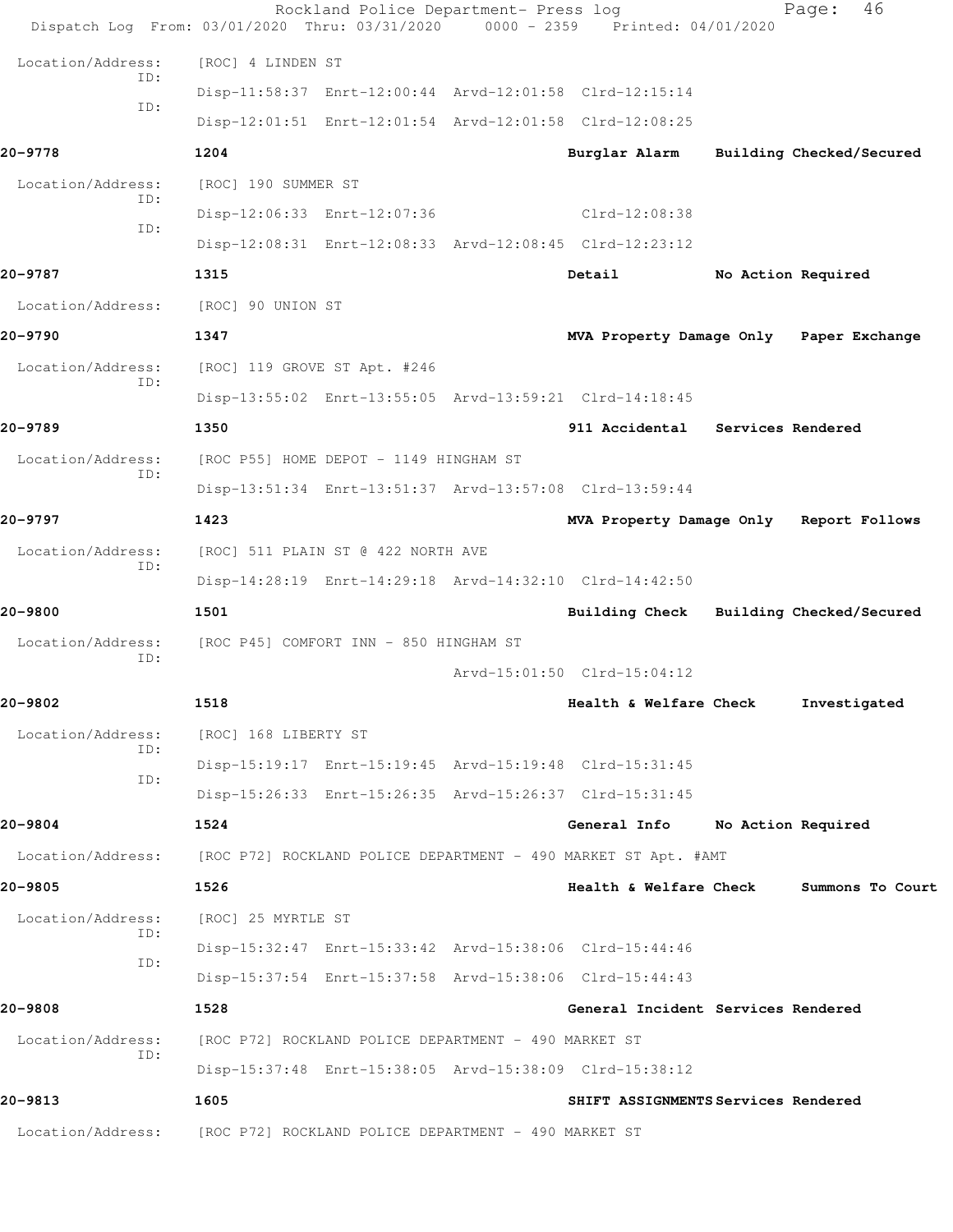| Dispatch Log From: 03/01/2020 Thru: 03/31/2020 0000 - 2359 Printed: 04/01/2020   |                      | Rockland Police Department- Press log                |                                                         |                    | 46<br>Page:              |  |
|----------------------------------------------------------------------------------|----------------------|------------------------------------------------------|---------------------------------------------------------|--------------------|--------------------------|--|
| Location/Address:                                                                | [ROC] 4 LINDEN ST    |                                                      |                                                         |                    |                          |  |
| TD:                                                                              |                      |                                                      | Disp-11:58:37 Enrt-12:00:44 Arvd-12:01:58 Clrd-12:15:14 |                    |                          |  |
| ID:                                                                              |                      |                                                      | Disp-12:01:51 Enrt-12:01:54 Arvd-12:01:58 Clrd-12:08:25 |                    |                          |  |
| 20-9778                                                                          | 1204                 |                                                      | Burglar Alarm                                           |                    | Building Checked/Secured |  |
| Location/Address:                                                                | [ROC] 190 SUMMER ST  |                                                      |                                                         |                    |                          |  |
| TD:                                                                              |                      | Disp-12:06:33 Enrt-12:07:36                          | $Clrd-12:08:38$                                         |                    |                          |  |
| ID:                                                                              |                      |                                                      | Disp-12:08:31 Enrt-12:08:33 Arvd-12:08:45 Clrd-12:23:12 |                    |                          |  |
| 20-9787                                                                          | 1315                 |                                                      | Detail                                                  | No Action Required |                          |  |
| Location/Address:                                                                | [ROC] 90 UNION ST    |                                                      |                                                         |                    |                          |  |
| 20-9790                                                                          | 1347                 |                                                      | MVA Property Damage Only Paper Exchange                 |                    |                          |  |
| Location/Address:<br>TD:                                                         |                      | [ROC] 119 GROVE ST Apt. #246                         |                                                         |                    |                          |  |
|                                                                                  |                      |                                                      | Disp-13:55:02 Enrt-13:55:05 Arvd-13:59:21 Clrd-14:18:45 |                    |                          |  |
| 20-9789                                                                          | 1350                 |                                                      | 911 Accidental Services Rendered                        |                    |                          |  |
| Location/Address:<br>TD:                                                         |                      | [ROC P55] HOME DEPOT - 1149 HINGHAM ST               |                                                         |                    |                          |  |
|                                                                                  |                      |                                                      | Disp-13:51:34 Enrt-13:51:37 Arvd-13:57:08 Clrd-13:59:44 |                    |                          |  |
| 20-9797                                                                          | 1423                 |                                                      | MVA Property Damage Only Report Follows                 |                    |                          |  |
| Location/Address:<br>ID:                                                         |                      | [ROC] 511 PLAIN ST @ 422 NORTH AVE                   |                                                         |                    |                          |  |
|                                                                                  |                      |                                                      | Disp-14:28:19 Enrt-14:29:18 Arvd-14:32:10 Clrd-14:42:50 |                    |                          |  |
| 20-9800                                                                          | 1501                 |                                                      | Building Check Building Checked/Secured                 |                    |                          |  |
| Location/Address:<br>ID:                                                         |                      | [ROC P45] COMFORT INN - 850 HINGHAM ST               |                                                         |                    |                          |  |
|                                                                                  |                      |                                                      | Arvd-15:01:50 Clrd-15:04:12                             |                    |                          |  |
| 20-9802                                                                          | 1518                 |                                                      | Health & Welfare Check                                  |                    | Investigated             |  |
| Location/Address:<br>ID:                                                         | [ROC] 168 LIBERTY ST |                                                      |                                                         |                    |                          |  |
| ID:                                                                              |                      |                                                      | Disp-15:19:17 Enrt-15:19:45 Arvd-15:19:48 Clrd-15:31:45 |                    |                          |  |
|                                                                                  |                      |                                                      | Disp-15:26:33 Enrt-15:26:35 Arvd-15:26:37 Clrd-15:31:45 |                    |                          |  |
| 20-9804                                                                          | 1524                 |                                                      | General Info                                            | No Action Required |                          |  |
| Location/Address: [ROC P72] ROCKLAND POLICE DEPARTMENT - 490 MARKET ST Apt. #AMT |                      |                                                      |                                                         |                    |                          |  |
| 20-9805                                                                          | 1526                 |                                                      | Health & Welfare Check                                  |                    | Summons To Court         |  |
| Location/Address:<br>ID:                                                         | [ROC] 25 MYRTLE ST   |                                                      |                                                         |                    |                          |  |
| ID:                                                                              |                      |                                                      | Disp-15:32:47 Enrt-15:33:42 Arvd-15:38:06 Clrd-15:44:46 |                    |                          |  |
|                                                                                  |                      |                                                      | Disp-15:37:54 Enrt-15:37:58 Arvd-15:38:06 Clrd-15:44:43 |                    |                          |  |
| 20-9808                                                                          | 1528                 |                                                      | General Incident Services Rendered                      |                    |                          |  |
| Location/Address:<br>ID:                                                         |                      | [ROC P72] ROCKLAND POLICE DEPARTMENT - 490 MARKET ST |                                                         |                    |                          |  |
|                                                                                  |                      |                                                      | Disp-15:37:48 Enrt-15:38:05 Arvd-15:38:09 Clrd-15:38:12 |                    |                          |  |
| 20-9813                                                                          | 1605                 |                                                      | SHIFT ASSIGNMENTS Services Rendered                     |                    |                          |  |
| Location/Address:                                                                |                      | [ROC P72] ROCKLAND POLICE DEPARTMENT - 490 MARKET ST |                                                         |                    |                          |  |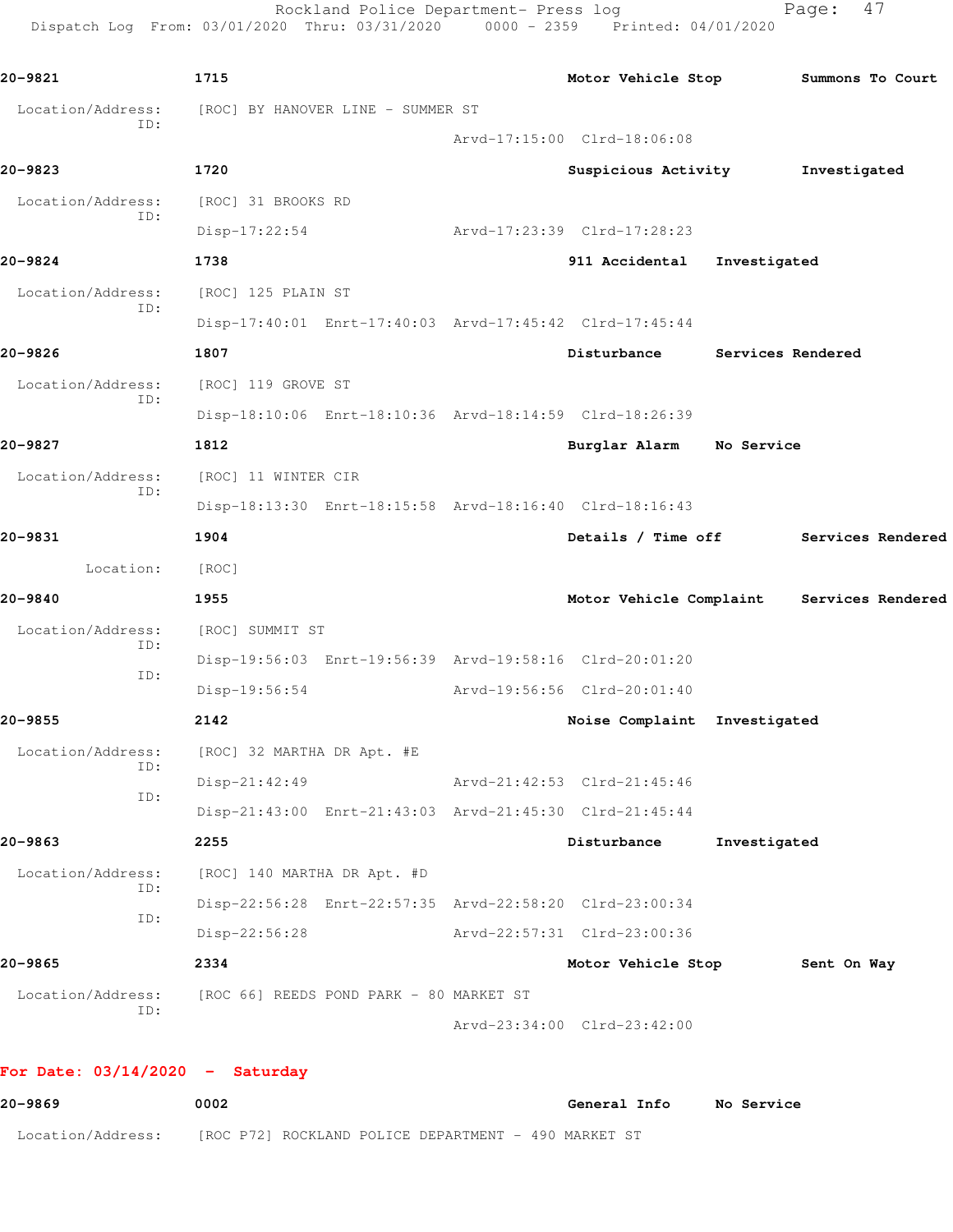Rockland Police Department- Press log Fage: 47 Dispatch Log From: 03/01/2020 Thru: 03/31/2020 0000 - 2359 Printed: 04/01/2020

```
20-9821 1715 Motor Vehicle Stop Summons To Court
 Location/Address: [ROC] BY HANOVER LINE - SUMMER ST
           ID: 
                                     Arvd-17:15:00 Clrd-18:06:08
20-9823 1720 Suspicious Activity Investigated
 Location/Address: [ROC] 31 BROOKS RD
           ID: 
                Disp-17:22:54 Arvd-17:23:39 Clrd-17:28:23
20-9824 1738 911 Accidental Investigated
 Location/Address: [ROC] 125 PLAIN ST
           ID: 
                Disp-17:40:01 Enrt-17:40:03 Arvd-17:45:42 Clrd-17:45:44
20-9826 1807 Disturbance Services Rendered
  Location/Address: [ROC] 119 GROVE ST
           ID: 
                Disp-18:10:06 Enrt-18:10:36 Arvd-18:14:59 Clrd-18:26:39
20-9827 1812 Burglar Alarm No Service
 Location/Address: [ROC] 11 WINTER CIR
           ID: 
                Disp-18:13:30 Enrt-18:15:58 Arvd-18:16:40 Clrd-18:16:43
20-9831 1904 Details / Time off Services Rendered
       Location: [ROC] 
20-9840 1955 Motor Vehicle Complaint Services Rendered
 Location/Address: [ROC] SUMMIT ST
           ID: 
                Disp-19:56:03 Enrt-19:56:39 Arvd-19:58:16 Clrd-20:01:20
           ID: 
                Disp-19:56:54 Arvd-19:56:56 Clrd-20:01:40
20-9855 2142 Noise Complaint Investigated
 Location/Address: [ROC] 32 MARTHA DR Apt. #E
           ID: 
                Disp-21:42:49 Arvd-21:42:53 Clrd-21:45:46
           ID: 
                Disp-21:43:00 Enrt-21:43:03 Arvd-21:45:30 Clrd-21:45:44
20-9863 2255 Disturbance Investigated
  Location/Address: [ROC] 140 MARTHA DR Apt. #D
           ID: 
                Disp-22:56:28 Enrt-22:57:35 Arvd-22:58:20 Clrd-23:00:34
           ID: 
                Disp-22:56:28 Arvd-22:57:31 Clrd-23:00:36
20-9865 2334 Motor Vehicle Stop Sent On Way
 Location/Address: [ROC 66] REEDS POND PARK - 80 MARKET ST
           ID: 
                                     Arvd-23:34:00 Clrd-23:42:00
```
**For Date: 03/14/2020 - Saturday**

**20-9869 0002 General Info No Service** Location/Address: [ROC P72] ROCKLAND POLICE DEPARTMENT - 490 MARKET ST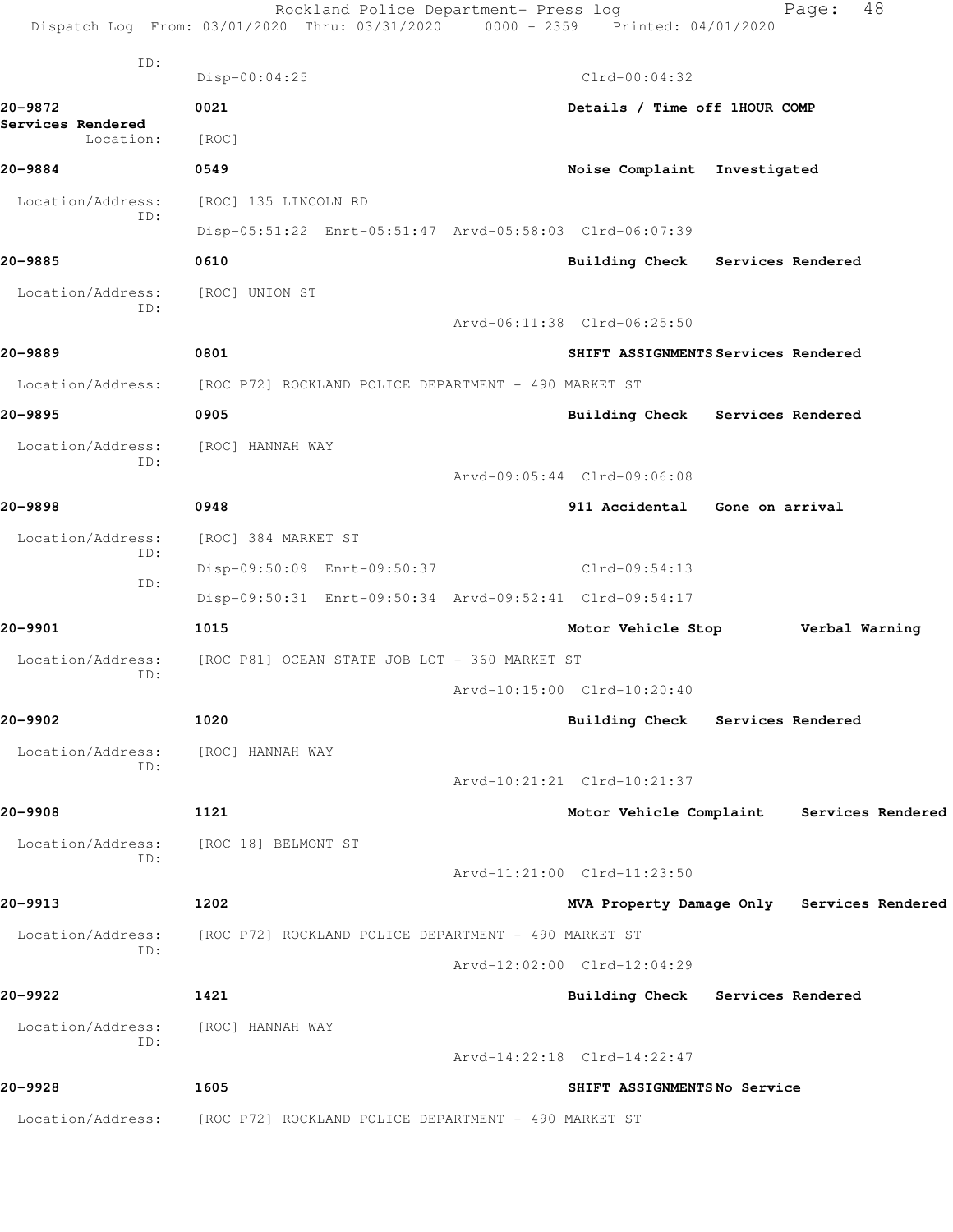|                                | Rockland Police Department- Press log<br>Dispatch Log From: 03/01/2020 Thru: 03/31/2020 0000 - 2359 Printed: 04/01/2020 |                                     | 48<br>Page:                                |  |
|--------------------------------|-------------------------------------------------------------------------------------------------------------------------|-------------------------------------|--------------------------------------------|--|
| ID:                            | $Disp-00:04:25$                                                                                                         | $Clrd-00:04:32$                     |                                            |  |
| 20-9872                        | 0021                                                                                                                    | Details / Time off 1HOUR COMP       |                                            |  |
| Services Rendered<br>Location: | [ROC]                                                                                                                   |                                     |                                            |  |
| 20-9884                        | 0549                                                                                                                    | Noise Complaint Investigated        |                                            |  |
| Location/Address:              | [ROC] 135 LINCOLN RD                                                                                                    |                                     |                                            |  |
| ID:                            | Disp-05:51:22 Enrt-05:51:47 Arvd-05:58:03 Clrd-06:07:39                                                                 |                                     |                                            |  |
| 20-9885                        | 0610                                                                                                                    | Building Check Services Rendered    |                                            |  |
| Location/Address:              | [ROC] UNION ST                                                                                                          |                                     |                                            |  |
| ID:                            |                                                                                                                         | Arvd-06:11:38 Clrd-06:25:50         |                                            |  |
| 20-9889                        | 0801                                                                                                                    | SHIFT ASSIGNMENTS Services Rendered |                                            |  |
| Location/Address:              | [ROC P72] ROCKLAND POLICE DEPARTMENT - 490 MARKET ST                                                                    |                                     |                                            |  |
| 20-9895                        | 0905                                                                                                                    | Building Check Services Rendered    |                                            |  |
| Location/Address:              | [ROC] HANNAH WAY                                                                                                        |                                     |                                            |  |
| ID:                            |                                                                                                                         | Arvd-09:05:44 Clrd-09:06:08         |                                            |  |
| 20-9898                        | 0948                                                                                                                    | 911 Accidental Gone on arrival      |                                            |  |
| Location/Address:              | [ROC] 384 MARKET ST                                                                                                     |                                     |                                            |  |
| ID:                            | Disp-09:50:09 Enrt-09:50:37                                                                                             | Clrd-09:54:13                       |                                            |  |
| ID:                            | Disp-09:50:31 Enrt-09:50:34 Arvd-09:52:41 Clrd-09:54:17                                                                 |                                     |                                            |  |
| 20-9901                        | 1015                                                                                                                    | Motor Vehicle Stop Verbal Warning   |                                            |  |
| Location/Address:              | [ROC P81] OCEAN STATE JOB LOT - 360 MARKET ST                                                                           |                                     |                                            |  |
| ID:                            |                                                                                                                         | Arvd-10:15:00 Clrd-10:20:40         |                                            |  |
| 20-9902                        | 1020                                                                                                                    | Building Check Services Rendered    |                                            |  |
| Location/Address:              | [ROC] HANNAH WAY                                                                                                        |                                     |                                            |  |
| ID:                            |                                                                                                                         | Arvd-10:21:21 Clrd-10:21:37         |                                            |  |
| 20-9908                        | 1121                                                                                                                    |                                     | Motor Vehicle Complaint Services Rendered  |  |
| Location/Address:              | [ROC 18] BELMONT ST                                                                                                     |                                     |                                            |  |
| ID:                            |                                                                                                                         | Arvd-11:21:00 Clrd-11:23:50         |                                            |  |
| 20-9913                        | 1202                                                                                                                    |                                     | MVA Property Damage Only Services Rendered |  |
| Location/Address:              | [ROC P72] ROCKLAND POLICE DEPARTMENT - 490 MARKET ST                                                                    |                                     |                                            |  |
| ID:                            |                                                                                                                         | Arvd-12:02:00 Clrd-12:04:29         |                                            |  |
| 20-9922                        | 1421                                                                                                                    | Building Check Services Rendered    |                                            |  |
| Location/Address:              | [ROC] HANNAH WAY                                                                                                        |                                     |                                            |  |
| ID:                            |                                                                                                                         | Arvd-14:22:18 Clrd-14:22:47         |                                            |  |
| 20-9928                        | 1605                                                                                                                    | SHIFT ASSIGNMENTSNo Service         |                                            |  |
| Location/Address:              | [ROC P72] ROCKLAND POLICE DEPARTMENT - 490 MARKET ST                                                                    |                                     |                                            |  |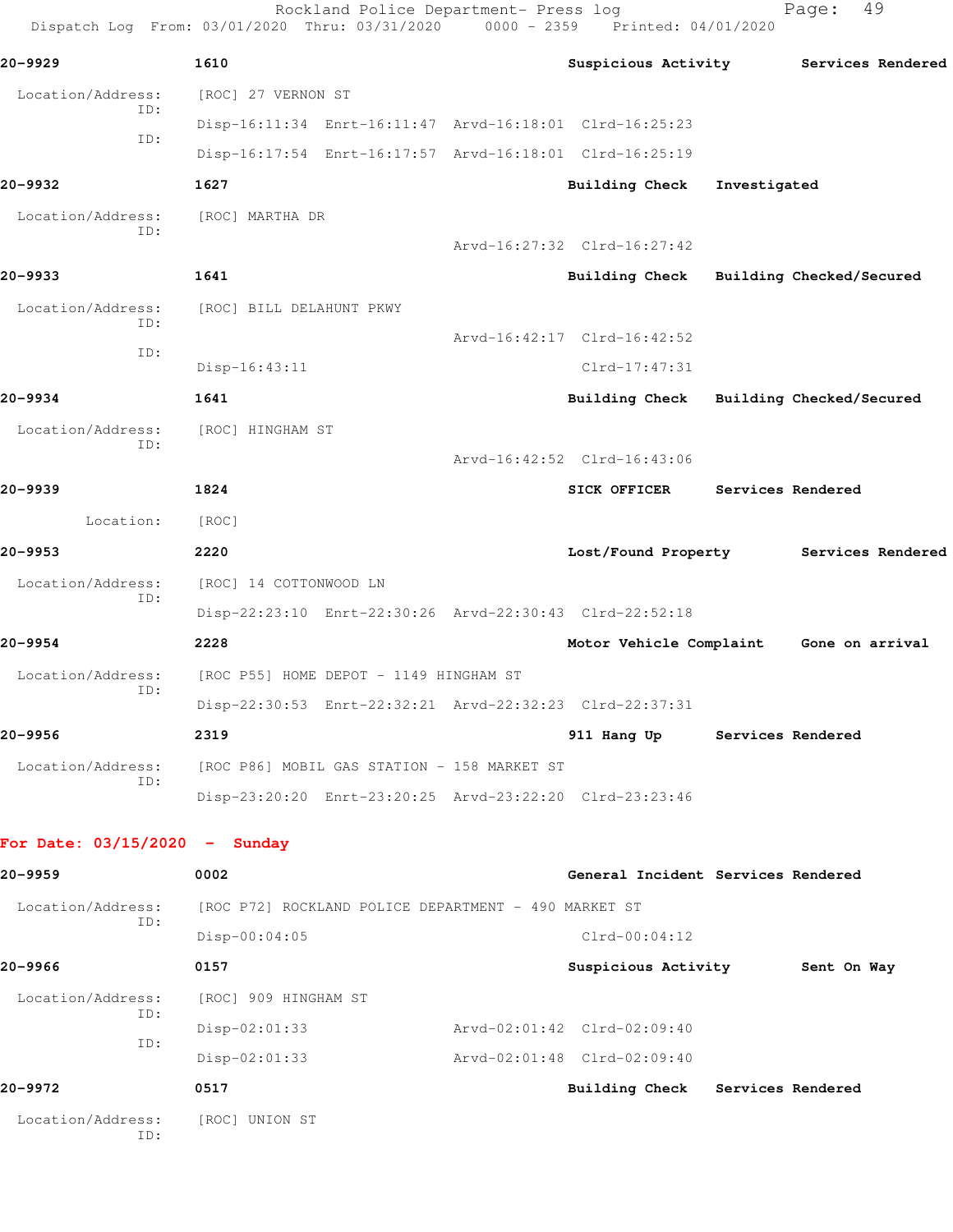|                                 | Rockland Police Department- Press log<br>Dispatch Log From: 03/01/2020 Thru: 03/31/2020 | $0000 - 2359$ | Printed: 04/01/2020                |              | 49<br>Page:              |
|---------------------------------|-----------------------------------------------------------------------------------------|---------------|------------------------------------|--------------|--------------------------|
| 20–9929                         | 1610                                                                                    |               | Suspicious Activity                |              | Services Rendered        |
| Location/Address:               | [ROC] 27 VERNON ST                                                                      |               |                                    |              |                          |
| ID:                             | Disp-16:11:34 Enrt-16:11:47 Arvd-16:18:01 Clrd-16:25:23                                 |               |                                    |              |                          |
| ID:                             | Disp-16:17:54 Enrt-16:17:57 Arvd-16:18:01 Clrd-16:25:19                                 |               |                                    |              |                          |
| 20–9932                         | 1627                                                                                    |               | Building Check                     | Investigated |                          |
| Location/Address:               | [ROC] MARTHA DR                                                                         |               |                                    |              |                          |
| ID:                             |                                                                                         |               | Arvd-16:27:32 Clrd-16:27:42        |              |                          |
| 20-9933                         | 1641                                                                                    |               | <b>Building Check</b>              |              | Building Checked/Secured |
| Location/Address:               | [ROC] BILL DELAHUNT PKWY                                                                |               |                                    |              |                          |
| ID:                             |                                                                                         |               | Arvd-16:42:17 Clrd-16:42:52        |              |                          |
| ID:                             | Disp-16:43:11                                                                           |               | $Clrd-17:47:31$                    |              |                          |
| 20-9934                         | 1641                                                                                    |               | <b>Building Check</b>              |              | Building Checked/Secured |
| Location/Address:               | [ROC] HINGHAM ST                                                                        |               |                                    |              |                          |
| ID:                             |                                                                                         |               | Arvd-16:42:52 Clrd-16:43:06        |              |                          |
| 20–9939                         | 1824                                                                                    |               | <b>SICK OFFICER</b>                |              | Services Rendered        |
| Location:                       | [ROC]                                                                                   |               |                                    |              |                          |
| 20-9953                         | 2220                                                                                    |               | Lost/Found Property                |              | Services Rendered        |
| Location/Address:               | [ROC] 14 COTTONWOOD LN                                                                  |               |                                    |              |                          |
| ID:                             | Disp-22:23:10 Enrt-22:30:26 Arvd-22:30:43 Clrd-22:52:18                                 |               |                                    |              |                          |
| 20–9954                         | 2228                                                                                    |               | Motor Vehicle Complaint            |              | Gone on arrival          |
| Location/Address:               | [ROC P55] HOME DEPOT - 1149 HINGHAM ST                                                  |               |                                    |              |                          |
| ID:                             | Disp-22:30:53 Enrt-22:32:21 Arvd-22:32:23 Clrd-22:37:31                                 |               |                                    |              |                          |
| 20-9956                         | 2319                                                                                    |               | 911 Hang Up                        |              | Services Rendered        |
| Location/Address:               | [ROC P86] MOBIL GAS STATION - 158 MARKET ST                                             |               |                                    |              |                          |
| ID:                             | Disp-23:20:20 Enrt-23:20:25 Arvd-23:22:20 Clrd-23:23:46                                 |               |                                    |              |                          |
| For Date: $03/15/2020 -$ Sunday |                                                                                         |               |                                    |              |                          |
|                                 |                                                                                         |               |                                    |              |                          |
| 20–9959                         | 0002                                                                                    |               | General Incident Services Rendered |              |                          |
| Location/Address:<br>ID:        | [ROC P72] ROCKLAND POLICE DEPARTMENT - 490 MARKET ST                                    |               |                                    |              |                          |
|                                 | $Disp-00:04:05$                                                                         |               | $Clrd-00:04:12$                    |              |                          |
| 20–9966                         | 0157                                                                                    |               | Suspicious Activity                |              | Sent On Way              |
| Location/Address:<br>ID:        | [ROC] 909 HINGHAM ST                                                                    |               |                                    |              |                          |
|                                 | $Disp-02:01:33$                                                                         |               | Arvd-02:01:42 Clrd-02:09:40        |              |                          |

Disp-02:01:33 Arvd-02:01:48 Clrd-02:09:40

**20-9972 0517 Building Check Services Rendered** Location/Address: [ROC] UNION ST ID:

ID: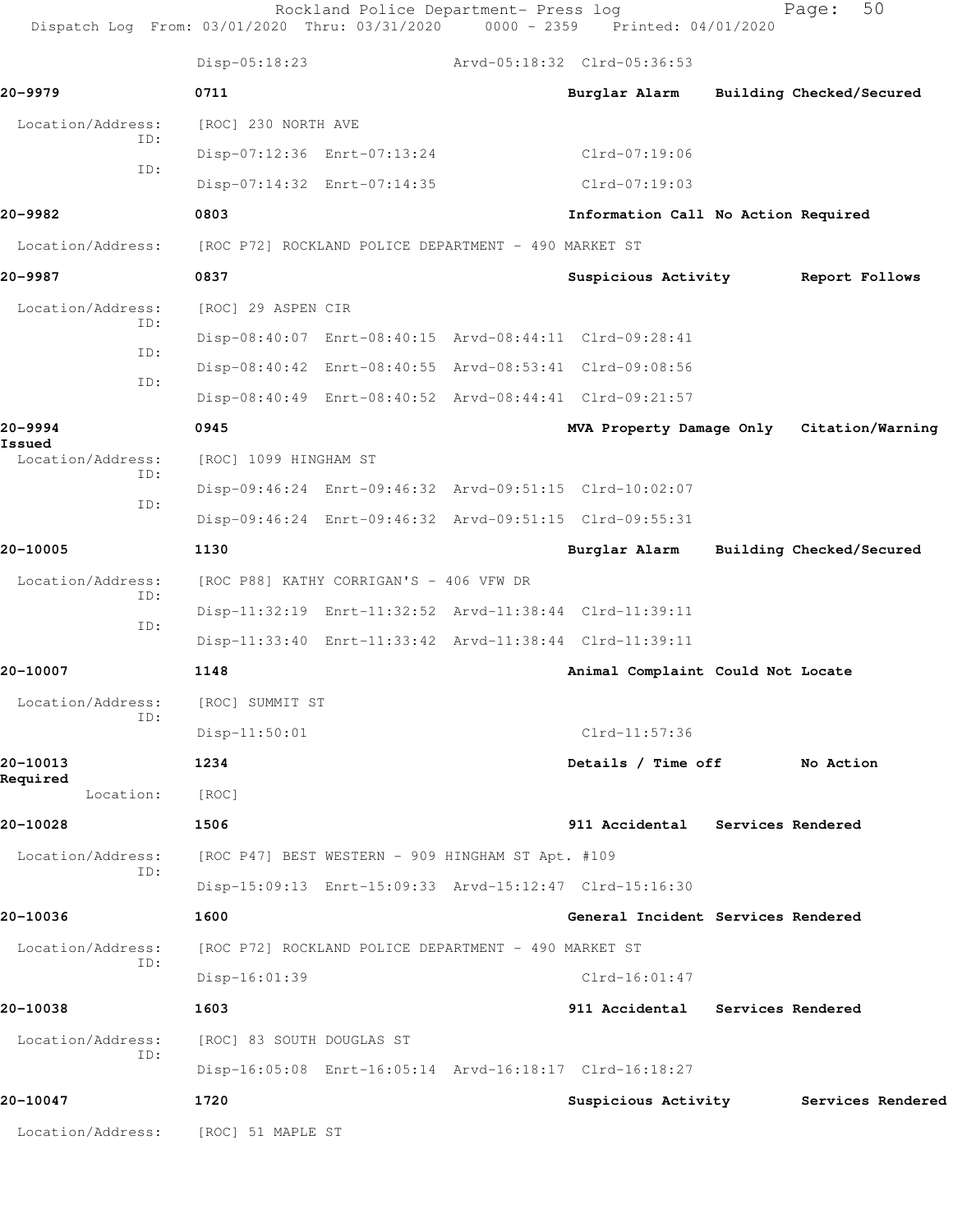|                      |            |                           | Rockland Police Department- Press log                | Dispatch Log From: 03/01/2020 Thru: 03/31/2020 0000 - 2359 Printed: 04/01/2020 | 50<br>Page:              |  |
|----------------------|------------|---------------------------|------------------------------------------------------|--------------------------------------------------------------------------------|--------------------------|--|
|                      |            | $Disp-05:18:23$           |                                                      | Arvd-05:18:32 Clrd-05:36:53                                                    |                          |  |
| 20-9979              |            | 0711                      |                                                      | Burglar Alarm                                                                  | Building Checked/Secured |  |
| Location/Address:    |            | [ROC] 230 NORTH AVE       |                                                      |                                                                                |                          |  |
|                      | ID:<br>ID: |                           | Disp-07:12:36 Enrt-07:13:24                          | Clrd-07:19:06                                                                  |                          |  |
|                      |            |                           | Disp-07:14:32 Enrt-07:14:35                          | $Clrd-07:19:03$                                                                |                          |  |
| 20-9982              |            | 0803                      |                                                      | Information Call No Action Required                                            |                          |  |
| Location/Address:    |            |                           | [ROC P72] ROCKLAND POLICE DEPARTMENT - 490 MARKET ST |                                                                                |                          |  |
| 20-9987              |            | 0837                      |                                                      | Suspicious Activity                                                            | Report Follows           |  |
| Location/Address:    |            | [ROC] 29 ASPEN CIR        |                                                      |                                                                                |                          |  |
|                      | ID:<br>ID: |                           |                                                      | Disp-08:40:07 Enrt-08:40:15 Arvd-08:44:11 Clrd-09:28:41                        |                          |  |
|                      | ID:        |                           |                                                      | Disp-08:40:42 Enrt-08:40:55 Arvd-08:53:41 Clrd-09:08:56                        |                          |  |
|                      |            |                           |                                                      | Disp-08:40:49 Enrt-08:40:52 Arvd-08:44:41 Clrd-09:21:57                        |                          |  |
| 20–9994<br>Issued    |            | 0945                      |                                                      | MVA Property Damage Only Citation/Warning                                      |                          |  |
| Location/Address:    | ID:        | [ROC] 1099 HINGHAM ST     |                                                      |                                                                                |                          |  |
|                      | ID:        |                           |                                                      | Disp-09:46:24 Enrt-09:46:32 Arvd-09:51:15 Clrd-10:02:07                        |                          |  |
|                      |            |                           |                                                      | Disp-09:46:24 Enrt-09:46:32 Arvd-09:51:15 Clrd-09:55:31                        |                          |  |
| 20-10005             |            | 1130                      |                                                      | Burglar Alarm                                                                  | Building Checked/Secured |  |
| Location/Address:    | ID:        |                           | [ROC P88] KATHY CORRIGAN'S - 406 VFW DR              |                                                                                |                          |  |
|                      | ID:        |                           |                                                      | Disp-11:32:19 Enrt-11:32:52 Arvd-11:38:44 Clrd-11:39:11                        |                          |  |
|                      |            |                           |                                                      | Disp-11:33:40 Enrt-11:33:42 Arvd-11:38:44 Clrd-11:39:11                        |                          |  |
| 20-10007             |            | 1148                      |                                                      | Animal Complaint Could Not Locate                                              |                          |  |
| Location/Address:    | ID:        | [ROC] SUMMIT ST           |                                                      |                                                                                |                          |  |
|                      |            | Disp-11:50:01             |                                                      | Clrd-11:57:36                                                                  |                          |  |
| 20-10013<br>Required |            | 1234                      |                                                      | Details / Time off                                                             | No Action                |  |
| Location:            |            | [ROC]                     |                                                      |                                                                                |                          |  |
| 20-10028             |            | 1506                      |                                                      | 911 Accidental Services Rendered                                               |                          |  |
| Location/Address:    | ID:        |                           | [ROC P47] BEST WESTERN - 909 HINGHAM ST Apt. #109    |                                                                                |                          |  |
|                      |            |                           |                                                      | Disp-15:09:13 Enrt-15:09:33 Arvd-15:12:47 Clrd-15:16:30                        |                          |  |
| 20-10036             |            | 1600                      |                                                      | General Incident Services Rendered                                             |                          |  |
| Location/Address:    | ID:        |                           | [ROC P72] ROCKLAND POLICE DEPARTMENT - 490 MARKET ST |                                                                                |                          |  |
|                      |            | Disp-16:01:39             |                                                      | $Clrd-16:01:47$                                                                |                          |  |
| 20-10038             |            | 1603                      |                                                      | 911 Accidental Services Rendered                                               |                          |  |
| Location/Address:    | ID:        | [ROC] 83 SOUTH DOUGLAS ST |                                                      |                                                                                |                          |  |
|                      |            |                           |                                                      | Disp-16:05:08 Enrt-16:05:14 Arvd-16:18:17 Clrd-16:18:27                        |                          |  |
| 20-10047             |            | 1720                      |                                                      | Suspicious Activity                                                            | Services Rendered        |  |
| Location/Address:    |            | [ROC] 51 MAPLE ST         |                                                      |                                                                                |                          |  |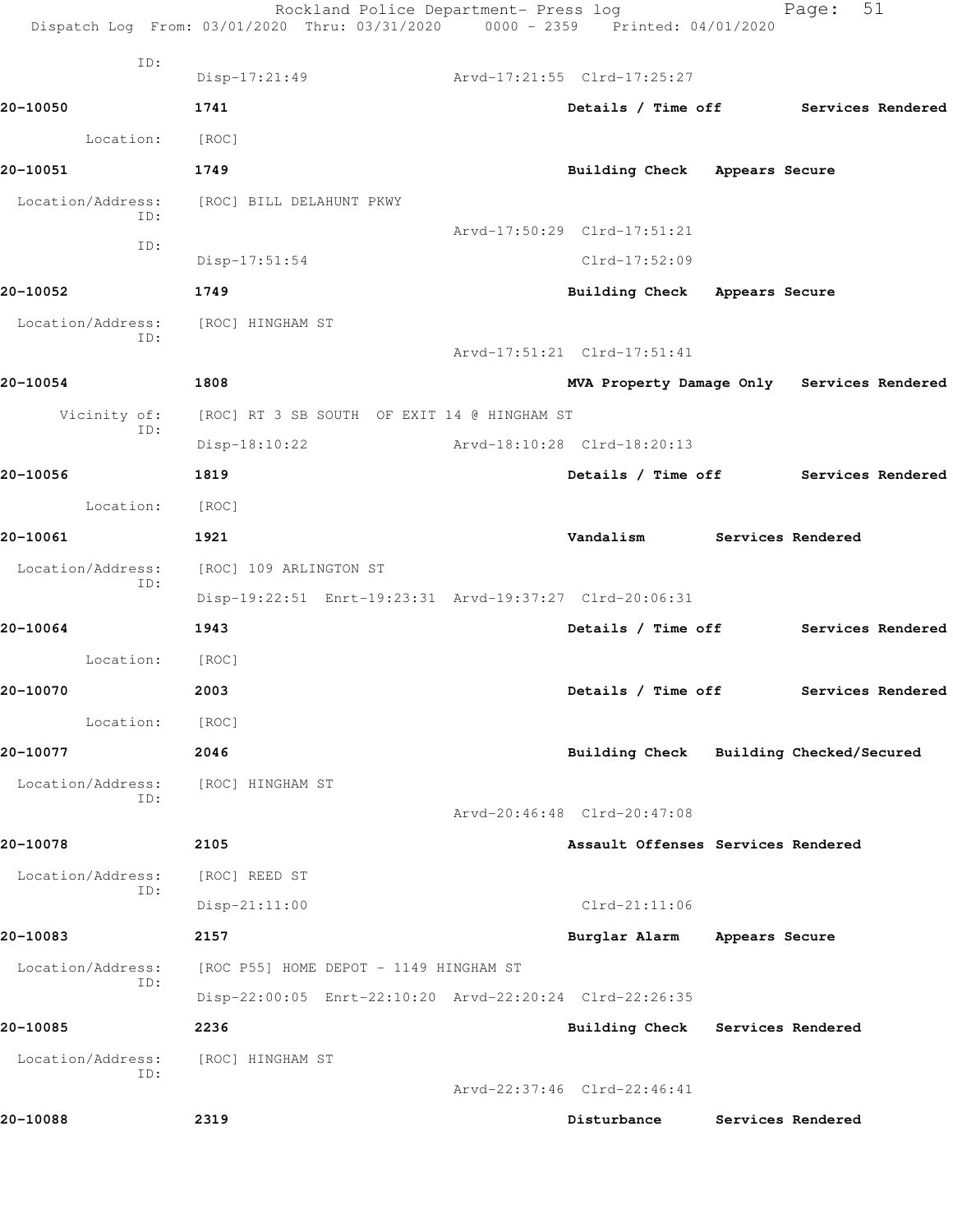|                   | Rockland Police Department- Press log<br>Dispatch Log From: 03/01/2020 Thru: 03/31/2020 0000 - 2359 Printed: 04/01/2020 |                                            |                | Page:                    | 51                |
|-------------------|-------------------------------------------------------------------------------------------------------------------------|--------------------------------------------|----------------|--------------------------|-------------------|
| ID:               | Disp-17:21:49                                                                                                           | Arvd-17:21:55 Clrd-17:25:27                |                |                          |                   |
| 20-10050          | 1741                                                                                                                    | Details / Time off Services Rendered       |                |                          |                   |
| Location:         | [ROC]                                                                                                                   |                                            |                |                          |                   |
| 20-10051          | 1749                                                                                                                    | <b>Building Check</b>                      | Appears Secure |                          |                   |
| Location/Address: | [ROC] BILL DELAHUNT PKWY                                                                                                |                                            |                |                          |                   |
| ID:               |                                                                                                                         | Arvd-17:50:29 Clrd-17:51:21                |                |                          |                   |
| ID:               | $Disp-17:51:54$                                                                                                         | Clrd-17:52:09                              |                |                          |                   |
| 20-10052          | 1749                                                                                                                    | Building Check Appears Secure              |                |                          |                   |
| Location/Address: | [ROC] HINGHAM ST                                                                                                        |                                            |                |                          |                   |
| ID:               |                                                                                                                         | Arvd-17:51:21 Clrd-17:51:41                |                |                          |                   |
| 20-10054          | 1808                                                                                                                    | MVA Property Damage Only Services Rendered |                |                          |                   |
| Vicinity of:      | [ROC] RT 3 SB SOUTH OF EXIT 14 @ HINGHAM ST                                                                             |                                            |                |                          |                   |
| ID:               | Disp-18:10:22                                                                                                           | Arvd-18:10:28 Clrd-18:20:13                |                |                          |                   |
| 20-10056          | 1819                                                                                                                    | Details / Time off                         |                | Services Rendered        |                   |
| Location:         | [ROC]                                                                                                                   |                                            |                |                          |                   |
| 20-10061          | 1921                                                                                                                    | Vandalism                                  |                | Services Rendered        |                   |
| Location/Address: | [ROC] 109 ARLINGTON ST                                                                                                  |                                            |                |                          |                   |
| ID:               | Disp-19:22:51 Enrt-19:23:31 Arvd-19:37:27 Clrd-20:06:31                                                                 |                                            |                |                          |                   |
| 20-10064          | 1943                                                                                                                    | Details / Time off                         |                |                          | Services Rendered |
| Location:         | [ROC]                                                                                                                   |                                            |                |                          |                   |
| 20-10070          | 2003                                                                                                                    | Details / Time off                         |                |                          | Services Rendered |
| Location:         | [ROC]                                                                                                                   |                                            |                |                          |                   |
| 20-10077          | 2046                                                                                                                    | Building Check                             |                | Building Checked/Secured |                   |
| Location/Address: | [ROC] HINGHAM ST                                                                                                        |                                            |                |                          |                   |
| ID:               |                                                                                                                         | Arvd-20:46:48 Clrd-20:47:08                |                |                          |                   |
| 20-10078          | 2105                                                                                                                    | Assault Offenses Services Rendered         |                |                          |                   |
| Location/Address: | [ROC] REED ST                                                                                                           |                                            |                |                          |                   |
| ID:               | $Disp-21:11:00$                                                                                                         | $Clrd-21:11:06$                            |                |                          |                   |
| 20-10083          | 2157                                                                                                                    | Burglar Alarm                              | Appears Secure |                          |                   |
| Location/Address: | [ROC P55] HOME DEPOT - 1149 HINGHAM ST                                                                                  |                                            |                |                          |                   |
| ID:               | Disp-22:00:05 Enrt-22:10:20 Arvd-22:20:24 Clrd-22:26:35                                                                 |                                            |                |                          |                   |
| 20-10085          | 2236                                                                                                                    | Building Check Services Rendered           |                |                          |                   |
| Location/Address: | [ROC] HINGHAM ST                                                                                                        |                                            |                |                          |                   |
| ID:               |                                                                                                                         | Arvd-22:37:46 Clrd-22:46:41                |                |                          |                   |
| 20-10088          | 2319                                                                                                                    | Disturbance                                |                | Services Rendered        |                   |
|                   |                                                                                                                         |                                            |                |                          |                   |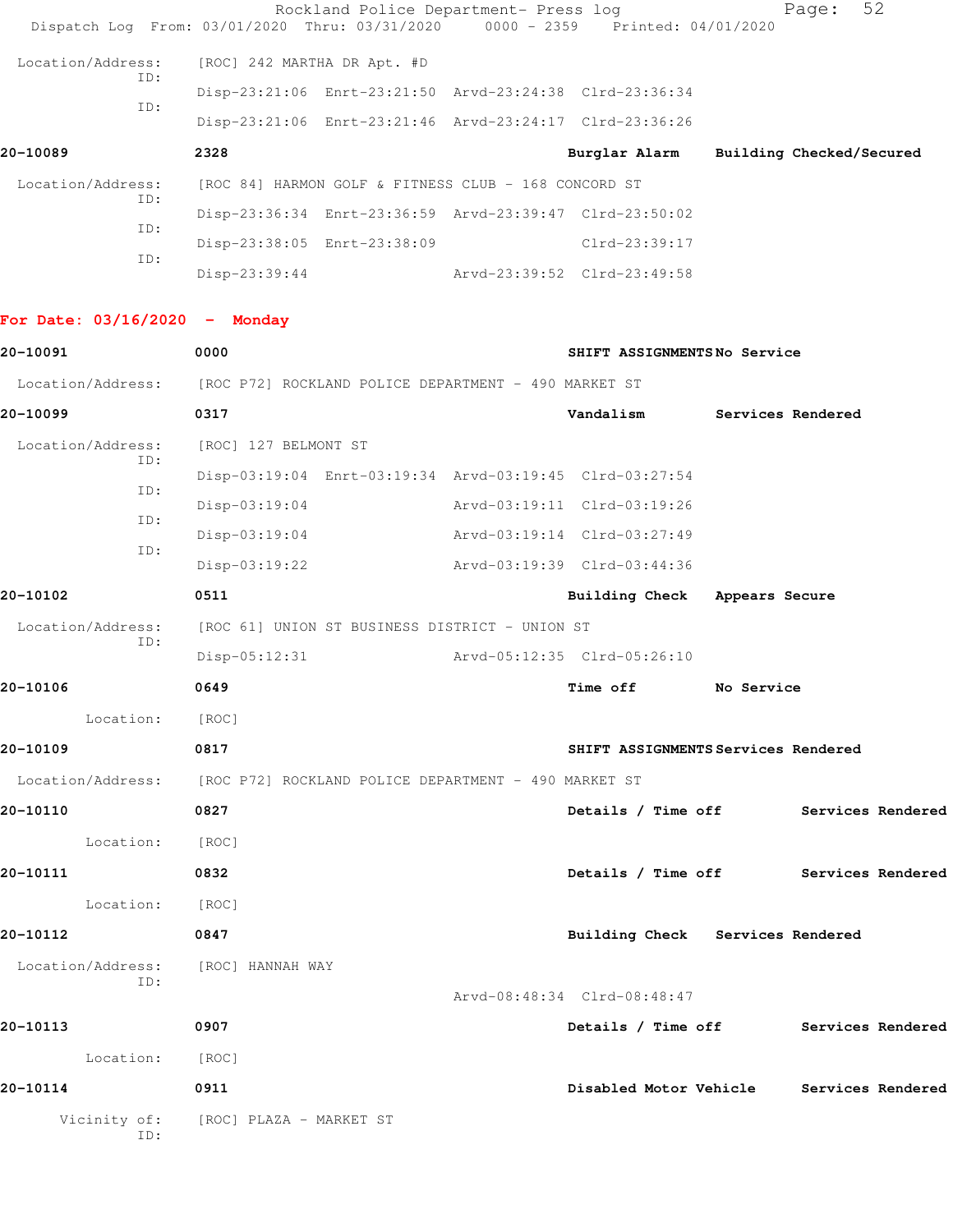|                   |            |                                                         | Rockland Police Department- Press log                   | Dispatch Log From: 03/01/2020 Thru: 03/31/2020 0000 - 2359 Printed: 04/01/2020 |                          | Page: | 52 |
|-------------------|------------|---------------------------------------------------------|---------------------------------------------------------|--------------------------------------------------------------------------------|--------------------------|-------|----|
| Location/Address: | ID:        | [ROC] 242 MARTHA DR Apt. #D                             |                                                         |                                                                                |                          |       |    |
|                   | ID:        |                                                         | Disp-23:21:06 Enrt-23:21:50 Arvd-23:24:38 Clrd-23:36:34 |                                                                                |                          |       |    |
|                   |            | Disp-23:21:06 Enrt-23:21:46 Arvd-23:24:17 Clrd-23:36:26 |                                                         |                                                                                |                          |       |    |
| 20-10089          |            | 2328                                                    |                                                         | Burglar Alarm                                                                  | Building Checked/Secured |       |    |
| Location/Address: | ID:        |                                                         | [ROC 84] HARMON GOLF & FITNESS CLUB - 168 CONCORD ST    |                                                                                |                          |       |    |
|                   |            |                                                         |                                                         |                                                                                |                          |       |    |
|                   |            |                                                         | Disp-23:36:34 Enrt-23:36:59 Arvd-23:39:47 Clrd-23:50:02 |                                                                                |                          |       |    |
|                   | ID:<br>ID: |                                                         | Disp-23:38:05 Enrt-23:38:09                             | $Clrd-23:39:17$                                                                |                          |       |    |

## **For Date: 03/16/2020 - Monday**

| 20-10091                           | 0000                                                                   | SHIFT ASSIGNMENTSNo Service              |  |  |
|------------------------------------|------------------------------------------------------------------------|------------------------------------------|--|--|
|                                    | Location/Address: [ROC P72] ROCKLAND POLICE DEPARTMENT - 490 MARKET ST |                                          |  |  |
| 20-10099                           | 0317                                                                   | Vandalism Services Rendered              |  |  |
| Location/Address:                  | [ROC] 127 BELMONT ST                                                   |                                          |  |  |
| TD:                                | Disp-03:19:04 Enrt-03:19:34 Arvd-03:19:45 Clrd-03:27:54                |                                          |  |  |
| ID:                                | $Disp-03:19:04$                                                        | Arvd-03:19:11 Clrd-03:19:26              |  |  |
| ID:<br>ID:                         | $Disp-03:19:04$                                                        | Arvd-03:19:14 Clrd-03:27:49              |  |  |
|                                    | $Disp-03:19:22$                                                        | Arvd-03:19:39 Clrd-03:44:36              |  |  |
| 20-10102                           | 0511                                                                   | Building Check Appears Secure            |  |  |
|                                    | Location/Address: [ROC 61] UNION ST BUSINESS DISTRICT - UNION ST       |                                          |  |  |
| ID:                                | Disp-05:12:31                                                          | Arvd-05:12:35 Clrd-05:26:10              |  |  |
| 20-10106                           | 0649                                                                   | Time off No Service                      |  |  |
| Location: [ROC]                    |                                                                        |                                          |  |  |
| 20-10109                           | 0817                                                                   | SHIFT ASSIGNMENTS Services Rendered      |  |  |
|                                    | Location/Address: [ROC P72] ROCKLAND POLICE DEPARTMENT - 490 MARKET ST |                                          |  |  |
| 20-10110                           | 0827                                                                   | Details / Time off Services Rendered     |  |  |
| Location: [ROC]                    |                                                                        |                                          |  |  |
| 20-10111                           | 0832                                                                   | Details / Time off Services Rendered     |  |  |
| Location: [ROC]                    |                                                                        |                                          |  |  |
| 20-10112                           | 0847                                                                   | Building Check Services Rendered         |  |  |
| Location/Address: [ROC] HANNAH WAY |                                                                        |                                          |  |  |
| ID:                                |                                                                        | Arvd-08:48:34 Clrd-08:48:47              |  |  |
| 20-10113                           | 0907                                                                   | Details / Time off Services Rendered     |  |  |
| Location: [ROC]                    |                                                                        |                                          |  |  |
| 20-10114                           | 0911                                                                   | Disabled Motor Vehicle Services Rendered |  |  |
|                                    | Vicinity of: [ROC] PLAZA - MARKET ST                                   |                                          |  |  |
| ID:                                |                                                                        |                                          |  |  |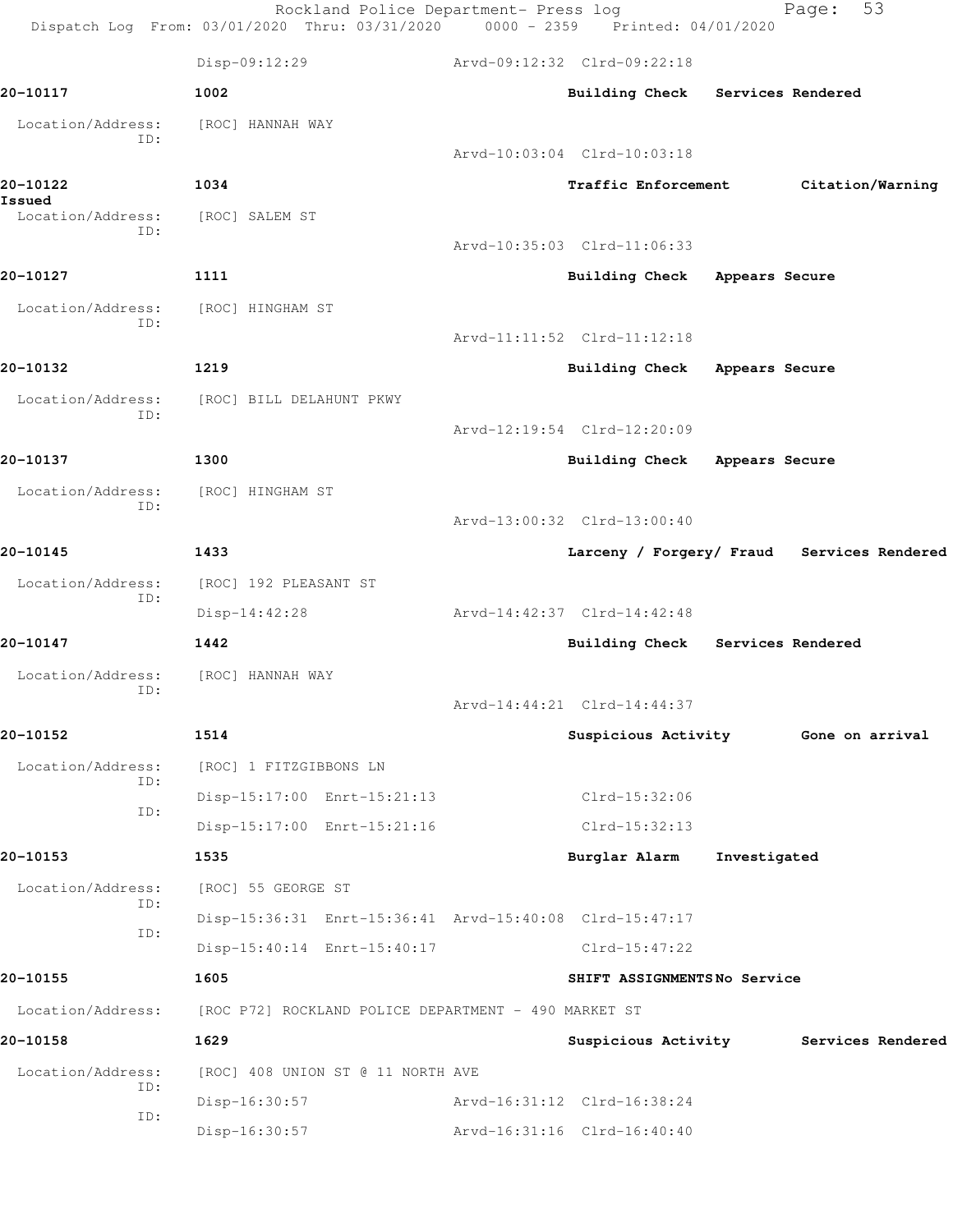Rockland Police Department- Press log Fage: 53 Dispatch Log From: 03/01/2020 Thru: 03/31/2020 0000 - 2359 Printed: 04/01/2020 Disp-09:12:29 Arvd-09:12:32 Clrd-09:22:18 **20-10117 1002 Building Check Services Rendered** Location/Address: [ROC] HANNAH WAY ID: Arvd-10:03:04 Clrd-10:03:18 **20-10122 1034 Traffic Enforcement Citation/Warning Issued**  Location/Address: [ROC] SALEM ST ID: Arvd-10:35:03 Clrd-11:06:33 **20-10127 1111 Building Check Appears Secure** Location/Address: [ROC] HINGHAM ST ID: Arvd-11:11:52 Clrd-11:12:18 **20-10132 1219 Building Check Appears Secure** Location/Address: [ROC] BILL DELAHUNT PKWY ID: Arvd-12:19:54 Clrd-12:20:09 **20-10137 1300 Building Check Appears Secure** Location/Address: [ROC] HINGHAM ST ID: Arvd-13:00:32 Clrd-13:00:40 **20-10145 1433 Larceny / Forgery/ Fraud Services Rendered** Location/Address: [ROC] 192 PLEASANT ST ID: Disp-14:42:28 Arvd-14:42:37 Clrd-14:42:48 **20-10147 1442 Building Check Services Rendered** Location/Address: [ROC] HANNAH WAY ID: Arvd-14:44:21 Clrd-14:44:37 **20-10152 1514 Suspicious Activity Gone on arrival** Location/Address: [ROC] 1 FITZGIBBONS LN ID: Disp-15:17:00 Enrt-15:21:13 Clrd-15:32:06 ID: Disp-15:17:00 Enrt-15:21:16 Clrd-15:32:13 **20-10153 1535 Burglar Alarm Investigated** Location/Address: [ROC] 55 GEORGE ST ID: Disp-15:36:31 Enrt-15:36:41 Arvd-15:40:08 Clrd-15:47:17 ID: Disp-15:40:14 Enrt-15:40:17 Clrd-15:47:22 **20-10155 1605 SHIFT ASSIGNMENTS No Service** Location/Address: [ROC P72] ROCKLAND POLICE DEPARTMENT - 490 MARKET ST **20-10158 1629 Suspicious Activity Services Rendered** Location/Address: [ROC] 408 UNION ST @ 11 NORTH AVE ID: Disp-16:30:57 Arvd-16:31:12 Clrd-16:38:24 ID: Disp-16:30:57 Arvd-16:31:16 Clrd-16:40:40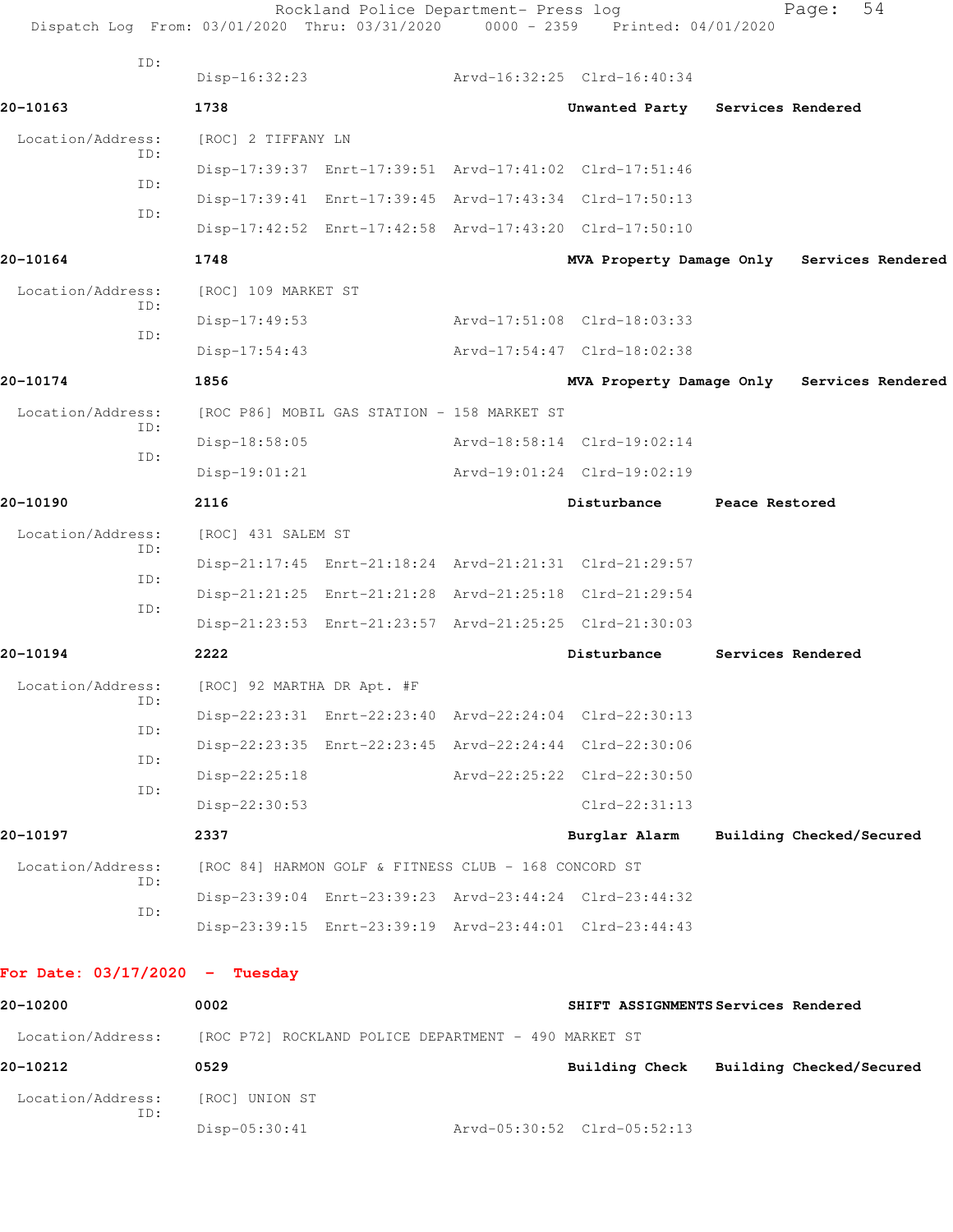| Dispatch Log From: 03/01/2020 Thru: 03/31/2020 |                            | Rockland Police Department- Press log                   | $0000 - 2359$ | Printed: 04/01/2020                                     |                | Page:                                      |
|------------------------------------------------|----------------------------|---------------------------------------------------------|---------------|---------------------------------------------------------|----------------|--------------------------------------------|
| ID:                                            | Disp-16:32:23              |                                                         |               | Arvd-16:32:25 Clrd-16:40:34                             |                |                                            |
| 20-10163                                       | 1738                       |                                                         |               | Unwanted Party Services Rendered                        |                |                                            |
| Location/Address:                              | [ROC] 2 TIFFANY LN         |                                                         |               |                                                         |                |                                            |
| ID:                                            |                            | Disp-17:39:37 Enrt-17:39:51 Arvd-17:41:02 Clrd-17:51:46 |               |                                                         |                |                                            |
| ID:                                            |                            | Disp-17:39:41 Enrt-17:39:45 Arvd-17:43:34 Clrd-17:50:13 |               |                                                         |                |                                            |
| ID:                                            |                            | Disp-17:42:52 Enrt-17:42:58 Arvd-17:43:20 Clrd-17:50:10 |               |                                                         |                |                                            |
| 20-10164                                       | 1748                       |                                                         |               |                                                         |                | MVA Property Damage Only Services Rendered |
| Location/Address:                              | [ROC] 109 MARKET ST        |                                                         |               |                                                         |                |                                            |
| ID:                                            | $Disp-17:49:53$            |                                                         |               | Arvd-17:51:08 Clrd-18:03:33                             |                |                                            |
| ID:                                            | $Disp-17:54:43$            |                                                         |               | Arvd-17:54:47 Clrd-18:02:38                             |                |                                            |
| 20-10174                                       | 1856                       |                                                         |               |                                                         |                | MVA Property Damage Only Services Rendered |
| Location/Address:                              |                            | [ROC P86] MOBIL GAS STATION - 158 MARKET ST             |               |                                                         |                |                                            |
| ID:                                            | Disp-18:58:05              |                                                         |               | Arvd-18:58:14 Clrd-19:02:14                             |                |                                            |
| ID:                                            | $Disp-19:01:21$            |                                                         |               | Arvd-19:01:24 Clrd-19:02:19                             |                |                                            |
| 20-10190                                       | 2116                       |                                                         |               | Disturbance                                             | Peace Restored |                                            |
| Location/Address:                              | [ROC] 431 SALEM ST         |                                                         |               |                                                         |                |                                            |
| ID:                                            |                            | Disp-21:17:45 Enrt-21:18:24 Arvd-21:21:31 Clrd-21:29:57 |               |                                                         |                |                                            |
| ID:                                            |                            | Disp-21:21:25 Enrt-21:21:28 Arvd-21:25:18 Clrd-21:29:54 |               |                                                         |                |                                            |
| ID:                                            |                            | Disp-21:23:53 Enrt-21:23:57 Arvd-21:25:25 Clrd-21:30:03 |               |                                                         |                |                                            |
| 20-10194                                       | 2222                       |                                                         |               | Disturbance                                             |                | Services Rendered                          |
| Location/Address:                              | [ROC] 92 MARTHA DR Apt. #F |                                                         |               |                                                         |                |                                            |
| ID:                                            |                            | Disp-22:23:31 Enrt-22:23:40 Arvd-22:24:04 Clrd-22:30:13 |               |                                                         |                |                                            |
| ID:                                            |                            | Disp-22:23:35 Enrt-22:23:45 Arvd-22:24:44 Clrd-22:30:06 |               |                                                         |                |                                            |
| ID:                                            | $Disp-22:25:18$            |                                                         |               | Arvd-22:25:22 Clrd-22:30:50                             |                |                                            |
| ID:                                            | Disp-22:30:53              |                                                         |               | Clrd-22:31:13                                           |                |                                            |
| 20-10197                                       | 2337                       |                                                         |               | Burglar Alarm                                           |                | Building Checked/Secured                   |
| Location/Address:                              |                            | [ROC 84] HARMON GOLF & FITNESS CLUB - 168 CONCORD ST    |               |                                                         |                |                                            |
| ID:                                            |                            | Disp-23:39:04 Enrt-23:39:23 Arvd-23:44:24 Clrd-23:44:32 |               |                                                         |                |                                            |
| ID:                                            |                            |                                                         |               | Disp-23:39:15 Enrt-23:39:19 Arvd-23:44:01 Clrd-23:44:43 |                |                                            |
| For Date: $03/17/2020 -$ Tuesday               |                            |                                                         |               |                                                         |                |                                            |

| 20-10200                 | 0002                                                 |                             | SHIFT ASSIGNMENTS Services Rendered |                          |
|--------------------------|------------------------------------------------------|-----------------------------|-------------------------------------|--------------------------|
| Location/Address:        | [ROC P72] ROCKLAND POLICE DEPARTMENT - 490 MARKET ST |                             |                                     |                          |
| 20-10212                 | 0529                                                 |                             | Building Check                      | Building Checked/Secured |
| Location/Address:<br>ID: | [ROC] UNION ST                                       |                             |                                     |                          |
|                          | $Disp-05:30:41$                                      | Arvd-05:30:52 Clrd-05:52:13 |                                     |                          |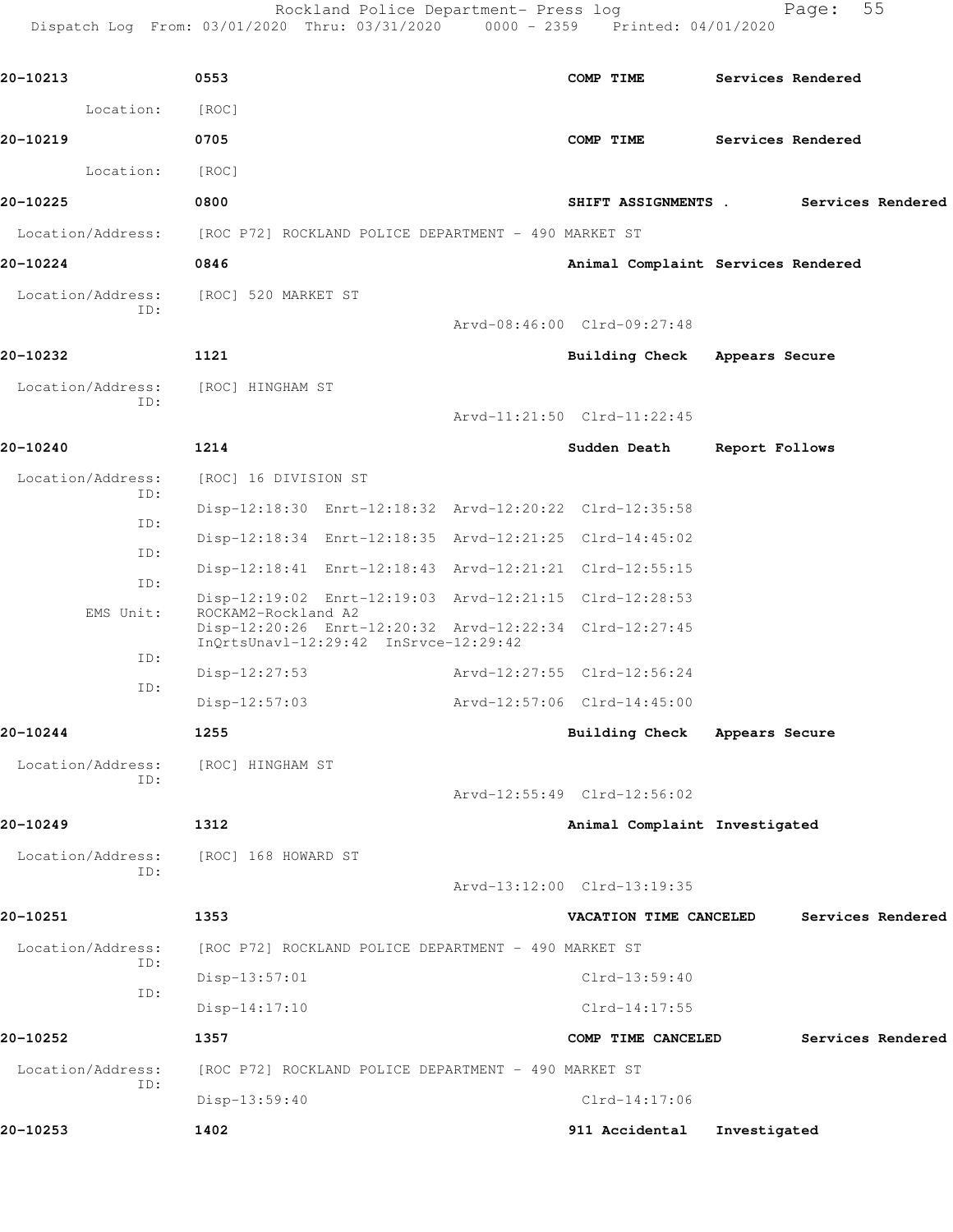Rockland Police Department- Press log entitled and Page: 55 Dispatch Log From: 03/01/2020 Thru: 03/31/2020 0000 - 2359 Printed: 04/01/2020

| Location:                          | [ROC]                                                                                            |                               |                                       |
|------------------------------------|--------------------------------------------------------------------------------------------------|-------------------------------|---------------------------------------|
| 20-10219                           | 0705                                                                                             | COMP TIME                     | Services Rendered                     |
| Location:                          | [ROC]                                                                                            |                               |                                       |
| 20-10225                           | 0800                                                                                             |                               | SHIFT ASSIGNMENTS . Services Rendered |
|                                    | Location/Address: [ROC P72] ROCKLAND POLICE DEPARTMENT - 490 MARKET ST                           |                               |                                       |
| 20-10224                           | 0846                                                                                             |                               | Animal Complaint Services Rendered    |
| Location/Address:                  | [ROC] 520 MARKET ST                                                                              |                               |                                       |
| ID:                                |                                                                                                  | Arvd-08:46:00 Clrd-09:27:48   |                                       |
| 20-10232                           | 1121                                                                                             | Building Check Appears Secure |                                       |
| Location/Address:<br>ID:           | [ROC] HINGHAM ST                                                                                 |                               |                                       |
|                                    |                                                                                                  | Arvd-11:21:50 Clrd-11:22:45   |                                       |
| 20-10240                           | 1214                                                                                             | Sudden Death                  | Report Follows                        |
| Location/Address:<br>ID:           | [ROC] 16 DIVISION ST                                                                             |                               |                                       |
| ID:                                | Disp-12:18:30 Enrt-12:18:32 Arvd-12:20:22 Clrd-12:35:58                                          |                               |                                       |
| ID:                                | Disp-12:18:34 Enrt-12:18:35 Arvd-12:21:25 Clrd-14:45:02                                          |                               |                                       |
| ID:                                | Disp-12:18:41 Enrt-12:18:43 Arvd-12:21:21 Clrd-12:55:15                                          |                               |                                       |
| EMS Unit:                          | Disp-12:19:02 Enrt-12:19:03 Arvd-12:21:15 Clrd-12:28:53<br>ROCKAM2-Rockland A2                   |                               |                                       |
|                                    | Disp-12:20:26 Enrt-12:20:32 Arvd-12:22:34 Clrd-12:27:45<br>InQrtsUnavl-12:29:42 InSrvce-12:29:42 |                               |                                       |
| ID:                                | $Disp-12:27:53$                                                                                  | Arvd-12:27:55 Clrd-12:56:24   |                                       |
| ID:                                | $Disp-12:57:03$                                                                                  | Arvd-12:57:06 Clrd-14:45:00   |                                       |
| 20-10244                           | 1255                                                                                             | <b>Building Check</b>         | Appears Secure                        |
| Location/Address: [ROC] HINGHAM ST |                                                                                                  |                               |                                       |
| ID:                                |                                                                                                  | Arvd-12:55:49 Clrd-12:56:02   |                                       |
| 20-10249                           | 1312                                                                                             | Animal Complaint Investigated |                                       |
| Location/Address:<br>ID:           | [ROC] 168 HOWARD ST                                                                              |                               |                                       |
|                                    |                                                                                                  | Arvd-13:12:00 Clrd-13:19:35   |                                       |
| 20-10251                           | 1353                                                                                             | VACATION TIME CANCELED        | Services Rendered                     |
| Location/Address:<br>ID:           | [ROC P72] ROCKLAND POLICE DEPARTMENT - 490 MARKET ST                                             |                               |                                       |
| ID:                                | Disp-13:57:01                                                                                    | Clrd-13:59:40                 |                                       |
|                                    | Disp-14:17:10                                                                                    | $Clrd-14:17:55$               |                                       |
| 20-10252                           | 1357                                                                                             | COMP TIME CANCELED            | Services Rendered                     |
| Location/Address:<br>ID:           | [ROC P72] ROCKLAND POLICE DEPARTMENT - 490 MARKET ST                                             |                               |                                       |
|                                    | Disp-13:59:40                                                                                    | $Clrd-14:17:06$               |                                       |
| 20-10253                           | 1402                                                                                             | 911 Accidental                | Investigated                          |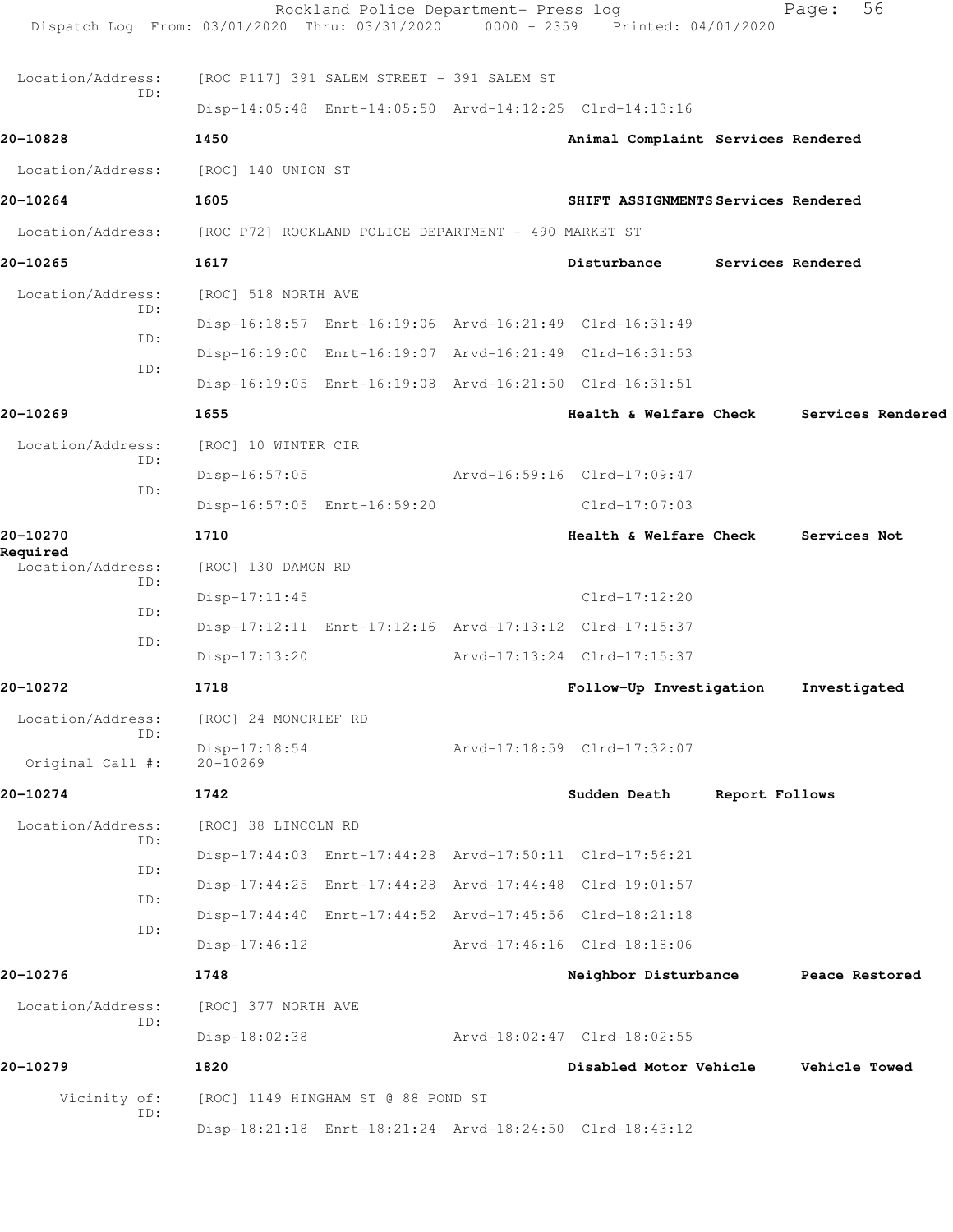| Dispatch Log From: 03/01/2020 Thru: 03/31/2020 0000 - 2359 Printed: 04/01/2020 |                                 | Rockland Police Department- Press log      |                                                         |                | 56<br>Page:          |  |
|--------------------------------------------------------------------------------|---------------------------------|--------------------------------------------|---------------------------------------------------------|----------------|----------------------|--|
| Location/Address:                                                              |                                 | [ROC P117] 391 SALEM STREET - 391 SALEM ST |                                                         |                |                      |  |
| ID:                                                                            |                                 |                                            | Disp-14:05:48 Enrt-14:05:50 Arvd-14:12:25 Clrd-14:13:16 |                |                      |  |
| 20-10828                                                                       | 1450                            |                                            | Animal Complaint Services Rendered                      |                |                      |  |
| Location/Address:                                                              | [ROC] 140 UNION ST              |                                            |                                                         |                |                      |  |
| 20-10264                                                                       | 1605                            |                                            | SHIFT ASSIGNMENTS Services Rendered                     |                |                      |  |
| Location/Address: [ROC P72] ROCKLAND POLICE DEPARTMENT - 490 MARKET ST         |                                 |                                            |                                                         |                |                      |  |
| 20-10265                                                                       | 1617                            |                                            | Disturbance                                             |                | Services Rendered    |  |
| Location/Address:                                                              | [ROC] 518 NORTH AVE             |                                            |                                                         |                |                      |  |
| ID:                                                                            |                                 |                                            | Disp-16:18:57 Enrt-16:19:06 Arvd-16:21:49 Clrd-16:31:49 |                |                      |  |
| TD:                                                                            |                                 |                                            | Disp-16:19:00 Enrt-16:19:07 Arvd-16:21:49 Clrd-16:31:53 |                |                      |  |
| ID:                                                                            |                                 |                                            | Disp-16:19:05 Enrt-16:19:08 Arvd-16:21:50 Clrd-16:31:51 |                |                      |  |
| 20-10269                                                                       | 1655                            |                                            | Health & Welfare Check                                  |                | Services Rendered    |  |
| Location/Address:                                                              | [ROC] 10 WINTER CIR             |                                            |                                                         |                |                      |  |
| ID:                                                                            | $Disp-16:57:05$                 |                                            | Arvd-16:59:16 Clrd-17:09:47                             |                |                      |  |
| ID:                                                                            |                                 | Disp-16:57:05 Enrt-16:59:20                | Clrd-17:07:03                                           |                |                      |  |
| 20-10270                                                                       | 1710                            |                                            | Health & Welfare Check                                  |                | Services Not         |  |
| Required<br>Location/Address:                                                  | [ROC] 130 DAMON RD              |                                            |                                                         |                |                      |  |
| ID:                                                                            | $Disp-17:11:45$                 |                                            | $Clrd-17:12:20$                                         |                |                      |  |
| ID:                                                                            |                                 |                                            | Disp-17:12:11 Enrt-17:12:16 Arvd-17:13:12 Clrd-17:15:37 |                |                      |  |
| ID:                                                                            | Disp-17:13:20                   |                                            | Arvd-17:13:24 Clrd-17:15:37                             |                |                      |  |
| 20-10272                                                                       | 1718                            |                                            | Follow-Up Investigation                                 |                | Investigated         |  |
| Location/Address:                                                              | [ROC] 24 MONCRIEF RD            |                                            |                                                         |                |                      |  |
| ID:<br>Original Call #:                                                        | $Disp-17:18:54$<br>$20 - 10269$ |                                            | Arvd-17:18:59 Clrd-17:32:07                             |                |                      |  |
| 20-10274                                                                       | 1742                            |                                            | Sudden Death                                            | Report Follows |                      |  |
| Location/Address:                                                              | [ROC] 38 LINCOLN RD             |                                            |                                                         |                |                      |  |
| ID:                                                                            |                                 |                                            | Disp-17:44:03 Enrt-17:44:28 Arvd-17:50:11 Clrd-17:56:21 |                |                      |  |
| ID:                                                                            |                                 |                                            | Disp-17:44:25 Enrt-17:44:28 Arvd-17:44:48 Clrd-19:01:57 |                |                      |  |
| ID:                                                                            |                                 |                                            | Disp-17:44:40 Enrt-17:44:52 Arvd-17:45:56 Clrd-18:21:18 |                |                      |  |
| ID:                                                                            | $Disp-17:46:12$                 |                                            | Arvd-17:46:16 Clrd-18:18:06                             |                |                      |  |
| 20-10276                                                                       | 1748                            |                                            | Neighbor Disturbance                                    |                | Peace Restored       |  |
| Location/Address:                                                              | [ROC] 377 NORTH AVE             |                                            |                                                         |                |                      |  |
| ID:                                                                            | Disp-18:02:38                   |                                            | Arvd-18:02:47 Clrd-18:02:55                             |                |                      |  |
| 20-10279                                                                       | 1820                            |                                            | Disabled Motor Vehicle                                  |                | <b>Vehicle Towed</b> |  |
| Vicinity of:                                                                   |                                 | [ROC] 1149 HINGHAM ST @ 88 POND ST         |                                                         |                |                      |  |
| ID:                                                                            |                                 |                                            | Disp-18:21:18 Enrt-18:21:24 Arvd-18:24:50 Clrd-18:43:12 |                |                      |  |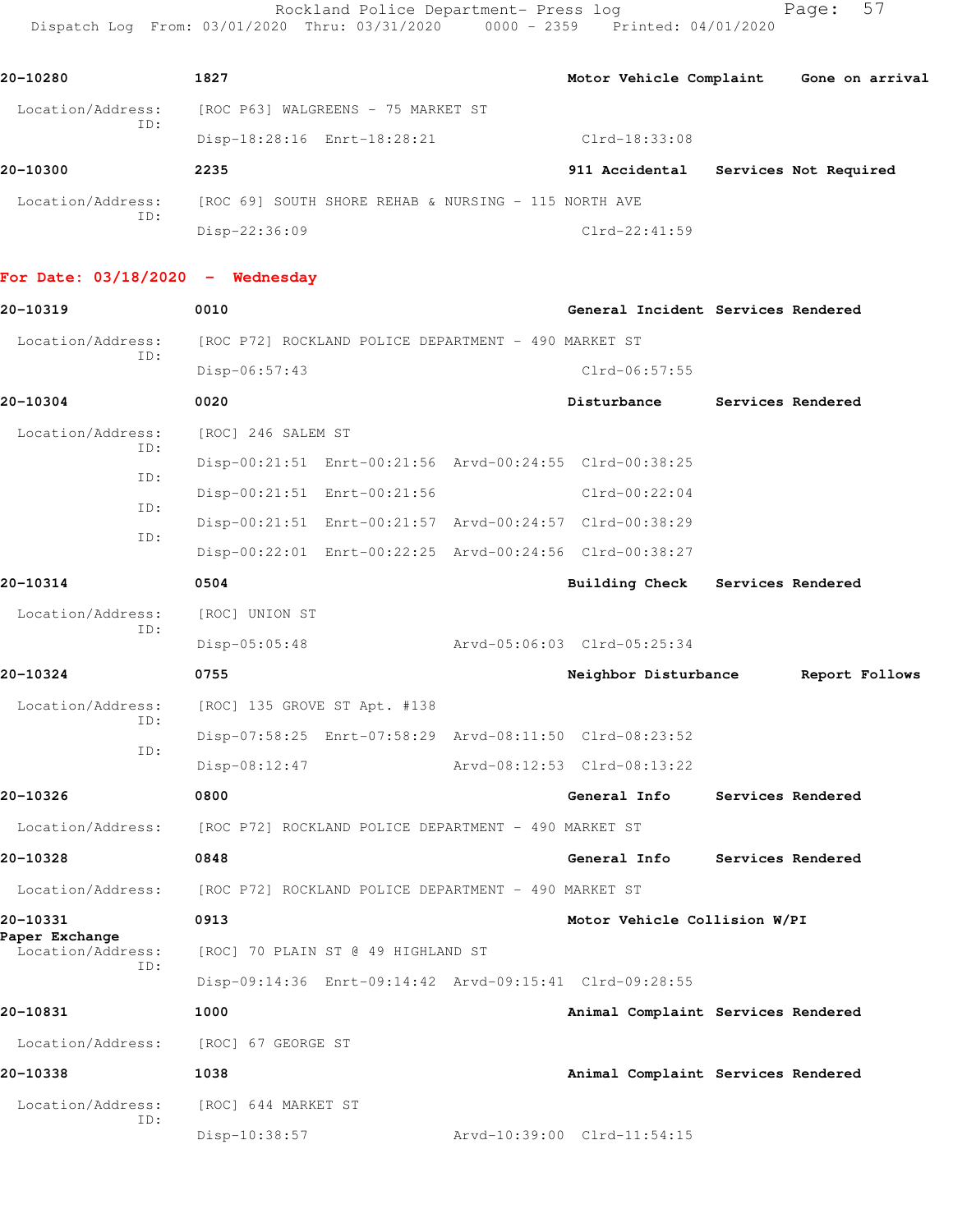Rockland Police Department- Press log Fage: 57 Dispatch Log From: 03/01/2020 Thru: 03/31/2020 0000 - 2359 Printed: 04/01/2020

| 20-10280                            | 1827                                                                   |                                      |                   | Motor Vehicle Complaint Gone on arrival |
|-------------------------------------|------------------------------------------------------------------------|--------------------------------------|-------------------|-----------------------------------------|
|                                     | Location/Address: [ROC P63] WALGREENS - 75 MARKET ST                   |                                      |                   |                                         |
| ID:                                 | Disp-18:28:16 Enrt-18:28:21                                            | Clrd-18:33:08                        |                   |                                         |
| 20-10300                            | 2235                                                                   | 911 Accidental Services Not Required |                   |                                         |
|                                     | Location/Address: [ROC 69] SOUTH SHORE REHAB & NURSING - 115 NORTH AVE |                                      |                   |                                         |
| ID:                                 | Disp-22:36:09                                                          | $Clrd-22:41:59$                      |                   |                                         |
| For Date: $03/18/2020 -$ Wednesday  |                                                                        |                                      |                   |                                         |
| 20-10319                            | 0010                                                                   | General Incident Services Rendered   |                   |                                         |
| Location/Address:                   | [ROC P72] ROCKLAND POLICE DEPARTMENT - 490 MARKET ST                   |                                      |                   |                                         |
| ID:                                 | Disp-06:57:43                                                          | $Clrd-06:57:55$                      |                   |                                         |
| 20-10304                            | 0020                                                                   | Disturbance                          | Services Rendered |                                         |
| Location/Address:                   | [ROC] 246 SALEM ST                                                     |                                      |                   |                                         |
| ID:                                 | Disp-00:21:51 Enrt-00:21:56 Arvd-00:24:55 Clrd-00:38:25                |                                      |                   |                                         |
| ID:                                 | Disp-00:21:51 Enrt-00:21:56                                            | $Clrd-00:22:04$                      |                   |                                         |
| ID:                                 | Disp-00:21:51 Enrt-00:21:57 Arvd-00:24:57 Clrd-00:38:29                |                                      |                   |                                         |
| ID:                                 | Disp-00:22:01 Enrt-00:22:25 Arvd-00:24:56 Clrd-00:38:27                |                                      |                   |                                         |
| 20-10314                            | 0504                                                                   | Building Check Services Rendered     |                   |                                         |
| Location/Address:                   | [ROC] UNION ST                                                         |                                      |                   |                                         |
| ID:                                 | $Disp-05:05:48$                                                        | Arvd-05:06:03 Clrd-05:25:34          |                   |                                         |
| 20-10324                            | 0755                                                                   | Neighbor Disturbance                 |                   | Report Follows                          |
| Location/Address:                   | [ROC] 135 GROVE ST Apt. #138                                           |                                      |                   |                                         |
| ID:                                 | Disp-07:58:25 Enrt-07:58:29 Arvd-08:11:50 Clrd-08:23:52                |                                      |                   |                                         |
| ID:                                 | Disp-08:12:47                                                          | Arvd-08:12:53 Clrd-08:13:22          |                   |                                         |
| 20-10326                            | 0800                                                                   | General Info                         |                   | Services Rendered                       |
| Location/Address:                   | [ROC P72] ROCKLAND POLICE DEPARTMENT - 490 MARKET ST                   |                                      |                   |                                         |
| 20-10328                            | 0848                                                                   | General Info                         |                   | Services Rendered                       |
| Location/Address:                   | [ROC P72] ROCKLAND POLICE DEPARTMENT - 490 MARKET ST                   |                                      |                   |                                         |
| 20-10331                            | 0913                                                                   | Motor Vehicle Collision W/PI         |                   |                                         |
| Paper Exchange<br>Location/Address: | [ROC] 70 PLAIN ST @ 49 HIGHLAND ST                                     |                                      |                   |                                         |
| ID:                                 | Disp-09:14:36 Enrt-09:14:42 Arvd-09:15:41 Clrd-09:28:55                |                                      |                   |                                         |
| 20-10831                            | 1000                                                                   | Animal Complaint Services Rendered   |                   |                                         |
| Location/Address:                   | [ROC] 67 GEORGE ST                                                     |                                      |                   |                                         |
| 20-10338                            | 1038                                                                   | Animal Complaint Services Rendered   |                   |                                         |
| Location/Address:                   | [ROC] 644 MARKET ST                                                    |                                      |                   |                                         |
| ID:                                 | Disp-10:38:57                                                          | Arvd-10:39:00 Clrd-11:54:15          |                   |                                         |
|                                     |                                                                        |                                      |                   |                                         |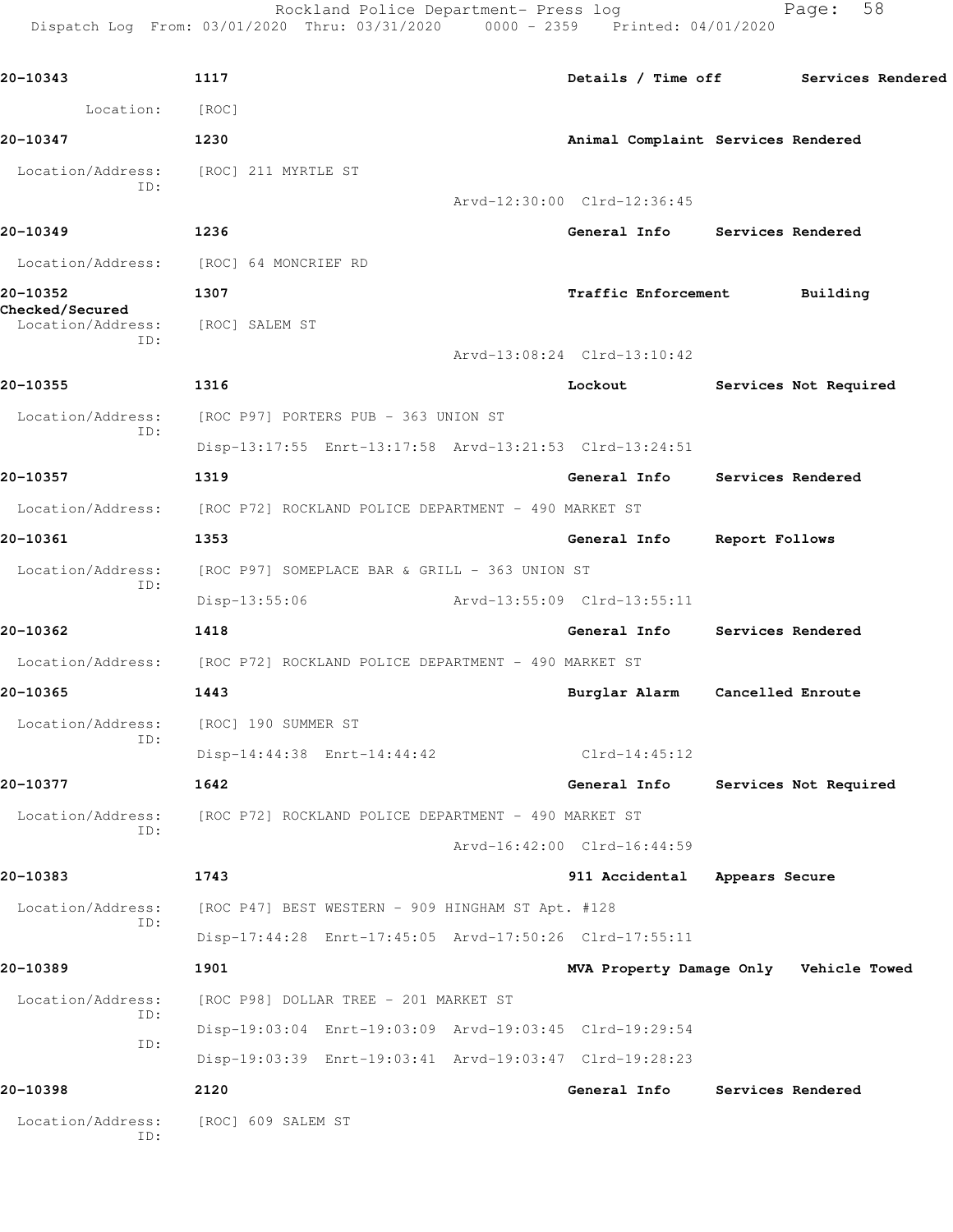Rockland Police Department- Press log Fage: 58 Dispatch Log From: 03/01/2020 Thru: 03/31/2020 0000 - 2359 Printed: 04/01/2020 **20-10343 1117 Details / Time off Services Rendered** Location: [ROC] **20-10347 1230 Animal Complaint Services Rendered** Location/Address: [ROC] 211 MYRTLE ST ID: Arvd-12:30:00 Clrd-12:36:45 **20-10349 1236 General Info Services Rendered** Location/Address: [ROC] 64 MONCRIEF RD **20-10352 1307 Traffic Enforcement Building Checked/Secured**  Location/Address: [ROC] SALEM ST ID: Arvd-13:08:24 Clrd-13:10:42 **20-10355 1316 Lockout Services Not Required** Location/Address: [ROC P97] PORTERS PUB - 363 UNION ST ID: Disp-13:17:55 Enrt-13:17:58 Arvd-13:21:53 Clrd-13:24:51 **20-10357 1319 General Info Services Rendered** Location/Address: [ROC P72] ROCKLAND POLICE DEPARTMENT - 490 MARKET ST **20-10361 1353 General Info Report Follows** Location/Address: [ROC P97] SOMEPLACE BAR & GRILL - 363 UNION ST ID: Disp-13:55:06 Arvd-13:55:09 Clrd-13:55:11 **20-10362 1418 General Info Services Rendered** Location/Address: [ROC P72] ROCKLAND POLICE DEPARTMENT - 490 MARKET ST **20-10365 1443 Burglar Alarm Cancelled Enroute** Location/Address: [ROC] 190 SUMMER ST ID: Disp-14:44:38 Enrt-14:44:42 Clrd-14:45:12

**20-10377 1642 General Info Services Not Required** Location/Address: [ROC P72] ROCKLAND POLICE DEPARTMENT - 490 MARKET ST ID: Arvd-16:42:00 Clrd-16:44:59

**20-10383 1743 911 Accidental Appears Secure** Location/Address: [ROC P47] BEST WESTERN - 909 HINGHAM ST Apt. #128 ID: Disp-17:44:28 Enrt-17:45:05 Arvd-17:50:26 Clrd-17:55:11 **20-10389 1901 MVA Property Damage Only Vehicle Towed**

Location/Address: [ROC P98] DOLLAR TREE - 201 MARKET ST ID: Disp-19:03:04 Enrt-19:03:09 Arvd-19:03:45 Clrd-19:29:54 ID: Disp-19:03:39 Enrt-19:03:41 Arvd-19:03:47 Clrd-19:28:23 **20-10398 2120 General Info Services Rendered**

 Location/Address: [ROC] 609 SALEM ST ID: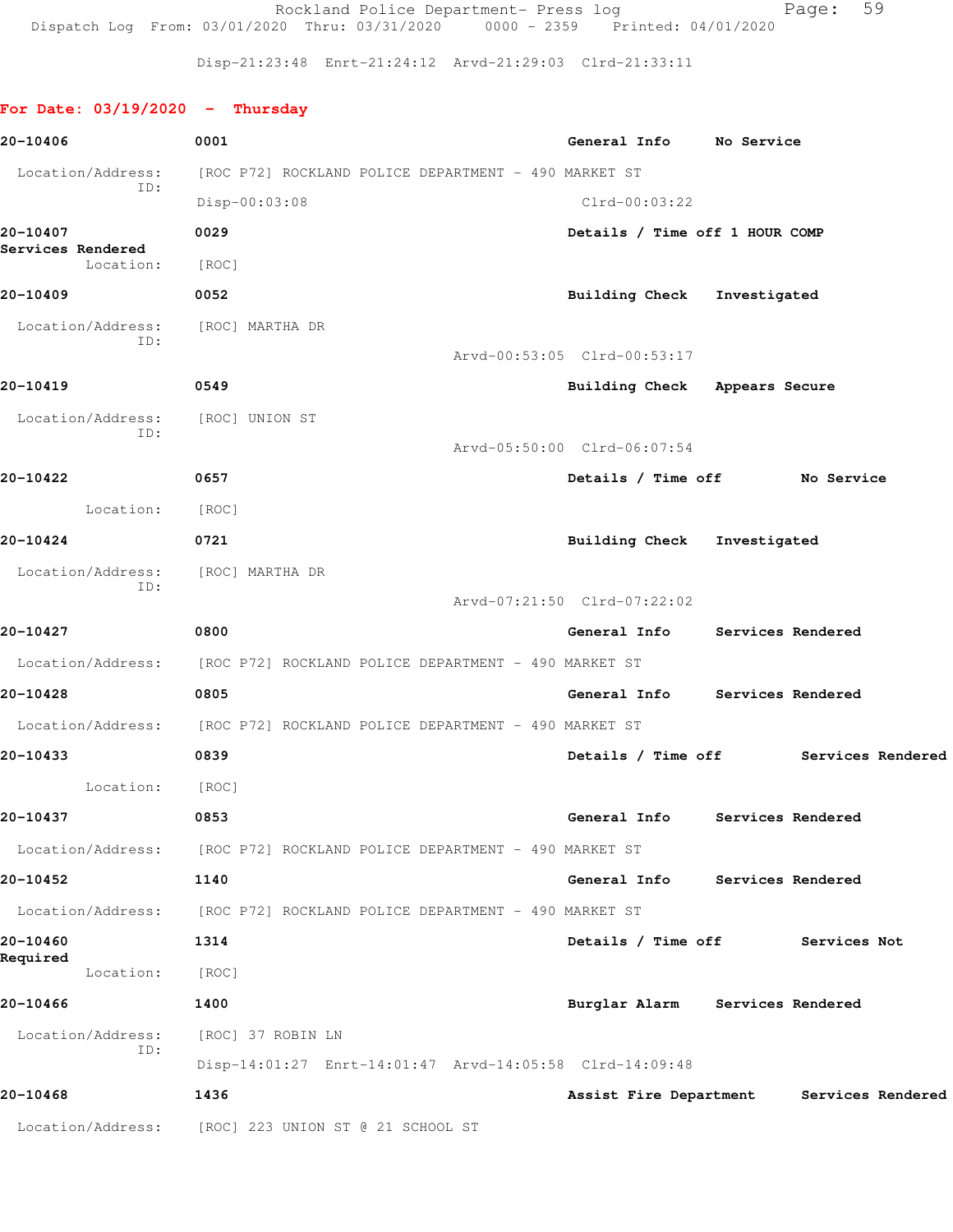Rockland Police Department- Press log entitled Page: 59 Dispatch Log From: 03/01/2020 Thru: 03/31/2020 0000 - 2359 Printed: 04/01/2020

Disp-21:23:48 Enrt-21:24:12 Arvd-21:29:03 Clrd-21:33:11

## **For Date: 03/19/2020 - Thursday**

| 20-10406                          | 0001                                                                   | General Info No Service              |                   |                   |  |
|-----------------------------------|------------------------------------------------------------------------|--------------------------------------|-------------------|-------------------|--|
| Location/Address:                 | [ROC P72] ROCKLAND POLICE DEPARTMENT - 490 MARKET ST                   |                                      |                   |                   |  |
| ID:                               | Disp-00:03:08                                                          | $Clrd-00:03:22$                      |                   |                   |  |
| 20-10407                          | 0029                                                                   | Details / Time off 1 HOUR COMP       |                   |                   |  |
| Services Rendered<br>Location:    | [ROC]                                                                  |                                      |                   |                   |  |
| 20-10409                          | 0052                                                                   | Building Check Investigated          |                   |                   |  |
| Location/Address:                 | [ROC] MARTHA DR                                                        |                                      |                   |                   |  |
| ID:                               |                                                                        | Arvd-00:53:05 Clrd-00:53:17          |                   |                   |  |
| 20-10419                          | 0549                                                                   | Building Check Appears Secure        |                   |                   |  |
| Location/Address:                 | [ROC] UNION ST                                                         |                                      |                   |                   |  |
| ID:                               |                                                                        | Arvd-05:50:00 Clrd-06:07:54          |                   |                   |  |
| 20-10422                          | 0657                                                                   | Details / Time off No Service        |                   |                   |  |
| Location:                         | [ROC]                                                                  |                                      |                   |                   |  |
| 20-10424                          | 0721                                                                   | Building Check Investigated          |                   |                   |  |
| Location/Address: [ROC] MARTHA DR |                                                                        |                                      |                   |                   |  |
| ID:                               |                                                                        | Arvd-07:21:50 Clrd-07:22:02          |                   |                   |  |
| 20-10427                          | 0800                                                                   | General Info Services Rendered       |                   |                   |  |
|                                   | Location/Address: [ROC P72] ROCKLAND POLICE DEPARTMENT - 490 MARKET ST |                                      |                   |                   |  |
| 20-10428                          | 0805                                                                   | General Info Services Rendered       |                   |                   |  |
|                                   | Location/Address: [ROC P72] ROCKLAND POLICE DEPARTMENT - 490 MARKET ST |                                      |                   |                   |  |
| 20-10433                          | 0839                                                                   | Details / Time off Services Rendered |                   |                   |  |
| Location:                         | [ROC]                                                                  |                                      |                   |                   |  |
| 20-10437                          | 0853                                                                   | General Info                         |                   | Services Rendered |  |
|                                   | Location/Address: [ROC P72] ROCKLAND POLICE DEPARTMENT - 490 MARKET ST |                                      |                   |                   |  |
| 20-10452                          | 1140                                                                   | General Info                         |                   | Services Rendered |  |
| Location/Address:                 | [ROC P72] ROCKLAND POLICE DEPARTMENT - 490 MARKET ST                   |                                      |                   |                   |  |
| 20-10460                          | 1314                                                                   | Details / Time off                   |                   | Services Not      |  |
| Required<br>Location:             | [ROC]                                                                  |                                      |                   |                   |  |
| 20-10466                          | 1400                                                                   | Burglar Alarm                        | Services Rendered |                   |  |
| Location/Address:                 | [ROC] 37 ROBIN LN                                                      |                                      |                   |                   |  |
| ID:                               | Disp-14:01:27 Enrt-14:01:47 Arvd-14:05:58 Clrd-14:09:48                |                                      |                   |                   |  |
| 20-10468                          | 1436                                                                   | Assist Fire Department               |                   | Services Rendered |  |
| Location/Address:                 | [ROC] 223 UNION ST @ 21 SCHOOL ST                                      |                                      |                   |                   |  |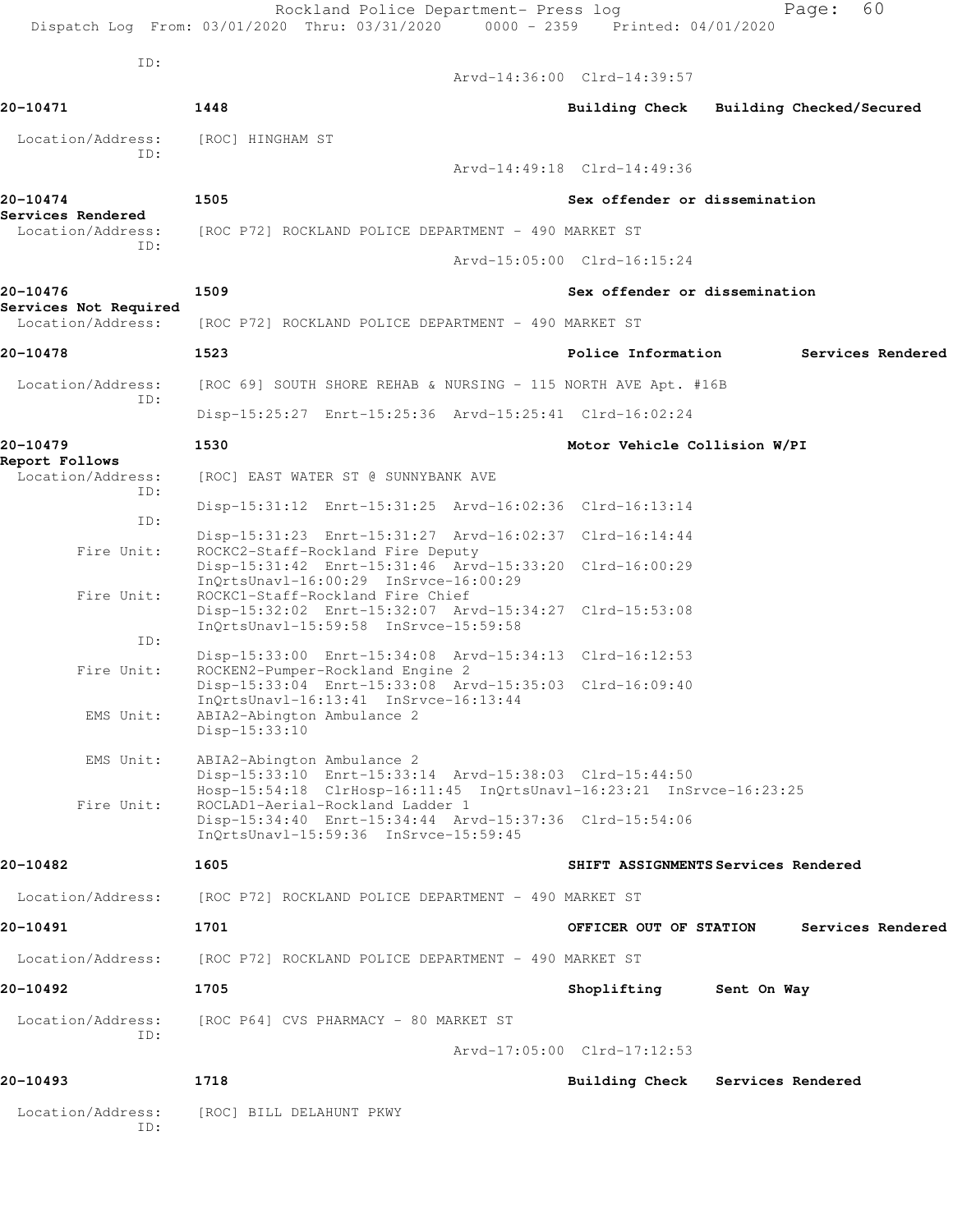|                                               | Rockland Police Department- Press log<br>Dispatch Log From: 03/01/2020 Thru: 03/31/2020 0000 - 2359 Printed: 04/01/2020                                       | 60<br>Page:                                 |
|-----------------------------------------------|---------------------------------------------------------------------------------------------------------------------------------------------------------------|---------------------------------------------|
| ID:                                           |                                                                                                                                                               | Arvd-14:36:00 Clrd-14:39:57                 |
| 20-10471                                      | 1448                                                                                                                                                          | Building Check<br>Building Checked/Secured  |
| Location/Address:                             | [ROC] HINGHAM ST                                                                                                                                              |                                             |
| ID:                                           |                                                                                                                                                               | Arvd-14:49:18 Clrd-14:49:36                 |
| 20-10474                                      | 1505                                                                                                                                                          | Sex offender or dissemination               |
| Services Rendered<br>Location/Address:<br>ID: | [ROC P72] ROCKLAND POLICE DEPARTMENT - 490 MARKET ST                                                                                                          |                                             |
|                                               |                                                                                                                                                               | Arvd-15:05:00 Clrd-16:15:24                 |
| 20-10476<br>Services Not Required             | 1509                                                                                                                                                          | Sex offender or dissemination               |
| Location/Address:                             | [ROC P72] ROCKLAND POLICE DEPARTMENT - 490 MARKET ST                                                                                                          |                                             |
| 20-10478                                      | 1523                                                                                                                                                          | Police Information<br>Services Rendered     |
| Location/Address:<br>ID:                      | [ROC 69] SOUTH SHORE REHAB & NURSING - 115 NORTH AVE Apt. #16B                                                                                                |                                             |
|                                               | Disp-15:25:27 Enrt-15:25:36 Arvd-15:25:41 Clrd-16:02:24                                                                                                       |                                             |
| 20-10479                                      | 1530                                                                                                                                                          | Motor Vehicle Collision W/PI                |
| Report Follows<br>Location/Address:<br>ID:    | [ROC] EAST WATER ST @ SUNNYBANK AVE                                                                                                                           |                                             |
| ID:                                           | Disp-15:31:12 Enrt-15:31:25 Arvd-16:02:36 Clrd-16:13:14                                                                                                       |                                             |
| Fire Unit:                                    | Disp-15:31:23 Enrt-15:31:27 Arvd-16:02:37 Clrd-16:14:44<br>ROCKC2-Staff-Rockland Fire Deputy                                                                  |                                             |
|                                               | Disp-15:31:42 Enrt-15:31:46 Arvd-15:33:20 Clrd-16:00:29<br>InOrtsUnavl-16:00:29 InSrvce-16:00:29                                                              |                                             |
| Fire Unit:                                    | ROCKC1-Staff-Rockland Fire Chief<br>Disp-15:32:02 Enrt-15:32:07 Arvd-15:34:27 Clrd-15:53:08<br>InOrtsUnavl-15:59:58 InSrvce-15:59:58                          |                                             |
| ID:                                           | Disp-15:33:00 Enrt-15:34:08 Arvd-15:34:13 Clrd-16:12:53                                                                                                       |                                             |
| Fire Unit:                                    | ROCKEN2-Pumper-Rockland Engine 2<br>Disp-15:33:04 Enrt-15:33:08 Arvd-15:35:03 Clrd-16:09:40<br>InOrtsUnavl-16:13:41 InSrvce-16:13:44                          |                                             |
| EMS Unit:                                     | ABIA2-Abington Ambulance 2<br>Disp-15:33:10                                                                                                                   |                                             |
| EMS Unit:                                     | ABIA2-Abington Ambulance 2<br>Disp-15:33:10 Enrt-15:33:14 Arvd-15:38:03 Clrd-15:44:50<br>Hosp-15:54:18 ClrHosp-16:11:45 InQrtsUnavl-16:23:21 InSrvce-16:23:25 |                                             |
| Fire Unit:                                    | ROCLAD1-Aerial-Rockland Ladder 1<br>Disp-15:34:40 Enrt-15:34:44 Arvd-15:37:36 Clrd-15:54:06<br>InQrtsUnavl-15:59:36 InSrvce-15:59:45                          |                                             |
| 20-10482                                      | 1605                                                                                                                                                          | SHIFT ASSIGNMENTS Services Rendered         |
| Location/Address:                             | [ROC P72] ROCKLAND POLICE DEPARTMENT - 490 MARKET ST                                                                                                          |                                             |
| 20-10491                                      | 1701                                                                                                                                                          | Services Rendered<br>OFFICER OUT OF STATION |
| Location/Address:                             | [ROC P72] ROCKLAND POLICE DEPARTMENT - 490 MARKET ST                                                                                                          |                                             |
| 20-10492                                      | 1705                                                                                                                                                          | Shoplifting<br>Sent On Way                  |
| Location/Address:                             | [ROC P64] CVS PHARMACY - 80 MARKET ST                                                                                                                         |                                             |
| ID:                                           |                                                                                                                                                               | Arvd-17:05:00 Clrd-17:12:53                 |
| 20-10493                                      | 1718                                                                                                                                                          | Building Check<br>Services Rendered         |
| Location/Address:<br>ID:                      | [ROC] BILL DELAHUNT PKWY                                                                                                                                      |                                             |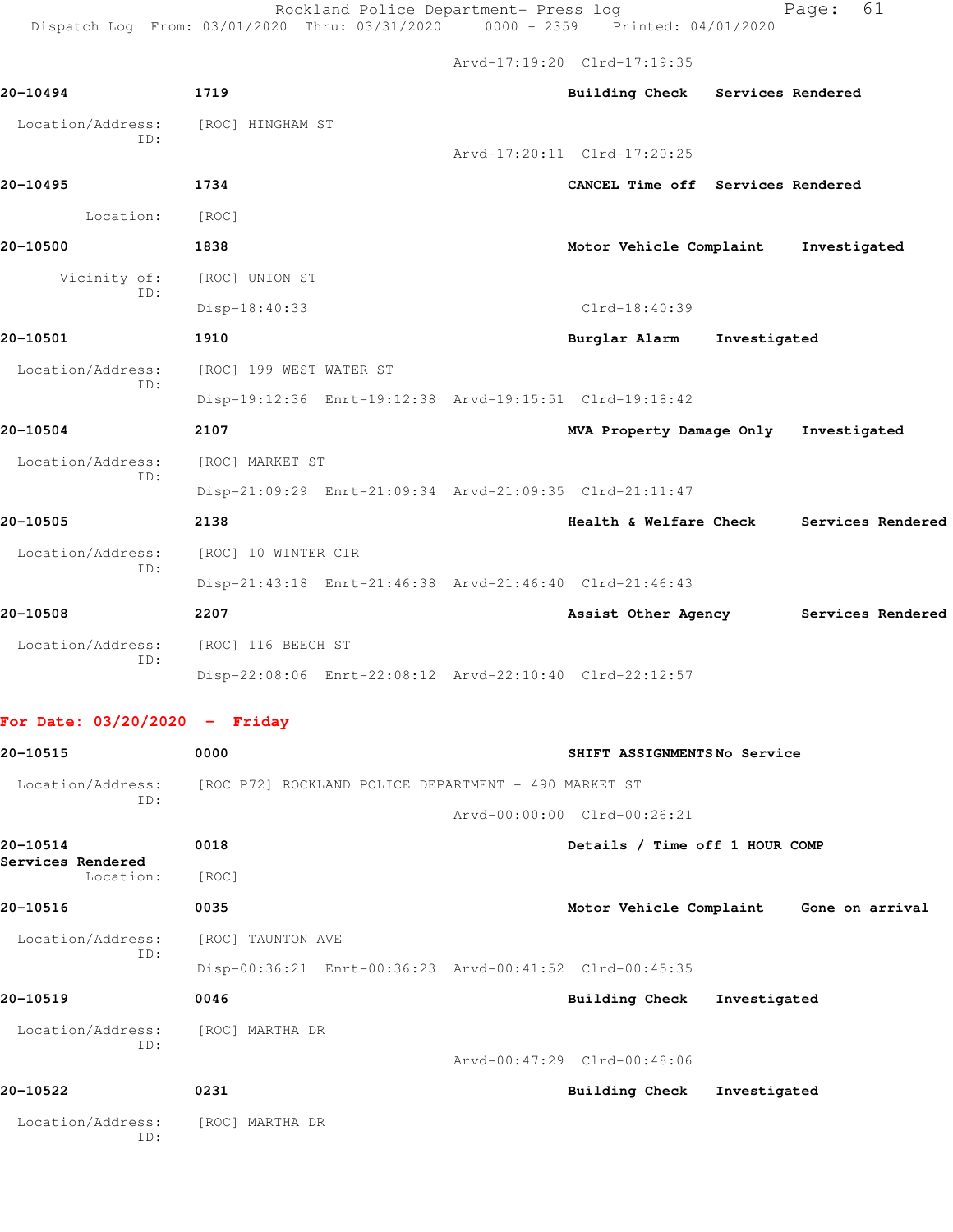Rockland Police Department- Press log entitled Page: 61

Dispatch Log From: 03/01/2020 Thru: 03/31/2020 0000 - 2359 Printed: 04/01/2020

Arvd-17:19:20 Clrd-17:19:35

| 20-10494                 | 1719                                                    | Building Check Services Rendered  |                                          |
|--------------------------|---------------------------------------------------------|-----------------------------------|------------------------------------------|
| Location/Address:<br>TD: | [ROC] HINGHAM ST                                        |                                   |                                          |
|                          |                                                         | Arvd-17:20:11 Clrd-17:20:25       |                                          |
| 20-10495                 | 1734                                                    | CANCEL Time off Services Rendered |                                          |
| Location:                | [ROC]                                                   |                                   |                                          |
| 20-10500                 | 1838                                                    | Motor Vehicle Complaint           | Investigated                             |
| ID:                      | Vicinity of: [ROC] UNION ST                             |                                   |                                          |
|                          | Disp-18:40:33                                           | $Clrd-18:40:39$                   |                                          |
| 20-10501                 | 1910                                                    | Burglar Alarm Investigated        |                                          |
| Location/Address:        | [ROC] 199 WEST WATER ST                                 |                                   |                                          |
| ID:                      | Disp-19:12:36 Enrt-19:12:38 Arvd-19:15:51 Clrd-19:18:42 |                                   |                                          |
| 20-10504                 | 2107                                                    | MVA Property Damage Only          | Investigated                             |
| Location/Address:        | [ROC] MARKET ST                                         |                                   |                                          |
| ID:                      | Disp-21:09:29 Enrt-21:09:34 Arvd-21:09:35 Clrd-21:11:47 |                                   |                                          |
| 20-10505                 | 2138                                                    |                                   | Health & Welfare Check Services Rendered |
| Location/Address:        | [ROC] 10 WINTER CIR                                     |                                   |                                          |
| ID:                      | Disp-21:43:18 Enrt-21:46:38 Arvd-21:46:40 Clrd-21:46:43 |                                   |                                          |
| 20-10508                 | 2207                                                    |                                   | Assist Other Agency Services Rendered    |
| Location/Address:        | [ROC] 116 BEECH ST                                      |                                   |                                          |
| ID:                      | Disp-22:08:06 Enrt-22:08:12 Arvd-22:10:40 Clrd-22:12:57 |                                   |                                          |
|                          |                                                         |                                   |                                          |

## **For Date: 03/20/2020 - Friday**

| 20-10515                      | 0000                                                 | SHIFT ASSIGNMENTSNo Service                             |
|-------------------------------|------------------------------------------------------|---------------------------------------------------------|
| Location/Address:             | [ROC P72] ROCKLAND POLICE DEPARTMENT - 490 MARKET ST |                                                         |
| ID:                           |                                                      | Arvd-00:00:00 Clrd-00:26:21                             |
| 20-10514<br>Services Rendered | 0018                                                 | Details / Time off 1 HOUR COMP                          |
| Location:                     | [ROC]                                                |                                                         |
| 20-10516                      | 0035                                                 | Motor Vehicle Complaint<br>Gone on arrival              |
| Location/Address:             | [ROC] TAUNTON AVE                                    |                                                         |
| ID:                           |                                                      | Disp-00:36:21 Enrt-00:36:23 Arvd-00:41:52 Clrd-00:45:35 |
| 20-10519                      | 0046                                                 | <b>Building Check</b><br>Investigated                   |
| Location/Address:             | [ROC] MARTHA DR                                      |                                                         |
| TD:                           |                                                      | Arvd-00:47:29 Clrd-00:48:06                             |
| 20-10522                      | 0231                                                 | <b>Building Check</b><br>Investigated                   |
| Location/Address:<br>ID:      | [ROC] MARTHA DR                                      |                                                         |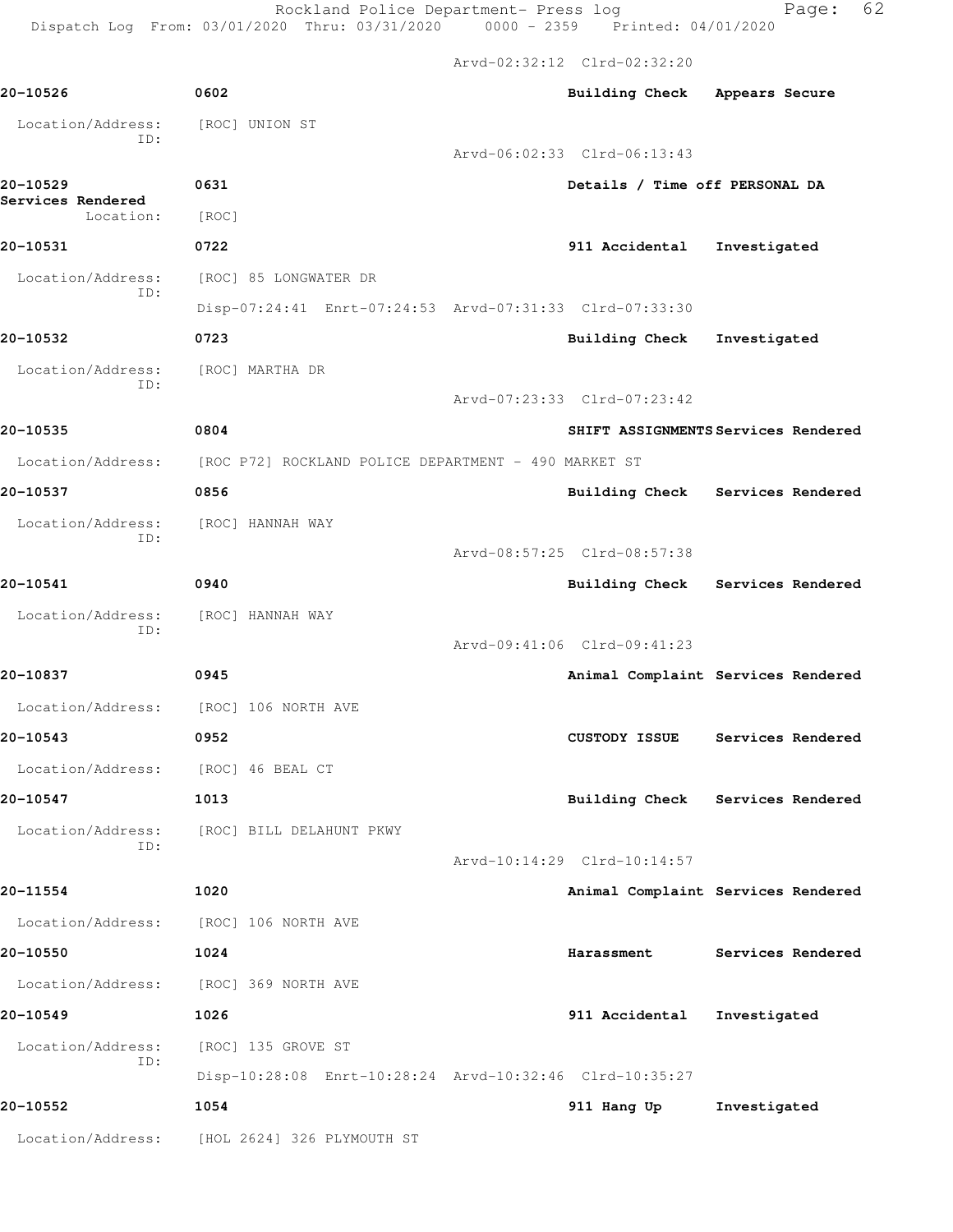Rockland Police Department- Press log Fage: 62

Dispatch Log From: 03/01/2020 Thru: 03/31/2020 0000 - 2359 Printed: 04/01/2020

 Arvd-02:32:12 Clrd-02:32:20 **20-10526 0602 Building Check Appears Secure** Location/Address: [ROC] UNION ST ID: Arvd-06:02:33 Clrd-06:13:43 **20-10529 0631 Details / Time off PERSONAL DA Services Rendered**  Location: [ROC] **20-10531 0722 911 Accidental Investigated** Location/Address: [ROC] 85 LONGWATER DR ID: Disp-07:24:41 Enrt-07:24:53 Arvd-07:31:33 Clrd-07:33:30 **20-10532 0723 Building Check Investigated** Location/Address: [ROC] MARTHA DR ID: Arvd-07:23:33 Clrd-07:23:42 **20-10535 0804 SHIFT ASSIGNMENTS Services Rendered** Location/Address: [ROC P72] ROCKLAND POLICE DEPARTMENT - 490 MARKET ST **20-10537 0856 Building Check Services Rendered** Location/Address: [ROC] HANNAH WAY ID: Arvd-08:57:25 Clrd-08:57:38 **20-10541 0940 Building Check Services Rendered** Location/Address: [ROC] HANNAH WAY ID: Arvd-09:41:06 Clrd-09:41:23 **20-10837 0945 Animal Complaint Services Rendered** Location/Address: [ROC] 106 NORTH AVE **20-10543 0952 CUSTODY ISSUE Services Rendered** Location/Address: [ROC] 46 BEAL CT **20-10547 1013 Building Check Services Rendered** Location/Address: [ROC] BILL DELAHUNT PKWY ID: Arvd-10:14:29 Clrd-10:14:57 **20-11554 1020 Animal Complaint Services Rendered** Location/Address: [ROC] 106 NORTH AVE **20-10550 1024 Harassment Services Rendered** Location/Address: [ROC] 369 NORTH AVE **20-10549 1026 911 Accidental Investigated** Location/Address: [ROC] 135 GROVE ST ID: Disp-10:28:08 Enrt-10:28:24 Arvd-10:32:46 Clrd-10:35:27 **20-10552 1054 911 Hang Up Investigated** Location/Address: [HOL 2624] 326 PLYMOUTH ST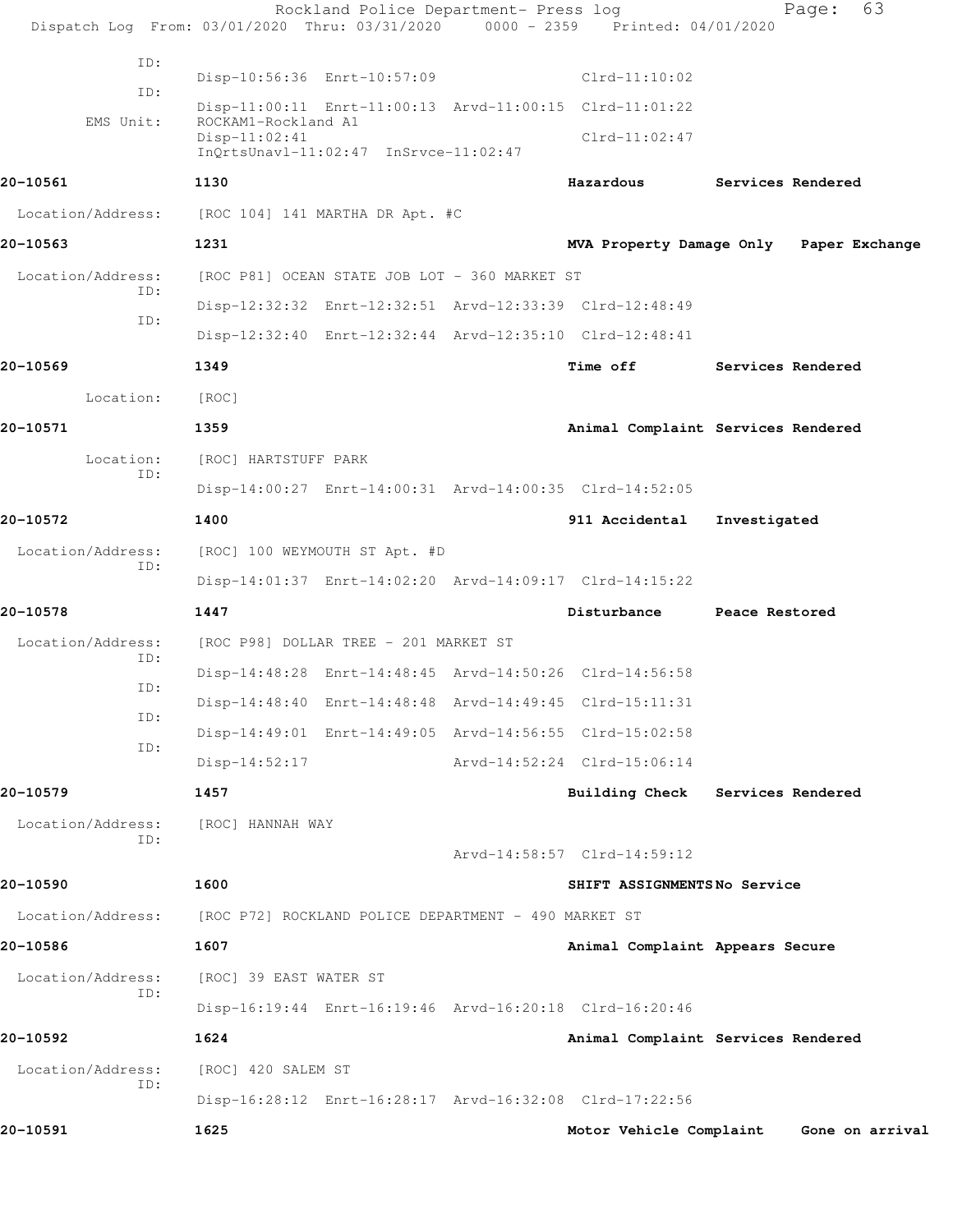| Dispatch Log From: 03/01/2020 Thru: 03/31/2020 0000 - 2359 Printed: 04/01/2020 |                                                                                | Rockland Police Department- Press log |                                 | 63<br>Page:                             |  |
|--------------------------------------------------------------------------------|--------------------------------------------------------------------------------|---------------------------------------|---------------------------------|-----------------------------------------|--|
| ID:                                                                            |                                                                                |                                       |                                 |                                         |  |
| ID:                                                                            | Disp-10:56:36 Enrt-10:57:09                                                    |                                       | $Clrd-11:10:02$                 |                                         |  |
| EMS Unit:                                                                      | Disp-11:00:11 Enrt-11:00:13 Arvd-11:00:15 Clrd-11:01:22<br>ROCKAM1-Rockland A1 |                                       |                                 |                                         |  |
|                                                                                | $Disp-11:02:41$<br>InQrtsUnavl-11:02:47 InSrvce-11:02:47                       |                                       | $Clrd-11:02:47$                 |                                         |  |
| 20-10561                                                                       | 1130                                                                           |                                       | Hazardous                       | Services Rendered                       |  |
| Location/Address:                                                              | [ROC 104] 141 MARTHA DR Apt. #C                                                |                                       |                                 |                                         |  |
| 20-10563                                                                       | 1231                                                                           |                                       |                                 | MVA Property Damage Only Paper Exchange |  |
| Location/Address:                                                              | [ROC P81] OCEAN STATE JOB LOT - 360 MARKET ST                                  |                                       |                                 |                                         |  |
| ID:                                                                            | Disp-12:32:32 Enrt-12:32:51 Arvd-12:33:39 Clrd-12:48:49                        |                                       |                                 |                                         |  |
| ID:                                                                            | Disp-12:32:40 Enrt-12:32:44 Arvd-12:35:10 Clrd-12:48:41                        |                                       |                                 |                                         |  |
| 20-10569                                                                       | 1349                                                                           |                                       | <b>Time off</b>                 | Services Rendered                       |  |
| Location:                                                                      | [ROC]                                                                          |                                       |                                 |                                         |  |
| 20-10571                                                                       | 1359                                                                           |                                       |                                 | Animal Complaint Services Rendered      |  |
| Location:                                                                      | [ROC] HARTSTUFF PARK                                                           |                                       |                                 |                                         |  |
| ID:                                                                            | Disp-14:00:27 Enrt-14:00:31 Arvd-14:00:35 Clrd-14:52:05                        |                                       |                                 |                                         |  |
| 20-10572                                                                       | 1400                                                                           |                                       | 911 Accidental                  | Investigated                            |  |
| Location/Address:                                                              | [ROC] 100 WEYMOUTH ST Apt. #D                                                  |                                       |                                 |                                         |  |
| ID:                                                                            | Disp-14:01:37 Enrt-14:02:20 Arvd-14:09:17 Clrd-14:15:22                        |                                       |                                 |                                         |  |
| 20-10578                                                                       | 1447                                                                           |                                       | Disturbance                     | Peace Restored                          |  |
| Location/Address:<br>ID:                                                       | [ROC P98] DOLLAR TREE - 201 MARKET ST                                          |                                       |                                 |                                         |  |
| ID:                                                                            | Disp-14:48:28 Enrt-14:48:45 Arvd-14:50:26 Clrd-14:56:58                        |                                       |                                 |                                         |  |
| ID:                                                                            | Disp-14:48:40 Enrt-14:48:48 Arvd-14:49:45 Clrd-15:11:31                        |                                       |                                 |                                         |  |
| ID:                                                                            | Disp-14:49:01 Enrt-14:49:05 Arvd-14:56:55 Clrd-15:02:58                        |                                       |                                 |                                         |  |
|                                                                                | $Disp-14:52:17$                                                                |                                       | Arvd-14:52:24 Clrd-15:06:14     |                                         |  |
| 20-10579                                                                       | 1457                                                                           |                                       | <b>Building Check</b>           | Services Rendered                       |  |
| Location/Address:<br>ID:                                                       | [ROC] HANNAH WAY                                                               |                                       |                                 |                                         |  |
|                                                                                |                                                                                |                                       | Arvd-14:58:57 Clrd-14:59:12     |                                         |  |
| 20-10590                                                                       | 1600                                                                           |                                       | SHIFT ASSIGNMENTSNo Service     |                                         |  |
| Location/Address:                                                              | [ROC P72] ROCKLAND POLICE DEPARTMENT - 490 MARKET ST                           |                                       |                                 |                                         |  |
| 20-10586                                                                       | 1607                                                                           |                                       | Animal Complaint Appears Secure |                                         |  |
| Location/Address:<br>ID:                                                       | [ROC] 39 EAST WATER ST                                                         |                                       |                                 |                                         |  |
|                                                                                | Disp-16:19:44 Enrt-16:19:46 Arvd-16:20:18 Clrd-16:20:46                        |                                       |                                 |                                         |  |
| 20-10592                                                                       | 1624                                                                           |                                       |                                 | Animal Complaint Services Rendered      |  |
| Location/Address:<br>ID:                                                       | [ROC] 420 SALEM ST                                                             |                                       |                                 |                                         |  |
|                                                                                | Disp-16:28:12 Enrt-16:28:17 Arvd-16:32:08 Clrd-17:22:56                        |                                       |                                 |                                         |  |
| 20-10591                                                                       | 1625                                                                           |                                       | Motor Vehicle Complaint         | Gone on arrival                         |  |
|                                                                                |                                                                                |                                       |                                 |                                         |  |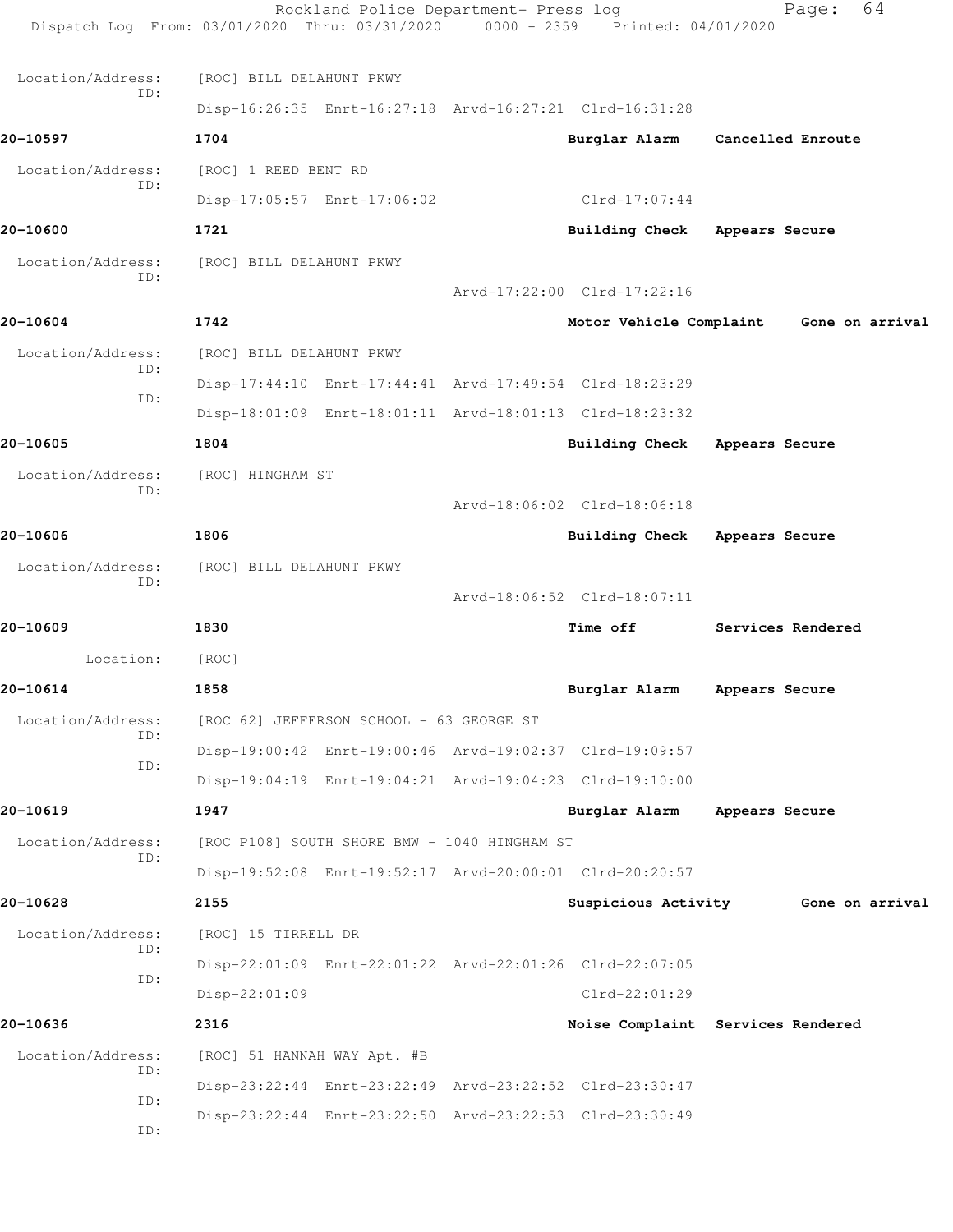| Dispatch Log From: 03/01/2020 Thru: 03/31/2020 0000 - 2359 Printed: 04/01/2020 |                             | Rockland Police Department- Press log        |                                                         | 64<br>Page:                         |  |
|--------------------------------------------------------------------------------|-----------------------------|----------------------------------------------|---------------------------------------------------------|-------------------------------------|--|
| Location/Address:                                                              | [ROC] BILL DELAHUNT PKWY    |                                              |                                                         |                                     |  |
| ID:                                                                            |                             |                                              | Disp-16:26:35 Enrt-16:27:18 Arvd-16:27:21 Clrd-16:31:28 |                                     |  |
| 20-10597                                                                       | 1704                        |                                              |                                                         | Burglar Alarm Cancelled Enroute     |  |
| Location/Address:                                                              | [ROC] 1 REED BENT RD        |                                              |                                                         |                                     |  |
| ID:                                                                            |                             | Disp-17:05:57 Enrt-17:06:02                  | Clrd-17:07:44                                           |                                     |  |
| 20-10600                                                                       | 1721                        |                                              | <b>Building Check</b>                                   | Appears Secure                      |  |
| Location/Address:                                                              | [ROC] BILL DELAHUNT PKWY    |                                              |                                                         |                                     |  |
| ID:                                                                            |                             |                                              | Arvd-17:22:00 Clrd-17:22:16                             |                                     |  |
| 20-10604                                                                       | 1742                        |                                              | Motor Vehicle Complaint                                 | Gone on arrival                     |  |
| Location/Address:                                                              | [ROC] BILL DELAHUNT PKWY    |                                              |                                                         |                                     |  |
| ID:                                                                            |                             |                                              | Disp-17:44:10 Enrt-17:44:41 Arvd-17:49:54 Clrd-18:23:29 |                                     |  |
| ID:                                                                            |                             |                                              | Disp-18:01:09 Enrt-18:01:11 Arvd-18:01:13 Clrd-18:23:32 |                                     |  |
| 20-10605                                                                       | 1804                        |                                              | Building Check                                          | Appears Secure                      |  |
| Location/Address:                                                              | [ROC] HINGHAM ST            |                                              |                                                         |                                     |  |
| ID:                                                                            |                             |                                              | Arvd-18:06:02 Clrd-18:06:18                             |                                     |  |
| 20-10606                                                                       | 1806                        |                                              | <b>Building Check</b>                                   | Appears Secure                      |  |
| Location/Address:                                                              | [ROC] BILL DELAHUNT PKWY    |                                              |                                                         |                                     |  |
| ID:                                                                            |                             |                                              | Arvd-18:06:52 Clrd-18:07:11                             |                                     |  |
| 20-10609                                                                       | 1830                        |                                              | <b>Time off</b>                                         | Services Rendered                   |  |
| Location:                                                                      | [ROC]                       |                                              |                                                         |                                     |  |
| 20-10614                                                                       | 1858                        |                                              | Burglar Alarm                                           | Appears Secure                      |  |
| Location/Address:                                                              |                             | [ROC 62] JEFFERSON SCHOOL - 63 GEORGE ST     |                                                         |                                     |  |
| ID:                                                                            |                             |                                              | Disp-19:00:42 Enrt-19:00:46 Arvd-19:02:37 Clrd-19:09:57 |                                     |  |
| ID:                                                                            |                             |                                              | Disp-19:04:19 Enrt-19:04:21 Arvd-19:04:23 Clrd-19:10:00 |                                     |  |
| 20-10619                                                                       | 1947                        |                                              | Burglar Alarm                                           | Appears Secure                      |  |
| Location/Address:                                                              |                             | [ROC P108] SOUTH SHORE BMW - 1040 HINGHAM ST |                                                         |                                     |  |
| ID:                                                                            |                             |                                              | Disp-19:52:08 Enrt-19:52:17 Arvd-20:00:01 Clrd-20:20:57 |                                     |  |
| 20-10628                                                                       | 2155                        |                                              |                                                         | Suspicious Activity 6one on arrival |  |
| Location/Address:                                                              | [ROC] 15 TIRRELL DR         |                                              |                                                         |                                     |  |
| ID:<br>ID:                                                                     |                             |                                              | Disp-22:01:09 Enrt-22:01:22 Arvd-22:01:26 Clrd-22:07:05 |                                     |  |
|                                                                                | Disp-22:01:09               |                                              | $Clrd-22:01:29$                                         |                                     |  |
| 20-10636                                                                       | 2316                        |                                              |                                                         | Noise Complaint Services Rendered   |  |
| Location/Address:<br>ID:                                                       | [ROC] 51 HANNAH WAY Apt. #B |                                              |                                                         |                                     |  |
| ID:                                                                            |                             |                                              | Disp-23:22:44 Enrt-23:22:49 Arvd-23:22:52 Clrd-23:30:47 |                                     |  |
| ID:                                                                            |                             |                                              | Disp-23:22:44 Enrt-23:22:50 Arvd-23:22:53 Clrd-23:30:49 |                                     |  |
|                                                                                |                             |                                              |                                                         |                                     |  |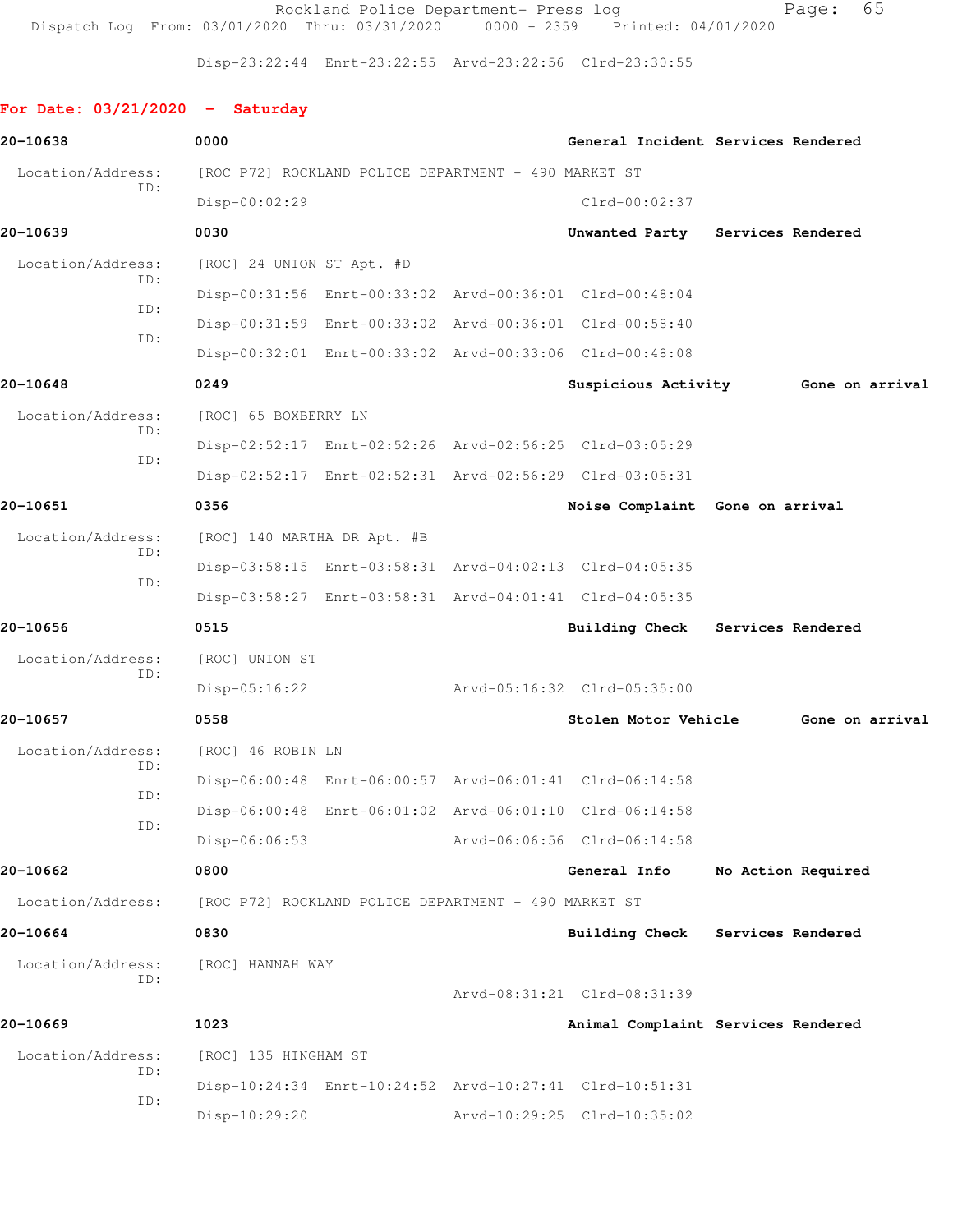Rockland Police Department- Press log entitled Page: 65 Dispatch Log From: 03/01/2020 Thru: 03/31/2020 0000 - 2359 Printed: 04/01/2020

Disp-23:22:44 Enrt-23:22:55 Arvd-23:22:56 Clrd-23:30:55

## **For Date: 03/21/2020 - Saturday**

| 20-10638                 | 0000                                                    |                                 | General Incident Services Rendered  |
|--------------------------|---------------------------------------------------------|---------------------------------|-------------------------------------|
| Location/Address:        | [ROC P72] ROCKLAND POLICE DEPARTMENT - 490 MARKET ST    |                                 |                                     |
| TD:                      | Disp-00:02:29                                           | $Clrd-00:02:37$                 |                                     |
| 20-10639                 | 0030                                                    |                                 | Unwanted Party Services Rendered    |
| Location/Address:        | [ROC] 24 UNION ST Apt. #D                               |                                 |                                     |
| ID:                      | Disp-00:31:56 Enrt-00:33:02 Arvd-00:36:01 Clrd-00:48:04 |                                 |                                     |
| ID:                      | Disp-00:31:59 Enrt-00:33:02 Arvd-00:36:01 Clrd-00:58:40 |                                 |                                     |
| ID:                      | Disp-00:32:01 Enrt-00:33:02 Arvd-00:33:06 Clrd-00:48:08 |                                 |                                     |
| 20-10648                 | 0249                                                    |                                 | Suspicious Activity 6one on arrival |
| Location/Address:        | [ROC] 65 BOXBERRY LN                                    |                                 |                                     |
| ID:                      | Disp-02:52:17 Enrt-02:52:26 Arvd-02:56:25 Clrd-03:05:29 |                                 |                                     |
| ID:                      | Disp-02:52:17 Enrt-02:52:31 Arvd-02:56:29 Clrd-03:05:31 |                                 |                                     |
| 20-10651                 | 0356                                                    | Noise Complaint Gone on arrival |                                     |
| Location/Address:        | [ROC] 140 MARTHA DR Apt. #B                             |                                 |                                     |
| ID:                      | Disp-03:58:15 Enrt-03:58:31 Arvd-04:02:13 Clrd-04:05:35 |                                 |                                     |
| ID:                      | Disp-03:58:27 Enrt-03:58:31 Arvd-04:01:41 Clrd-04:05:35 |                                 |                                     |
| 20-10656                 | 0515                                                    |                                 | Building Check Services Rendered    |
| Location/Address:        | [ROC] UNION ST                                          |                                 |                                     |
| ID:                      | $Disp-05:16:22$                                         | Arvd-05:16:32 Clrd-05:35:00     |                                     |
| 20-10657                 | 0558                                                    | <b>Stolen Motor Vehicle</b>     | Gone on arrival                     |
| Location/Address:        | [ROC] 46 ROBIN LN                                       |                                 |                                     |
| ID:                      | Disp-06:00:48 Enrt-06:00:57 Arvd-06:01:41 Clrd-06:14:58 |                                 |                                     |
| ID:                      | Disp-06:00:48 Enrt-06:01:02 Arvd-06:01:10 Clrd-06:14:58 |                                 |                                     |
| ID:                      | Disp-06:06:53                                           | Arvd-06:06:56 Clrd-06:14:58     |                                     |
| 20-10662                 | 0800                                                    | General Info                    | No Action Required                  |
| Location/Address:        | [ROC P72] ROCKLAND POLICE DEPARTMENT - 490 MARKET ST    |                                 |                                     |
| 20-10664                 | 0830                                                    |                                 | Building Check Services Rendered    |
| Location/Address:<br>ID: | [ROC] HANNAH WAY                                        |                                 |                                     |
|                          |                                                         | Arvd-08:31:21 Clrd-08:31:39     |                                     |
| 20-10669                 | 1023                                                    |                                 | Animal Complaint Services Rendered  |
| Location/Address:        | [ROC] 135 HINGHAM ST                                    |                                 |                                     |
| ID:                      | Disp-10:24:34 Enrt-10:24:52 Arvd-10:27:41 Clrd-10:51:31 |                                 |                                     |
| ID:                      | Disp-10:29:20                                           | Arvd-10:29:25 Clrd-10:35:02     |                                     |
|                          |                                                         |                                 |                                     |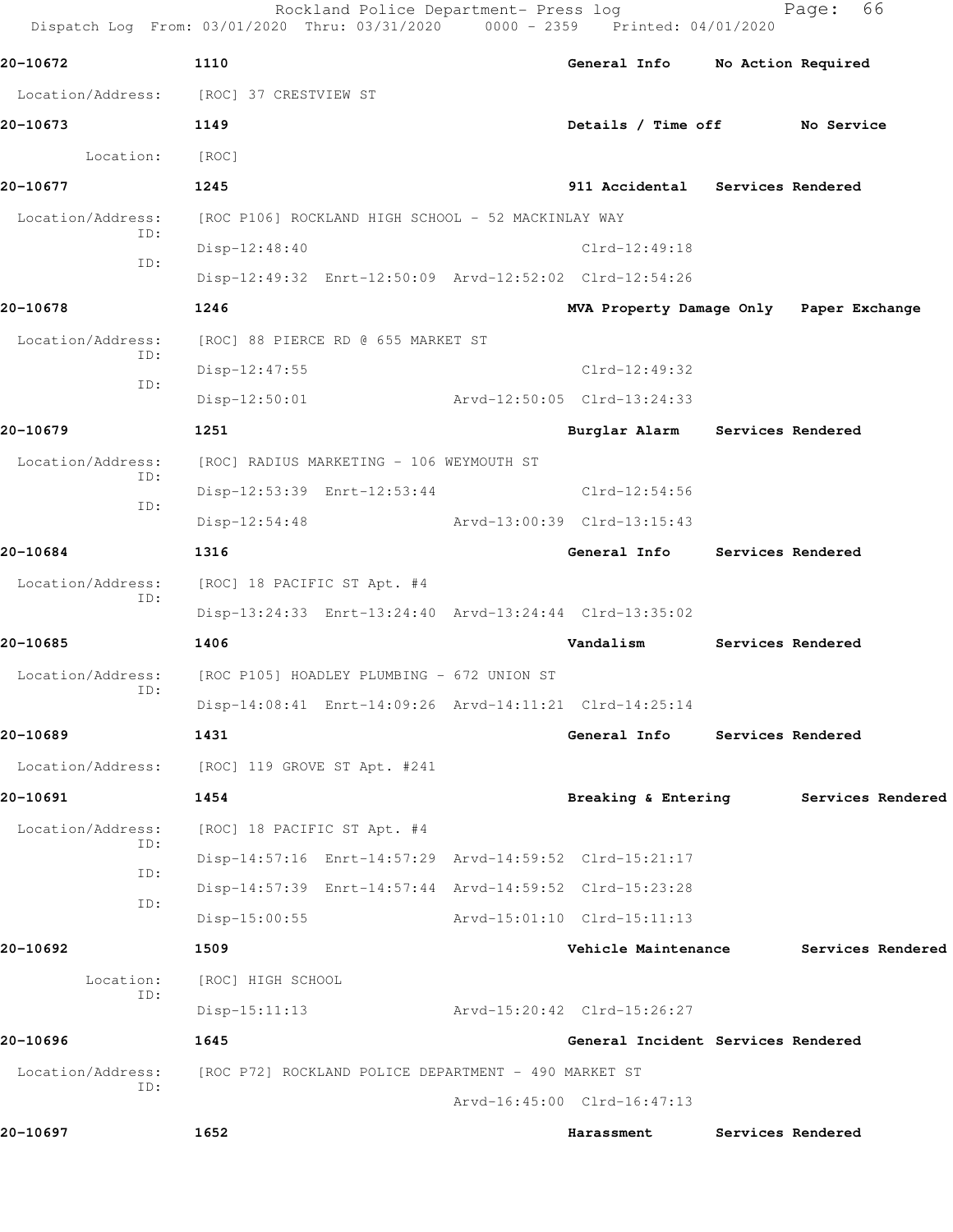|                          | Rockland Police Department- Press log<br>Dispatch Log From: 03/01/2020 Thru: 03/31/2020 0000 - 2359 Printed: 04/01/2020 |                                         |                   | 66<br>Page:        |  |
|--------------------------|-------------------------------------------------------------------------------------------------------------------------|-----------------------------------------|-------------------|--------------------|--|
| 20-10672                 | 1110                                                                                                                    | General Info                            |                   | No Action Required |  |
|                          | Location/Address: [ROC] 37 CRESTVIEW ST                                                                                 |                                         |                   |                    |  |
| 20-10673                 | 1149                                                                                                                    | Details / Time off No Service           |                   |                    |  |
| Location:                | [ROC]                                                                                                                   |                                         |                   |                    |  |
| 20-10677                 | 1245                                                                                                                    | 911 Accidental Services Rendered        |                   |                    |  |
| Location/Address:        | [ROC P106] ROCKLAND HIGH SCHOOL - 52 MACKINLAY WAY                                                                      |                                         |                   |                    |  |
| ID:                      | $Disp-12:48:40$                                                                                                         | $Clrd-12:49:18$                         |                   |                    |  |
| ID:                      | Disp-12:49:32 Enrt-12:50:09 Arvd-12:52:02 Clrd-12:54:26                                                                 |                                         |                   |                    |  |
| 20-10678                 | 1246                                                                                                                    | MVA Property Damage Only Paper Exchange |                   |                    |  |
| Location/Address:        | [ROC] 88 PIERCE RD @ 655 MARKET ST                                                                                      |                                         |                   |                    |  |
| ID:                      | Disp-12:47:55                                                                                                           | $Clrd-12:49:32$                         |                   |                    |  |
| ID:                      | $Disp-12:50:01$                                                                                                         | Arvd-12:50:05 Clrd-13:24:33             |                   |                    |  |
| 20-10679                 | 1251                                                                                                                    | Burglar Alarm                           | Services Rendered |                    |  |
| Location/Address:        | [ROC] RADIUS MARKETING - 106 WEYMOUTH ST                                                                                |                                         |                   |                    |  |
| ID:                      | Disp-12:53:39 Enrt-12:53:44                                                                                             | Clrd-12:54:56                           |                   |                    |  |
| ID:                      | $Disp-12:54:48$                                                                                                         | Arvd-13:00:39 Clrd-13:15:43             |                   |                    |  |
| 20-10684                 | 1316                                                                                                                    | General Info Services Rendered          |                   |                    |  |
| Location/Address:        | [ROC] 18 PACIFIC ST Apt. #4                                                                                             |                                         |                   |                    |  |
| ID:                      | Disp-13:24:33 Enrt-13:24:40 Arvd-13:24:44 Clrd-13:35:02                                                                 |                                         |                   |                    |  |
| 20-10685                 | 1406                                                                                                                    | Vandalism                               |                   | Services Rendered  |  |
| Location/Address:        | [ROC P105] HOADLEY PLUMBING - 672 UNION ST                                                                              |                                         |                   |                    |  |
| ID:                      | Disp-14:08:41 Enrt-14:09:26 Arvd-14:11:21 Clrd-14:25:14                                                                 |                                         |                   |                    |  |
| 20-10689                 | 1431                                                                                                                    | General Info                            |                   | Services Rendered  |  |
| Location/Address:        | [ROC] 119 GROVE ST Apt. #241                                                                                            |                                         |                   |                    |  |
| 20-10691                 | 1454                                                                                                                    | Breaking & Entering                     |                   | Services Rendered  |  |
| Location/Address:        | [ROC] 18 PACIFIC ST Apt. #4                                                                                             |                                         |                   |                    |  |
| ID:                      | Disp-14:57:16 Enrt-14:57:29 Arvd-14:59:52 Clrd-15:21:17                                                                 |                                         |                   |                    |  |
| ID:<br>ID:               | Disp-14:57:39 Enrt-14:57:44 Arvd-14:59:52 Clrd-15:23:28                                                                 |                                         |                   |                    |  |
|                          | $Disp-15:00:55$                                                                                                         | Arvd-15:01:10 Clrd-15:11:13             |                   |                    |  |
| 20-10692                 | 1509                                                                                                                    | Vehicle Maintenance                     |                   | Services Rendered  |  |
| Location:                | [ROC] HIGH SCHOOL                                                                                                       |                                         |                   |                    |  |
| ID:                      | $Disp-15:11:13$                                                                                                         | Arvd-15:20:42 Clrd-15:26:27             |                   |                    |  |
| 20-10696                 | 1645                                                                                                                    | General Incident Services Rendered      |                   |                    |  |
| Location/Address:<br>ID: | [ROC P72] ROCKLAND POLICE DEPARTMENT - 490 MARKET ST                                                                    |                                         |                   |                    |  |
|                          |                                                                                                                         | Arvd-16:45:00 Clrd-16:47:13             |                   |                    |  |
| 20-10697                 | 1652                                                                                                                    | Harassment                              |                   | Services Rendered  |  |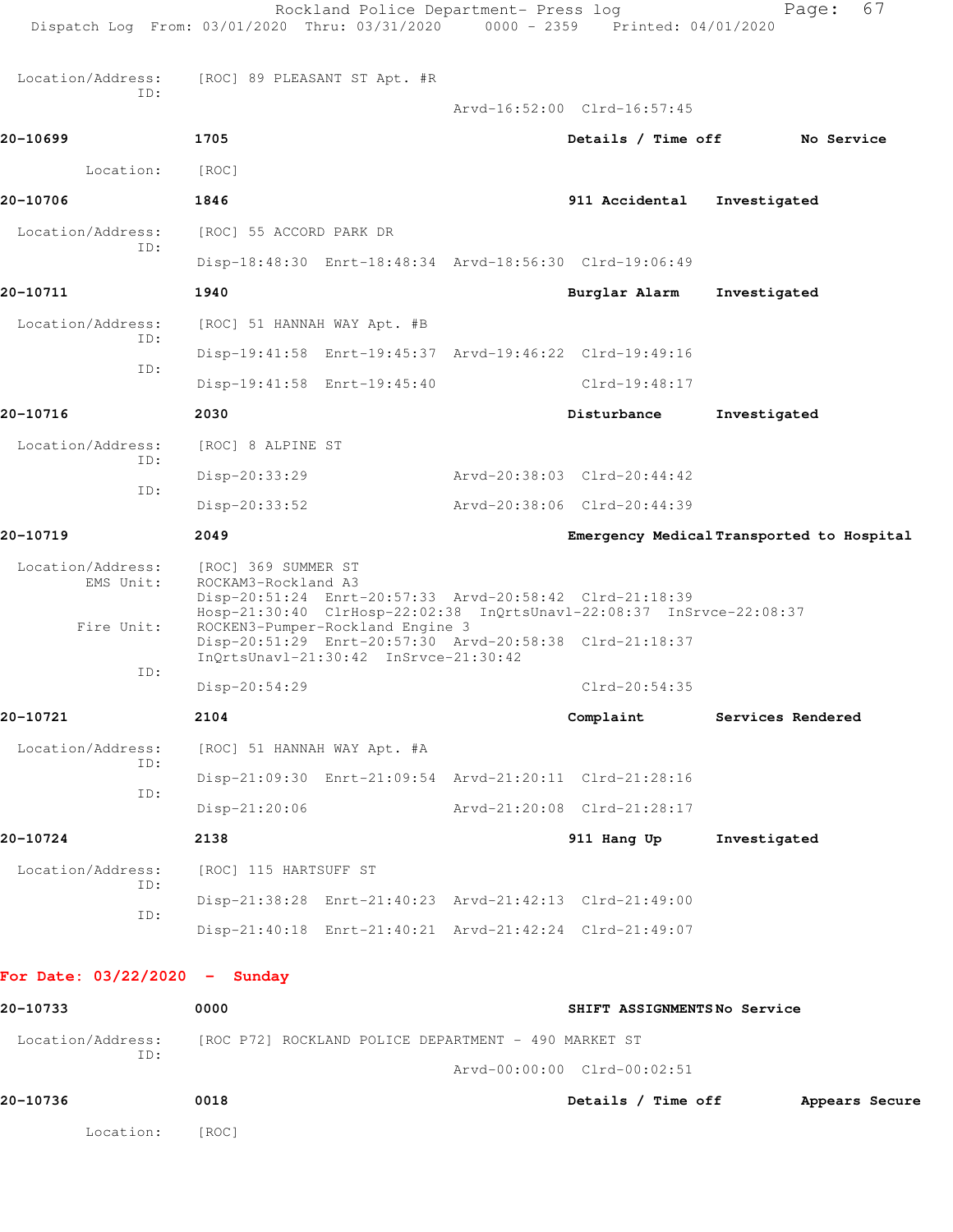| For Date: $03/22/2020 -$ Sunday |                             |                                                                                                                                                                               |  | SHIFT ASSIGNMENTSNo Service                             |                                           |  |
|---------------------------------|-----------------------------|-------------------------------------------------------------------------------------------------------------------------------------------------------------------------------|--|---------------------------------------------------------|-------------------------------------------|--|
|                                 |                             |                                                                                                                                                                               |  | Disp-21:40:18 Enrt-21:40:21 Arvd-21:42:24 Clrd-21:49:07 |                                           |  |
| ID:<br>ID:                      |                             |                                                                                                                                                                               |  | Disp-21:38:28 Enrt-21:40:23 Arvd-21:42:13 Clrd-21:49:00 |                                           |  |
| Location/Address:               | [ROC] 115 HARTSUFF ST       |                                                                                                                                                                               |  |                                                         |                                           |  |
| 20-10724                        | 2138                        |                                                                                                                                                                               |  | 911 Hang Up                                             | Investigated                              |  |
| ID:                             | $Disp-21:20:06$             |                                                                                                                                                                               |  | Arvd-21:20:08 Clrd-21:28:17                             |                                           |  |
| ID:                             |                             |                                                                                                                                                                               |  | Disp-21:09:30 Enrt-21:09:54 Arvd-21:20:11 Clrd-21:28:16 |                                           |  |
| Location/Address:               | [ROC] 51 HANNAH WAY Apt. #A |                                                                                                                                                                               |  |                                                         |                                           |  |
| 20-10721                        | 2104                        |                                                                                                                                                                               |  | Complaint                                               | Services Rendered                         |  |
| ID:                             | Disp-20:54:29               |                                                                                                                                                                               |  | Clrd-20:54:35                                           |                                           |  |
| Fire Unit:                      |                             | ROCKEN3-Pumper-Rockland Engine 3<br>InOrtsUnavl-21:30:42 InSrvce-21:30:42                                                                                                     |  | Disp-20:51:29 Enrt-20:57:30 Arvd-20:58:38 Clrd-21:18:37 |                                           |  |
| Location/Address:<br>EMS Unit:  |                             | [ROC] 369 SUMMER ST<br>ROCKAM3-Rockland A3<br>Disp-20:51:24 Enrt-20:57:33 Arvd-20:58:42 Clrd-21:18:39<br>Hosp-21:30:40 ClrHosp-22:02:38 InQrtsUnavl-22:08:37 InSrvce-22:08:37 |  |                                                         |                                           |  |
| 20-10719                        | 2049                        |                                                                                                                                                                               |  |                                                         | Emergency Medical Transported to Hospital |  |
|                                 | Disp-20:33:52               |                                                                                                                                                                               |  | Arvd-20:38:06 Clrd-20:44:39                             |                                           |  |
| ID:                             | Disp-20:33:29               |                                                                                                                                                                               |  | Arvd-20:38:03 Clrd-20:44:42                             |                                           |  |
| Location/Address:<br>ID:        | [ROC] 8 ALPINE ST           |                                                                                                                                                                               |  |                                                         |                                           |  |
| 20-10716                        | 2030                        |                                                                                                                                                                               |  | Disturbance                                             | Investigated                              |  |
| ID:                             |                             | Disp-19:41:58 Enrt-19:45:40                                                                                                                                                   |  | $Clrd-19:48:17$                                         |                                           |  |
| TD:                             |                             |                                                                                                                                                                               |  | Disp-19:41:58 Enrt-19:45:37 Arvd-19:46:22 Clrd-19:49:16 |                                           |  |
| Location/Address:               | [ROC] 51 HANNAH WAY Apt. #B |                                                                                                                                                                               |  |                                                         |                                           |  |
| 20-10711                        | 1940                        |                                                                                                                                                                               |  | Burglar Alarm                                           | Investigated                              |  |
| ID:                             |                             |                                                                                                                                                                               |  | Disp-18:48:30 Enrt-18:48:34 Arvd-18:56:30 Clrd-19:06:49 |                                           |  |
| Location/Address:               | [ROC] 55 ACCORD PARK DR     |                                                                                                                                                                               |  |                                                         |                                           |  |
| 20-10706                        | 1846                        |                                                                                                                                                                               |  | 911 Accidental                                          | Investigated                              |  |
| Location:                       | [ROC]                       |                                                                                                                                                                               |  |                                                         |                                           |  |
| 20-10699                        | 1705                        |                                                                                                                                                                               |  | Details / Time off                                      | No Service                                |  |
| TD:                             |                             | [ROC] 89 PLEASANT ST Apt. #R                                                                                                                                                  |  | Arvd-16:52:00 Clrd-16:57:45                             |                                           |  |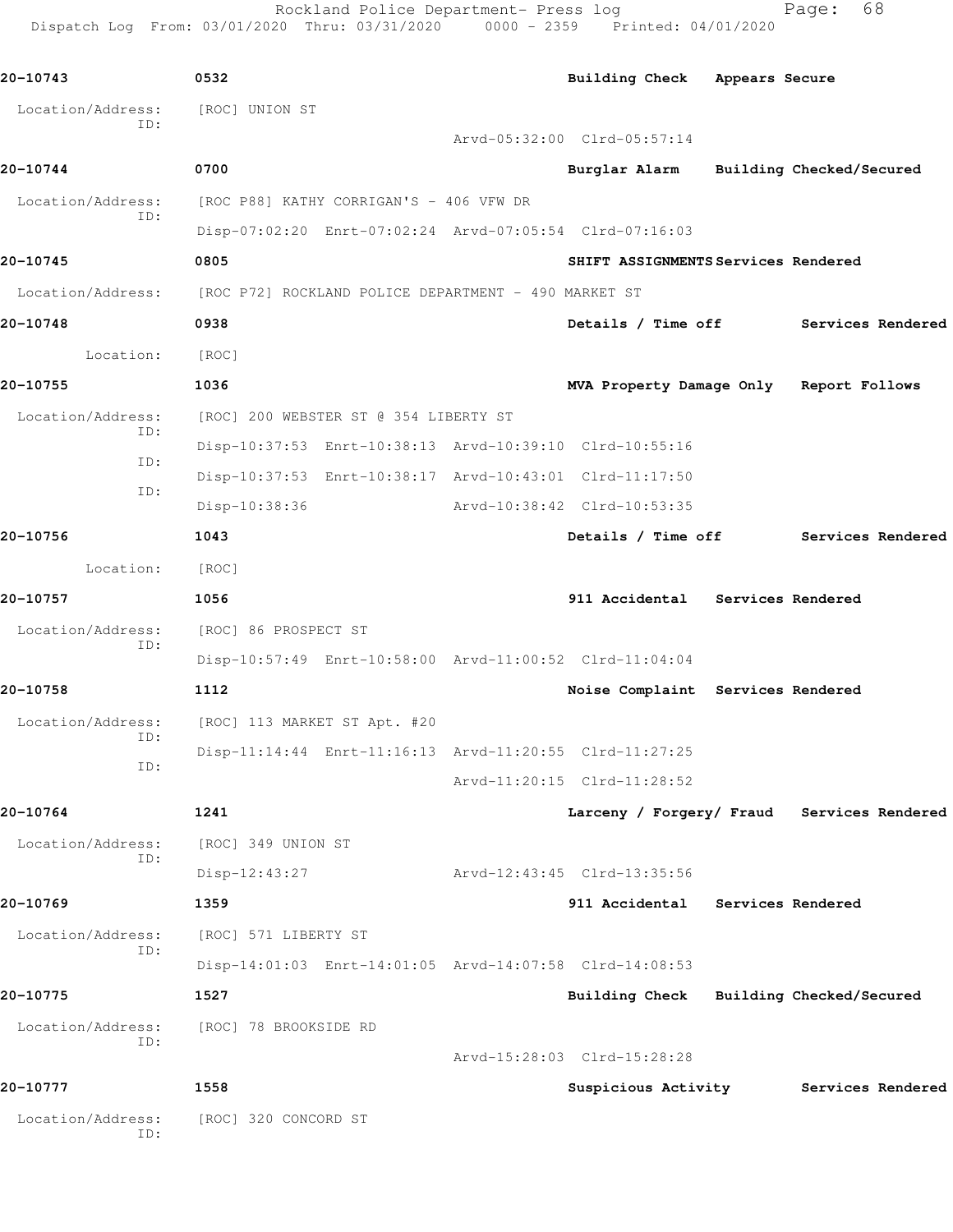Rockland Police Department- Press log extending Page: 68 Dispatch Log From: 03/01/2020 Thru: 03/31/2020 0000 - 2359 Printed: 04/01/2020

**20-10743 0532 Building Check Appears Secure** Location/Address: [ROC] UNION ST ID: Arvd-05:32:00 Clrd-05:57:14 **20-10744 0700 Burglar Alarm Building Checked/Secured** Location/Address: [ROC P88] KATHY CORRIGAN'S - 406 VFW DR ID: Disp-07:02:20 Enrt-07:02:24 Arvd-07:05:54 Clrd-07:16:03 **20-10745 0805 SHIFT ASSIGNMENTS Services Rendered** Location/Address: [ROC P72] ROCKLAND POLICE DEPARTMENT - 490 MARKET ST **20-10748 0938 Details / Time off Services Rendered** Location: [ROC] **20-10755 1036 MVA Property Damage Only Report Follows** Location/Address: [ROC] 200 WEBSTER ST @ 354 LIBERTY ST ID: Disp-10:37:53 Enrt-10:38:13 Arvd-10:39:10 Clrd-10:55:16 ID: Disp-10:37:53 Enrt-10:38:17 Arvd-10:43:01 Clrd-11:17:50 ID: Disp-10:38:36 Arvd-10:38:42 Clrd-10:53:35 **20-10756 1043 Details / Time off Services Rendered** Location: [ROC] **20-10757 1056 911 Accidental Services Rendered** Location/Address: [ROC] 86 PROSPECT ST ID: Disp-10:57:49 Enrt-10:58:00 Arvd-11:00:52 Clrd-11:04:04 **20-10758 1112 Noise Complaint Services Rendered** Location/Address: [ROC] 113 MARKET ST Apt. #20 ID: Disp-11:14:44 Enrt-11:16:13 Arvd-11:20:55 Clrd-11:27:25 ID: Arvd-11:20:15 Clrd-11:28:52 **20-10764 1241 Larceny / Forgery/ Fraud Services Rendered** Location/Address: [ROC] 349 UNION ST ID: Disp-12:43:27 Arvd-12:43:45 Clrd-13:35:56 **20-10769 1359 911 Accidental Services Rendered** Location/Address: [ROC] 571 LIBERTY ST ID: Disp-14:01:03 Enrt-14:01:05 Arvd-14:07:58 Clrd-14:08:53 **20-10775 1527 Building Check Building Checked/Secured** Location/Address: [ROC] 78 BROOKSIDE RD ID: Arvd-15:28:03 Clrd-15:28:28 **20-10777 1558 Suspicious Activity Services Rendered** Location/Address: [ROC] 320 CONCORD ST ID: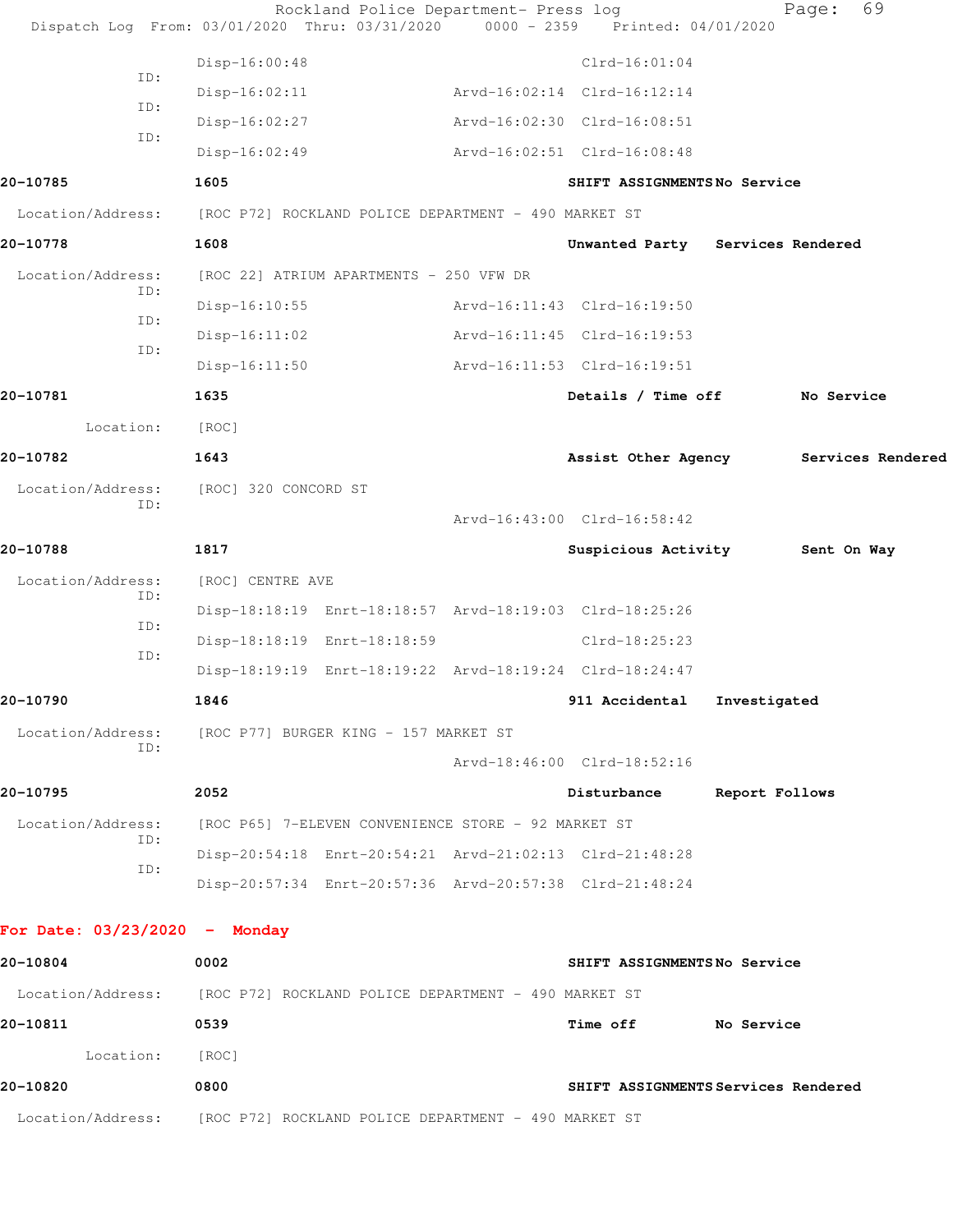|                                 | Rockland Police Department- Press log<br>Dispatch Log From: 03/01/2020 Thru: 03/31/2020 0000 - 2359 Printed: 04/01/2020 |                                     |                | 69<br>Page:       |
|---------------------------------|-------------------------------------------------------------------------------------------------------------------------|-------------------------------------|----------------|-------------------|
|                                 | Disp-16:00:48                                                                                                           | $Clrd-16:01:04$                     |                |                   |
| ID:                             | $Disp-16:02:11$                                                                                                         | Arvd-16:02:14 Clrd-16:12:14         |                |                   |
| ID:                             | $Disp-16:02:27$                                                                                                         | Arvd-16:02:30 Clrd-16:08:51         |                |                   |
| ID:                             | $Disp-16:02:49$                                                                                                         | Arvd-16:02:51 Clrd-16:08:48         |                |                   |
| 20-10785                        | 1605                                                                                                                    | SHIFT ASSIGNMENTSNo Service         |                |                   |
|                                 | Location/Address: [ROC P72] ROCKLAND POLICE DEPARTMENT - 490 MARKET ST                                                  |                                     |                |                   |
| 20-10778                        | 1608                                                                                                                    | Unwanted Party Services Rendered    |                |                   |
| Location/Address:               | [ROC 22] ATRIUM APARTMENTS - 250 VFW DR                                                                                 |                                     |                |                   |
| ID:                             | $Disp-16:10:55$                                                                                                         | Arvd-16:11:43 Clrd-16:19:50         |                |                   |
| ID:                             | $Disp-16:11:02$                                                                                                         | Arvd-16:11:45 Clrd-16:19:53         |                |                   |
| ID:                             | $Disp-16:11:50$                                                                                                         | Arvd-16:11:53 Clrd-16:19:51         |                |                   |
| 20-10781                        | 1635                                                                                                                    | Details / Time off                  |                | No Service        |
| Location:                       | [ROC]                                                                                                                   |                                     |                |                   |
| 20-10782                        | 1643                                                                                                                    | Assist Other Agency                 |                | Services Rendered |
| Location/Address:               | [ROC] 320 CONCORD ST                                                                                                    |                                     |                |                   |
| ID:                             |                                                                                                                         | Arvd-16:43:00 Clrd-16:58:42         |                |                   |
| 20-10788                        | 1817                                                                                                                    | Suspicious Activity                 |                | Sent On Way       |
| Location/Address:               | [ROC] CENTRE AVE                                                                                                        |                                     |                |                   |
| ID:<br>ID:                      | Disp-18:18:19 Enrt-18:18:57 Arvd-18:19:03 Clrd-18:25:26                                                                 |                                     |                |                   |
| ID:                             | Disp-18:18:19 Enrt-18:18:59                                                                                             | $Clrd-18:25:23$                     |                |                   |
|                                 | Disp-18:19:19 Enrt-18:19:22 Arvd-18:19:24 Clrd-18:24:47                                                                 |                                     |                |                   |
| 20-10790                        | 1846                                                                                                                    | 911 Accidental Investigated         |                |                   |
| Location/Address:<br>ID:        | [ROC P77] BURGER KING - 157 MARKET ST                                                                                   |                                     |                |                   |
|                                 |                                                                                                                         | Arvd-18:46:00 Clrd-18:52:16         |                |                   |
| 20-10795                        | 2052                                                                                                                    | Disturbance                         | Report Follows |                   |
| Location/Address:<br>ID:        | [ROC P65] 7-ELEVEN CONVENIENCE STORE - 92 MARKET ST                                                                     |                                     |                |                   |
| ID:                             | Disp-20:54:18 Enrt-20:54:21 Arvd-21:02:13 Clrd-21:48:28                                                                 |                                     |                |                   |
|                                 | Disp-20:57:34 Enrt-20:57:36 Arvd-20:57:38 Clrd-21:48:24                                                                 |                                     |                |                   |
| For Date: $03/23/2020 -$ Monday |                                                                                                                         |                                     |                |                   |
| 20-10804                        | 0002                                                                                                                    | SHIFT ASSIGNMENTSNo Service         |                |                   |
|                                 | Location/Address: [ROC P72] ROCKLAND POLICE DEPARTMENT - 490 MARKET ST                                                  |                                     |                |                   |
| 20-10811                        | 0539                                                                                                                    | Time off No Service                 |                |                   |
| Location:                       | [ROC]                                                                                                                   |                                     |                |                   |
| 20-10820                        | 0800                                                                                                                    | SHIFT ASSIGNMENTS Services Rendered |                |                   |
|                                 | Location/Address: [ROC P72] ROCKLAND POLICE DEPARTMENT - 490 MARKET ST                                                  |                                     |                |                   |
|                                 |                                                                                                                         |                                     |                |                   |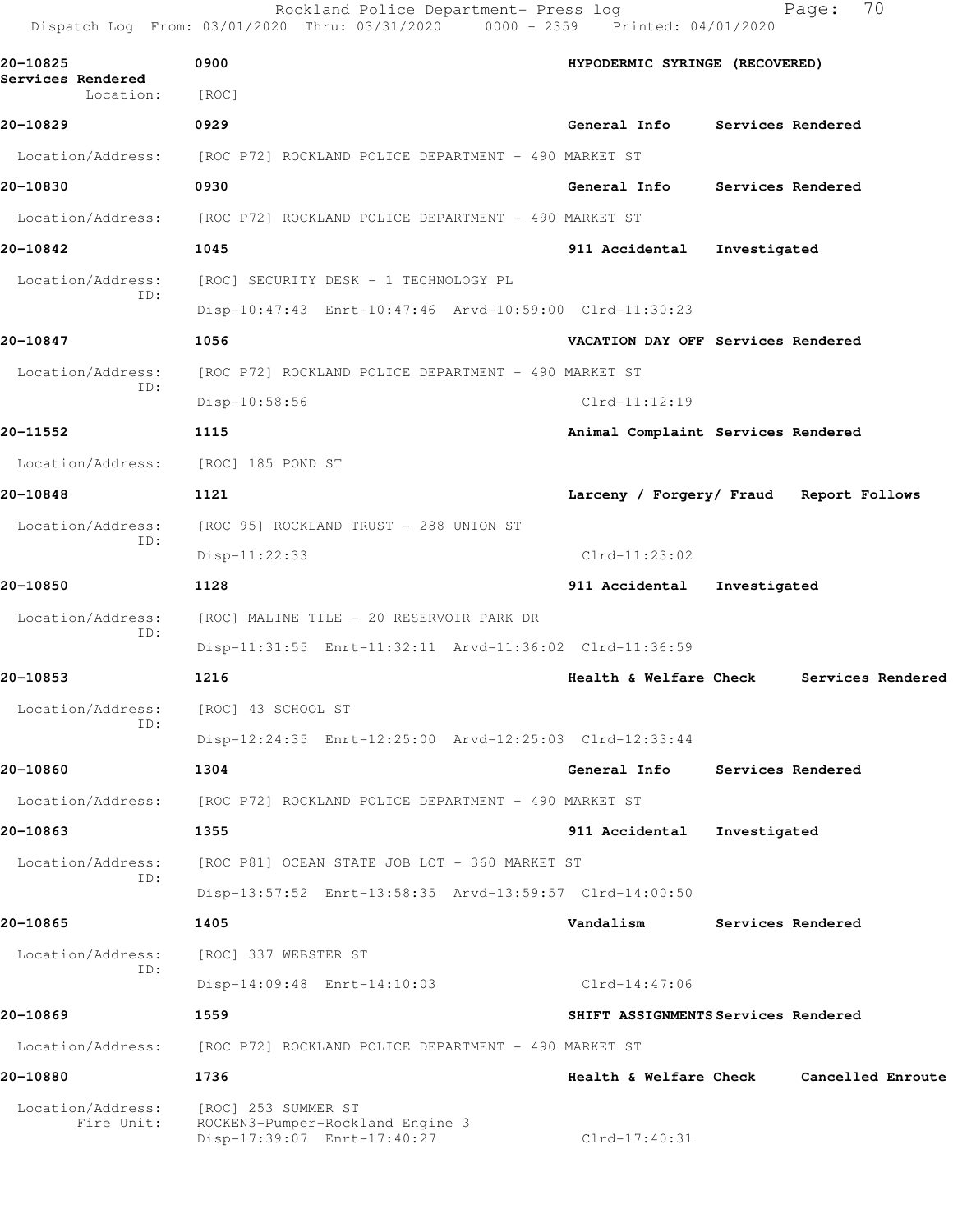|                                            | Rockland Police Department- Press log<br>Dispatch Log From: 03/01/2020 Thru: 03/31/2020 0000 - 2359 Printed: 04/01/2020 |                                   | 70<br>Page:                             |  |  |  |
|--------------------------------------------|-------------------------------------------------------------------------------------------------------------------------|-----------------------------------|-----------------------------------------|--|--|--|
| 20-10825<br>Services Rendered<br>Location: | 0900<br>[ROC]                                                                                                           | HYPODERMIC SYRINGE (RECOVERED)    |                                         |  |  |  |
| 20-10829                                   | 0929                                                                                                                    | General Info                      | Services Rendered                       |  |  |  |
|                                            | Location/Address: [ROC P72] ROCKLAND POLICE DEPARTMENT - 490 MARKET ST                                                  |                                   |                                         |  |  |  |
| 20-10830                                   | 0930                                                                                                                    | <b>General Info</b>               | Services Rendered                       |  |  |  |
| Location/Address:                          | [ROC P72] ROCKLAND POLICE DEPARTMENT - 490 MARKET ST                                                                    |                                   |                                         |  |  |  |
| 20-10842                                   | 1045                                                                                                                    | 911 Accidental                    | Investigated                            |  |  |  |
| Location/Address:                          | [ROC] SECURITY DESK - 1 TECHNOLOGY PL                                                                                   |                                   |                                         |  |  |  |
| ID:                                        | Disp-10:47:43 Enrt-10:47:46 Arvd-10:59:00 Clrd-11:30:23                                                                 |                                   |                                         |  |  |  |
| 20-10847                                   | 1056                                                                                                                    |                                   | VACATION DAY OFF Services Rendered      |  |  |  |
| Location/Address:                          | [ROC P72] ROCKLAND POLICE DEPARTMENT - 490 MARKET ST                                                                    |                                   |                                         |  |  |  |
| ID:                                        | Disp-10:58:56                                                                                                           | $Clrd-11:12:19$                   |                                         |  |  |  |
| 20-11552                                   | 1115                                                                                                                    |                                   | Animal Complaint Services Rendered      |  |  |  |
| Location/Address:                          | [ROC] 185 POND ST                                                                                                       |                                   |                                         |  |  |  |
| 20-10848                                   | 1121                                                                                                                    |                                   | Larceny / Forgery/ Fraud Report Follows |  |  |  |
| Location/Address:                          | [ROC 95] ROCKLAND TRUST - 288 UNION ST                                                                                  |                                   |                                         |  |  |  |
| ID:                                        | $Disp-11:22:33$                                                                                                         | $Clrd-11:23:02$                   |                                         |  |  |  |
| 20-10850                                   | 1128                                                                                                                    | 911 Accidental                    | Investigated                            |  |  |  |
| Location/Address:                          | [ROC] MALINE TILE - 20 RESERVOIR PARK DR                                                                                |                                   |                                         |  |  |  |
| ID:                                        | Disp-11:31:55 Enrt-11:32:11 Arvd-11:36:02 Clrd-11:36:59                                                                 |                                   |                                         |  |  |  |
| 20-10853                                   | 1216                                                                                                                    | Health & Welfare Check            | Services Rendered                       |  |  |  |
| Location/Address:<br>ID:                   | [ROC] 43 SCHOOL ST                                                                                                      |                                   |                                         |  |  |  |
|                                            | Disp-12:24:35 Enrt-12:25:00 Arvd-12:25:03 Clrd-12:33:44                                                                 |                                   |                                         |  |  |  |
| 20-10860                                   | 1304                                                                                                                    | General Info                      | Services Rendered                       |  |  |  |
| Location/Address:                          | [ROC P72] ROCKLAND POLICE DEPARTMENT - 490 MARKET ST                                                                    |                                   |                                         |  |  |  |
| 20-10863                                   | 1355                                                                                                                    | 911 Accidental                    | Investigated                            |  |  |  |
| Location/Address:<br>ID:                   | [ROC P81] OCEAN STATE JOB LOT - 360 MARKET ST                                                                           |                                   |                                         |  |  |  |
|                                            | Disp-13:57:52 Enrt-13:58:35 Arvd-13:59:57 Clrd-14:00:50                                                                 |                                   |                                         |  |  |  |
| 20-10865                                   | 1405                                                                                                                    | Vandalism                         | Services Rendered                       |  |  |  |
| Location/Address:<br>ID:                   | [ROC] 337 WEBSTER ST                                                                                                    |                                   |                                         |  |  |  |
|                                            | Disp-14:09:48 Enrt-14:10:03                                                                                             | Clrd-14:47:06                     |                                         |  |  |  |
| 20-10869                                   | 1559                                                                                                                    |                                   | SHIFT ASSIGNMENTS Services Rendered     |  |  |  |
| Location/Address:                          | [ROC P72] ROCKLAND POLICE DEPARTMENT - 490 MARKET ST                                                                    |                                   |                                         |  |  |  |
| 20-10880                                   | 1736                                                                                                                    | <b>Health &amp; Welfare Check</b> | Cancelled Enroute                       |  |  |  |
| Location/Address:<br>Fire Unit:            | [ROC] 253 SUMMER ST<br>ROCKEN3-Pumper-Rockland Engine 3<br>Disp-17:39:07 Enrt-17:40:27                                  | Clrd-17:40:31                     |                                         |  |  |  |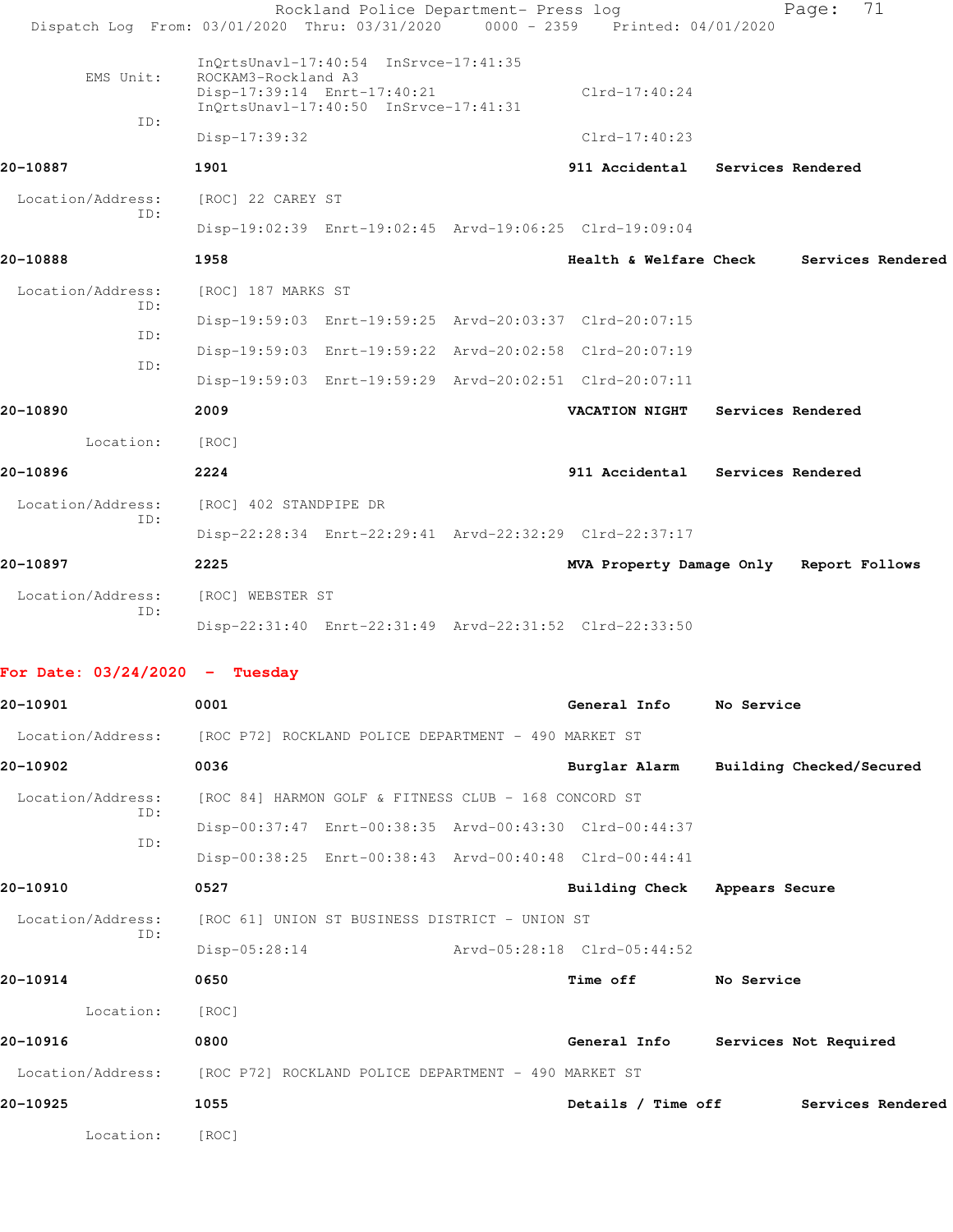|                                                                        | Dispatch Log From: 03/01/2020 Thru: 03/31/2020                                                | Rockland Police Department- Press log |  | 0000 - 2359 Printed: 04/01/2020        |                   | 71<br>Page:       |  |
|------------------------------------------------------------------------|-----------------------------------------------------------------------------------------------|---------------------------------------|--|----------------------------------------|-------------------|-------------------|--|
| EMS Unit:                                                              | $InQrtsUnav1-17:40:54 InSrvce-17:41:35$<br>ROCKAM3-Rockland A3<br>Disp-17:39:14 Enrt-17:40:21 |                                       |  | $Clrd-17:40:24$                        |                   |                   |  |
| ID:                                                                    | InQrtsUnavl-17:40:50 InSrvce-17:41:31<br>Disp-17:39:32                                        |                                       |  | $Clrd-17:40:23$                        |                   |                   |  |
| 20-10887                                                               | 1901                                                                                          |                                       |  | 911 Accidental Services Rendered       |                   |                   |  |
| Location/Address:                                                      | [ROC] 22 CAREY ST                                                                             |                                       |  |                                        |                   |                   |  |
| ID:                                                                    | Disp-19:02:39 Enrt-19:02:45 Arvd-19:06:25 Clrd-19:09:04                                       |                                       |  |                                        |                   |                   |  |
| 20-10888                                                               | 1958                                                                                          |                                       |  | Health & Welfare Check                 |                   | Services Rendered |  |
| Location/Address:                                                      | [ROC] 187 MARKS ST                                                                            |                                       |  |                                        |                   |                   |  |
| ID:                                                                    | Disp-19:59:03 Enrt-19:59:25 Arvd-20:03:37 Clrd-20:07:15                                       |                                       |  |                                        |                   |                   |  |
| ID:                                                                    | Disp-19:59:03 Enrt-19:59:22 Arvd-20:02:58 Clrd-20:07:19                                       |                                       |  |                                        |                   |                   |  |
| ID:                                                                    | Disp-19:59:03 Enrt-19:59:29 Arvd-20:02:51 Clrd-20:07:11                                       |                                       |  |                                        |                   |                   |  |
| 20-10890                                                               | 2009                                                                                          |                                       |  | <b>VACATION NIGHT</b>                  | Services Rendered |                   |  |
| Location:                                                              | [ROC]                                                                                         |                                       |  |                                        |                   |                   |  |
| 20-10896                                                               | 2224                                                                                          |                                       |  | 911 Accidental Services Rendered       |                   |                   |  |
| Location/Address:                                                      | [ROC] 402 STANDPIPE DR                                                                        |                                       |  |                                        |                   |                   |  |
| ID:                                                                    | Disp-22:28:34 Enrt-22:29:41 Arvd-22:32:29 Clrd-22:37:17                                       |                                       |  |                                        |                   |                   |  |
| 20-10897                                                               | 2225                                                                                          |                                       |  | MVA Property Damage Only               |                   | Report Follows    |  |
| Location/Address:                                                      | [ROC] WEBSTER ST                                                                              |                                       |  |                                        |                   |                   |  |
| ID:                                                                    | Disp-22:31:40 Enrt-22:31:49 Arvd-22:31:52 Clrd-22:33:50                                       |                                       |  |                                        |                   |                   |  |
| For Date: $03/24/2020 -$ Tuesday                                       |                                                                                               |                                       |  |                                        |                   |                   |  |
| 20-10901                                                               | 0001                                                                                          |                                       |  | General Info                           | No Service        |                   |  |
| Location/Address: [ROC P72] ROCKLAND POLICE DEPARTMENT - 490 MARKET ST |                                                                                               |                                       |  |                                        |                   |                   |  |
| 20-10902                                                               | 0036                                                                                          |                                       |  | Burglar Alarm Building Checked/Secured |                   |                   |  |
| Location/Address:                                                      | [ROC 84] HARMON GOLF & FITNESS CLUB - 168 CONCORD ST                                          |                                       |  |                                        |                   |                   |  |
| ID:                                                                    | Disp-00:37:47 Enrt-00:38:35 Arvd-00:43:30 Clrd-00:44:37                                       |                                       |  |                                        |                   |                   |  |
| ID:                                                                    | Disp-00:38:25 Enrt-00:38:43 Arvd-00:40:48 Clrd-00:44:41                                       |                                       |  |                                        |                   |                   |  |
| 20-10910                                                               | 0527                                                                                          |                                       |  | Building Check Appears Secure          |                   |                   |  |
| Location/Address:                                                      | [ROC 61] UNION ST BUSINESS DISTRICT - UNION ST                                                |                                       |  |                                        |                   |                   |  |
| ID:                                                                    | $Disp-05:28:14$                                                                               |                                       |  | Arvd-05:28:18 Clrd-05:44:52            |                   |                   |  |
| 20-10914                                                               | 0650                                                                                          |                                       |  | Time off No Service                    |                   |                   |  |
| Location:                                                              | [ROC]                                                                                         |                                       |  |                                        |                   |                   |  |
| 20-10916                                                               | 0800                                                                                          |                                       |  | General Info Services Not Required     |                   |                   |  |
| Location/Address: [ROC P72] ROCKLAND POLICE DEPARTMENT - 490 MARKET ST |                                                                                               |                                       |  |                                        |                   |                   |  |
| 20-10925                                                               | 1055                                                                                          |                                       |  | Details / Time off Services Rendered   |                   |                   |  |
| Location:                                                              | [ROC]                                                                                         |                                       |  |                                        |                   |                   |  |
|                                                                        |                                                                                               |                                       |  |                                        |                   |                   |  |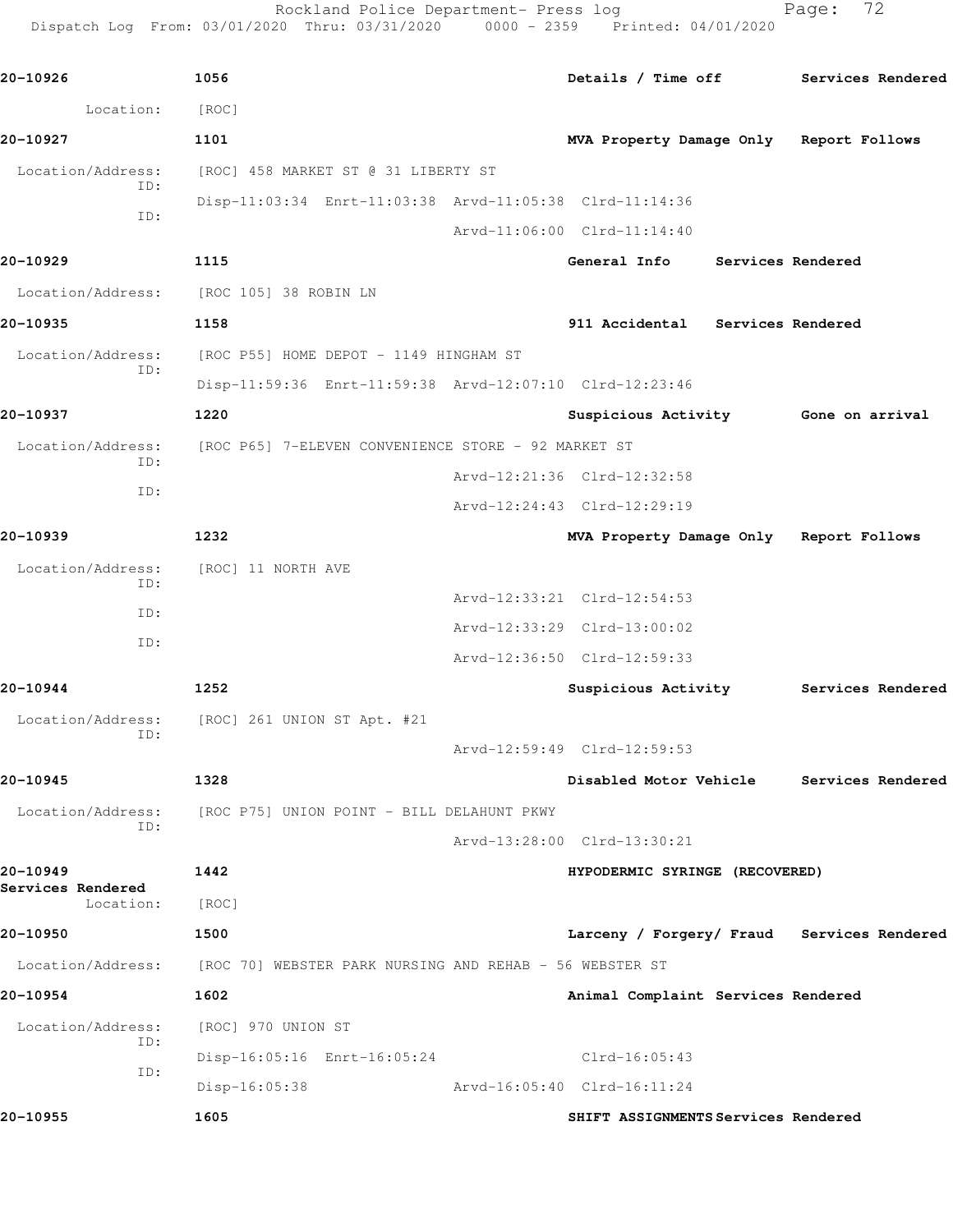Rockland Police Department- Press log Page: 72 Dispatch Log From: 03/01/2020 Thru: 03/31/2020 0000 - 2359 Printed: 04/01/2020

**20-10926 1056 Details / Time off Services Rendered** Location: [ROC] **20-10927 1101 MVA Property Damage Only Report Follows** Location/Address: [ROC] 458 MARKET ST @ 31 LIBERTY ST ID: Disp-11:03:34 Enrt-11:03:38 Arvd-11:05:38 Clrd-11:14:36 ID: Arvd-11:06:00 Clrd-11:14:40 **20-10929 1115 General Info Services Rendered** Location/Address: [ROC 105] 38 ROBIN LN **20-10935 1158 911 Accidental Services Rendered** Location/Address: [ROC P55] HOME DEPOT - 1149 HINGHAM ST ID: Disp-11:59:36 Enrt-11:59:38 Arvd-12:07:10 Clrd-12:23:46 **20-10937 1220 Suspicious Activity Gone on arrival** Location/Address: [ROC P65] 7-ELEVEN CONVENIENCE STORE - 92 MARKET ST ID: Arvd-12:21:36 Clrd-12:32:58 ID: Arvd-12:24:43 Clrd-12:29:19 **20-10939 1232 MVA Property Damage Only Report Follows** Location/Address: [ROC] 11 NORTH AVE ID: Arvd-12:33:21 Clrd-12:54:53 ID: Arvd-12:33:29 Clrd-13:00:02 ID: Arvd-12:36:50 Clrd-12:59:33 **20-10944 1252 Suspicious Activity Services Rendered** Location/Address: [ROC] 261 UNION ST Apt. #21 ID: Arvd-12:59:49 Clrd-12:59:53 **20-10945 1328 Disabled Motor Vehicle Services Rendered** Location/Address: [ROC P75] UNION POINT - BILL DELAHUNT PKWY ID: Arvd-13:28:00 Clrd-13:30:21 **20-10949 1442 HYPODERMIC SYRINGE (RECOVERED) Services Rendered**  Location: [ROC] **20-10950 1500 Larceny / Forgery/ Fraud Services Rendered** Location/Address: [ROC 70] WEBSTER PARK NURSING AND REHAB - 56 WEBSTER ST **20-10954 1602 Animal Complaint Services Rendered** Location/Address: [ROC] 970 UNION ST ID: Disp-16:05:16 Enrt-16:05:24 Clrd-16:05:43 ID: Disp-16:05:38 Arvd-16:05:40 Clrd-16:11:24 **20-10955 1605 SHIFT ASSIGNMENTS Services Rendered**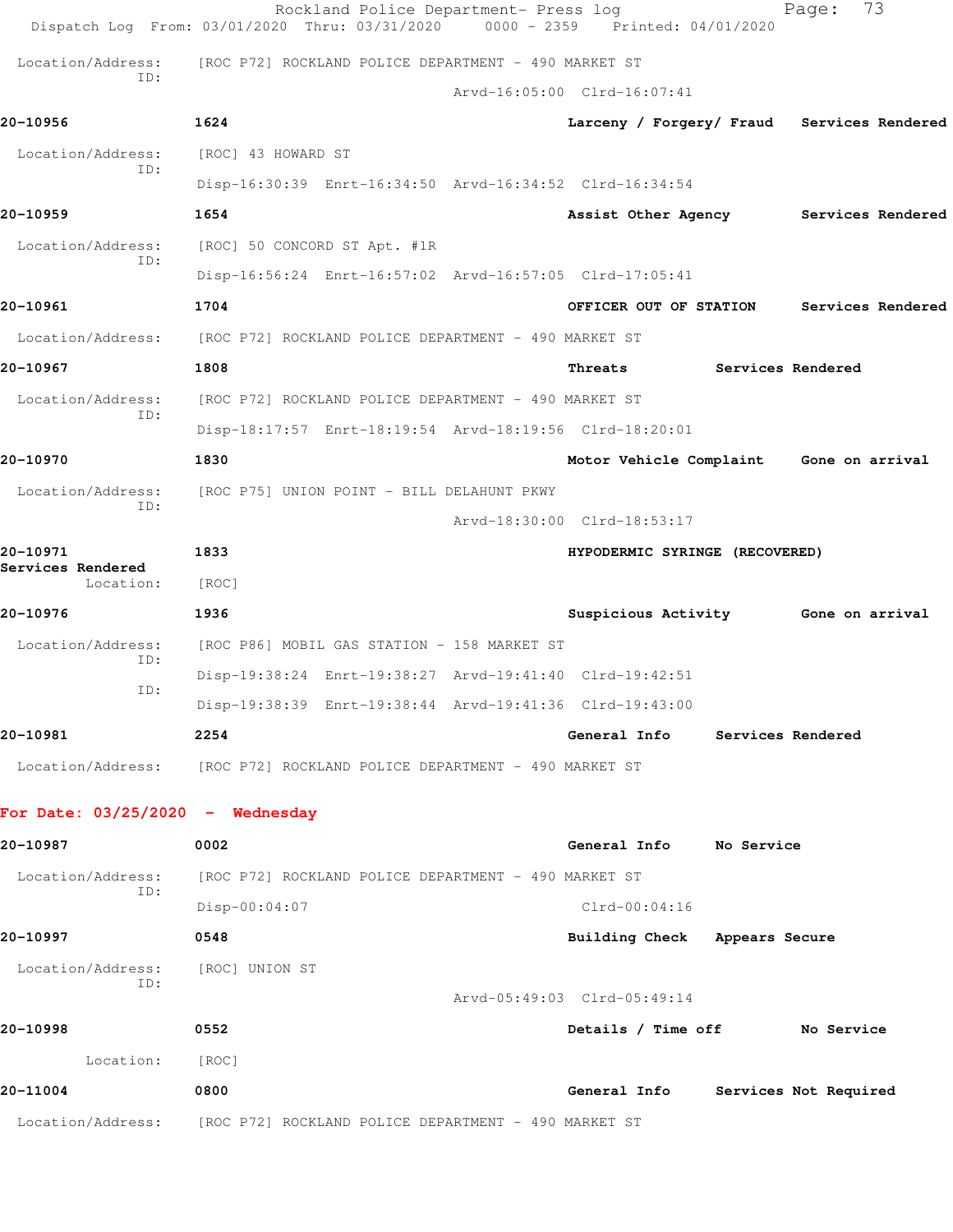|                                    | Rockland Police Department- Press log<br>Dispatch Log From: 03/01/2020 Thru: 03/31/2020 | 0000 - 2359 Printed: 04/01/2020            |                          | 73<br>Page:           |  |
|------------------------------------|-----------------------------------------------------------------------------------------|--------------------------------------------|--------------------------|-----------------------|--|
| Location/Address:                  | [ROC P72] ROCKLAND POLICE DEPARTMENT - 490 MARKET ST                                    |                                            |                          |                       |  |
| TD:                                |                                                                                         | Arvd-16:05:00 Clrd-16:07:41                |                          |                       |  |
| 20-10956                           | 1624                                                                                    | Larceny / Forgery/ Fraud Services Rendered |                          |                       |  |
| Location/Address:                  | [ROC] 43 HOWARD ST                                                                      |                                            |                          |                       |  |
| ID:                                | Disp-16:30:39 Enrt-16:34:50 Arvd-16:34:52 Clrd-16:34:54                                 |                                            |                          |                       |  |
| 20-10959                           | 1654                                                                                    | Assist Other Agency Services Rendered      |                          |                       |  |
| Location/Address:                  | [ROC] 50 CONCORD ST Apt. #1R                                                            |                                            |                          |                       |  |
| ID:                                | Disp-16:56:24 Enrt-16:57:02 Arvd-16:57:05 Clrd-17:05:41                                 |                                            |                          |                       |  |
| 20-10961                           | 1704                                                                                    | OFFICER OUT OF STATION                     |                          | Services Rendered     |  |
| Location/Address:                  | [ROC P72] ROCKLAND POLICE DEPARTMENT - 490 MARKET ST                                    |                                            |                          |                       |  |
| 20-10967                           | 1808                                                                                    | Threats                                    | <b>Services Rendered</b> |                       |  |
| Location/Address:                  | [ROC P72] ROCKLAND POLICE DEPARTMENT - 490 MARKET ST                                    |                                            |                          |                       |  |
| TD:                                | Disp-18:17:57 Enrt-18:19:54 Arvd-18:19:56 Clrd-18:20:01                                 |                                            |                          |                       |  |
| 20-10970                           | 1830                                                                                    | Motor Vehicle Complaint Gone on arrival    |                          |                       |  |
| Location/Address:                  | [ROC P75] UNION POINT - BILL DELAHUNT PKWY                                              |                                            |                          |                       |  |
| ID:                                |                                                                                         | Arvd-18:30:00 Clrd-18:53:17                |                          |                       |  |
| 20-10971                           | 1833                                                                                    | HYPODERMIC SYRINGE (RECOVERED)             |                          |                       |  |
| Services Rendered<br>Location:     | [ROC]                                                                                   |                                            |                          |                       |  |
| 20-10976                           | 1936                                                                                    | Suspicious Activity Gone on arrival        |                          |                       |  |
| Location/Address:                  | [ROC P86] MOBIL GAS STATION - 158 MARKET ST                                             |                                            |                          |                       |  |
| ID:                                | Disp-19:38:24 Enrt-19:38:27 Arvd-19:41:40 Clrd-19:42:51                                 |                                            |                          |                       |  |
| ID:                                | Disp-19:38:39 Enrt-19:38:44 Arvd-19:41:36 Clrd-19:43:00                                 |                                            |                          |                       |  |
| 20-10981                           | 2254                                                                                    | General Info                               | Services Rendered        |                       |  |
|                                    | Location/Address: [ROC P72] ROCKLAND POLICE DEPARTMENT - 490 MARKET ST                  |                                            |                          |                       |  |
| For Date: $03/25/2020 -$ Wednesday |                                                                                         |                                            |                          |                       |  |
| 20-10987                           | 0002                                                                                    | General Info No Service                    |                          |                       |  |
| Location/Address:                  | [ROC P72] ROCKLAND POLICE DEPARTMENT - 490 MARKET ST                                    |                                            |                          |                       |  |
| ID:                                | $Disp-00:04:07$                                                                         | $Clrd-00:04:16$                            |                          |                       |  |
| 20-10997                           | 0548                                                                                    | Building Check Appears Secure              |                          |                       |  |
| Location/Address:                  | [ROC] UNION ST                                                                          |                                            |                          |                       |  |
| ID:                                |                                                                                         | Arvd-05:49:03 Clrd-05:49:14                |                          |                       |  |
| 20-10998                           | 0552                                                                                    | Details / Time off                         |                          | No Service            |  |
| Location:                          | [ROC]                                                                                   |                                            |                          |                       |  |
| 20-11004                           | 0800                                                                                    | General Info                               |                          | Services Not Required |  |
|                                    | Location/Address: [ROC P72] ROCKLAND POLICE DEPARTMENT - 490 MARKET ST                  |                                            |                          |                       |  |
|                                    |                                                                                         |                                            |                          |                       |  |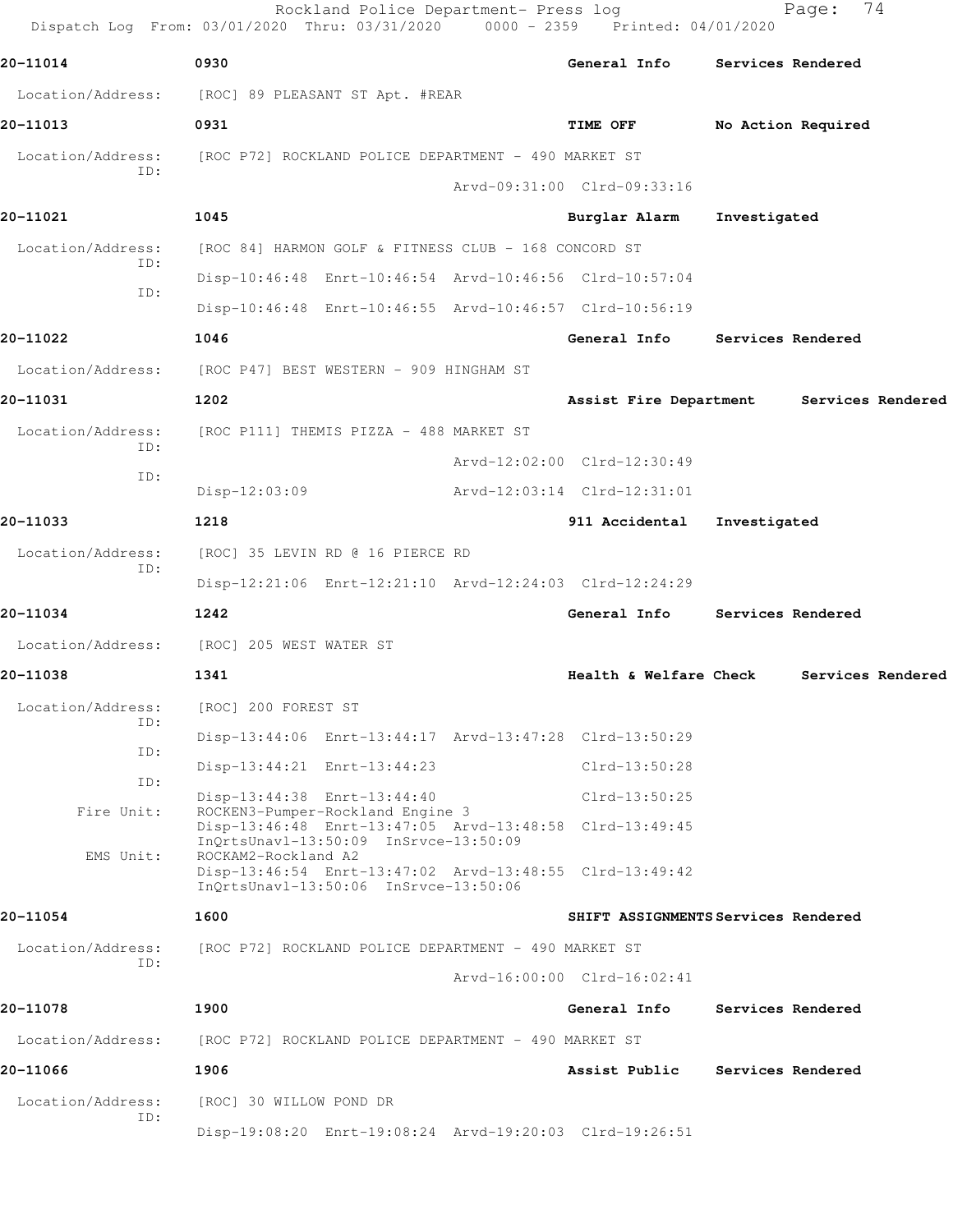|                          | Rockland Police Department- Press log<br>Dispatch Log From: 03/01/2020 Thru: 03/31/2020 0000 - 2359 Printed: 04/01/2020 |                                     |              | 74<br>Page:        |
|--------------------------|-------------------------------------------------------------------------------------------------------------------------|-------------------------------------|--------------|--------------------|
| 20-11014                 | 0930                                                                                                                    | General Info                        |              | Services Rendered  |
| Location/Address:        | [ROC] 89 PLEASANT ST Apt. #REAR                                                                                         |                                     |              |                    |
| 20-11013                 | 0931                                                                                                                    | TIME OFF                            |              | No Action Required |
| Location/Address:        | [ROC P72] ROCKLAND POLICE DEPARTMENT - 490 MARKET ST                                                                    |                                     |              |                    |
| ID:                      |                                                                                                                         | Arvd-09:31:00 Clrd-09:33:16         |              |                    |
| 20-11021                 | 1045                                                                                                                    | Burglar Alarm                       | Investigated |                    |
| Location/Address:        | [ROC 84] HARMON GOLF & FITNESS CLUB - 168 CONCORD ST                                                                    |                                     |              |                    |
| ID:                      | Disp-10:46:48 Enrt-10:46:54 Arvd-10:46:56 Clrd-10:57:04                                                                 |                                     |              |                    |
| ID:                      | Disp-10:46:48 Enrt-10:46:55 Arvd-10:46:57 Clrd-10:56:19                                                                 |                                     |              |                    |
| 20-11022                 | 1046                                                                                                                    | General Info                        |              | Services Rendered  |
| Location/Address:        | [ROC P47] BEST WESTERN - 909 HINGHAM ST                                                                                 |                                     |              |                    |
| 20-11031                 | 1202                                                                                                                    | Assist Fire Department              |              | Services Rendered  |
| Location/Address:        | [ROC P111] THEMIS PIZZA - 488 MARKET ST                                                                                 |                                     |              |                    |
| ID:                      |                                                                                                                         | Arvd-12:02:00 Clrd-12:30:49         |              |                    |
| ID:                      | Disp-12:03:09                                                                                                           | Arvd-12:03:14 Clrd-12:31:01         |              |                    |
| 20-11033                 | 1218                                                                                                                    | 911 Accidental                      | Investigated |                    |
| Location/Address:<br>ID: | [ROC] 35 LEVIN RD @ 16 PIERCE RD                                                                                        |                                     |              |                    |
|                          | Disp-12:21:06 Enrt-12:21:10 Arvd-12:24:03 Clrd-12:24:29                                                                 |                                     |              |                    |
| 20-11034                 | 1242                                                                                                                    | General Info                        |              | Services Rendered  |
| Location/Address:        | [ROC] 205 WEST WATER ST                                                                                                 |                                     |              |                    |
| 20-11038                 | 1341                                                                                                                    | Health & Welfare Check              |              | Services Rendered  |
| Location/Address:<br>ID: | [ROC] 200 FOREST ST                                                                                                     |                                     |              |                    |
| ID:                      | Disp-13:44:06 Enrt-13:44:17 Arvd-13:47:28 Clrd-13:50:29                                                                 |                                     |              |                    |
| ID:                      | Disp-13:44:21 Enrt-13:44:23                                                                                             | $Clrd-13:50:28$                     |              |                    |
| Fire Unit:               | Disp-13:44:38 Enrt-13:44:40<br>ROCKEN3-Pumper-Rockland Engine 3                                                         | $Clrd-13:50:25$                     |              |                    |
|                          | Disp-13:46:48 Enrt-13:47:05 Arvd-13:48:58 Clrd-13:49:45<br>InQrtsUnavl-13:50:09 InSrvce-13:50:09                        |                                     |              |                    |
| EMS Unit:                | ROCKAM2-Rockland A2<br>Disp-13:46:54 Enrt-13:47:02 Arvd-13:48:55 Clrd-13:49:42<br>InOrtsUnavl-13:50:06 InSrvce-13:50:06 |                                     |              |                    |
| 20-11054                 | 1600                                                                                                                    | SHIFT ASSIGNMENTS Services Rendered |              |                    |
| Location/Address:        | [ROC P72] ROCKLAND POLICE DEPARTMENT - 490 MARKET ST                                                                    |                                     |              |                    |
| ID:                      |                                                                                                                         | Arvd-16:00:00 Clrd-16:02:41         |              |                    |
| 20-11078                 | 1900                                                                                                                    | General Info                        |              | Services Rendered  |
| Location/Address:        | [ROC P72] ROCKLAND POLICE DEPARTMENT - 490 MARKET ST                                                                    |                                     |              |                    |
| 20-11066                 | 1906                                                                                                                    | Assist Public                       |              | Services Rendered  |
| Location/Address:        | [ROC] 30 WILLOW POND DR                                                                                                 |                                     |              |                    |
| ID:                      | Disp-19:08:20 Enrt-19:08:24 Arvd-19:20:03 Clrd-19:26:51                                                                 |                                     |              |                    |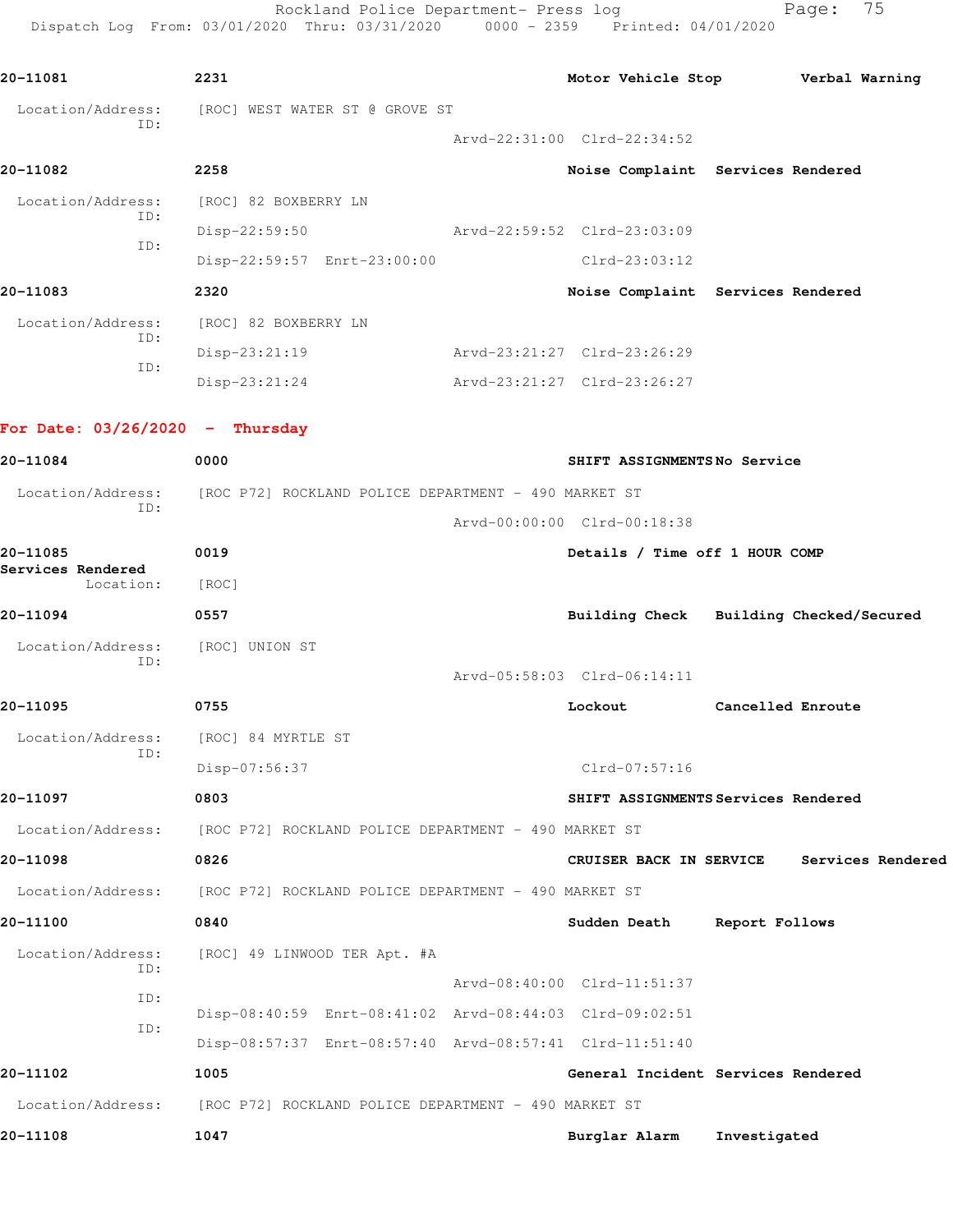Rockland Police Department- Press log Fage: 75 Dispatch Log From: 03/01/2020 Thru: 03/31/2020 0000 - 2359 Printed: 04/01/2020

**20-11081 2231 Motor Vehicle Stop Verbal Warning** Location/Address: [ROC] WEST WATER ST @ GROVE ST ID: Arvd-22:31:00 Clrd-22:34:52 **20-11082 2258 Noise Complaint Services Rendered** Location/Address: [ROC] 82 BOXBERRY LN ID: Disp-22:59:50 Arvd-22:59:52 Clrd-23:03:09 ID: Disp-22:59:57 Enrt-23:00:00 Clrd-23:03:12 **20-11083 2320 Noise Complaint Services Rendered** Location/Address: [ROC] 82 BOXBERRY LN ID: Disp-23:21:19 Arvd-23:21:27 Clrd-23:26:29 ID: Disp-23:21:24 Arvd-23:21:27 Clrd-23:26:27 **For Date: 03/26/2020 - Thursday 20-11084 0000 SHIFT ASSIGNMENTS No Service** Location/Address: [ROC P72] ROCKLAND POLICE DEPARTMENT - 490 MARKET ST ID: Arvd-00:00:00 Clrd-00:18:38 **20-11085 0019 Details / Time off 1 HOUR COMP Services Rendered**  Location: [ROC] **20-11094 0557 Building Check Building Checked/Secured** Location/Address: [ROC] UNION ST ID: Arvd-05:58:03 Clrd-06:14:11 **20-11095 0755 Lockout Cancelled Enroute** Location/Address: [ROC] 84 MYRTLE ST ID: Disp-07:56:37 Clrd-07:57:16 **20-11097 0803 SHIFT ASSIGNMENTS Services Rendered** Location/Address: [ROC P72] ROCKLAND POLICE DEPARTMENT - 490 MARKET ST **20-11098 0826 CRUISER BACK IN SERVICE Services Rendered** Location/Address: [ROC P72] ROCKLAND POLICE DEPARTMENT - 490 MARKET ST **20-11100 0840 Sudden Death Report Follows** Location/Address: [ROC] 49 LINWOOD TER Apt. #A ID: Arvd-08:40:00 Clrd-11:51:37 ID: Disp-08:40:59 Enrt-08:41:02 Arvd-08:44:03 Clrd-09:02:51 ID: Disp-08:57:37 Enrt-08:57:40 Arvd-08:57:41 Clrd-11:51:40 **20-11102 1005 General Incident Services Rendered** Location/Address: [ROC P72] ROCKLAND POLICE DEPARTMENT - 490 MARKET ST **20-11108 1047 Burglar Alarm Investigated**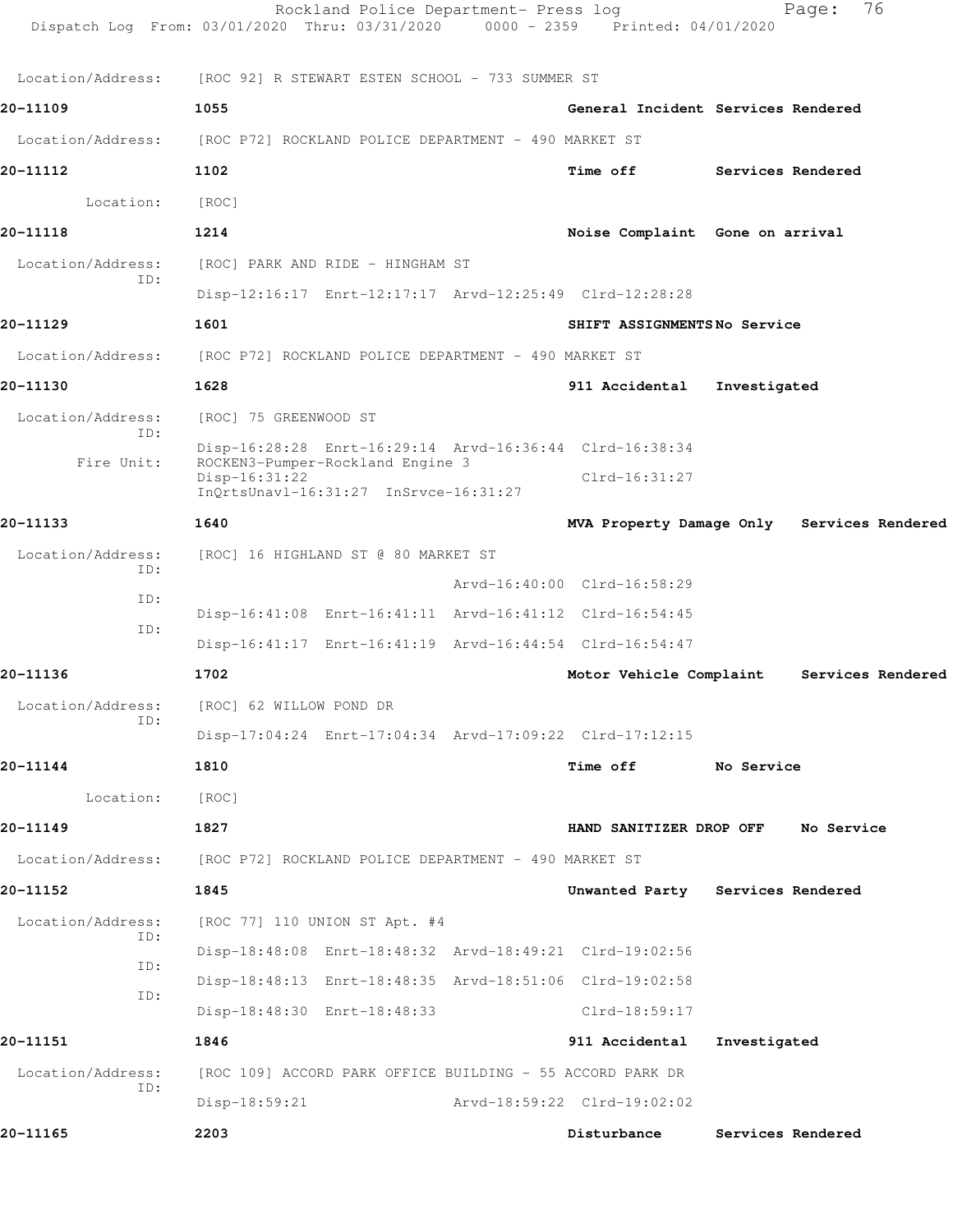|                          | Rockland Police Department- Press log<br>Dispatch Log From: 03/01/2020 Thru: 03/31/2020 0000 - 2359 Printed: 04/01/2020 |                             | 76<br>Page:                                |  |
|--------------------------|-------------------------------------------------------------------------------------------------------------------------|-----------------------------|--------------------------------------------|--|
| Location/Address:        | [ROC 92] R STEWART ESTEN SCHOOL - 733 SUMMER ST                                                                         |                             |                                            |  |
| 20-11109                 | 1055                                                                                                                    |                             | General Incident Services Rendered         |  |
| Location/Address:        | [ROC P72] ROCKLAND POLICE DEPARTMENT - 490 MARKET ST                                                                    |                             |                                            |  |
| 20-11112                 | 1102                                                                                                                    | Time off                    | Services Rendered                          |  |
| Location:                | [ROC]                                                                                                                   |                             |                                            |  |
| 20-11118                 | 1214                                                                                                                    |                             | Noise Complaint Gone on arrival            |  |
| Location/Address:        | [ROC] PARK AND RIDE - HINGHAM ST                                                                                        |                             |                                            |  |
| ID:                      | Disp-12:16:17 Enrt-12:17:17 Arvd-12:25:49 Clrd-12:28:28                                                                 |                             |                                            |  |
| 20-11129                 | 1601                                                                                                                    | SHIFT ASSIGNMENTSNo Service |                                            |  |
| Location/Address:        | [ROC P72] ROCKLAND POLICE DEPARTMENT - 490 MARKET ST                                                                    |                             |                                            |  |
| 20-11130                 | 1628                                                                                                                    | 911 Accidental              | Investigated                               |  |
| Location/Address:        | [ROC] 75 GREENWOOD ST                                                                                                   |                             |                                            |  |
| ID:                      | Disp-16:28:28 Enrt-16:29:14 Arvd-16:36:44 Clrd-16:38:34                                                                 |                             |                                            |  |
| Fire Unit:               | ROCKEN3-Pumper-Rockland Engine 3<br>$Disp-16:31:22$<br>InQrtsUnavl-16:31:27 InSrvce-16:31:27                            | $Clrd-16:31:27$             |                                            |  |
| 20-11133                 | 1640                                                                                                                    |                             | MVA Property Damage Only Services Rendered |  |
| Location/Address:<br>ID: | [ROC] 16 HIGHLAND ST @ 80 MARKET ST                                                                                     |                             |                                            |  |
| ID:                      |                                                                                                                         | Arvd-16:40:00 Clrd-16:58:29 |                                            |  |
| ID:                      | Disp-16:41:08 Enrt-16:41:11 Arvd-16:41:12 Clrd-16:54:45                                                                 |                             |                                            |  |
|                          | Disp-16:41:17 Enrt-16:41:19 Arvd-16:44:54 Clrd-16:54:47                                                                 |                             |                                            |  |
| 20-11136                 | 1702                                                                                                                    | Motor Vehicle Complaint     | Services Rendered                          |  |
| Location/Address:<br>ID: | [ROC] 62 WILLOW POND DR                                                                                                 |                             |                                            |  |
|                          | Disp-17:04:24 Enrt-17:04:34 Arvd-17:09:22 Clrd-17:12:15                                                                 |                             |                                            |  |
| 20-11144                 | 1810                                                                                                                    | <b>Time off</b>             | No Service                                 |  |
| Location:                | [ROC]                                                                                                                   |                             |                                            |  |
| 20-11149                 | 1827                                                                                                                    | HAND SANITIZER DROP OFF     | No Service                                 |  |
|                          | Location/Address: [ROC P72] ROCKLAND POLICE DEPARTMENT - 490 MARKET ST                                                  |                             |                                            |  |
| 20-11152                 | 1845                                                                                                                    |                             | Unwanted Party Services Rendered           |  |
| Location/Address:<br>ID: | [ROC 77] 110 UNION ST Apt. #4                                                                                           |                             |                                            |  |
| ID:                      | Disp-18:48:08 Enrt-18:48:32 Arvd-18:49:21 Clrd-19:02:56                                                                 |                             |                                            |  |
| ID:                      | Disp-18:48:13 Enrt-18:48:35 Arvd-18:51:06 Clrd-19:02:58                                                                 |                             |                                            |  |
|                          | Disp-18:48:30 Enrt-18:48:33                                                                                             | Clrd-18:59:17               |                                            |  |
| 20-11151                 | 1846                                                                                                                    | 911 Accidental              | Investigated                               |  |
| Location/Address:<br>ID: | [ROC 109] ACCORD PARK OFFICE BUILDING - 55 ACCORD PARK DR                                                               |                             |                                            |  |
|                          | $Disp-18:59:21$                                                                                                         | Arvd-18:59:22 Clrd-19:02:02 |                                            |  |
| 20-11165                 | 2203                                                                                                                    | Disturbance                 | Services Rendered                          |  |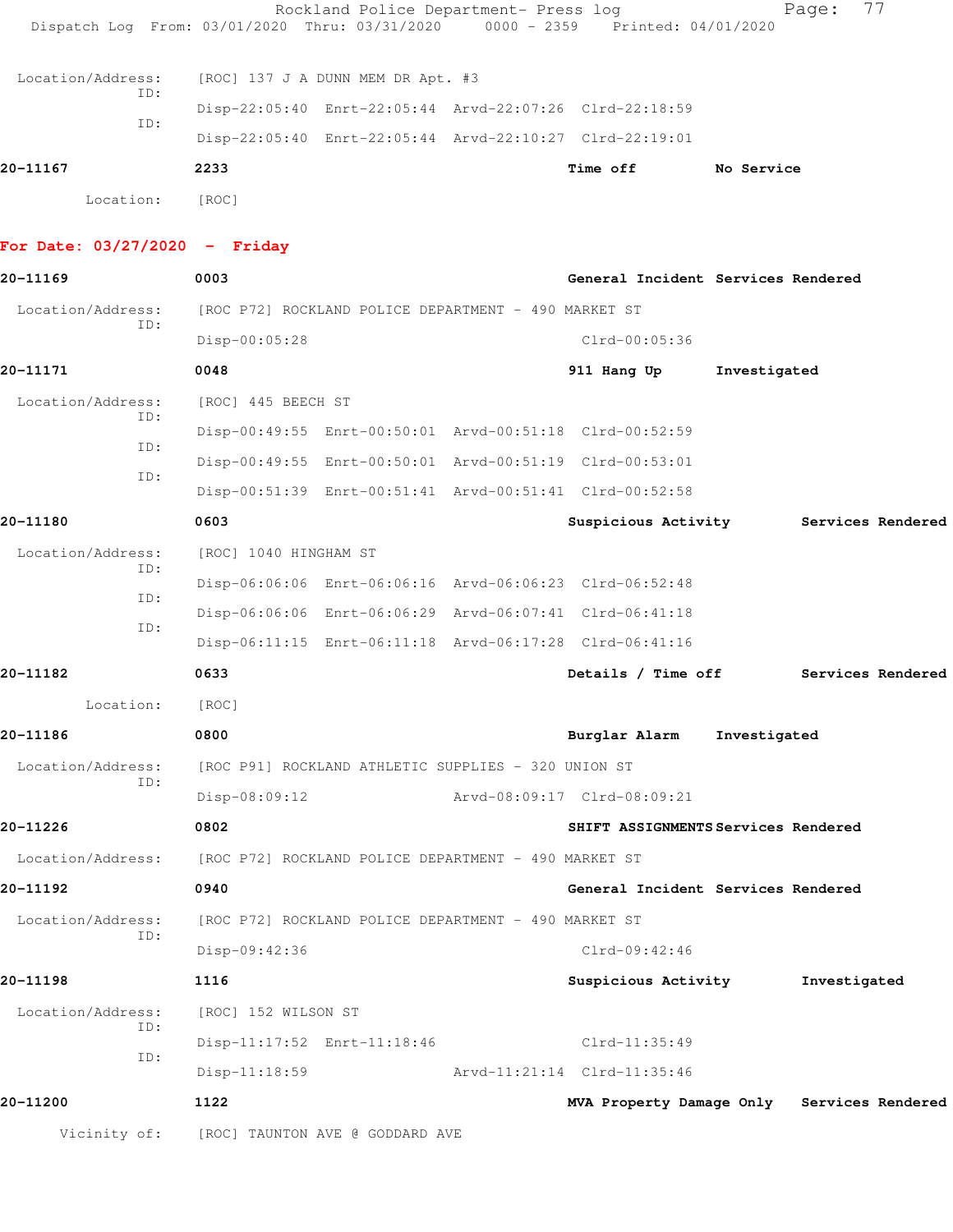|                   |                                     | Rockland Police Department- Press log                                          | 77<br>Page: |
|-------------------|-------------------------------------|--------------------------------------------------------------------------------|-------------|
|                   |                                     | Dispatch Log From: 03/01/2020 Thru: 03/31/2020 0000 - 2359 Printed: 04/01/2020 |             |
| Location/Address: | $[ROC]$ 137 J A DUNN MEM DR Apt. #3 |                                                                                |             |
| ID:<br>ID:        |                                     | Disp-22:05:40 Enrt-22:05:44 Arvd-22:07:26 Clrd-22:18:59                        |             |
|                   |                                     | Disp-22:05:40 Enrt-22:05:44 Arvd-22:10:27 Clrd-22:19:01                        |             |
| 20-11167          | 2233                                | Time off                                                                       | No Service  |
| Location:         | [ROC]                               |                                                                                |             |

## **For Date: 03/27/2020 - Friday**

| 20-11169                 | 0003                                                                   | General Incident Services Rendered         |
|--------------------------|------------------------------------------------------------------------|--------------------------------------------|
| Location/Address:        | [ROC P72] ROCKLAND POLICE DEPARTMENT - 490 MARKET ST                   |                                            |
| ID:                      | Disp-00:05:28                                                          | Clrd-00:05:36                              |
| 20-11171                 | 0048                                                                   | Investigated<br>911 Hang Up                |
| Location/Address:<br>ID: | [ROC] 445 BEECH ST                                                     |                                            |
| ID:                      | Disp-00:49:55 Enrt-00:50:01 Arvd-00:51:18 Clrd-00:52:59                |                                            |
| ID:                      | Disp-00:49:55 Enrt-00:50:01 Arvd-00:51:19 Clrd-00:53:01                |                                            |
|                          | Disp-00:51:39 Enrt-00:51:41 Arvd-00:51:41 Clrd-00:52:58                |                                            |
| 20-11180                 | 0603                                                                   | Suspicious Activity 5ervices Rendered      |
| Location/Address:<br>ID: | [ROC] 1040 HINGHAM ST                                                  |                                            |
|                          | Disp-06:06:06 Enrt-06:06:16 Arvd-06:06:23 Clrd-06:52:48                |                                            |
| ID:                      | Disp-06:06:06 Enrt-06:06:29 Arvd-06:07:41 Clrd-06:41:18                |                                            |
| ID:                      | Disp-06:11:15 Enrt-06:11:18 Arvd-06:17:28 Clrd-06:41:16                |                                            |
| 20-11182                 | 0633                                                                   | Details / Time off<br>Services Rendered    |
| Location:                | [ROC]                                                                  |                                            |
| 20-11186                 | 0800                                                                   | Burglar Alarm<br>Investigated              |
| Location/Address:        | [ROC P91] ROCKLAND ATHLETIC SUPPLIES - 320 UNION ST                    |                                            |
| ID:                      | $Disp-08:09:12$                                                        | Arvd-08:09:17 Clrd-08:09:21                |
| 20-11226                 | 0802                                                                   | SHIFT ASSIGNMENTS Services Rendered        |
|                          | Location/Address: [ROC P72] ROCKLAND POLICE DEPARTMENT - 490 MARKET ST |                                            |
| 20-11192                 | 0940                                                                   | General Incident Services Rendered         |
| Location/Address:        | [ROC P72] ROCKLAND POLICE DEPARTMENT - 490 MARKET ST                   |                                            |
| ID:                      | Disp-09:42:36                                                          | $Clrd-09:42:46$                            |
| 20-11198                 | 1116                                                                   | Suspicious Activity<br>Investigated        |
| Location/Address:        | [ROC] 152 WILSON ST                                                    |                                            |
| ID:                      | Disp-11:17:52 Enrt-11:18:46                                            | Clrd-11:35:49                              |
| ID:                      | $Disp-11:18:59$                                                        | Arvd-11:21:14 Clrd-11:35:46                |
| 20-11200                 | 1122                                                                   | MVA Property Damage Only Services Rendered |
|                          | Vicinity of: [ROC] TAUNTON AVE @ GODDARD AVE                           |                                            |
|                          |                                                                        |                                            |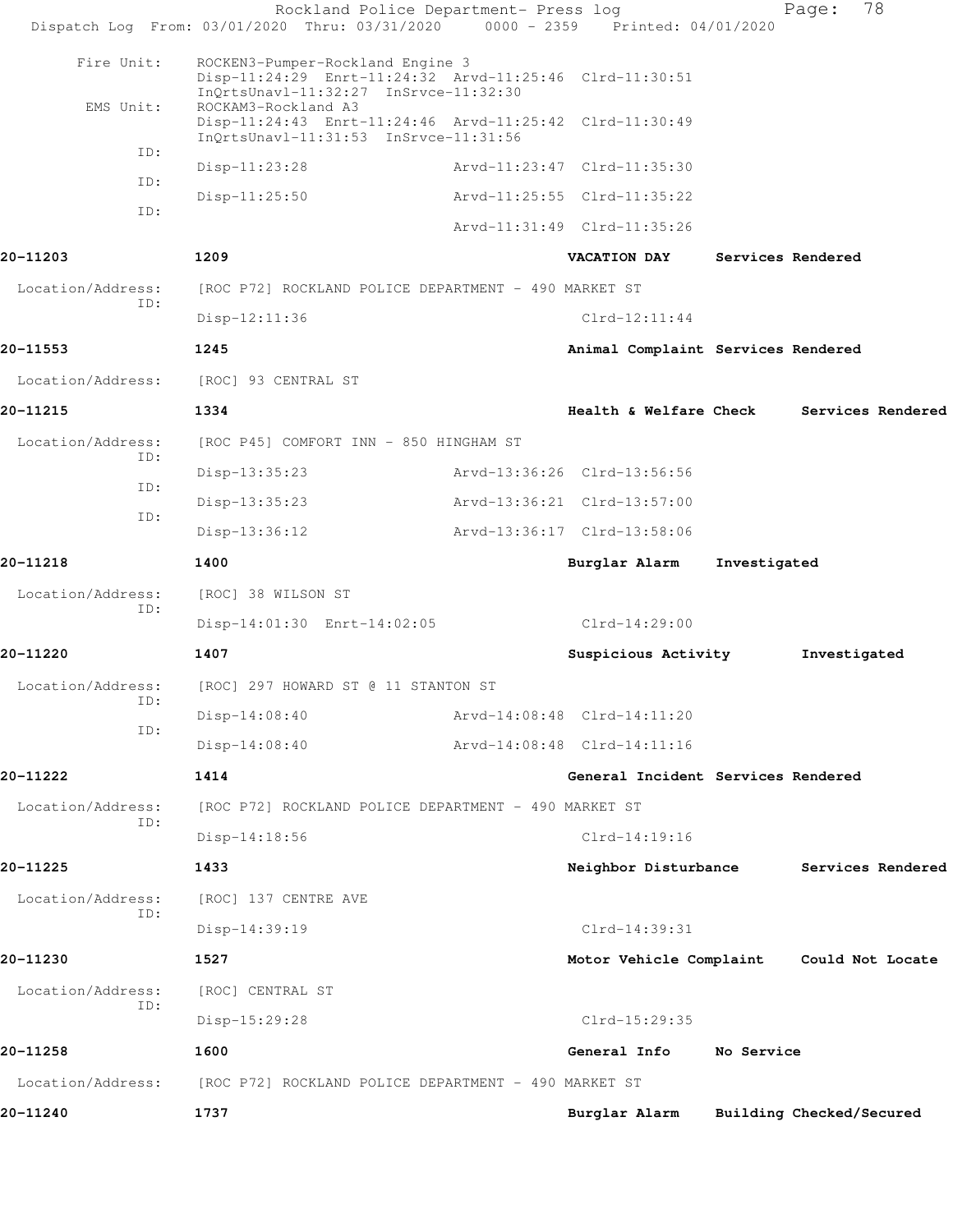|                   | Rockland Police Department- Press log<br>Dispatch Log From: 03/01/2020 Thru: 03/31/2020 0000 - 2359 Printed: 04/01/2020              |                                    |              | 78<br>Page:              |  |
|-------------------|--------------------------------------------------------------------------------------------------------------------------------------|------------------------------------|--------------|--------------------------|--|
|                   |                                                                                                                                      |                                    |              |                          |  |
| Fire Unit:        | ROCKEN3-Pumper-Rockland Engine 3<br>Disp-11:24:29 Enrt-11:24:32 Arvd-11:25:46 Clrd-11:30:51<br>InQrtsUnavl-11:32:27 InSrvce-11:32:30 |                                    |              |                          |  |
| EMS Unit:         | ROCKAM3-Rockland A3<br>Disp-11:24:43 Enrt-11:24:46 Arvd-11:25:42 Clrd-11:30:49<br>InQrtsUnavl-11:31:53 InSrvce-11:31:56              |                                    |              |                          |  |
| ID:               | Disp-11:23:28                                                                                                                        | Arvd-11:23:47 Clrd-11:35:30        |              |                          |  |
| ID:               | $Disp-11:25:50$                                                                                                                      | Arvd-11:25:55 Clrd-11:35:22        |              |                          |  |
| ID:               |                                                                                                                                      | Arvd-11:31:49 Clrd-11:35:26        |              |                          |  |
| 20-11203          | 1209                                                                                                                                 | <b>VACATION DAY</b>                |              | Services Rendered        |  |
| Location/Address: | [ROC P72] ROCKLAND POLICE DEPARTMENT - 490 MARKET ST                                                                                 |                                    |              |                          |  |
| ID:               | Disp-12:11:36                                                                                                                        | $Clrd-12:11:44$                    |              |                          |  |
| 20-11553          | 1245                                                                                                                                 | Animal Complaint Services Rendered |              |                          |  |
| Location/Address: | [ROC] 93 CENTRAL ST                                                                                                                  |                                    |              |                          |  |
| 20-11215          | 1334                                                                                                                                 | <b>Health &amp; Welfare Check</b>  |              | Services Rendered        |  |
| Location/Address: | [ROC P45] COMFORT INN - 850 HINGHAM ST                                                                                               |                                    |              |                          |  |
| ID:               | Disp-13:35:23                                                                                                                        | Arvd-13:36:26 Clrd-13:56:56        |              |                          |  |
| ID:               | $Disp-13:35:23$                                                                                                                      | Arvd-13:36:21 Clrd-13:57:00        |              |                          |  |
| ID:               | $Disp-13:36:12$                                                                                                                      | Arvd-13:36:17 Clrd-13:58:06        |              |                          |  |
| 20-11218          | 1400                                                                                                                                 | Burglar Alarm                      | Investigated |                          |  |
| Location/Address: | [ROC] 38 WILSON ST                                                                                                                   |                                    |              |                          |  |
| ID:               | Disp-14:01:30 Enrt-14:02:05                                                                                                          | $Clrd-14:29:00$                    |              |                          |  |
| 20-11220          | 1407                                                                                                                                 | Suspicious Activity                |              | Investigated             |  |
| Location/Address: | [ROC] 297 HOWARD ST @ 11 STANTON ST                                                                                                  |                                    |              |                          |  |
| ID:               | $Disp-14:08:40$                                                                                                                      | Arvd-14:08:48 Clrd-14:11:20        |              |                          |  |
| ID:               | $Disp-14:08:40$                                                                                                                      | Arvd-14:08:48 Clrd-14:11:16        |              |                          |  |
| 20-11222          | 1414                                                                                                                                 | General Incident Services Rendered |              |                          |  |
| Location/Address: | [ROC P72] ROCKLAND POLICE DEPARTMENT - 490 MARKET ST                                                                                 |                                    |              |                          |  |
| ID:               | Disp-14:18:56                                                                                                                        | $Clrd-14:19:16$                    |              |                          |  |
| 20-11225          | 1433                                                                                                                                 | Neighbor Disturbance               |              | Services Rendered        |  |
| Location/Address: | [ROC] 137 CENTRE AVE                                                                                                                 |                                    |              |                          |  |
| ID:               | Disp-14:39:19                                                                                                                        | Clrd-14:39:31                      |              |                          |  |
| 20-11230          | 1527                                                                                                                                 | Motor Vehicle Complaint            |              | Could Not Locate         |  |
| Location/Address: | [ROC] CENTRAL ST                                                                                                                     |                                    |              |                          |  |
| ID:               | Disp-15:29:28                                                                                                                        | Clrd-15:29:35                      |              |                          |  |
| 20-11258          | 1600                                                                                                                                 | General Info                       | No Service   |                          |  |
| Location/Address: | [ROC P72] ROCKLAND POLICE DEPARTMENT - 490 MARKET ST                                                                                 |                                    |              |                          |  |
| 20-11240          | 1737                                                                                                                                 | Burglar Alarm                      |              | Building Checked/Secured |  |
|                   |                                                                                                                                      |                                    |              |                          |  |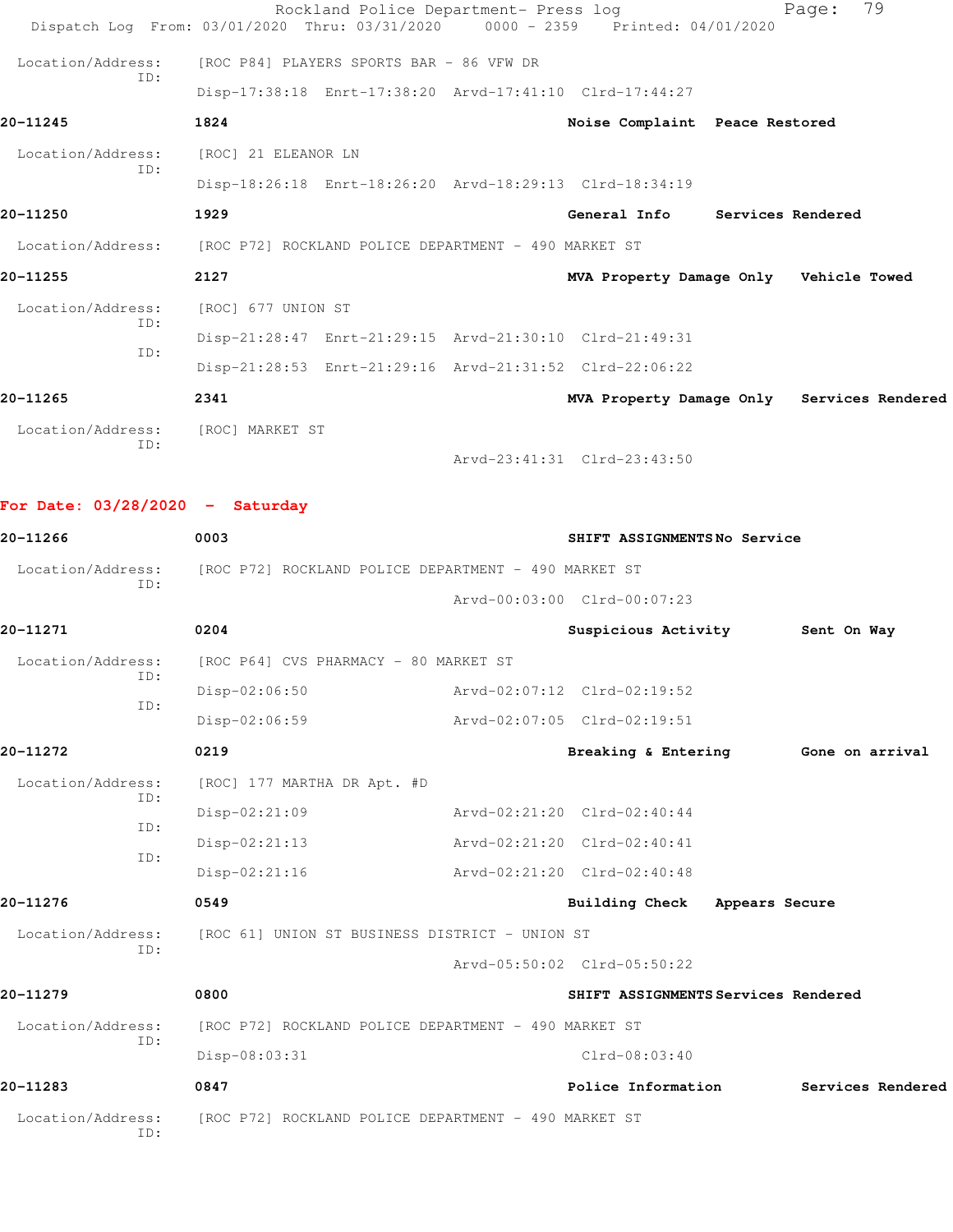|                                 | Rockland Police Department- Press log<br>Dispatch Log From: 03/01/2020 Thru: 03/31/2020 | $0000 - 2359$ | Printed: 04/01/2020                        |                | 79<br>Page:       |  |
|---------------------------------|-----------------------------------------------------------------------------------------|---------------|--------------------------------------------|----------------|-------------------|--|
| Location/Address:               | [ROC P84] PLAYERS SPORTS BAR - 86 VFW DR                                                |               |                                            |                |                   |  |
| ID:                             | Disp-17:38:18 Enrt-17:38:20 Arvd-17:41:10 Clrd-17:44:27                                 |               |                                            |                |                   |  |
| 20-11245                        | 1824                                                                                    |               | Noise Complaint Peace Restored             |                |                   |  |
| Location/Address:               | [ROC] 21 ELEANOR LN                                                                     |               |                                            |                |                   |  |
| ID:                             | Disp-18:26:18 Enrt-18:26:20 Arvd-18:29:13 Clrd-18:34:19                                 |               |                                            |                |                   |  |
| 20-11250                        | 1929                                                                                    |               | General Info Services Rendered             |                |                   |  |
|                                 | Location/Address: [ROC P72] ROCKLAND POLICE DEPARTMENT - 490 MARKET ST                  |               |                                            |                |                   |  |
| 20-11255                        | 2127                                                                                    |               | MVA Property Damage Only Vehicle Towed     |                |                   |  |
| Location/Address:               | [ROC] 677 UNION ST                                                                      |               |                                            |                |                   |  |
| ID:                             | Disp-21:28:47 Enrt-21:29:15 Arvd-21:30:10 Clrd-21:49:31                                 |               |                                            |                |                   |  |
| ID:                             | Disp-21:28:53 Enrt-21:29:16 Arvd-21:31:52 Clrd-22:06:22                                 |               |                                            |                |                   |  |
| 20-11265                        | 2341                                                                                    |               | MVA Property Damage Only Services Rendered |                |                   |  |
| Location/Address:               | [ROC] MARKET ST                                                                         |               |                                            |                |                   |  |
| ID:                             |                                                                                         |               | Arvd-23:41:31 Clrd-23:43:50                |                |                   |  |
|                                 |                                                                                         |               |                                            |                |                   |  |
| For Date: 03/28/2020 - Saturday |                                                                                         |               |                                            |                |                   |  |
| 20-11266                        | 0003                                                                                    |               | SHIFT ASSIGNMENTSNo Service                |                |                   |  |
| Location/Address:               | [ROC P72] ROCKLAND POLICE DEPARTMENT - 490 MARKET ST                                    |               |                                            |                |                   |  |
| ID:                             |                                                                                         |               | Arvd-00:03:00 Clrd-00:07:23                |                |                   |  |
| 20-11271                        | 0204                                                                                    |               | Suspicious Activity                        |                | Sent On Way       |  |
| Location/Address:               | [ROC P64] CVS PHARMACY - 80 MARKET ST                                                   |               |                                            |                |                   |  |
| ID:                             | Disp-02:06:50                                                                           |               | Arvd-02:07:12 Clrd-02:19:52                |                |                   |  |
| ID:                             | $Disp-02:06:59$                                                                         |               | Arvd-02:07:05 Clrd-02:19:51                |                |                   |  |
| 20-11272                        | 0219                                                                                    |               | Breaking & Entering                        |                | Gone on arrival   |  |
| Location/Address:               | [ROC] 177 MARTHA DR Apt. #D                                                             |               |                                            |                |                   |  |
| ID:                             | Disp-02:21:09                                                                           |               | Arvd-02:21:20 Clrd-02:40:44                |                |                   |  |
| ID:                             | $Disp-02:21:13$                                                                         |               | Arvd-02:21:20 Clrd-02:40:41                |                |                   |  |
| ID:                             | $Disp-02:21:16$                                                                         |               | Arvd-02:21:20 Clrd-02:40:48                |                |                   |  |
| 20-11276                        | 0549                                                                                    |               | <b>Building Check</b>                      | Appears Secure |                   |  |
| Location/Address:               | [ROC 61] UNION ST BUSINESS DISTRICT - UNION ST                                          |               |                                            |                |                   |  |
| ID:                             |                                                                                         |               | Arvd-05:50:02 Clrd-05:50:22                |                |                   |  |
| 20-11279                        | 0800                                                                                    |               | SHIFT ASSIGNMENTS Services Rendered        |                |                   |  |
| Location/Address:               | [ROC P72] ROCKLAND POLICE DEPARTMENT - 490 MARKET ST                                    |               |                                            |                |                   |  |
| ID:                             | Disp-08:03:31                                                                           |               | $Clrd-08:03:40$                            |                |                   |  |
| 20-11283                        | 0847                                                                                    |               | Police Information                         |                | Services Rendered |  |
| Location/Address:<br>ID:        | [ROC P72] ROCKLAND POLICE DEPARTMENT - 490 MARKET ST                                    |               |                                            |                |                   |  |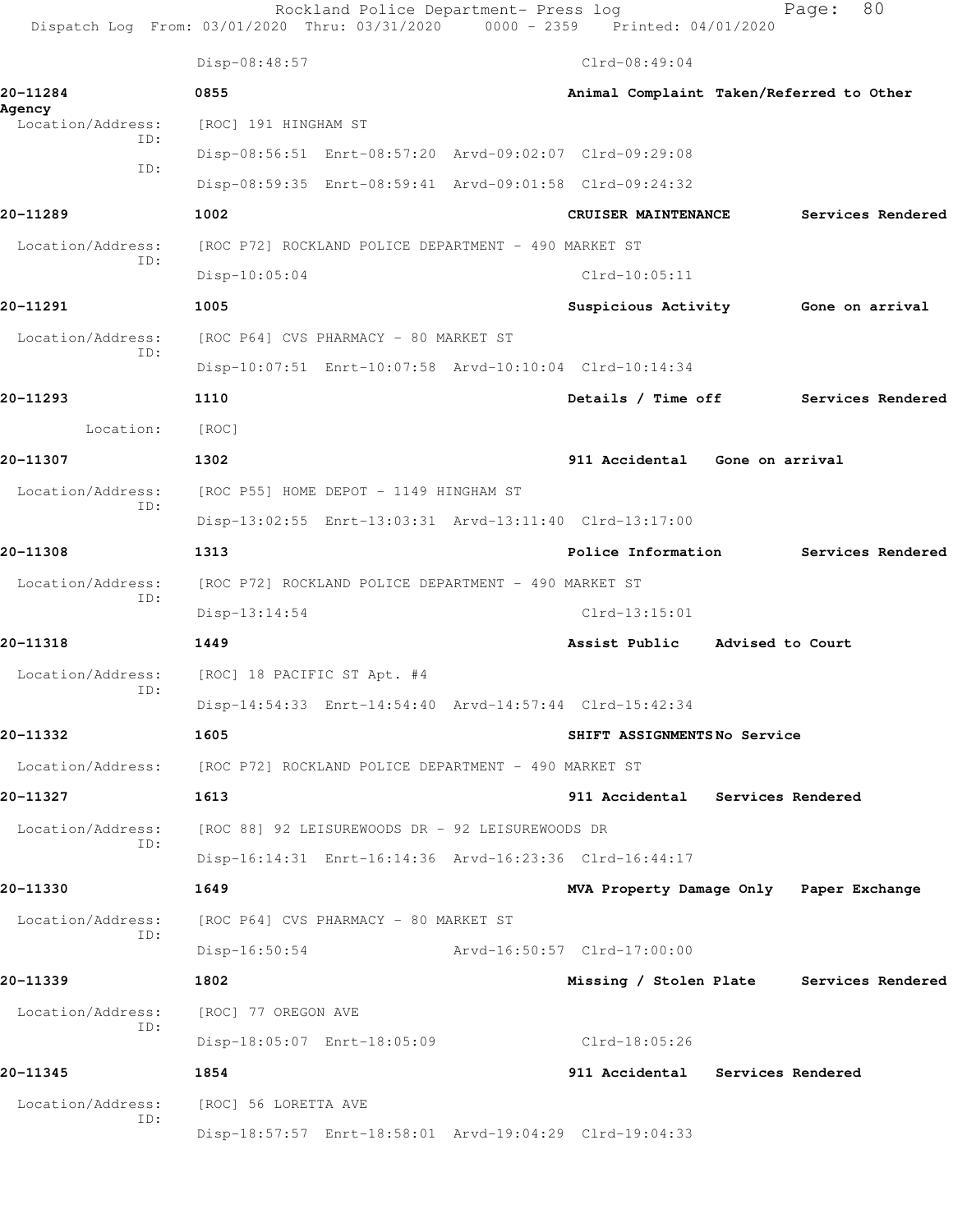Rockland Police Department- Press log Page: 80 Dispatch Log From: 03/01/2020 Thru: 03/31/2020 0000 - 2359 Printed: 04/01/2020 Disp-08:48:57 Clrd-08:49:04 **20-11284 0855 Animal Complaint Taken/Referred to Other Agency**  Location/Address: [ROC] 191 HINGHAM ST ID: Disp-08:56:51 Enrt-08:57:20 Arvd-09:02:07 Clrd-09:29:08 ID: Disp-08:59:35 Enrt-08:59:41 Arvd-09:01:58 Clrd-09:24:32 **20-11289 1002 CRUISER MAINTENANCE Services Rendered** Location/Address: [ROC P72] ROCKLAND POLICE DEPARTMENT - 490 MARKET ST ID: Disp-10:05:04 Clrd-10:05:11 **20-11291 1005 Suspicious Activity Gone on arrival** Location/Address: [ROC P64] CVS PHARMACY - 80 MARKET ST ID: Disp-10:07:51 Enrt-10:07:58 Arvd-10:10:04 Clrd-10:14:34 **20-11293 1110 Details / Time off Services Rendered** Location: [ROC] **20-11307 1302 911 Accidental Gone on arrival** Location/Address: [ROC P55] HOME DEPOT - 1149 HINGHAM ST ID: Disp-13:02:55 Enrt-13:03:31 Arvd-13:11:40 Clrd-13:17:00 **20-11308 1313 Police Information Services Rendered** Location/Address: [ROC P72] ROCKLAND POLICE DEPARTMENT - 490 MARKET ST ID: Disp-13:14:54 Clrd-13:15:01 **20-11318 1449 Assist Public Advised to Court** Location/Address: [ROC] 18 PACIFIC ST Apt. #4 ID: Disp-14:54:33 Enrt-14:54:40 Arvd-14:57:44 Clrd-15:42:34 **20-11332 1605 SHIFT ASSIGNMENTS No Service** Location/Address: [ROC P72] ROCKLAND POLICE DEPARTMENT - 490 MARKET ST **20-11327 1613 911 Accidental Services Rendered** Location/Address: [ROC 88] 92 LEISUREWOODS DR - 92 LEISUREWOODS DR ID: Disp-16:14:31 Enrt-16:14:36 Arvd-16:23:36 Clrd-16:44:17 **20-11330 1649 MVA Property Damage Only Paper Exchange** Location/Address: [ROC P64] CVS PHARMACY - 80 MARKET ST ID: Disp-16:50:54 Arvd-16:50:57 Clrd-17:00:00 **20-11339 1802 Missing / Stolen Plate Services Rendered** Location/Address: [ROC] 77 OREGON AVE ID: Disp-18:05:07 Enrt-18:05:09 Clrd-18:05:26 **20-11345 1854 911 Accidental Services Rendered** Location/Address: [ROC] 56 LORETTA AVE ID: Disp-18:57:57 Enrt-18:58:01 Arvd-19:04:29 Clrd-19:04:33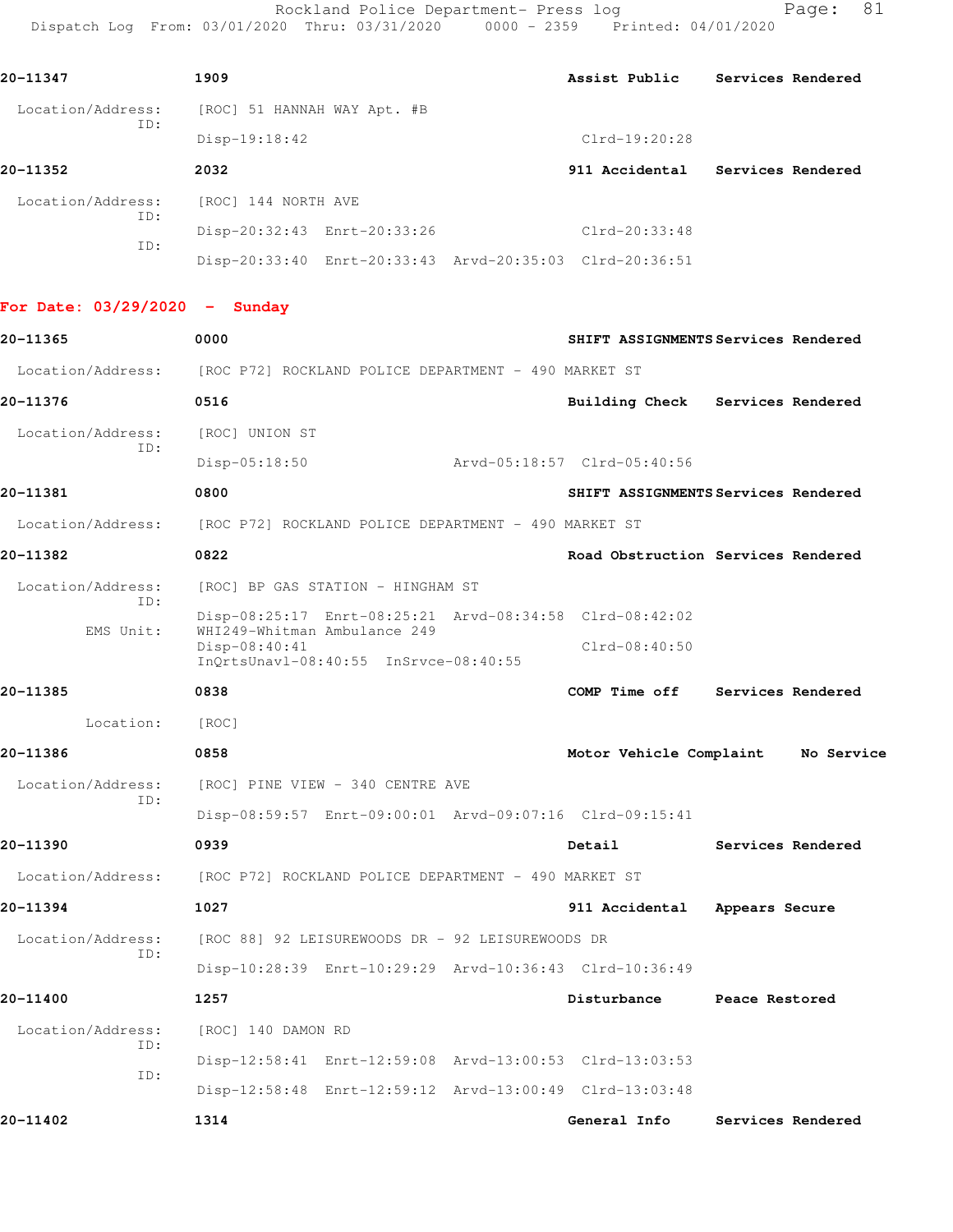Rockland Police Department- Press log entitled Page: 81 Dispatch Log From: 03/01/2020 Thru: 03/31/2020 0000 - 2359 Printed: 04/01/2020

| 20-11347                 | 1909                        |                                                         | Assist Public   | Services Rendered |  |
|--------------------------|-----------------------------|---------------------------------------------------------|-----------------|-------------------|--|
| Location/Address:<br>ID: | [ROC] 51 HANNAH WAY Apt. #B |                                                         |                 |                   |  |
|                          | $Disp-19:18:42$             |                                                         | $Clrd-19:20:28$ |                   |  |
| 20-11352                 | 2032                        |                                                         | 911 Accidental  | Services Rendered |  |
| Location/Address:        | [ROC] 144 NORTH AVE         |                                                         |                 |                   |  |
| ID:                      |                             | Disp-20:32:43 Enrt-20:33:26                             | $Clrd-20:33:48$ |                   |  |
| ID:                      |                             | Disp-20:33:40 Enrt-20:33:43 Arvd-20:35:03 Clrd-20:36:51 |                 |                   |  |

**For Date: 03/29/2020 - Sunday**

| 20-11365                             | 0000                                                                                   | SHIFT ASSIGNMENTS Services Rendered |                   |
|--------------------------------------|----------------------------------------------------------------------------------------|-------------------------------------|-------------------|
| Location/Address:                    | [ROC P72] ROCKLAND POLICE DEPARTMENT - 490 MARKET ST                                   |                                     |                   |
| 20-11376                             | 0516                                                                                   | Building Check Services Rendered    |                   |
| Location/Address:                    | [ROC] UNION ST                                                                         |                                     |                   |
| ID:                                  | $Disp-05:18:50$                                                                        | Arvd-05:18:57 Clrd-05:40:56         |                   |
| 20-11381                             | 0800                                                                                   | SHIFT ASSIGNMENTS Services Rendered |                   |
| Location/Address:                    | [ROC P72] ROCKLAND POLICE DEPARTMENT - 490 MARKET ST                                   |                                     |                   |
| 20-11382                             | 0822                                                                                   | Road Obstruction Services Rendered  |                   |
| Location/Address:                    | [ROC] BP GAS STATION - HINGHAM ST                                                      |                                     |                   |
| ID:                                  | Disp-08:25:17 Enrt-08:25:21 Arvd-08:34:58 Clrd-08:42:02                                |                                     |                   |
| EMS Unit:                            | WHI249-Whitman Ambulance 249<br>Disp-08:40:41<br>InQrtsUnavl-08:40:55 InSrvce-08:40:55 | $Clrd-08:40:50$                     |                   |
| 20-11385                             | 0838                                                                                   | COMP Time off Services Rendered     |                   |
| Location:                            | [ROC]                                                                                  |                                     |                   |
| 20-11386                             | 0858                                                                                   | Motor Vehicle Complaint             | No Service        |
| Location/Address:                    | [ROC] PINE VIEW - 340 CENTRE AVE                                                       |                                     |                   |
| ID:                                  | Disp-08:59:57 Enrt-09:00:01 Arvd-09:07:16 Clrd-09:15:41                                |                                     |                   |
| 20-11390                             | 0939                                                                                   | Detail                              | Services Rendered |
| Location/Address:                    | [ROC P72] ROCKLAND POLICE DEPARTMENT - 490 MARKET ST                                   |                                     |                   |
| 20-11394                             | 1027                                                                                   | 911 Accidental                      | Appears Secure    |
| Location/Address:                    | [ROC 88] 92 LEISUREWOODS DR - 92 LEISUREWOODS DR                                       |                                     |                   |
| ID:                                  | Disp-10:28:39 Enrt-10:29:29 Arvd-10:36:43 Clrd-10:36:49                                |                                     |                   |
| 20-11400                             | 1257                                                                                   | Disturbance                         | Peace Restored    |
| Location/Address: [ROC] 140 DAMON RD |                                                                                        |                                     |                   |
| ID:                                  | Disp-12:58:41 Enrt-12:59:08 Arvd-13:00:53 Clrd-13:03:53                                |                                     |                   |
|                                      |                                                                                        |                                     |                   |
| ID:                                  | Disp-12:58:48 Enrt-12:59:12 Arvd-13:00:49 Clrd-13:03:48                                |                                     |                   |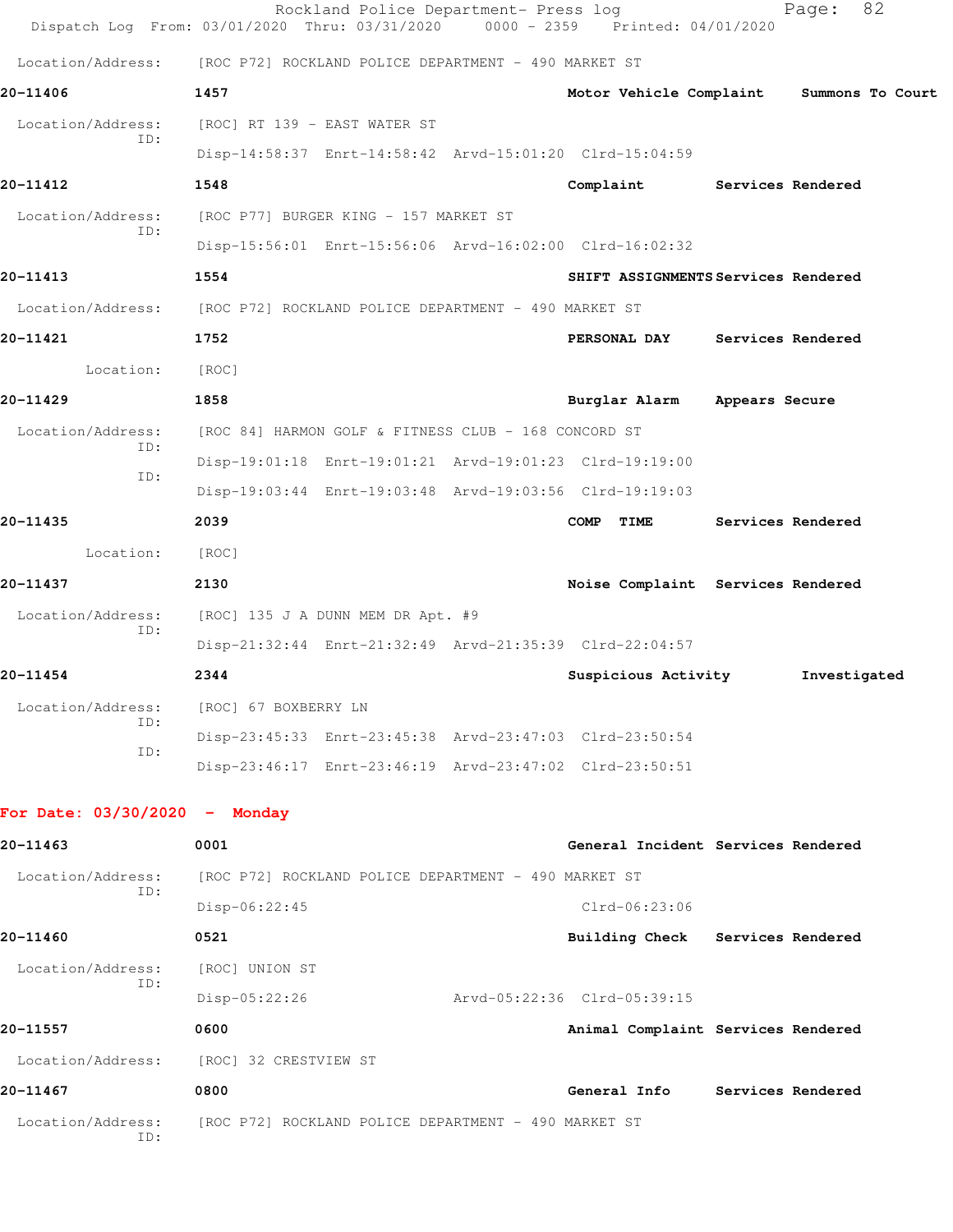|                                 | Rockland Police Department- Press log<br>Dispatch Log From: 03/01/2020 Thru: 03/31/2020 | $0000 - 2359$ | Printed: 04/01/2020                 |                   | 82<br>Page:      |
|---------------------------------|-----------------------------------------------------------------------------------------|---------------|-------------------------------------|-------------------|------------------|
| Location/Address:               | [ROC P72] ROCKLAND POLICE DEPARTMENT - 490 MARKET ST                                    |               |                                     |                   |                  |
| 20-11406                        | 1457                                                                                    |               | Motor Vehicle Complaint             |                   | Summons To Court |
| Location/Address:               | [ROC] RT 139 - EAST WATER ST                                                            |               |                                     |                   |                  |
| ID:                             | Disp-14:58:37 Enrt-14:58:42 Arvd-15:01:20 Clrd-15:04:59                                 |               |                                     |                   |                  |
| 20-11412                        | 1548                                                                                    |               | Complaint                           | Services Rendered |                  |
| Location/Address:               | [ROC P77] BURGER KING - 157 MARKET ST                                                   |               |                                     |                   |                  |
| ID:                             | Disp-15:56:01 Enrt-15:56:06 Arvd-16:02:00 Clrd-16:02:32                                 |               |                                     |                   |                  |
| 20-11413                        | 1554                                                                                    |               | SHIFT ASSIGNMENTS Services Rendered |                   |                  |
| Location/Address:               | [ROC P72] ROCKLAND POLICE DEPARTMENT - 490 MARKET ST                                    |               |                                     |                   |                  |
| 20-11421                        | 1752                                                                                    |               | PERSONAL DAY                        | Services Rendered |                  |
| Location:                       | [ROC]                                                                                   |               |                                     |                   |                  |
| 20-11429                        | 1858                                                                                    |               | Burglar Alarm                       | Appears Secure    |                  |
| Location/Address:               | [ROC 84] HARMON GOLF & FITNESS CLUB - 168 CONCORD ST                                    |               |                                     |                   |                  |
| ID:<br>ID:                      | Disp-19:01:18 Enrt-19:01:21 Arvd-19:01:23 Clrd-19:19:00                                 |               |                                     |                   |                  |
|                                 | Disp-19:03:44 Enrt-19:03:48 Arvd-19:03:56 Clrd-19:19:03                                 |               |                                     |                   |                  |
| 20-11435                        | 2039                                                                                    |               | <b>COMP</b><br>TIME                 | Services Rendered |                  |
| Location:                       | [ROC]                                                                                   |               |                                     |                   |                  |
| 20-11437                        | 2130                                                                                    |               | Noise Complaint Services Rendered   |                   |                  |
| Location/Address:<br>ID:        | [ROC] 135 J A DUNN MEM DR Apt. #9                                                       |               |                                     |                   |                  |
|                                 | Disp-21:32:44 Enrt-21:32:49 Arvd-21:35:39 Clrd-22:04:57                                 |               |                                     |                   |                  |
| 20-11454                        | 2344                                                                                    |               | Suspicious Activity                 |                   | Investigated     |
| Location/Address:<br>ID:        | [ROC] 67 BOXBERRY LN                                                                    |               |                                     |                   |                  |
| ID:                             | Disp-23:45:33 Enrt-23:45:38 Arvd-23:47:03 Clrd-23:50:54                                 |               |                                     |                   |                  |
|                                 | Disp-23:46:17 Enrt-23:46:19 Arvd-23:47:02 Clrd-23:50:51                                 |               |                                     |                   |                  |
| For Date: $03/30/2020 -$ Monday |                                                                                         |               |                                     |                   |                  |
| 20-11463                        | 0001                                                                                    |               | General Incident Services Rendered  |                   |                  |
| Location/Address:               | [ROC P72] ROCKLAND POLICE DEPARTMENT - 490 MARKET ST                                    |               |                                     |                   |                  |
| ID:                             | $Disp-06:22:45$                                                                         |               | $Clrd-06:23:06$                     |                   |                  |
| 20-11460                        | 0521                                                                                    |               | Building Check Services Rendered    |                   |                  |
| Location/Address:               | [ROC] UNION ST                                                                          |               |                                     |                   |                  |
| ID:                             | Disp-05:22:26                                                                           |               | Arvd-05:22:36 Clrd-05:39:15         |                   |                  |
| 20-11557                        | 0600                                                                                    |               | Animal Complaint Services Rendered  |                   |                  |
| Location/Address:               | [ROC] 32 CRESTVIEW ST                                                                   |               |                                     |                   |                  |
| 20-11467                        | 0800                                                                                    |               | General Info                        | Services Rendered |                  |
| Location/Address:<br>ID:        | [ROC P72] ROCKLAND POLICE DEPARTMENT - 490 MARKET ST                                    |               |                                     |                   |                  |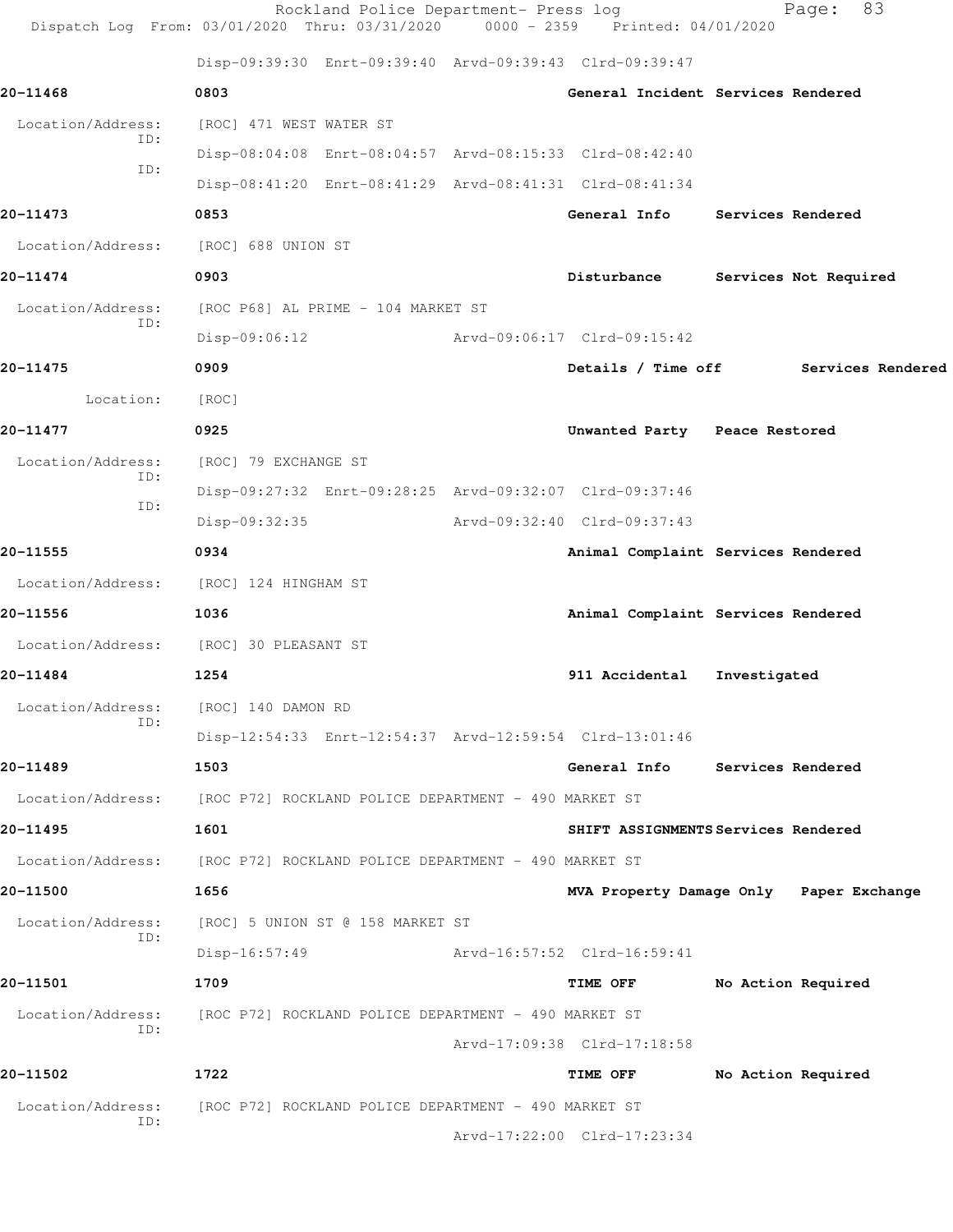|                   | Rockland Police Department- Press log<br>Dispatch Log From: 03/01/2020 Thru: 03/31/2020 0000 - 2359 Printed: 04/01/2020 |                                         |              | 83<br>Page:           |
|-------------------|-------------------------------------------------------------------------------------------------------------------------|-----------------------------------------|--------------|-----------------------|
|                   | Disp-09:39:30 Enrt-09:39:40 Arvd-09:39:43 Clrd-09:39:47                                                                 |                                         |              |                       |
| 20-11468          | 0803                                                                                                                    | General Incident Services Rendered      |              |                       |
| Location/Address: | [ROC] 471 WEST WATER ST                                                                                                 |                                         |              |                       |
| ID:<br>ID:        | Disp-08:04:08 Enrt-08:04:57 Arvd-08:15:33 Clrd-08:42:40                                                                 |                                         |              |                       |
|                   | Disp-08:41:20 Enrt-08:41:29 Arvd-08:41:31 Clrd-08:41:34                                                                 |                                         |              |                       |
| 20-11473          | 0853                                                                                                                    | General Info Services Rendered          |              |                       |
| Location/Address: | [ROC] 688 UNION ST                                                                                                      |                                         |              |                       |
| 20-11474          | 0903                                                                                                                    | Disturbance                             |              | Services Not Required |
| Location/Address: | [ROC P68] AL PRIME - 104 MARKET ST                                                                                      |                                         |              |                       |
| ID:               | $Disp-09:06:12$                                                                                                         | Arvd-09:06:17 Clrd-09:15:42             |              |                       |
| 20-11475          | 0909                                                                                                                    | Details / Time off                      |              | Services Rendered     |
| Location:         | [ROC]                                                                                                                   |                                         |              |                       |
| 20-11477          | 0925                                                                                                                    | Unwanted Party Peace Restored           |              |                       |
| Location/Address: | [ROC] 79 EXCHANGE ST                                                                                                    |                                         |              |                       |
| ID:               | Disp-09:27:32 Enrt-09:28:25 Arvd-09:32:07 Clrd-09:37:46                                                                 |                                         |              |                       |
| ID:               | Disp-09:32:35                                                                                                           | Arvd-09:32:40 Clrd-09:37:43             |              |                       |
| 20-11555          | 0934                                                                                                                    | Animal Complaint Services Rendered      |              |                       |
| Location/Address: | [ROC] 124 HINGHAM ST                                                                                                    |                                         |              |                       |
| 20-11556          | 1036                                                                                                                    | Animal Complaint Services Rendered      |              |                       |
| Location/Address: | [ROC] 30 PLEASANT ST                                                                                                    |                                         |              |                       |
| 20-11484          | 1254                                                                                                                    | 911 Accidental                          | Investigated |                       |
| Location/Address: | [ROC] 140 DAMON RD                                                                                                      |                                         |              |                       |
| ID:               | Disp-12:54:33 Enrt-12:54:37 Arvd-12:59:54 Clrd-13:01:46                                                                 |                                         |              |                       |
| 20-11489          | 1503                                                                                                                    | General Info Services Rendered          |              |                       |
| Location/Address: | [ROC P72] ROCKLAND POLICE DEPARTMENT - 490 MARKET ST                                                                    |                                         |              |                       |
| 20-11495          | 1601                                                                                                                    | SHIFT ASSIGNMENTS Services Rendered     |              |                       |
| Location/Address: | [ROC P72] ROCKLAND POLICE DEPARTMENT - 490 MARKET ST                                                                    |                                         |              |                       |
| 20-11500          | 1656                                                                                                                    | MVA Property Damage Only Paper Exchange |              |                       |
| Location/Address: | [ROC] 5 UNION ST @ 158 MARKET ST                                                                                        |                                         |              |                       |
| ID:               | $Disp-16:57:49$                                                                                                         | Arvd-16:57:52 Clrd-16:59:41             |              |                       |
| 20-11501          | 1709                                                                                                                    | <b>TIME OFF</b>                         |              | No Action Required    |
| Location/Address: | [ROC P72] ROCKLAND POLICE DEPARTMENT - 490 MARKET ST                                                                    |                                         |              |                       |
| ID:               |                                                                                                                         | Arvd-17:09:38 Clrd-17:18:58             |              |                       |
| 20-11502          | 1722                                                                                                                    | TIME OFF                                |              | No Action Required    |
| Location/Address: | [ROC P72] ROCKLAND POLICE DEPARTMENT - 490 MARKET ST                                                                    |                                         |              |                       |
| ID:               |                                                                                                                         | Arvd-17:22:00 Clrd-17:23:34             |              |                       |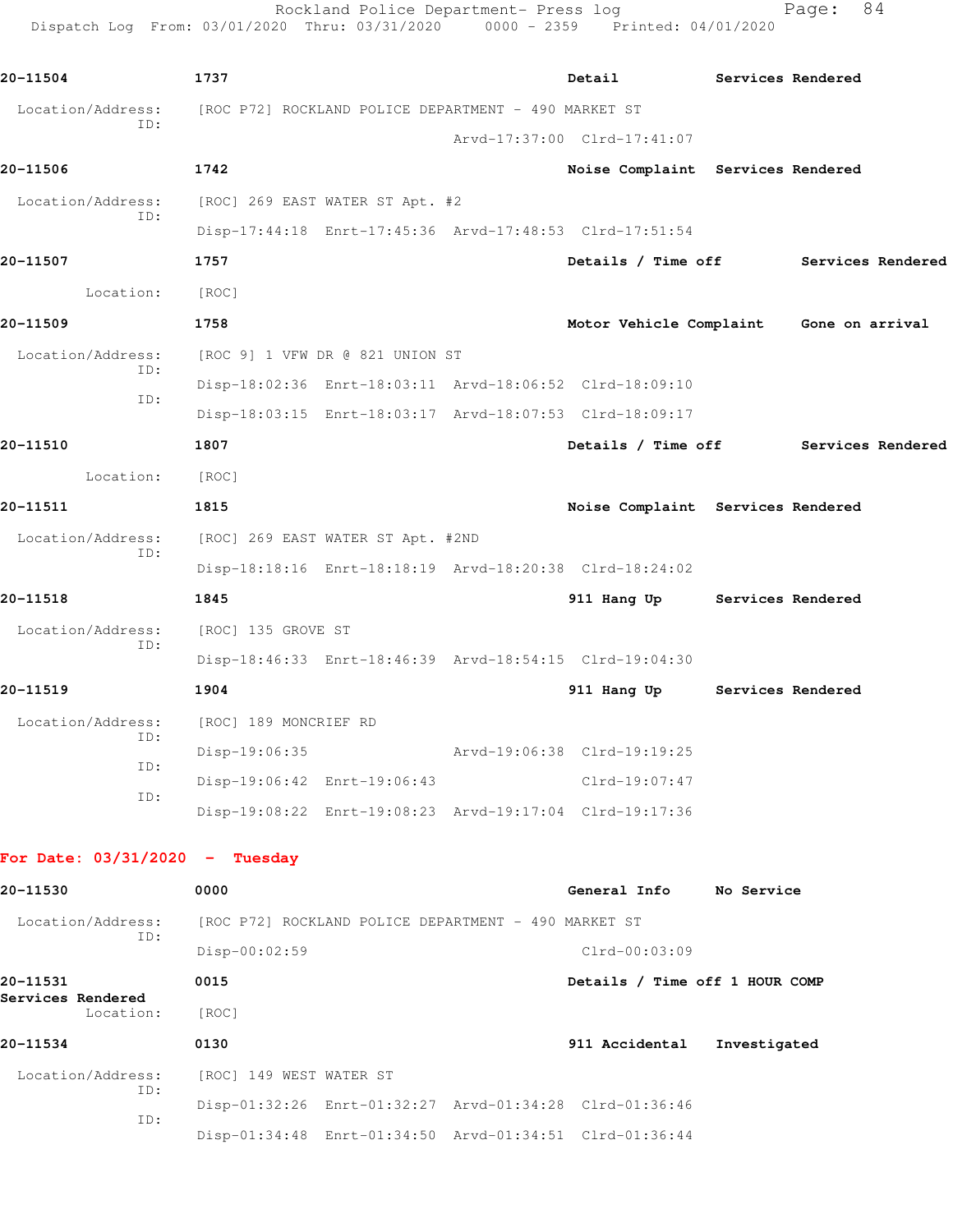|                   | Rockland Police Department- Press log<br>Dispatch Log From: 03/01/2020 Thru: 03/31/2020 0000 - 2359 Printed: 04/01/2020 |                                         |                   | 84<br>Page:       |  |
|-------------------|-------------------------------------------------------------------------------------------------------------------------|-----------------------------------------|-------------------|-------------------|--|
| 20-11504          | 1737                                                                                                                    | Detail                                  |                   | Services Rendered |  |
| Location/Address: | [ROC P72] ROCKLAND POLICE DEPARTMENT - 490 MARKET ST                                                                    |                                         |                   |                   |  |
| ID:               |                                                                                                                         | Arvd-17:37:00 Clrd-17:41:07             |                   |                   |  |
| 20-11506          | 1742                                                                                                                    | Noise Complaint Services Rendered       |                   |                   |  |
| Location/Address: | [ROC] 269 EAST WATER ST Apt. #2                                                                                         |                                         |                   |                   |  |
| ID:               | Disp-17:44:18 Enrt-17:45:36 Arvd-17:48:53 Clrd-17:51:54                                                                 |                                         |                   |                   |  |
| 20-11507          | 1757                                                                                                                    | Details / Time off                      |                   | Services Rendered |  |
| Location:         | [ROC]                                                                                                                   |                                         |                   |                   |  |
| 20-11509          | 1758                                                                                                                    | Motor Vehicle Complaint Gone on arrival |                   |                   |  |
| Location/Address: | [ROC 9] 1 VFW DR @ 821 UNION ST                                                                                         |                                         |                   |                   |  |
| TD:               | Disp-18:02:36 Enrt-18:03:11 Arvd-18:06:52 Clrd-18:09:10                                                                 |                                         |                   |                   |  |
| ID:               | Disp-18:03:15 Enrt-18:03:17 Arvd-18:07:53 Clrd-18:09:17                                                                 |                                         |                   |                   |  |
| 20-11510          | 1807                                                                                                                    | Details / Time off                      |                   | Services Rendered |  |
| Location:         | [ROC]                                                                                                                   |                                         |                   |                   |  |
| 20-11511          | 1815                                                                                                                    | Noise Complaint Services Rendered       |                   |                   |  |
| Location/Address: | [ROC] 269 EAST WATER ST Apt. #2ND                                                                                       |                                         |                   |                   |  |
| ID:               | Disp-18:18:16 Enrt-18:18:19 Arvd-18:20:38 Clrd-18:24:02                                                                 |                                         |                   |                   |  |
| 20-11518          | 1845                                                                                                                    | 911 Hang Up Services Rendered           |                   |                   |  |
| Location/Address: | [ROC] 135 GROVE ST                                                                                                      |                                         |                   |                   |  |
| ID:               | Disp-18:46:33 Enrt-18:46:39 Arvd-18:54:15 Clrd-19:04:30                                                                 |                                         |                   |                   |  |
| 20-11519          | 1904                                                                                                                    | 911 Hang Up                             | Services Rendered |                   |  |
| Location/Address: | [ROC] 189 MONCRIEF RD                                                                                                   |                                         |                   |                   |  |
| ID:               | Disp-19:06:35                                                                                                           | Arvd-19:06:38 Clrd-19:19:25             |                   |                   |  |
| ID:               | Disp-19:06:42 Enrt-19:06:43                                                                                             | Clrd-19:07:47                           |                   |                   |  |
| ID:               |                                                                                                                         |                                         |                   |                   |  |

## **For Date: 03/31/2020 - Tuesday**

| 20-11530                                   | 0000                    |                                                         | General Info    | No Service                     |
|--------------------------------------------|-------------------------|---------------------------------------------------------|-----------------|--------------------------------|
| Location/Address:<br>ID:                   |                         | [ROC P72] ROCKLAND POLICE DEPARTMENT - 490 MARKET ST    |                 |                                |
|                                            | $Disp-00:02:59$         |                                                         | $Clrd-00:03:09$ |                                |
| 20-11531<br>Services Rendered<br>Location: | 0015                    |                                                         |                 | Details / Time off 1 HOUR COMP |
|                                            | [ROC]                   |                                                         |                 |                                |
| 20-11534                                   | 0130                    |                                                         | 911 Accidental  | Investigated                   |
| Location/Address:<br>ID:<br>ID:            | [ROC] 149 WEST WATER ST |                                                         |                 |                                |
|                                            |                         | Disp-01:32:26 Enrt-01:32:27 Arvd-01:34:28 Clrd-01:36:46 |                 |                                |
|                                            |                         | Disp-01:34:48 Enrt-01:34:50 Arvd-01:34:51 Clrd-01:36:44 |                 |                                |

Disp-19:08:22 Enrt-19:08:23 Arvd-19:17:04 Clrd-19:17:36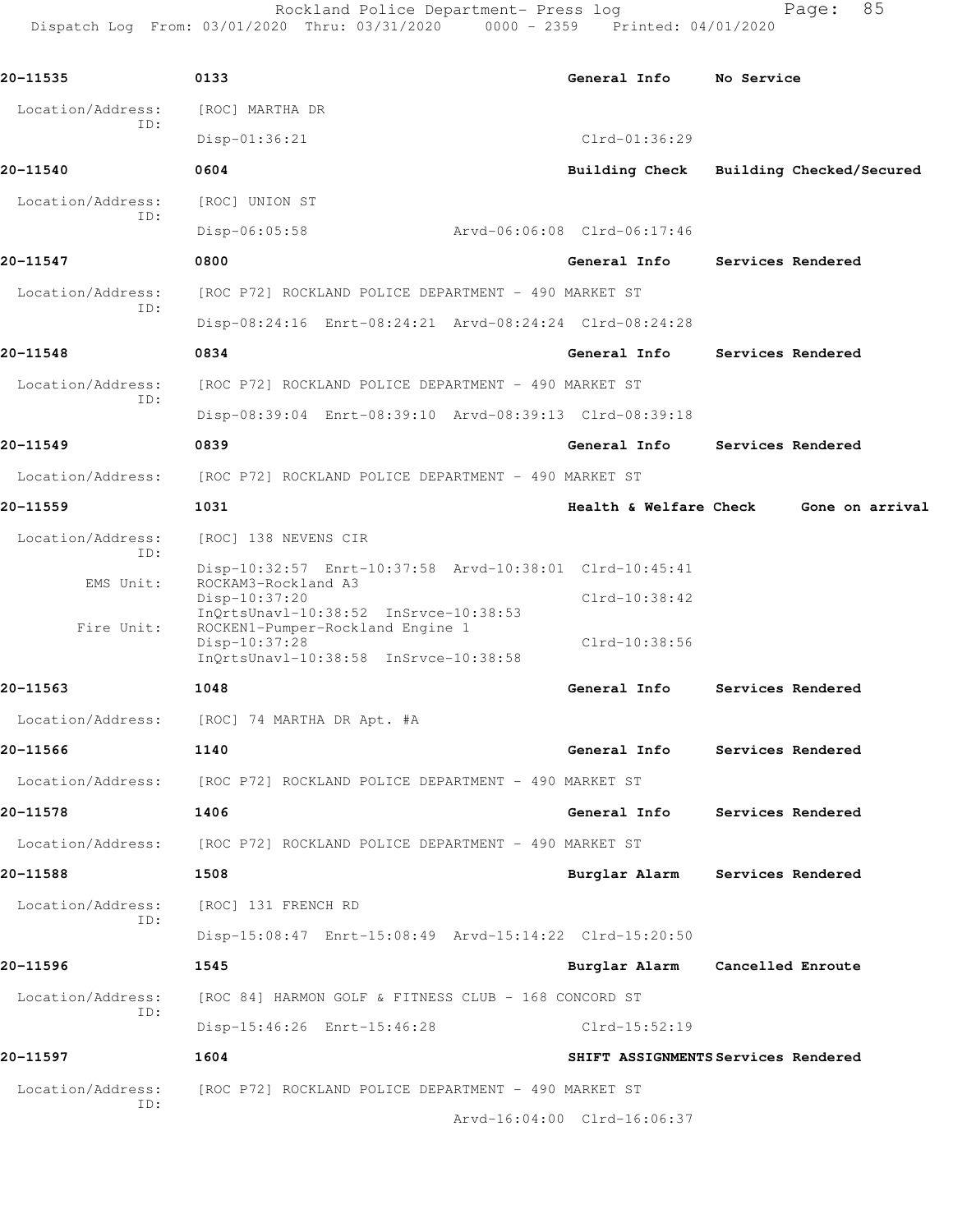Rockland Police Department- Press log entitled Page: 85 Dispatch Log From: 03/01/2020 Thru: 03/31/2020 0000 - 2359 Printed: 04/01/2020

| 20-11535                 | 0133                                                                                                                                | General Info                | No Service                          |  |  |  |
|--------------------------|-------------------------------------------------------------------------------------------------------------------------------------|-----------------------------|-------------------------------------|--|--|--|
| Location/Address:        | [ROC] MARTHA DR                                                                                                                     |                             |                                     |  |  |  |
| ID:                      | Disp-01:36:21                                                                                                                       | $Clrd-01:36:29$             |                                     |  |  |  |
| 20-11540                 | 0604                                                                                                                                | Building Check              | Building Checked/Secured            |  |  |  |
| Location/Address:<br>ID: | [ROC] UNION ST                                                                                                                      |                             |                                     |  |  |  |
|                          | $Disp-06:05:58$                                                                                                                     | Arvd-06:06:08 Clrd-06:17:46 |                                     |  |  |  |
| 20-11547                 | 0800                                                                                                                                | General Info                | Services Rendered                   |  |  |  |
| Location/Address:<br>ID: | [ROC P72] ROCKLAND POLICE DEPARTMENT - 490 MARKET ST                                                                                |                             |                                     |  |  |  |
|                          | Disp-08:24:16 Enrt-08:24:21 Arvd-08:24:24 Clrd-08:24:28                                                                             |                             |                                     |  |  |  |
| 20-11548                 | 0834                                                                                                                                | General Info                | Services Rendered                   |  |  |  |
| Location/Address:        | [ROC P72] ROCKLAND POLICE DEPARTMENT - 490 MARKET ST                                                                                |                             |                                     |  |  |  |
| ID:                      | Disp-08:39:04 Enrt-08:39:10 Arvd-08:39:13 Clrd-08:39:18                                                                             |                             |                                     |  |  |  |
| 20-11549                 | 0839                                                                                                                                | General Info                | Services Rendered                   |  |  |  |
| Location/Address:        | [ROC P72] ROCKLAND POLICE DEPARTMENT - 490 MARKET ST                                                                                |                             |                                     |  |  |  |
| 20-11559                 | 1031                                                                                                                                | Health & Welfare Check      | Gone on arrival                     |  |  |  |
| Location/Address:        | [ROC] 138 NEVENS CIR                                                                                                                |                             |                                     |  |  |  |
| ID:                      | Disp-10:32:57 Enrt-10:37:58 Arvd-10:38:01 Clrd-10:45:41                                                                             |                             |                                     |  |  |  |
| EMS Unit:                | ROCKAM3-Rockland A3<br>Disp-10:37:20                                                                                                | Clrd-10:38:42               |                                     |  |  |  |
| Fire Unit:               | InQrtsUnavl-10:38:52 InSrvce-10:38:53<br>ROCKEN1-Pumper-Rockland Engine 1<br>Disp-10:37:28<br>InQrtsUnavl-10:38:58 InSrvce-10:38:58 | Clrd-10:38:56               |                                     |  |  |  |
| 20-11563                 | 1048                                                                                                                                | General Info                | Services Rendered                   |  |  |  |
| Location/Address:        | [ROC] 74 MARTHA DR Apt. #A                                                                                                          |                             |                                     |  |  |  |
| 20-11566                 | 1140                                                                                                                                | General Info                | Services Rendered                   |  |  |  |
|                          | Location/Address: [ROC P72] ROCKLAND POLICE DEPARTMENT - 490 MARKET ST                                                              |                             |                                     |  |  |  |
| 20-11578                 | 1406                                                                                                                                | General Info                | Services Rendered                   |  |  |  |
|                          | Location/Address: [ROC P72] ROCKLAND POLICE DEPARTMENT - 490 MARKET ST                                                              |                             |                                     |  |  |  |
| 20-11588                 | 1508                                                                                                                                | Burglar Alarm               | Services Rendered                   |  |  |  |
| Location/Address:<br>ID: | [ROC] 131 FRENCH RD                                                                                                                 |                             |                                     |  |  |  |
|                          | Disp-15:08:47 Enrt-15:08:49 Arvd-15:14:22 Clrd-15:20:50                                                                             |                             |                                     |  |  |  |
| 20-11596                 | 1545                                                                                                                                | Burglar Alarm               | Cancelled Enroute                   |  |  |  |
| Location/Address:<br>ID: | [ROC 84] HARMON GOLF & FITNESS CLUB - 168 CONCORD ST                                                                                |                             |                                     |  |  |  |
|                          | Disp-15:46:26 Enrt-15:46:28                                                                                                         | Clrd-15:52:19               |                                     |  |  |  |
| 20-11597                 | 1604                                                                                                                                |                             | SHIFT ASSIGNMENTS Services Rendered |  |  |  |
| Location/Address:<br>ID: | [ROC P72] ROCKLAND POLICE DEPARTMENT - 490 MARKET ST                                                                                |                             |                                     |  |  |  |
|                          |                                                                                                                                     | Arvd-16:04:00 Clrd-16:06:37 |                                     |  |  |  |